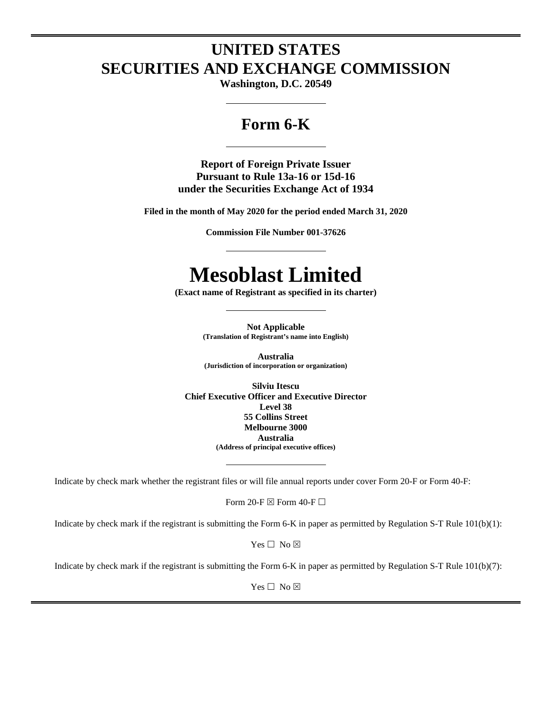# **UNITED STATES SECURITIES AND EXCHANGE COMMISSION**

**Washington, D.C. 20549**

# **Form 6-K**

**Report of Foreign Private Issuer Pursuant to Rule 13a-16 or 15d-16 under the Securities Exchange Act of 1934** 

**Filed in the month of May 2020 for the period ended March 31, 2020**

**Commission File Number 001-37626**

# **Mesoblast Limited**

**(Exact name of Registrant as specified in its charter)**

**Not Applicable (Translation of Registrant's name into English)**

**Australia (Jurisdiction of incorporation or organization)**

**Silviu Itescu Chief Executive Officer and Executive Director Level 38 55 Collins Street Melbourne 3000 Australia (Address of principal executive offices)**

Indicate by check mark whether the registrant files or will file annual reports under cover Form 20-F or Form 40-F:

Form 20-F  $\boxtimes$  Form 40-F  $\Box$ 

Indicate by check mark if the registrant is submitting the Form 6-K in paper as permitted by Regulation S-T Rule 101(b)(1):

 $Yes \Box No \boxtimes$ 

Indicate by check mark if the registrant is submitting the Form 6-K in paper as permitted by Regulation S-T Rule 101(b)(7):

 $Yes \Box No \boxtimes$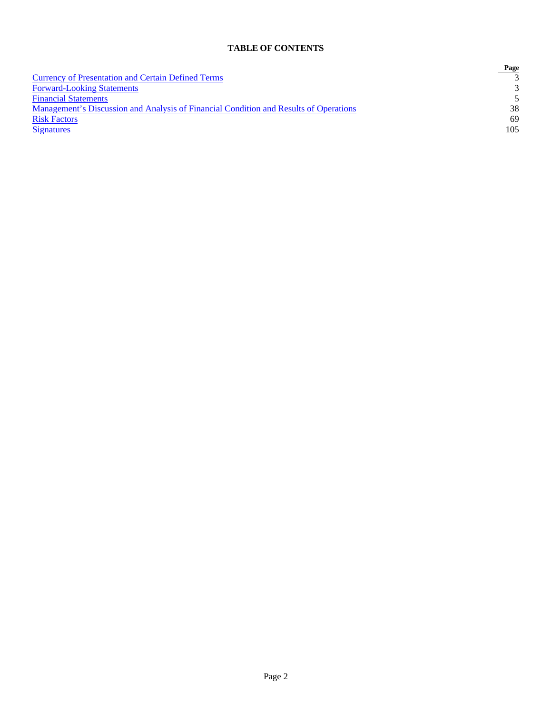## **TABLE OF CONTENTS**

|                                                                                       | Page          |
|---------------------------------------------------------------------------------------|---------------|
| <b>Currency of Presentation and Certain Defined Terms</b>                             |               |
| <b>Forward-Looking Statements</b>                                                     | $\mathcal{R}$ |
| <b>Financial Statements</b>                                                           | $\sim$        |
| Management's Discussion and Analysis of Financial Condition and Results of Operations | 38            |
| <b>Risk Factors</b>                                                                   | 69            |
| <b>Signatures</b>                                                                     | $105 -$       |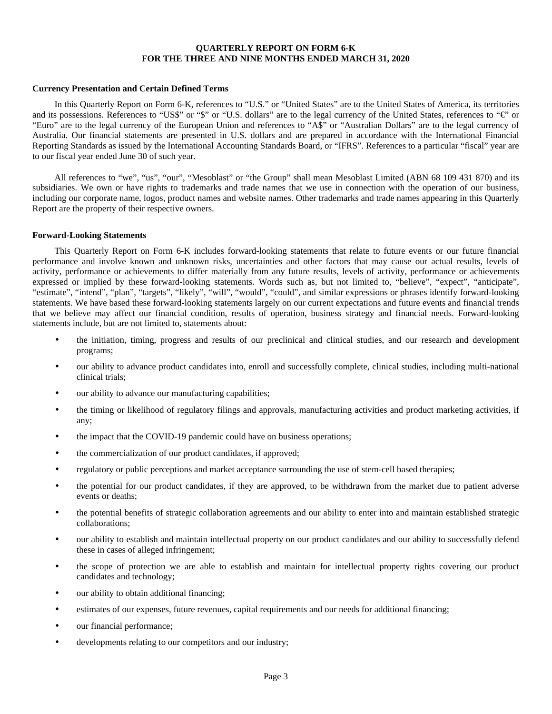#### <span id="page-2-0"></span>**QUARTERLY REPORT ON FORM 6-K FOR THE THREE AND NINE MONTHS ENDED MARCH 31, 2020**

#### **Currency Presentation and Certain Defined Terms**

In this Quarterly Report on Form 6-K, references to "U.S." or "United States" are to the United States of America, its territories and its possessions. References to "US\$" or "\$" or "U.S. dollars" are to the legal currency of the United States, references to "€" or "Euro" are to the legal currency of the European Union and references to "A\$" or "Australian Dollars" are to the legal currency of Australia. Our financial statements are presented in U.S. dollars and are prepared in accordance with the International Financial Reporting Standards as issued by the International Accounting Standards Board, or "IFRS". References to a particular "fiscal" year are to our fiscal year ended June 30 of such year.

All references to "we", "us", "our", "Mesoblast" or "the Group" shall mean Mesoblast Limited (ABN 68 109 431 870) and its subsidiaries. We own or have rights to trademarks and trade names that we use in connection with the operation of our business, including our corporate name, logos, product names and website names. Other trademarks and trade names appearing in this Quarterly Report are the property of their respective owners.

#### <span id="page-2-1"></span>**Forward-Looking Statements**

This Quarterly Report on Form 6-K includes forward-looking statements that relate to future events or our future financial performance and involve known and unknown risks, uncertainties and other factors that may cause our actual results, levels of activity, performance or achievements to differ materially from any future results, levels of activity, performance or achievements expressed or implied by these forward-looking statements. Words such as, but not limited to, "believe", "expect", "anticipate", "estimate", "intend", "plan", "targets", "likely", "will", "would", "could", and similar expressions or phrases identify forward-looking statements. We have based these forward-looking statements largely on our current expectations and future events and financial trends that we believe may affect our financial condition, results of operation, business strategy and financial needs. Forward-looking statements include, but are not limited to, statements about:

- the initiation, timing, progress and results of our preclinical and clinical studies, and our research and development programs;
- our ability to advance product candidates into, enroll and successfully complete, clinical studies, including multi-national clinical trials;
- our ability to advance our manufacturing capabilities;
- the timing or likelihood of regulatory filings and approvals, manufacturing activities and product marketing activities, if any;
- the impact that the COVID-19 pandemic could have on business operations;
- the commercialization of our product candidates, if approved;
- regulatory or public perceptions and market acceptance surrounding the use of stem-cell based therapies;
- the potential for our product candidates, if they are approved, to be withdrawn from the market due to patient adverse events or deaths;
- the potential benefits of strategic collaboration agreements and our ability to enter into and maintain established strategic collaborations;
- our ability to establish and maintain intellectual property on our product candidates and our ability to successfully defend these in cases of alleged infringement;
- the scope of protection we are able to establish and maintain for intellectual property rights covering our product candidates and technology;
- our ability to obtain additional financing;
- estimates of our expenses, future revenues, capital requirements and our needs for additional financing;
- our financial performance;
- developments relating to our competitors and our industry;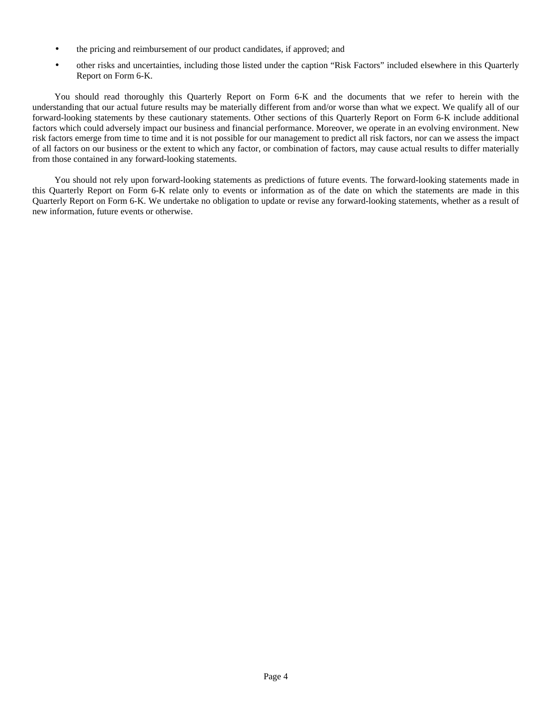- the pricing and reimbursement of our product candidates, if approved; and
- other risks and uncertainties, including those listed under the caption "Risk Factors" included elsewhere in this Quarterly Report on Form 6-K.

You should read thoroughly this Quarterly Report on Form 6-K and the documents that we refer to herein with the understanding that our actual future results may be materially different from and/or worse than what we expect. We qualify all of our forward-looking statements by these cautionary statements. Other sections of this Quarterly Report on Form 6-K include additional factors which could adversely impact our business and financial performance. Moreover, we operate in an evolving environment. New risk factors emerge from time to time and it is not possible for our management to predict all risk factors, nor can we assess the impact of all factors on our business or the extent to which any factor, or combination of factors, may cause actual results to differ materially from those contained in any forward-looking statements.

You should not rely upon forward-looking statements as predictions of future events. The forward-looking statements made in this Quarterly Report on Form 6-K relate only to events or information as of the date on which the statements are made in this Quarterly Report on Form 6-K. We undertake no obligation to update or revise any forward-looking statements, whether as a result of new information, future events or otherwise.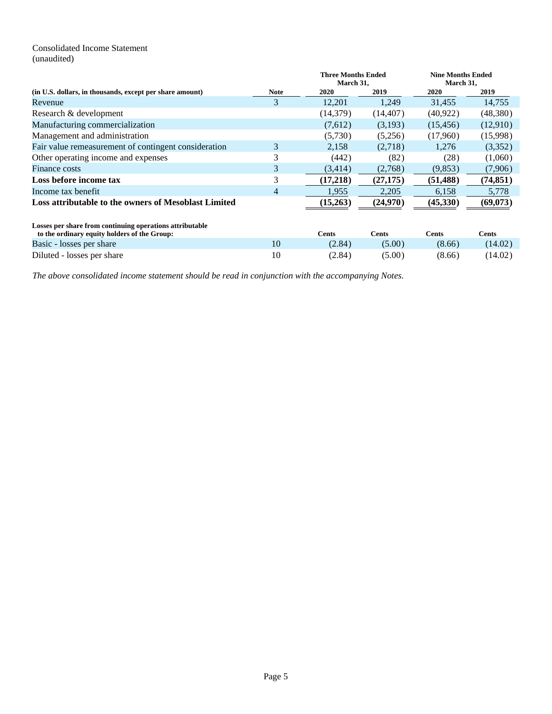## <span id="page-4-0"></span>Consolidated Income Statement (unaudited)

|                                                                                                          |             | <b>Three Months Ended</b><br>March 31, |              | <b>Nine Months Ended</b><br>March 31, |              |
|----------------------------------------------------------------------------------------------------------|-------------|----------------------------------------|--------------|---------------------------------------|--------------|
| (in U.S. dollars, in thousands, except per share amount)                                                 | <b>Note</b> | 2020                                   | 2019         | 2020                                  | 2019         |
| Revenue                                                                                                  | 3           | 12,201                                 | 1,249        | 31,455                                | 14,755       |
| Research & development                                                                                   |             | (14,379)                               | (14, 407)    | (40.922)                              | (48,380)     |
| Manufacturing commercialization                                                                          |             | (7,612)                                | (3,193)      | (15, 456)                             | (12,910)     |
| Management and administration                                                                            |             | (5,730)                                | (5,256)      | (17,960)                              | (15,998)     |
| Fair value remeasurement of contingent consideration                                                     | 3           | 2,158                                  | (2,718)      | 1,276                                 | (3,352)      |
| Other operating income and expenses                                                                      | 3           | (442)                                  | (82)         | (28)                                  | (1,060)      |
| Finance costs                                                                                            | 3           | (3,414)                                | (2,768)      | (9,853)                               | (7,906)      |
| Loss before income tax                                                                                   | 3           | (17,218)                               | (27, 175)    | (51, 488)                             | (74, 851)    |
| Income tax benefit                                                                                       | 4           | 1,955                                  | 2,205        | 6,158                                 | 5,778        |
| Loss attributable to the owners of Mesoblast Limited                                                     |             | (15,263)                               | (24,970)     | (45,330)                              | (69,073)     |
| Losses per share from continuing operations attributable<br>to the ordinary equity holders of the Group: |             | <b>Cents</b>                           | <b>Cents</b> | <b>Cents</b>                          | <b>Cents</b> |
| Basic - losses per share                                                                                 | 10          | (2.84)                                 | (5.00)       | (8.66)                                | (14.02)      |
| Diluted - losses per share                                                                               | 10          | (2.84)                                 | (5.00)       | (8.66)                                | (14.02)      |

*The above consolidated income statement should be read in conjunction with the accompanying Notes.*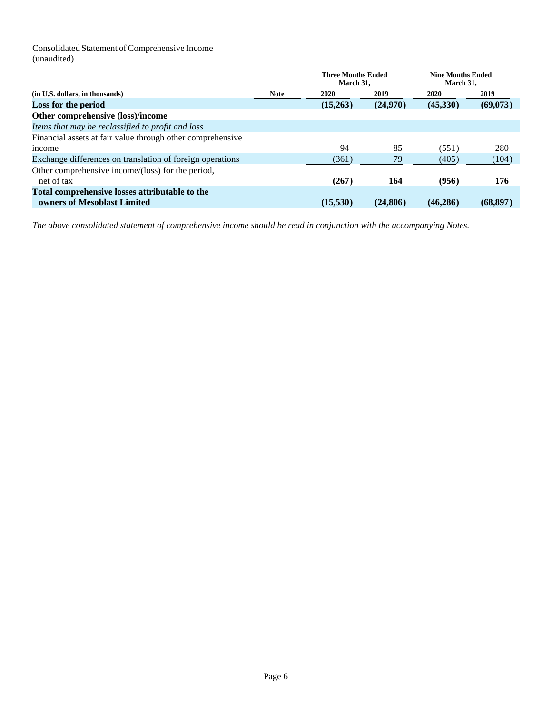Consolidated Statement of Comprehensive Income (unaudited)

|                                                            |             | <b>Three Months Ended</b><br>March 31. |           | <b>Nine Months Ended</b><br>March 31, |           |
|------------------------------------------------------------|-------------|----------------------------------------|-----------|---------------------------------------|-----------|
| (in U.S. dollars, in thousands)                            | <b>Note</b> | <b>2020</b>                            | 2019      | 2020                                  | 2019      |
| Loss for the period                                        |             | (15,263)                               | (24,970)  | (45,330)                              | (69,073)  |
| Other comprehensive (loss)/income                          |             |                                        |           |                                       |           |
| Items that may be reclassified to profit and loss          |             |                                        |           |                                       |           |
| Financial assets at fair value through other comprehensive |             |                                        |           |                                       |           |
| income                                                     |             | 94                                     | 85        | (551)                                 | 280       |
| Exchange differences on translation of foreign operations  |             | (361)                                  | 79        | (405)                                 | (104)     |
| Other comprehensive income/(loss) for the period,          |             |                                        |           |                                       |           |
| net of tax                                                 |             | (267)                                  | 164       | (956)                                 | 176       |
| Total comprehensive losses attributable to the             |             |                                        |           |                                       |           |
| owners of Mesoblast Limited                                |             | (15,530)                               | (24, 806) | (46, 286)                             | (68, 897) |

*The above consolidated statement of comprehensive income should be read in conjunction with the accompanying Notes.*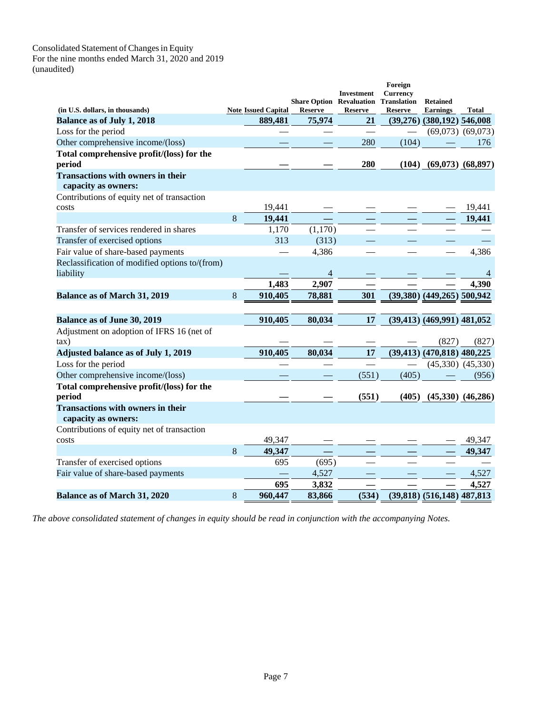#### Consolidated Statement of Changes in Equity For the nine months ended March 31, 2020 and 2019 (unaudited)

|                                                                 |   |                                       |                                             | <b>Investment</b>    | Foreign<br><b>Currency</b> |                                                   |                       |
|-----------------------------------------------------------------|---|---------------------------------------|---------------------------------------------|----------------------|----------------------------|---------------------------------------------------|-----------------------|
|                                                                 |   |                                       | <b>Share Option Revaluation Translation</b> |                      |                            | <b>Retained</b>                                   |                       |
| (in U.S. dollars, in thousands)<br>Balance as of July 1, 2018   |   | <b>Note Issued Capital</b><br>889,481 | <b>Reserve</b><br>75,974                    | <b>Reserve</b><br>21 | <b>Reserve</b>             | <b>Earnings</b><br>$(39,276)$ $(380,192)$ 546,008 | <b>Total</b>          |
| Loss for the period                                             |   |                                       |                                             |                      |                            |                                                   | $(69,073)$ $(69,073)$ |
| Other comprehensive income/(loss)                               |   |                                       |                                             | 280                  | (104)                      |                                                   | 176                   |
| Total comprehensive profit/(loss) for the                       |   |                                       |                                             |                      |                            |                                                   |                       |
| period                                                          |   |                                       |                                             | 280                  | (104)                      |                                                   | $(69,073)$ $(68,897)$ |
| <b>Transactions with owners in their</b>                        |   |                                       |                                             |                      |                            |                                                   |                       |
| capacity as owners:                                             |   |                                       |                                             |                      |                            |                                                   |                       |
| Contributions of equity net of transaction                      |   |                                       |                                             |                      |                            |                                                   |                       |
| costs                                                           |   | 19,441                                |                                             |                      |                            |                                                   | 19,441                |
|                                                                 | 8 | 19,441                                |                                             |                      |                            |                                                   | 19,441                |
| Transfer of services rendered in shares                         |   | 1,170                                 | (1,170)                                     |                      |                            |                                                   |                       |
| Transfer of exercised options                                   |   | 313                                   | (313)                                       |                      |                            |                                                   |                       |
| Fair value of share-based payments                              |   |                                       | 4,386                                       |                      |                            |                                                   | 4,386                 |
| Reclassification of modified options to/(from)<br>liability     |   |                                       | $\overline{4}$                              |                      |                            |                                                   | 4                     |
|                                                                 |   | 1,483                                 | 2,907                                       |                      |                            |                                                   | 4,390                 |
| <b>Balance as of March 31, 2019</b>                             | 8 | 910,405                               | 78,881                                      | 301                  |                            | $(39,380)$ $(449,265)$ 500,942                    |                       |
|                                                                 |   |                                       |                                             |                      |                            |                                                   |                       |
| Balance as of June 30, 2019                                     |   | 910,405                               | 80,034                                      | 17                   |                            | $(39,413)$ $(469,991)$ $481,052$                  |                       |
| Adjustment on adoption of IFRS 16 (net of                       |   |                                       |                                             |                      |                            |                                                   |                       |
| $\tan$ )                                                        |   |                                       |                                             |                      |                            | (827)                                             | (827)                 |
| Adjusted balance as of July 1, 2019                             |   | 910,405                               | 80,034                                      | 17                   |                            | $(39,413)$ $(470,818)$ $480,225$                  |                       |
| Loss for the period                                             |   |                                       |                                             |                      |                            |                                                   | $(45,330)$ $(45,330)$ |
| Other comprehensive income/(loss)                               |   |                                       |                                             | (551)                | (405)                      |                                                   | (956)                 |
| Total comprehensive profit/(loss) for the                       |   |                                       |                                             |                      |                            |                                                   |                       |
| period                                                          |   |                                       |                                             | (551)                | (405)                      |                                                   | $(45,330)$ $(46,286)$ |
| <b>Transactions with owners in their</b><br>capacity as owners: |   |                                       |                                             |                      |                            |                                                   |                       |
| Contributions of equity net of transaction                      |   |                                       |                                             |                      |                            |                                                   |                       |
| costs                                                           |   | 49,347                                |                                             |                      |                            |                                                   | 49,347                |
|                                                                 | 8 | 49,347                                |                                             |                      |                            |                                                   | 49,347                |
| Transfer of exercised options                                   |   | 695                                   | (695)                                       |                      |                            |                                                   |                       |
| Fair value of share-based payments                              |   |                                       | 4,527                                       |                      |                            |                                                   | 4,527                 |
|                                                                 |   | 695                                   | 3,832                                       |                      |                            |                                                   | 4,527                 |
| <b>Balance as of March 31, 2020</b>                             | 8 | 960,447                               | 83,866                                      | (534)                |                            | $(39,818)$ $(516,148)$ 487,813                    |                       |

*The above consolidated statement of changes in equity should be read in conjunction with the accompanying Notes.*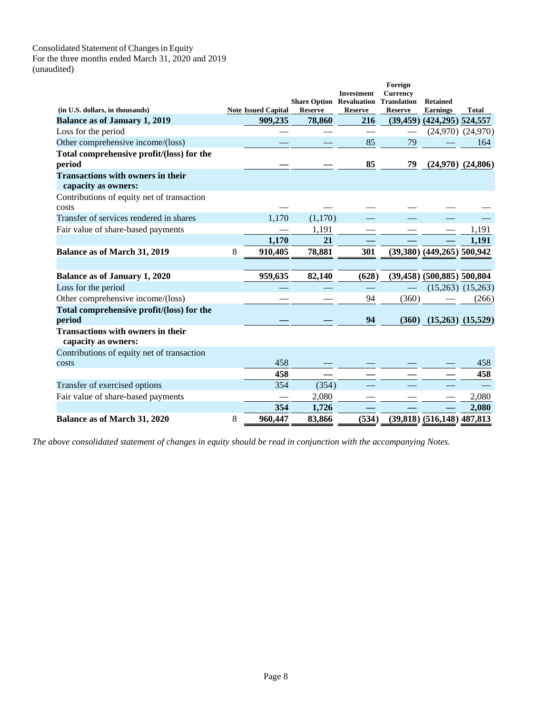#### Consolidated Statement of Changes in Equity For the three months ended March 31, 2020 and 2019 (unaudited)

|                                                                 |   |                            |                                                   | <b>Investment</b> | Foreign<br><b>Currency</b>           |                                    |                       |
|-----------------------------------------------------------------|---|----------------------------|---------------------------------------------------|-------------------|--------------------------------------|------------------------------------|-----------------------|
| (in U.S. dollars, in thousands)                                 |   | <b>Note Issued Capital</b> | <b>Share Option Revaluation</b><br><b>Reserve</b> | <b>Reserve</b>    | <b>Translation</b><br><b>Reserve</b> | <b>Retained</b><br><b>Earnings</b> | <b>Total</b>          |
| <b>Balance as of January 1, 2019</b>                            |   | 909,235                    | 78,860                                            | 216               | (39, 459)                            | $(424, 295)$ 524,557               |                       |
| Loss for the period                                             |   |                            |                                                   |                   |                                      |                                    | $(24,970)$ $(24,970)$ |
| Other comprehensive income/(loss)                               |   |                            |                                                   | 85                | 79                                   |                                    | 164                   |
| Total comprehensive profit/(loss) for the                       |   |                            |                                                   |                   |                                      |                                    |                       |
| period                                                          |   |                            |                                                   | 85                | 79                                   |                                    | $(24,970)$ $(24,806)$ |
| <b>Transactions with owners in their</b><br>capacity as owners: |   |                            |                                                   |                   |                                      |                                    |                       |
| Contributions of equity net of transaction                      |   |                            |                                                   |                   |                                      |                                    |                       |
| costs                                                           |   |                            |                                                   |                   |                                      |                                    |                       |
| Transfer of services rendered in shares                         |   | 1,170                      | (1,170)                                           |                   |                                      |                                    |                       |
| Fair value of share-based payments                              |   |                            | 1,191                                             |                   |                                      |                                    | 1,191                 |
|                                                                 |   | 1,170                      | 21                                                |                   |                                      |                                    | 1,191                 |
| <b>Balance as of March 31, 2019</b>                             | 8 | 910,405                    | 78,881                                            | 301               |                                      | $(39,380)$ $(449,265)$ 500,942     |                       |
|                                                                 |   |                            |                                                   |                   |                                      |                                    |                       |
| <b>Balance as of January 1, 2020</b>                            |   | 959,635                    | 82,140                                            | (628)             |                                      | $(39,458)$ $(500,885)$ 500,804     |                       |
| Loss for the period                                             |   |                            |                                                   |                   |                                      |                                    | $(15,263)$ $(15,263)$ |
| Other comprehensive income/(loss)                               |   |                            |                                                   | 94                | (360)                                |                                    | (266)                 |
| Total comprehensive profit/(loss) for the                       |   |                            |                                                   |                   |                                      |                                    |                       |
| period                                                          |   |                            |                                                   | 94                | (360)                                | $(15,263)$ $(15,529)$              |                       |
| <b>Transactions with owners in their</b><br>capacity as owners: |   |                            |                                                   |                   |                                      |                                    |                       |
| Contributions of equity net of transaction                      |   |                            |                                                   |                   |                                      |                                    |                       |
| costs                                                           |   | 458                        |                                                   |                   |                                      |                                    | 458                   |
|                                                                 |   | 458                        |                                                   |                   |                                      |                                    | 458                   |
| Transfer of exercised options                                   |   | 354                        | (354)                                             |                   |                                      |                                    |                       |
| Fair value of share-based payments                              |   |                            | 2,080                                             |                   |                                      |                                    | 2,080                 |
|                                                                 |   | 354                        | 1,726                                             |                   |                                      |                                    | 2,080                 |
| <b>Balance as of March 31, 2020</b>                             | 8 | 960,447                    | 83,866                                            | (534)             |                                      | $(39,818)$ $(516,148)$ 487,813     |                       |

*The above consolidated statement of changes in equity should be read in conjunction with the accompanying Notes.*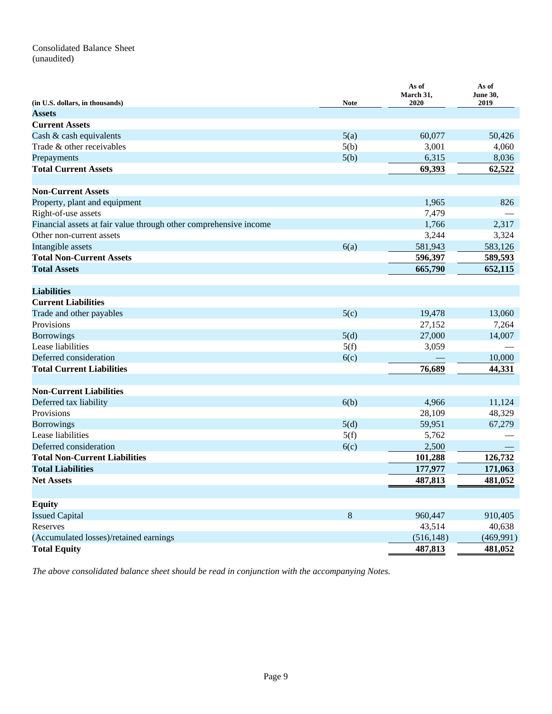## Consolidated Balance Sheet (unaudited)

| (in U.S. dollars, in thousands)                                   | <b>Note</b> | As of<br>March 31,<br>2020 | As of<br>June 30,<br>2019 |
|-------------------------------------------------------------------|-------------|----------------------------|---------------------------|
| <b>Assets</b>                                                     |             |                            |                           |
| <b>Current Assets</b>                                             |             |                            |                           |
| Cash & cash equivalents                                           | 5(a)        | 60,077                     | 50,426                    |
| Trade & other receivables                                         | 5(b)        | 3,001                      | 4,060                     |
| Prepayments                                                       | 5(b)        | 6,315                      | 8,036                     |
| <b>Total Current Assets</b>                                       |             | 69,393                     | 62,522                    |
|                                                                   |             |                            |                           |
| <b>Non-Current Assets</b>                                         |             |                            |                           |
| Property, plant and equipment                                     |             | 1,965                      | 826                       |
| Right-of-use assets                                               |             | 7,479                      |                           |
| Financial assets at fair value through other comprehensive income |             | 1,766                      | 2,317                     |
| Other non-current assets                                          |             | 3,244                      | 3,324                     |
| Intangible assets                                                 | 6(a)        | 581,943                    | 583,126                   |
| <b>Total Non-Current Assets</b>                                   |             | 596,397                    | 589,593                   |
| <b>Total Assets</b>                                               |             | 665,790                    | 652,115                   |
|                                                                   |             |                            |                           |
| <b>Liabilities</b>                                                |             |                            |                           |
| <b>Current Liabilities</b>                                        |             |                            |                           |
| Trade and other payables                                          | 5(c)        | 19,478                     | 13,060                    |
| Provisions                                                        |             | 27,152                     | 7,264                     |
| <b>Borrowings</b>                                                 | 5(d)        | 27,000                     | 14,007                    |
| Lease liabilities                                                 | 5(f)        | 3,059                      |                           |
| Deferred consideration                                            | 6(c)        |                            | 10,000                    |
| <b>Total Current Liabilities</b>                                  |             | 76,689                     | 44,331                    |
|                                                                   |             |                            |                           |
| <b>Non-Current Liabilities</b>                                    |             |                            |                           |
| Deferred tax liability                                            | 6(b)        | 4,966                      | 11,124                    |
| Provisions                                                        |             | 28,109                     | 48,329                    |
| <b>Borrowings</b>                                                 | 5(d)        | 59,951                     | 67,279                    |
| Lease liabilities                                                 | 5(f)        | 5,762                      |                           |
| Deferred consideration                                            | 6(c)        | 2,500                      |                           |
| <b>Total Non-Current Liabilities</b>                              |             | 101,288                    | 126,732                   |
| <b>Total Liabilities</b>                                          |             | 177,977                    | 171,063                   |
| <b>Net Assets</b>                                                 |             | 487,813                    | 481,052                   |
|                                                                   |             |                            |                           |
| <b>Equity</b>                                                     |             |                            |                           |
| <b>Issued Capital</b>                                             | 8           | 960,447                    | 910,405                   |
| Reserves                                                          |             | 43,514                     | 40,638                    |
| (Accumulated losses)/retained earnings                            |             | (516, 148)                 | (469,991)                 |
| <b>Total Equity</b>                                               |             | 487,813                    | 481,052                   |

*The above consolidated balance sheet should be read in conjunction with the accompanying Notes.*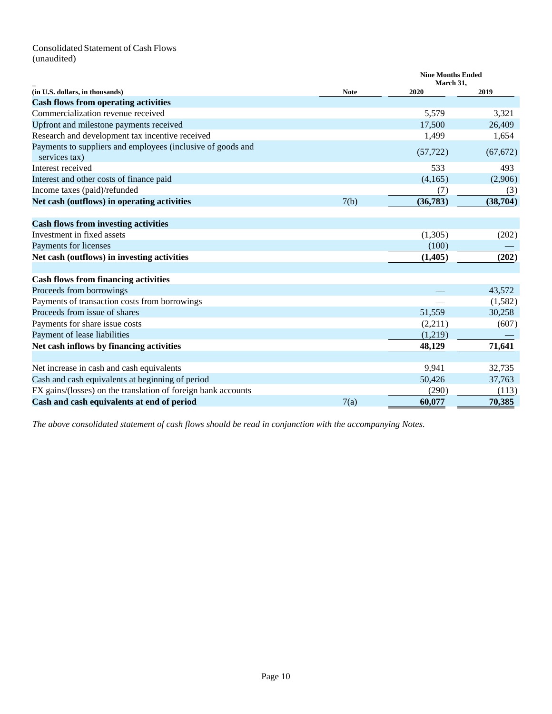## Consolidated Statement of Cash Flows (unaudited)

|                                                                              |             | <b>Nine Months Ended</b><br>March 31, |           |  |
|------------------------------------------------------------------------------|-------------|---------------------------------------|-----------|--|
| (in U.S. dollars, in thousands)                                              | <b>Note</b> | 2020                                  | 2019      |  |
| <b>Cash flows from operating activities</b>                                  |             |                                       |           |  |
| Commercialization revenue received                                           |             | 5,579                                 | 3,321     |  |
| Upfront and milestone payments received                                      |             | 17,500                                | 26,409    |  |
| Research and development tax incentive received                              |             | 1,499                                 | 1,654     |  |
| Payments to suppliers and employees (inclusive of goods and<br>services tax) |             | (57, 722)                             | (67, 672) |  |
| Interest received                                                            |             | 533                                   | 493       |  |
| Interest and other costs of finance paid                                     |             | (4,165)                               | (2,906)   |  |
| Income taxes (paid)/refunded                                                 |             | (7)                                   | (3)       |  |
| Net cash (outflows) in operating activities                                  | 7(b)        | (36, 783)                             | (38,704)  |  |
| <b>Cash flows from investing activities</b>                                  |             |                                       |           |  |
| Investment in fixed assets                                                   |             | (1,305)                               | (202)     |  |
| Payments for licenses                                                        |             | (100)                                 |           |  |
| Net cash (outflows) in investing activities                                  |             | (1, 405)                              | (202)     |  |
| <b>Cash flows from financing activities</b>                                  |             |                                       |           |  |
| Proceeds from borrowings                                                     |             |                                       | 43,572    |  |
| Payments of transaction costs from borrowings                                |             |                                       | (1,582)   |  |
| Proceeds from issue of shares                                                |             | 51,559                                | 30,258    |  |
| Payments for share issue costs                                               |             | (2,211)                               | (607)     |  |
| Payment of lease liabilities                                                 |             | (1,219)                               |           |  |
| Net cash inflows by financing activities                                     |             | 48,129                                | 71,641    |  |
| Net increase in cash and cash equivalents                                    |             | 9,941                                 | 32,735    |  |
| Cash and cash equivalents at beginning of period                             |             | 50,426                                | 37,763    |  |
| FX gains/(losses) on the translation of foreign bank accounts                |             | (290)                                 | (113)     |  |
| Cash and cash equivalents at end of period                                   | 7(a)        | 60,077                                | 70,385    |  |

*The above consolidated statement of cash flows should be read in conjunction with the accompanying Notes.*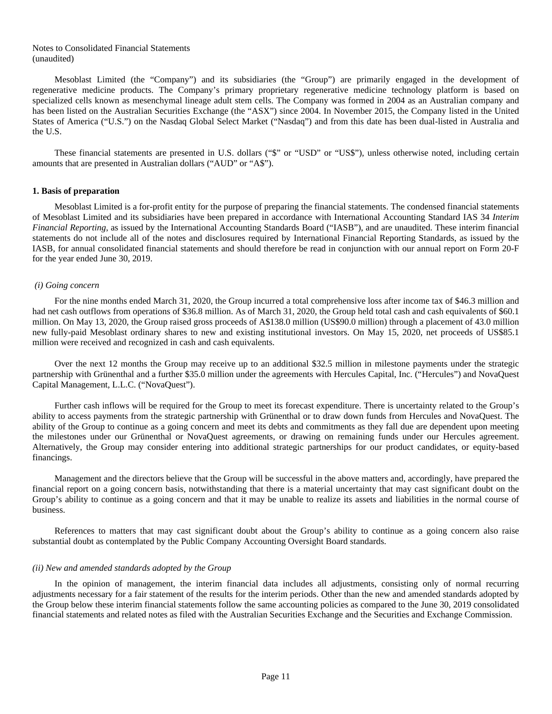#### Notes to Consolidated Financial Statements (unaudited)

Mesoblast Limited (the "Company") and its subsidiaries (the "Group") are primarily engaged in the development of regenerative medicine products. The Company's primary proprietary regenerative medicine technology platform is based on specialized cells known as mesenchymal lineage adult stem cells. The Company was formed in 2004 as an Australian company and has been listed on the Australian Securities Exchange (the "ASX") since 2004. In November 2015, the Company listed in the United States of America ("U.S.") on the Nasdaq Global Select Market ("Nasdaq") and from this date has been dual-listed in Australia and the U.S.

These financial statements are presented in U.S. dollars ("\$" or "USD" or "US\$"), unless otherwise noted, including certain amounts that are presented in Australian dollars ("AUD" or "A\$").

#### **1. Basis of preparation**

Mesoblast Limited is a for-profit entity for the purpose of preparing the financial statements. The condensed financial statements of Mesoblast Limited and its subsidiaries have been prepared in accordance with International Accounting Standard IAS 34 *Interim Financial Reporting*, as issued by the International Accounting Standards Board ("IASB"), and are unaudited. These interim financial statements do not include all of the notes and disclosures required by International Financial Reporting Standards, as issued by the IASB, for annual consolidated financial statements and should therefore be read in conjunction with our annual report on Form 20-F for the year ended June 30, 2019.

#### *(i) Going concern*

For the nine months ended March 31, 2020, the Group incurred a total comprehensive loss after income tax of \$46.3 million and had net cash outflows from operations of \$36.8 million. As of March 31, 2020, the Group held total cash and cash equivalents of \$60.1 million. On May 13, 2020, the Group raised gross proceeds of A\$138.0 million (US\$90.0 million) through a placement of 43.0 million new fully-paid Mesoblast ordinary shares to new and existing institutional investors. On May 15, 2020, net proceeds of US\$85.1 million were received and recognized in cash and cash equivalents.

Over the next 12 months the Group may receive up to an additional \$32.5 million in milestone payments under the strategic partnership with Grünenthal and a further \$35.0 million under the agreements with Hercules Capital, Inc. ("Hercules") and NovaQuest Capital Management, L.L.C. ("NovaQuest").

Further cash inflows will be required for the Group to meet its forecast expenditure. There is uncertainty related to the Group's ability to access payments from the strategic partnership with Grünenthal or to draw down funds from Hercules and NovaQuest. The ability of the Group to continue as a going concern and meet its debts and commitments as they fall due are dependent upon meeting the milestones under our Grünenthal or NovaQuest agreements, or drawing on remaining funds under our Hercules agreement. Alternatively, the Group may consider entering into additional strategic partnerships for our product candidates, or equity-based financings.

Management and the directors believe that the Group will be successful in the above matters and, accordingly, have prepared the financial report on a going concern basis, notwithstanding that there is a material uncertainty that may cast significant doubt on the Group's ability to continue as a going concern and that it may be unable to realize its assets and liabilities in the normal course of business.

References to matters that may cast significant doubt about the Group's ability to continue as a going concern also raise substantial doubt as contemplated by the Public Company Accounting Oversight Board standards.

#### *(ii) New and amended standards adopted by the Group*

In the opinion of management, the interim financial data includes all adjustments, consisting only of normal recurring adjustments necessary for a fair statement of the results for the interim periods. Other than the new and amended standards adopted by the Group below these interim financial statements follow the same accounting policies as compared to the June 30, 2019 consolidated financial statements and related notes as filed with the Australian Securities Exchange and the Securities and Exchange Commission.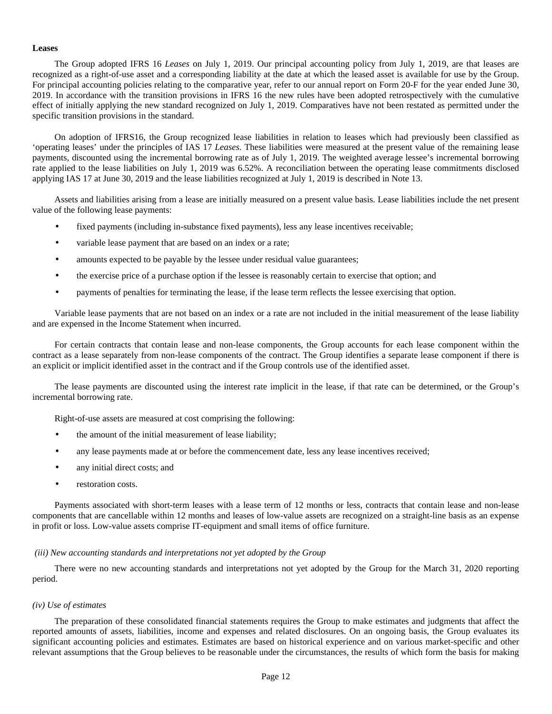#### **Leases**

The Group adopted IFRS 16 *Leases* on July 1, 2019. Our principal accounting policy from July 1, 2019, are that leases are recognized as a right-of-use asset and a corresponding liability at the date at which the leased asset is available for use by the Group. For principal accounting policies relating to the comparative year, refer to our annual report on Form 20-F for the year ended June 30, 2019. In accordance with the transition provisions in IFRS 16 the new rules have been adopted retrospectively with the cumulative effect of initially applying the new standard recognized on July 1, 2019. Comparatives have not been restated as permitted under the specific transition provisions in the standard.

On adoption of IFRS16, the Group recognized lease liabilities in relation to leases which had previously been classified as 'operating leases' under the principles of IAS 17 *Leases*. These liabilities were measured at the present value of the remaining lease payments, discounted using the incremental borrowing rate as of July 1, 2019. The weighted average lessee's incremental borrowing rate applied to the lease liabilities on July 1, 2019 was 6.52%. A reconciliation between the operating lease commitments disclosed applying IAS 17 at June 30, 2019 and the lease liabilities recognized at July 1, 2019 is described in Note 13.

Assets and liabilities arising from a lease are initially measured on a present value basis. Lease liabilities include the net present value of the following lease payments:

- fixed payments (including in-substance fixed payments), less any lease incentives receivable;
- variable lease payment that are based on an index or a rate;
- amounts expected to be payable by the lessee under residual value guarantees;
- the exercise price of a purchase option if the lessee is reasonably certain to exercise that option; and
- payments of penalties for terminating the lease, if the lease term reflects the lessee exercising that option.

Variable lease payments that are not based on an index or a rate are not included in the initial measurement of the lease liability and are expensed in the Income Statement when incurred.

For certain contracts that contain lease and non-lease components, the Group accounts for each lease component within the contract as a lease separately from non-lease components of the contract. The Group identifies a separate lease component if there is an explicit or implicit identified asset in the contract and if the Group controls use of the identified asset.

The lease payments are discounted using the interest rate implicit in the lease, if that rate can be determined, or the Group's incremental borrowing rate.

Right-of-use assets are measured at cost comprising the following:

- the amount of the initial measurement of lease liability;
- any lease payments made at or before the commencement date, less any lease incentives received;
- any initial direct costs; and
- restoration costs.

Payments associated with short-term leases with a lease term of 12 months or less, contracts that contain lease and non-lease components that are cancellable within 12 months and leases of low-value assets are recognized on a straight-line basis as an expense in profit or loss. Low-value assets comprise IT-equipment and small items of office furniture.

#### *(iii) New accounting standards and interpretations not yet adopted by the Group*

There were no new accounting standards and interpretations not yet adopted by the Group for the March 31, 2020 reporting period.

#### *(iv) Use of estimates*

The preparation of these consolidated financial statements requires the Group to make estimates and judgments that affect the reported amounts of assets, liabilities, income and expenses and related disclosures. On an ongoing basis, the Group evaluates its significant accounting policies and estimates. Estimates are based on historical experience and on various market-specific and other relevant assumptions that the Group believes to be reasonable under the circumstances, the results of which form the basis for making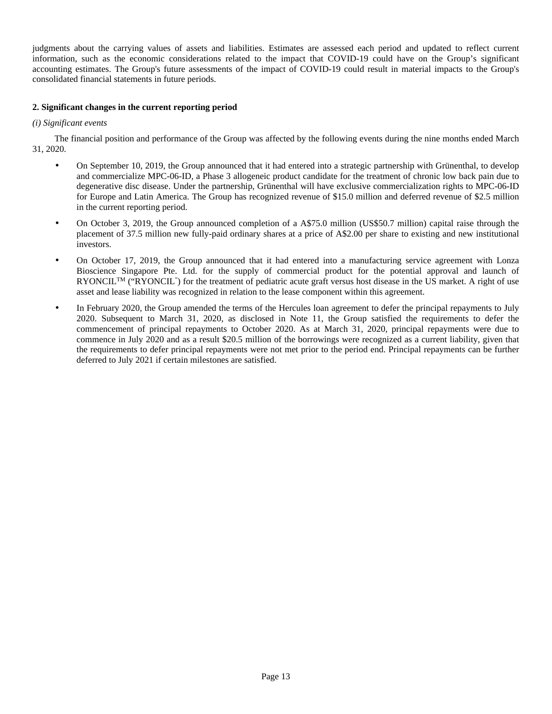judgments about the carrying values of assets and liabilities. Estimates are assessed each period and updated to reflect current information, such as the economic considerations related to the impact that COVID-19 could have on the Group's significant accounting estimates. The Group's future assessments of the impact of COVID-19 could result in material impacts to the Group's consolidated financial statements in future periods.

## **2. Significant changes in the current reporting period**

## *(i) Significant events*

The financial position and performance of the Group was affected by the following events during the nine months ended March 31, 2020.

- On September 10, 2019, the Group announced that it had entered into a strategic partnership with Grünenthal, to develop and commercialize MPC-06-ID, a Phase 3 allogeneic product candidate for the treatment of chronic low back pain due to degenerative disc disease. Under the partnership, Grünenthal will have exclusive commercialization rights to MPC-06-ID for Europe and Latin America. The Group has recognized revenue of \$15.0 million and deferred revenue of \$2.5 million in the current reporting period.
- On October 3, 2019, the Group announced completion of a A\$75.0 million (US\$50.7 million) capital raise through the placement of 37.5 million new fully-paid ordinary shares at a price of A\$2.00 per share to existing and new institutional investors.
- On October 17, 2019, the Group announced that it had entered into a manufacturing service agreement with Lonza Bioscience Singapore Pte. Ltd. for the supply of commercial product for the potential approval and launch of RYONCIL<sup>TM</sup> ("RYONCIL") for the treatment of pediatric acute graft versus host disease in the US market. A right of use asset and lease liability was recognized in relation to the lease component within this agreement.
- In February 2020, the Group amended the terms of the Hercules loan agreement to defer the principal repayments to July 2020. Subsequent to March 31, 2020, as disclosed in Note 11, the Group satisfied the requirements to defer the commencement of principal repayments to October 2020. As at March 31, 2020, principal repayments were due to commence in July 2020 and as a result \$20.5 million of the borrowings were recognized as a current liability, given that the requirements to defer principal repayments were not met prior to the period end. Principal repayments can be further deferred to July 2021 if certain milestones are satisfied.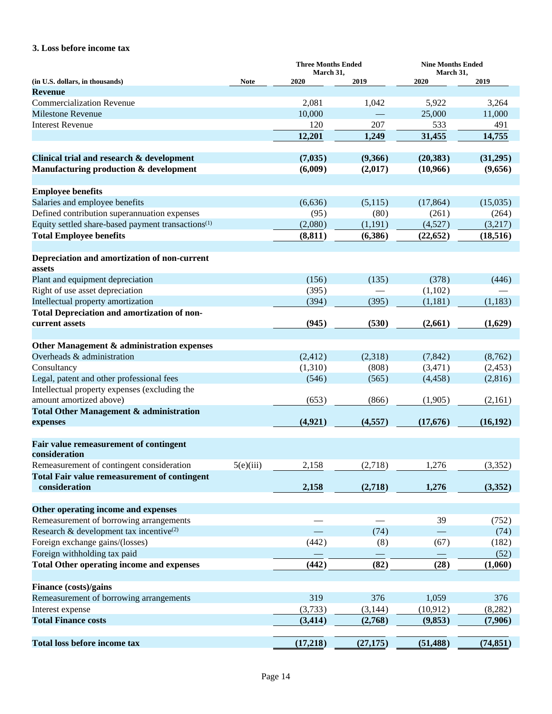## **3. Loss before income tax**

|                                                                |             | <b>Three Months Ended</b> |           | <b>Nine Months Ended</b> |           |  |
|----------------------------------------------------------------|-------------|---------------------------|-----------|--------------------------|-----------|--|
| (in U.S. dollars, in thousands)                                | <b>Note</b> | March 31,<br>2020         | 2019      | March 31,<br>2020        | 2019      |  |
| <b>Revenue</b>                                                 |             |                           |           |                          |           |  |
| <b>Commercialization Revenue</b>                               |             | 2,081                     | 1,042     | 5,922                    | 3,264     |  |
| <b>Milestone Revenue</b>                                       |             | 10,000                    |           | 25,000                   | 11,000    |  |
| <b>Interest Revenue</b>                                        |             | 120                       | 207       | 533                      | 491       |  |
|                                                                |             | 12,201                    | 1,249     | 31,455                   | 14,755    |  |
|                                                                |             |                           |           |                          |           |  |
| Clinical trial and research & development                      |             | (7,035)                   | (9,366)   | (20, 383)                | (31,295)  |  |
| Manufacturing production & development                         |             | (6,009)                   | (2,017)   | (10,966)                 | (9,656)   |  |
|                                                                |             |                           |           |                          |           |  |
| <b>Employee benefits</b>                                       |             |                           |           |                          |           |  |
| Salaries and employee benefits                                 |             | (6,636)                   | (5,115)   | (17, 864)                | (15,035)  |  |
| Defined contribution superannuation expenses                   |             | (95)                      | (80)      | (261)                    | (264)     |  |
| Equity settled share-based payment transactions <sup>(1)</sup> |             | (2,080)                   | (1,191)   | (4,527)                  | (3,217)   |  |
| <b>Total Employee benefits</b>                                 |             | (8, 811)                  | (6,386)   | (22, 652)                | (18, 516) |  |
|                                                                |             |                           |           |                          |           |  |
| Depreciation and amortization of non-current                   |             |                           |           |                          |           |  |
| assets                                                         |             |                           |           |                          |           |  |
| Plant and equipment depreciation                               |             | (156)                     | (135)     | (378)                    | (446)     |  |
| Right of use asset depreciation                                |             | (395)                     |           | (1,102)                  |           |  |
| Intellectual property amortization                             |             | (394)                     | (395)     | (1,181)                  | (1,183)   |  |
| Total Depreciation and amortization of non-                    |             |                           |           |                          |           |  |
| current assets                                                 |             | (945)                     | (530)     | (2,661)                  | (1,629)   |  |
|                                                                |             |                           |           |                          |           |  |
| Other Management & administration expenses                     |             |                           |           |                          |           |  |
| Overheads & administration                                     |             | (2, 412)                  | (2,318)   | (7, 842)                 | (8,762)   |  |
| Consultancy                                                    |             | (1,310)                   | (808)     | (3,471)                  | (2, 453)  |  |
| Legal, patent and other professional fees                      |             | (546)                     | (565)     | (4, 458)                 | (2,816)   |  |
| Intellectual property expenses (excluding the                  |             |                           |           |                          |           |  |
| amount amortized above)                                        |             | (653)                     | (866)     | (1,905)                  | (2,161)   |  |
| <b>Total Other Management &amp; administration</b>             |             |                           |           |                          |           |  |
| expenses                                                       |             | (4,921)                   | (4,557)   | (17,676)                 | (16, 192) |  |
|                                                                |             |                           |           |                          |           |  |
| Fair value remeasurement of contingent                         |             |                           |           |                          |           |  |
| consideration                                                  |             |                           |           |                          |           |  |
| Remeasurement of contingent consideration                      | 5(e)(iii)   | 2,158                     | (2,718)   | 1,276                    | (3, 352)  |  |
| <b>Total Fair value remeasurement of contingent</b>            |             |                           |           |                          |           |  |
| consideration                                                  |             | 2,158                     | (2,718)   | 1,276                    | (3,352)   |  |
|                                                                |             |                           |           |                          |           |  |
| Other operating income and expenses                            |             |                           |           |                          |           |  |
| Remeasurement of borrowing arrangements                        |             |                           |           | 39                       | (752)     |  |
| Research & development tax incentive <sup>(2)</sup>            |             |                           | (74)      |                          | (74)      |  |
| Foreign exchange gains/(losses)                                |             | (442)                     | (8)       | (67)                     | (182)     |  |
| Foreign withholding tax paid                                   |             |                           |           |                          | (52)      |  |
| <b>Total Other operating income and expenses</b>               |             | (442)                     | (82)      | (28)                     | (1,060)   |  |
|                                                                |             |                           |           |                          |           |  |
| Finance (costs)/gains                                          |             |                           |           |                          |           |  |
| Remeasurement of borrowing arrangements                        |             | 319                       | 376       | 1,059                    | 376       |  |
| Interest expense                                               |             | (3,733)                   | (3, 144)  | (10, 912)                | (8,282)   |  |
| <b>Total Finance costs</b>                                     |             | (3, 414)                  | (2,768)   | (9,853)                  | (7,906)   |  |
|                                                                |             |                           |           |                          |           |  |
| <b>Total loss before income tax</b>                            |             | (17,218)                  | (27, 175) | (51, 488)                | (74, 851) |  |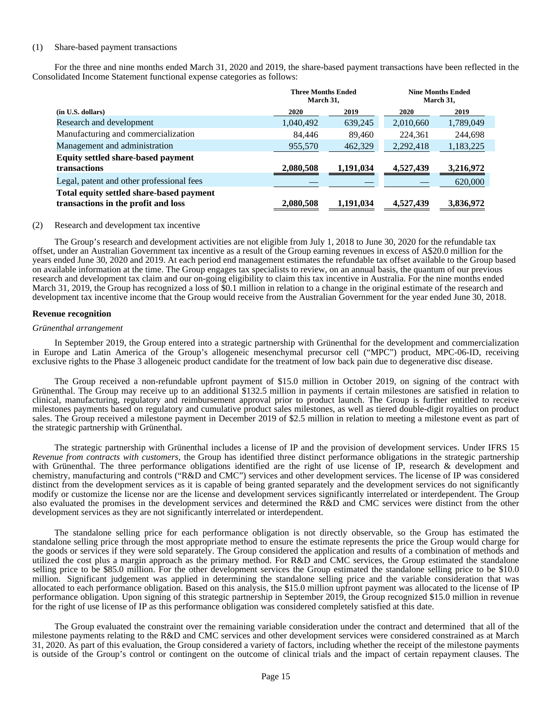#### (1) Share-based payment transactions

For the three and nine months ended March 31, 2020 and 2019, the share-based payment transactions have been reflected in the Consolidated Income Statement functional expense categories as follows:

|                                                                                 | <b>Three Months Ended</b><br>March 31. |           | <b>Nine Months Ended</b><br>March 31. |           |  |
|---------------------------------------------------------------------------------|----------------------------------------|-----------|---------------------------------------|-----------|--|
| (in U.S. dollars)                                                               | 2020                                   | 2019      | 2020                                  | 2019      |  |
| Research and development                                                        | 1,040,492                              | 639,245   | 2,010,660                             | 1,789,049 |  |
| Manufacturing and commercialization                                             | 84.446                                 | 89,460    | 224.361                               | 244.698   |  |
| Management and administration                                                   | 955,570                                | 462,329   | 2,292,418                             | 1,183,225 |  |
| <b>Equity settled share-based payment</b>                                       |                                        |           |                                       |           |  |
| transactions                                                                    | 2,080,508                              | 1,191,034 | 4,527,439                             | 3,216,972 |  |
| Legal, patent and other professional fees                                       |                                        |           |                                       | 620,000   |  |
| Total equity settled share-based payment<br>transactions in the profit and loss | 2,080,508                              | 1,191,034 | 4,527,439                             | 3,836,972 |  |

#### (2) Research and development tax incentive

The Group's research and development activities are not eligible from July 1, 2018 to June 30, 2020 for the refundable tax offset, under an Australian Government tax incentive as a result of the Group earning revenues in excess of A\$20.0 million for the years ended June 30, 2020 and 2019. At each period end management estimates the refundable tax offset available to the Group based on available information at the time. The Group engages tax specialists to review, on an annual basis, the quantum of our previous research and development tax claim and our on-going eligibility to claim this tax incentive in Australia. For the nine months ended March 31, 2019, the Group has recognized a loss of \$0.1 million in relation to a change in the original estimate of the research and development tax incentive income that the Group would receive from the Australian Government for the year ended June 30, 2018.

#### **Revenue recognition**

#### *Grünenthal arrangement*

In September 2019, the Group entered into a strategic partnership with Grünenthal for the development and commercialization in Europe and Latin America of the Group's allogeneic mesenchymal precursor cell ("MPC") product, MPC-06-ID, receiving exclusive rights to the Phase 3 allogeneic product candidate for the treatment of low back pain due to degenerative disc disease.

The Group received a non-refundable upfront payment of \$15.0 million in October 2019, on signing of the contract with Grünenthal. The Group may receive up to an additional \$132.5 million in payments if certain milestones are satisfied in relation to clinical, manufacturing, regulatory and reimbursement approval prior to product launch. The Group is further entitled to receive milestones payments based on regulatory and cumulative product sales milestones, as well as tiered double-digit royalties on product sales. The Group received a milestone payment in December 2019 of \$2.5 million in relation to meeting a milestone event as part of the strategic partnership with Grünenthal.

The strategic partnership with Grünenthal includes a license of IP and the provision of development services. Under IFRS 15 *Revenue from contracts with customers*, the Group has identified three distinct performance obligations in the strategic partnership with Grünenthal. The three performance obligations identified are the right of use license of IP, research & development and chemistry, manufacturing and controls ("R&D and CMC") services and other development services. The license of IP was considered distinct from the development services as it is capable of being granted separately and the development services do not significantly modify or customize the license nor are the license and development services significantly interrelated or interdependent. The Group also evaluated the promises in the development services and determined the R&D and CMC services were distinct from the other development services as they are not significantly interrelated or interdependent.

The standalone selling price for each performance obligation is not directly observable, so the Group has estimated the standalone selling price through the most appropriate method to ensure the estimate represents the price the Group would charge for the goods or services if they were sold separately. The Group considered the application and results of a combination of methods and utilized the cost plus a margin approach as the primary method. For R&D and CMC services, the Group estimated the standalone selling price to be \$85.0 million. For the other development services the Group estimated the standalone selling price to be \$10.0 million. Significant judgement was applied in determining the standalone selling price and the variable consideration that was allocated to each performance obligation. Based on this analysis, the \$15.0 million upfront payment was allocated to the license of IP performance obligation. Upon signing of this strategic partnership in September 2019, the Group recognized \$15.0 million in revenue for the right of use license of IP as this performance obligation was considered completely satisfied at this date.

The Group evaluated the constraint over the remaining variable consideration under the contract and determined that all of the milestone payments relating to the R&D and CMC services and other development services were considered constrained as at March 31, 2020. As part of this evaluation, the Group considered a variety of factors, including whether the receipt of the milestone payments is outside of the Group's control or contingent on the outcome of clinical trials and the impact of certain repayment clauses. The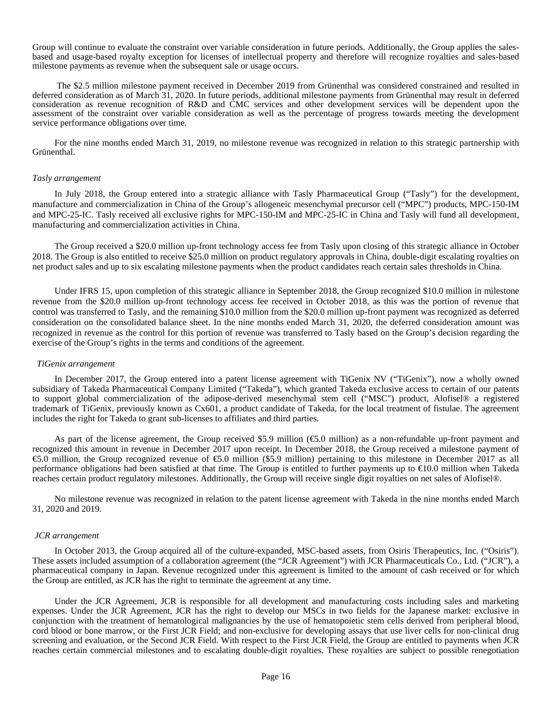Group will continue to evaluate the constraint over variable consideration in future periods. Additionally, the Group applies the salesbased and usage-based royalty exception for licenses of intellectual property and therefore will recognize royalties and sales-based milestone payments as revenue when the subsequent sale or usage occurs.

 The \$2.5 million milestone payment received in December 2019 from Grünenthal was considered constrained and resulted in deferred consideration as of March 31, 2020. In future periods, additional milestone payments from Grünenthal may result in deferred consideration as revenue recognition of R&D and CMC services and other development services will be dependent upon the assessment of the constraint over variable consideration as well as the percentage of progress towards meeting the development service performance obligations over time.

For the nine months ended March 31, 2019, no milestone revenue was recognized in relation to this strategic partnership with Grünenthal.

#### *Tasly arrangement*

In July 2018, the Group entered into a strategic alliance with Tasly Pharmaceutical Group ("Tasly") for the development, manufacture and commercialization in China of the Group's allogeneic mesenchymal precursor cell ("MPC") products, MPC-150-IM and MPC-25-IC. Tasly received all exclusive rights for MPC-150-IM and MPC-25-IC in China and Tasly will fund all development, manufacturing and commercialization activities in China.

The Group received a \$20.0 million up-front technology access fee from Tasly upon closing of this strategic alliance in October 2018. The Group is also entitled to receive \$25.0 million on product regulatory approvals in China, double-digit escalating royalties on net product sales and up to six escalating milestone payments when the product candidates reach certain sales thresholds in China.

Under IFRS 15, upon completion of this strategic alliance in September 2018, the Group recognized \$10.0 million in milestone revenue from the \$20.0 million up-front technology access fee received in October 2018, as this was the portion of revenue that control was transferred to Tasly, and the remaining \$10.0 million from the \$20.0 million up-front payment was recognized as deferred consideration on the consolidated balance sheet. In the nine months ended March 31, 2020, the deferred consideration amount was recognized in revenue as the control for this portion of revenue was transferred to Tasly based on the Group's decision regarding the exercise of the Group's rights in the terms and conditions of the agreement.

#### *TiGenix arrangement*

In December 2017, the Group entered into a patent license agreement with TiGenix NV ("TiGenix"), now a wholly owned subsidiary of Takeda Pharmaceutical Company Limited ("Takeda"), which granted Takeda exclusive access to certain of our patents to support global commercialization of the adipose-derived mesenchymal stem cell ("MSC") product, Alofisel® a registered trademark of TiGenix, previously known as Cx601, a product candidate of Takeda, for the local treatment of fistulae. The agreement includes the right for Takeda to grant sub-licenses to affiliates and third parties.

As part of the license agreement, the Group received \$5.9 million (€5.0 million) as a non-refundable up-front payment and recognized this amount in revenue in December 2017 upon receipt. In December 2018, the Group received a milestone payment of €5.0 million, the Group recognized revenue of €5.0 million (\$5.9 million) pertaining to this milestone in December 2017 as all performance obligations had been satisfied at that time. The Group is entitled to further payments up to €10.0 million when Takeda reaches certain product regulatory milestones. Additionally, the Group will receive single digit royalties on net sales of Alofisel®.

No milestone revenue was recognized in relation to the patent license agreement with Takeda in the nine months ended March 31, 2020 and 2019.

#### *JCR arrangement*

In October 2013, the Group acquired all of the culture-expanded, MSC-based assets, from Osiris Therapeutics, Inc. ("Osiris"). These assets included assumption of a collaboration agreement (the "JCR Agreement") with JCR Pharmaceuticals Co., Ltd. ("JCR"), a pharmaceutical company in Japan. Revenue recognized under this agreement is limited to the amount of cash received or for which the Group are entitled, as JCR has the right to terminate the agreement at any time.

Under the JCR Agreement, JCR is responsible for all development and manufacturing costs including sales and marketing expenses. Under the JCR Agreement, JCR has the right to develop our MSCs in two fields for the Japanese market: exclusive in conjunction with the treatment of hematological malignancies by the use of hematopoietic stem cells derived from peripheral blood, cord blood or bone marrow, or the First JCR Field; and non-exclusive for developing assays that use liver cells for non-clinical drug screening and evaluation, or the Second JCR Field. With respect to the First JCR Field, the Group are entitled to payments when JCR reaches certain commercial milestones and to escalating double-digit royalties. These royalties are subject to possible renegotiation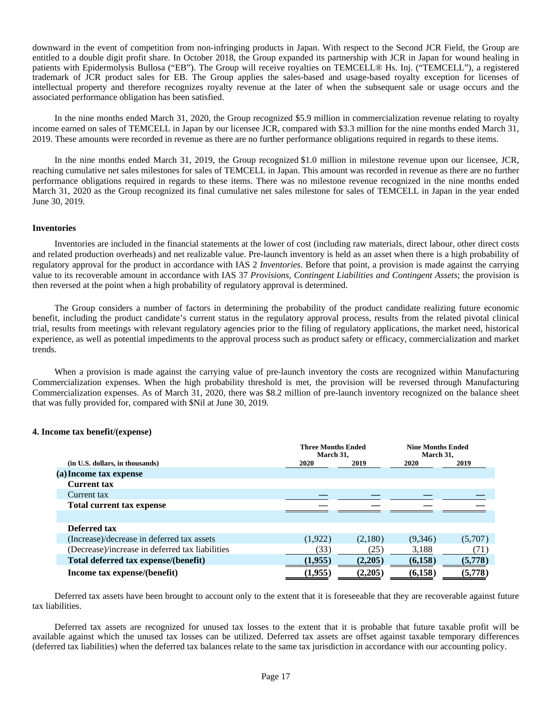downward in the event of competition from non-infringing products in Japan. With respect to the Second JCR Field, the Group are entitled to a double digit profit share. In October 2018, the Group expanded its partnership with JCR in Japan for wound healing in patients with Epidermolysis Bullosa ("EB"). The Group will receive royalties on TEMCELL® Hs. Inj. ("TEMCELL"), a registered trademark of JCR product sales for EB. The Group applies the sales-based and usage-based royalty exception for licenses of intellectual property and therefore recognizes royalty revenue at the later of when the subsequent sale or usage occurs and the associated performance obligation has been satisfied.

In the nine months ended March 31, 2020, the Group recognized \$5.9 million in commercialization revenue relating to royalty income earned on sales of TEMCELL in Japan by our licensee JCR, compared with \$3.3 million for the nine months ended March 31, 2019. These amounts were recorded in revenue as there are no further performance obligations required in regards to these items.

In the nine months ended March 31, 2019, the Group recognized \$1.0 million in milestone revenue upon our licensee, JCR, reaching cumulative net sales milestones for sales of TEMCELL in Japan. This amount was recorded in revenue as there are no further performance obligations required in regards to these items. There was no milestone revenue recognized in the nine months ended March 31, 2020 as the Group recognized its final cumulative net sales milestone for sales of TEMCELL in Japan in the year ended June 30, 2019.

#### **Inventories**

Inventories are included in the financial statements at the lower of cost (including raw materials, direct labour, other direct costs and related production overheads) and net realizable value. Pre-launch inventory is held as an asset when there is a high probability of regulatory approval for the product in accordance with IAS 2 *Inventories*. Before that point, a provision is made against the carrying value to its recoverable amount in accordance with IAS 37 *Provisions, Contingent Liabilities and Contingent Assets*; the provision is then reversed at the point when a high probability of regulatory approval is determined.

The Group considers a number of factors in determining the probability of the product candidate realizing future economic benefit, including the product candidate's current status in the regulatory approval process, results from the related pivotal clinical trial, results from meetings with relevant regulatory agencies prior to the filing of regulatory applications, the market need, historical experience, as well as potential impediments to the approval process such as product safety or efficacy, commercialization and market trends.

When a provision is made against the carrying value of pre-launch inventory the costs are recognized within Manufacturing Commercialization expenses. When the high probability threshold is met, the provision will be reversed through Manufacturing Commercialization expenses. As of March 31, 2020, there was \$8.2 million of pre-launch inventory recognized on the balance sheet that was fully provided for, compared with \$Nil at June 30, 2019.

#### **4. Income tax benefit/(expense)**

|                                                 | <b>Three Months Ended</b><br>March 31, |         | <b>Nine Months Ended</b><br>March 31, |         |
|-------------------------------------------------|----------------------------------------|---------|---------------------------------------|---------|
| (in U.S. dollars, in thousands)                 | 2020                                   | 2019    | 2020                                  | 2019    |
| (a) Income tax expense                          |                                        |         |                                       |         |
| <b>Current tax</b>                              |                                        |         |                                       |         |
| Current tax                                     |                                        |         |                                       |         |
| Total current tax expense                       |                                        |         |                                       |         |
|                                                 |                                        |         |                                       |         |
| Deferred tax                                    |                                        |         |                                       |         |
| (Increase)/decrease in deferred tax assets      | (1,922)                                | (2,180) | (9,346)                               | (5,707) |
| (Decrease)/increase in deferred tax liabilities | (33)                                   | (25)    | 3,188                                 | (71)    |
| Total deferred tax expense/(benefit)            | (1,955)                                | (2,205) | (6,158)                               | (5,778) |
| Income tax expense/(benefit)                    | (1,955)                                | (2,205) | (6,158)                               | (5,778) |

Deferred tax assets have been brought to account only to the extent that it is foreseeable that they are recoverable against future tax liabilities.

Deferred tax assets are recognized for unused tax losses to the extent that it is probable that future taxable profit will be available against which the unused tax losses can be utilized. Deferred tax assets are offset against taxable temporary differences (deferred tax liabilities) when the deferred tax balances relate to the same tax jurisdiction in accordance with our accounting policy.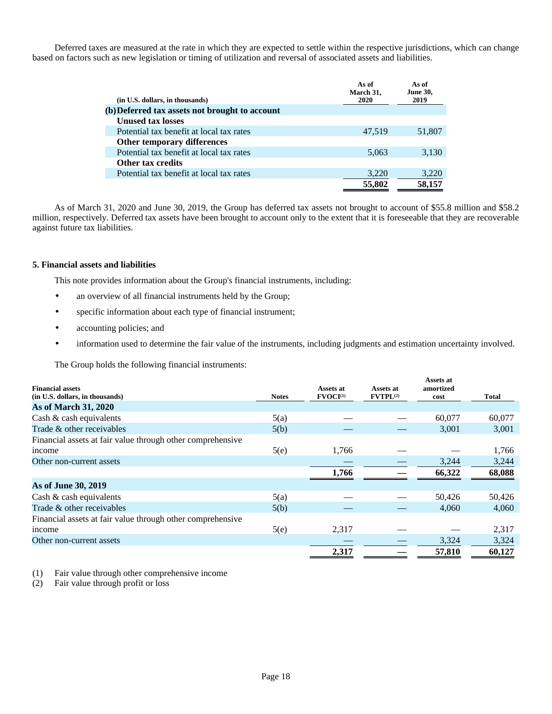Deferred taxes are measured at the rate in which they are expected to settle within the respective jurisdictions, which can change based on factors such as new legislation or timing of utilization and reversal of associated assets and liabilities.

| (in U.S. dollars, in thousands)                | As of<br>March 31,<br>2020 | As of<br><b>June 30,</b><br>2019 |
|------------------------------------------------|----------------------------|----------------------------------|
| (b) Deferred tax assets not brought to account |                            |                                  |
| <b>Unused tax losses</b>                       |                            |                                  |
| Potential tax benefit at local tax rates       | 47,519                     | 51,807                           |
| Other temporary differences                    |                            |                                  |
| Potential tax benefit at local tax rates       | 5,063                      | 3,130                            |
| Other tax credits                              |                            |                                  |
| Potential tax benefit at local tax rates       | 3,220                      | 3,220                            |
|                                                | 55,802                     | 58,157                           |

As of March 31, 2020 and June 30, 2019, the Group has deferred tax assets not brought to account of \$55.8 million and \$58.2 million, respectively. Deferred tax assets have been brought to account only to the extent that it is foreseeable that they are recoverable against future tax liabilities.

#### **5. Financial assets and liabilities**

This note provides information about the Group's financial instruments, including:

- an overview of all financial instruments held by the Group;
- specific information about each type of financial instrument;
- accounting policies; and
- information used to determine the fair value of the instruments, including judgments and estimation uncertainty involved.

The Group holds the following financial instruments:

| <b>Financial assets</b>                                    |              | Assets at            | Assets at     | Assets at<br>amortized |        |
|------------------------------------------------------------|--------------|----------------------|---------------|------------------------|--------|
| (in U.S. dollars, in thousands)                            | <b>Notes</b> | FVOCI <sup>(1)</sup> | $FVTPL^{(2)}$ | cost                   | Total  |
| <b>As of March 31, 2020</b>                                |              |                      |               |                        |        |
| Cash & cash equivalents                                    | 5(a)         |                      |               | 60,077                 | 60,077 |
| Trade & other receivables                                  | 5(b)         |                      |               | 3,001                  | 3,001  |
| Financial assets at fair value through other comprehensive |              |                      |               |                        |        |
| income                                                     | 5(e)         | 1,766                |               |                        | 1,766  |
| Other non-current assets                                   |              |                      |               | 3.244                  | 3,244  |
|                                                            |              | 1,766                |               | 66,322                 | 68,088 |
| As of June 30, 2019                                        |              |                      |               |                        |        |
| Cash & cash equivalents                                    | 5(a)         |                      |               | 50,426                 | 50,426 |
| Trade & other receivables                                  | 5(b)         |                      |               | 4.060                  | 4,060  |
| Financial assets at fair value through other comprehensive |              |                      |               |                        |        |
| income                                                     | 5(e)         | 2,317                |               |                        | 2,317  |
| Other non-current assets                                   |              |                      |               | 3,324                  | 3,324  |
|                                                            |              | 2,317                |               | 57,810                 | 60,127 |

(1) Fair value through other comprehensive income

(2) Fair value through profit or loss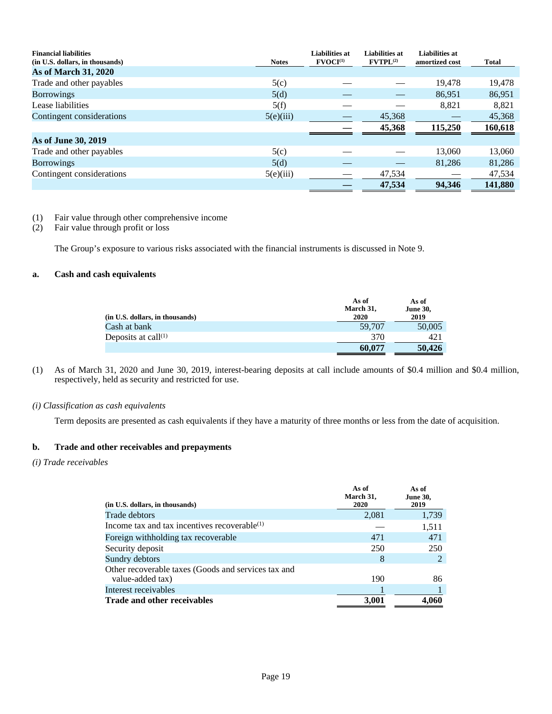| <b>Financial liabilities</b><br>(in U.S. dollars, in thousands) | <b>Notes</b> | <b>Liabilities at</b><br>$\textbf{FVOCI}^{(1)}$ | <b>Liabilities at</b><br>$FVTPL^{(2)}$ | <b>Liabilities at</b><br>amortized cost | <b>Total</b> |
|-----------------------------------------------------------------|--------------|-------------------------------------------------|----------------------------------------|-----------------------------------------|--------------|
| <b>As of March 31, 2020</b>                                     |              |                                                 |                                        |                                         |              |
| Trade and other payables                                        | 5(c)         |                                                 |                                        | 19,478                                  | 19,478       |
| <b>Borrowings</b>                                               | 5(d)         |                                                 |                                        | 86,951                                  | 86,951       |
| Lease liabilities                                               | 5(f)         |                                                 |                                        | 8,821                                   | 8,821        |
| Contingent considerations                                       | 5(e)(iii)    |                                                 | 45,368                                 |                                         | 45,368       |
|                                                                 |              |                                                 | 45,368                                 | 115,250                                 | 160,618      |
| As of June 30, 2019                                             |              |                                                 |                                        |                                         |              |
| Trade and other payables                                        | 5(c)         |                                                 |                                        | 13,060                                  | 13,060       |
| <b>Borrowings</b>                                               | 5(d)         |                                                 |                                        | 81,286                                  | 81,286       |
| Contingent considerations                                       | 5(e)(iii)    |                                                 | 47,534                                 |                                         | 47,534       |
|                                                                 |              |                                                 | 47,534                                 | 94,346                                  | 141,880      |

(1) Fair value through other comprehensive income

(2) Fair value through profit or loss

The Group's exposure to various risks associated with the financial instruments is discussed in Note 9.

#### **a. Cash and cash equivalents**

| (in U.S. dollars, in thousands) | As of<br>March 31,<br>2020 | As of<br><b>June 30,</b><br>2019 |
|---------------------------------|----------------------------|----------------------------------|
| Cash at bank                    | 59,707                     | 50,005                           |
| Deposits at call $(1)$          | 370                        | 421                              |
|                                 | 60.077                     | 50.426                           |

(1) As of March 31, 2020 and June 30, 2019, interest-bearing deposits at call include amounts of \$0.4 million and \$0.4 million, respectively, held as security and restricted for use.

#### *(i) Classification as cash equivalents*

Term deposits are presented as cash equivalents if they have a maturity of three months or less from the date of acquisition.

#### **b. Trade and other receivables and prepayments**

#### *(i) Trade receivables*

|                                                     | As of<br>March 31, | As of<br><b>June 30,</b> |
|-----------------------------------------------------|--------------------|--------------------------|
| (in U.S. dollars, in thousands)                     | 2020               | 2019                     |
| Trade debtors                                       | 2,081              | 1,739                    |
| Income tax and tax incentives recoverable $(1)$     |                    | 1,511                    |
| Foreign withholding tax recoverable                 | 471                | 471                      |
| Security deposit                                    | 250                | 250                      |
| Sundry debtors                                      | 8                  |                          |
| Other recoverable taxes (Goods and services tax and |                    |                          |
| value-added tax)                                    | 190                | 86                       |
| Interest receivables                                |                    |                          |
| <b>Trade and other receivables</b>                  | 3,001              | 4.060                    |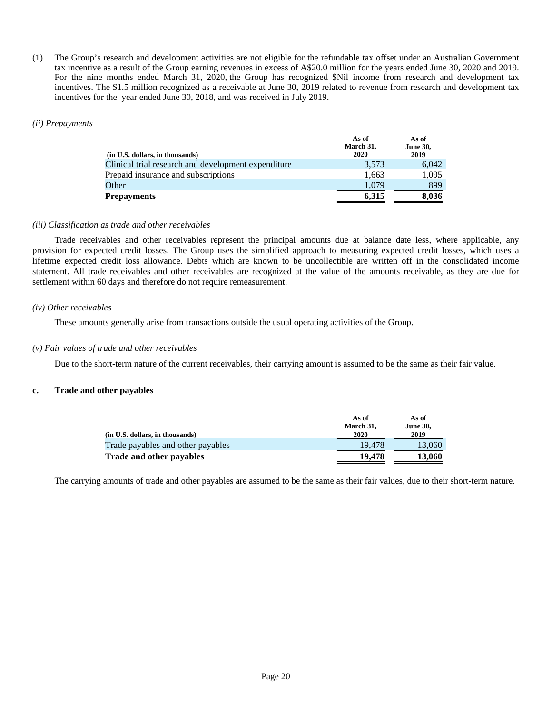(1) The Group's research and development activities are not eligible for the refundable tax offset under an Australian Government tax incentive as a result of the Group earning revenues in excess of A\$20.0 million for the years ended June 30, 2020 and 2019. For the nine months ended March 31, 2020, the Group has recognized \$Nil income from research and development tax incentives. The \$1.5 million recognized as a receivable at June 30, 2019 related to revenue from research and development tax incentives for the year ended June 30, 2018, and was received in July 2019.

#### *(ii) Prepayments*

| (in U.S. dollars, in thousands)                     | As of<br>March 31,<br>2020 | As of<br><b>June 30,</b><br>2019 |
|-----------------------------------------------------|----------------------------|----------------------------------|
| Clinical trial research and development expenditure | 3,573                      | 6,042                            |
| Prepaid insurance and subscriptions                 | 1,663                      | 1,095                            |
| Other                                               | 1,079                      | 899                              |
| <b>Prepayments</b>                                  | 6,315                      | 8,036                            |

#### *(iii) Classification as trade and other receivables*

Trade receivables and other receivables represent the principal amounts due at balance date less, where applicable, any provision for expected credit losses. The Group uses the simplified approach to measuring expected credit losses, which uses a lifetime expected credit loss allowance. Debts which are known to be uncollectible are written off in the consolidated income statement. All trade receivables and other receivables are recognized at the value of the amounts receivable, as they are due for settlement within 60 days and therefore do not require remeasurement.

#### *(iv) Other receivables*

These amounts generally arise from transactions outside the usual operating activities of the Group.

#### *(v) Fair values of trade and other receivables*

Due to the short-term nature of the current receivables, their carrying amount is assumed to be the same as their fair value.

#### **c. Trade and other payables**

|                                   | As of<br>March 31, | As of<br><b>June 30,</b> |
|-----------------------------------|--------------------|--------------------------|
| (in U.S. dollars, in thousands)   | 2020               | 2019                     |
| Trade payables and other payables | 19.478             | 13.060                   |
| <b>Trade and other payables</b>   | 19.478             | 13.060                   |

The carrying amounts of trade and other payables are assumed to be the same as their fair values, due to their short-term nature.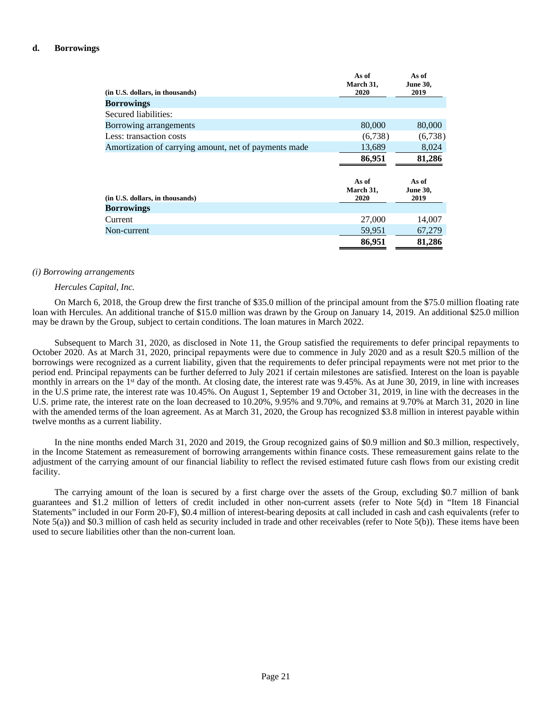#### **d. Borrowings**

| (in U.S. dollars, in thousands)                       | As of<br>March 31,<br>2020 | As of<br><b>June 30,</b><br>2019 |
|-------------------------------------------------------|----------------------------|----------------------------------|
| <b>Borrowings</b>                                     |                            |                                  |
| Secured liabilities:                                  |                            |                                  |
| Borrowing arrangements                                | 80,000                     | 80,000                           |
| Less: transaction costs                               | (6,738)                    | (6,738)                          |
| Amortization of carrying amount, net of payments made | 13,689                     | 8,024                            |
|                                                       | 86,951                     | 81,286                           |
| (in U.S. dollars, in thousands)                       | As of<br>March 31,<br>2020 | As of<br><b>June 30,</b><br>2019 |
| <b>Borrowings</b>                                     |                            |                                  |
| Current                                               | 27,000                     | 14,007                           |
| Non-current                                           | 59,951                     | 67,279                           |
|                                                       | 86,951                     | 81,286                           |

#### *(i) Borrowing arrangements*

### *Hercules Capital, Inc.*

On March 6, 2018, the Group drew the first tranche of \$35.0 million of the principal amount from the \$75.0 million floating rate loan with Hercules. An additional tranche of \$15.0 million was drawn by the Group on January 14, 2019. An additional \$25.0 million may be drawn by the Group, subject to certain conditions. The loan matures in March 2022.

Subsequent to March 31, 2020, as disclosed in Note 11, the Group satisfied the requirements to defer principal repayments to October 2020. As at March 31, 2020, principal repayments were due to commence in July 2020 and as a result \$20.5 million of the borrowings were recognized as a current liability, given that the requirements to defer principal repayments were not met prior to the period end. Principal repayments can be further deferred to July 2021 if certain milestones are satisfied. Interest on the loan is payable monthly in arrears on the 1<sup>st</sup> day of the month. At closing date, the interest rate was 9.45%. As at June 30, 2019, in line with increases in the U.S prime rate, the interest rate was 10.45%. On August 1, September 19 and October 31, 2019, in line with the decreases in the U.S. prime rate, the interest rate on the loan decreased to 10.20%, 9.95% and 9.70%, and remains at 9.70% at March 31, 2020 in line with the amended terms of the loan agreement. As at March 31, 2020, the Group has recognized \$3.8 million in interest payable within twelve months as a current liability.

In the nine months ended March 31, 2020 and 2019, the Group recognized gains of \$0.9 million and \$0.3 million, respectively, in the Income Statement as remeasurement of borrowing arrangements within finance costs. These remeasurement gains relate to the adjustment of the carrying amount of our financial liability to reflect the revised estimated future cash flows from our existing credit facility.

The carrying amount of the loan is secured by a first charge over the assets of the Group, excluding \$0.7 million of bank guarantees and \$1.2 million of letters of credit included in other non-current assets (refer to Note 5(d) in "Item 18 Financial Statements" included in our Form 20-F), \$0.4 million of interest-bearing deposits at call included in cash and cash equivalents (refer to Note 5(a)) and \$0.3 million of cash held as security included in trade and other receivables (refer to Note 5(b)). These items have been used to secure liabilities other than the non-current loan.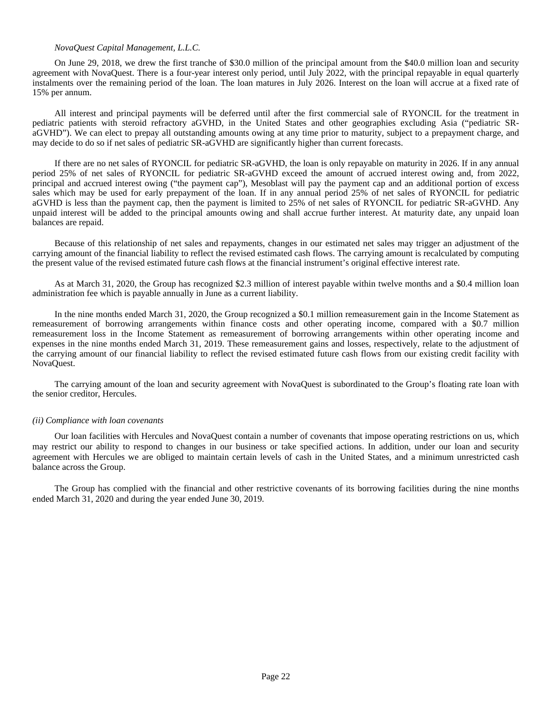#### *NovaQuest Capital Management, L.L.C.*

On June 29, 2018, we drew the first tranche of \$30.0 million of the principal amount from the \$40.0 million loan and security agreement with NovaQuest. There is a four-year interest only period, until July 2022, with the principal repayable in equal quarterly instalments over the remaining period of the loan. The loan matures in July 2026. Interest on the loan will accrue at a fixed rate of 15% per annum.

All interest and principal payments will be deferred until after the first commercial sale of RYONCIL for the treatment in pediatric patients with steroid refractory aGVHD, in the United States and other geographies excluding Asia ("pediatric SRaGVHD"). We can elect to prepay all outstanding amounts owing at any time prior to maturity, subject to a prepayment charge, and may decide to do so if net sales of pediatric SR-aGVHD are significantly higher than current forecasts.

If there are no net sales of RYONCIL for pediatric SR-aGVHD, the loan is only repayable on maturity in 2026. If in any annual period 25% of net sales of RYONCIL for pediatric SR-aGVHD exceed the amount of accrued interest owing and, from 2022, principal and accrued interest owing ("the payment cap"), Mesoblast will pay the payment cap and an additional portion of excess sales which may be used for early prepayment of the loan. If in any annual period 25% of net sales of RYONCIL for pediatric aGVHD is less than the payment cap, then the payment is limited to 25% of net sales of RYONCIL for pediatric SR-aGVHD. Any unpaid interest will be added to the principal amounts owing and shall accrue further interest. At maturity date, any unpaid loan balances are repaid.

Because of this relationship of net sales and repayments, changes in our estimated net sales may trigger an adjustment of the carrying amount of the financial liability to reflect the revised estimated cash flows. The carrying amount is recalculated by computing the present value of the revised estimated future cash flows at the financial instrument's original effective interest rate.

As at March 31, 2020, the Group has recognized \$2.3 million of interest payable within twelve months and a \$0.4 million loan administration fee which is payable annually in June as a current liability.

In the nine months ended March 31, 2020, the Group recognized a \$0.1 million remeasurement gain in the Income Statement as remeasurement of borrowing arrangements within finance costs and other operating income, compared with a \$0.7 million remeasurement loss in the Income Statement as remeasurement of borrowing arrangements within other operating income and expenses in the nine months ended March 31, 2019. These remeasurement gains and losses, respectively, relate to the adjustment of the carrying amount of our financial liability to reflect the revised estimated future cash flows from our existing credit facility with NovaQuest.

The carrying amount of the loan and security agreement with NovaQuest is subordinated to the Group's floating rate loan with the senior creditor, Hercules.

#### *(ii) Compliance with loan covenants*

Our loan facilities with Hercules and NovaQuest contain a number of covenants that impose operating restrictions on us, which may restrict our ability to respond to changes in our business or take specified actions. In addition, under our loan and security agreement with Hercules we are obliged to maintain certain levels of cash in the United States, and a minimum unrestricted cash balance across the Group.

The Group has complied with the financial and other restrictive covenants of its borrowing facilities during the nine months ended March 31, 2020 and during the year ended June 30, 2019.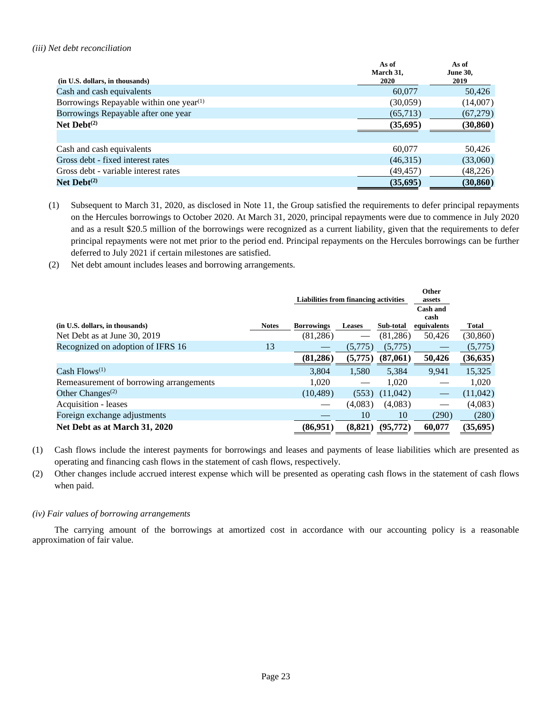#### *(iii) Net debt reconciliation*

| (in U.S. dollars, in thousands)                                  | As of<br>March 31,<br>2020 | As of<br><b>June 30,</b><br>2019 |
|------------------------------------------------------------------|----------------------------|----------------------------------|
| Cash and cash equivalents                                        | 60,077                     | 50,426                           |
| Borrowings Repayable within one year <sup><math>(1)</math></sup> | (30,059)                   | (14,007)                         |
| Borrowings Repayable after one year                              | (65,713)                   | (67,279)                         |
| Net $Debt^{(2)}$                                                 | (35, 695)                  | (30, 860)                        |
|                                                                  |                            |                                  |
| Cash and cash equivalents                                        | 60,077                     | 50,426                           |
| Gross debt - fixed interest rates                                | (46,315)                   | (33,060)                         |
| Gross debt - variable interest rates                             | (49,457)                   | (48,226)                         |
| Net $Debt^{(2)}$                                                 | (35,695)                   | (30, 860)                        |

- (1) Subsequent to March 31, 2020, as disclosed in Note 11, the Group satisfied the requirements to defer principal repayments on the Hercules borrowings to October 2020. At March 31, 2020, principal repayments were due to commence in July 2020 and as a result \$20.5 million of the borrowings were recognized as a current liability, given that the requirements to defer principal repayments were not met prior to the period end. Principal repayments on the Hercules borrowings can be further deferred to July 2021 if certain milestones are satisfied.
- (2) Net debt amount includes leases and borrowing arrangements.

|                                           |              | Liabilities from financing activities |               | Other<br>assets |                         |              |
|-------------------------------------------|--------------|---------------------------------------|---------------|-----------------|-------------------------|--------------|
|                                           |              |                                       |               |                 | <b>Cash and</b><br>cash |              |
| (in U.S. dollars, in thousands)           | <b>Notes</b> | <b>Borrowings</b>                     | <b>Leases</b> | Sub-total       | equivalents             | <b>Total</b> |
| Net Debt as at June 30, 2019              |              | (81,286)                              |               | (81, 286)       | 50,426                  | (30, 860)    |
| Recognized on adoption of IFRS 16         | 13           |                                       | (5,775)       | (5,775)         |                         | (5,775)      |
|                                           |              | (81, 286)                             | (5,775)       | (87,061)        | 50,426                  | (36, 635)    |
| Cash Flows <sup><math>(1)</math></sup>    |              | 3,804                                 | 1,580         | 5,384           | 9.941                   | 15,325       |
| Remeasurement of borrowing arrangements   |              | 1.020                                 |               | 1.020           |                         | 1.020        |
| Other Changes <sup><math>(2)</math></sup> |              | (10, 489)                             | (553)         | (11,042)        |                         | (11,042)     |
| Acquisition - leases                      |              |                                       | (4,083)       | (4,083)         |                         | (4,083)      |
| Foreign exchange adjustments              |              |                                       | 10            | 10              | (290)                   | (280)        |
| Net Debt as at March 31, 2020             |              | (86,951)                              | (8,821)       | (95, 772)       | 60,077                  | (35, 695)    |

- (1) Cash flows include the interest payments for borrowings and leases and payments of lease liabilities which are presented as operating and financing cash flows in the statement of cash flows, respectively.
- (2) Other changes include accrued interest expense which will be presented as operating cash flows in the statement of cash flows when paid.

## *(iv) Fair values of borrowing arrangements*

The carrying amount of the borrowings at amortized cost in accordance with our accounting policy is a reasonable approximation of fair value.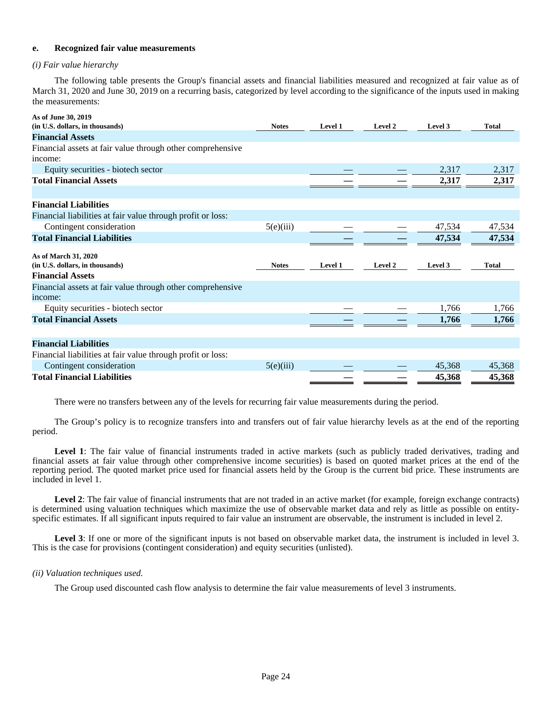#### **e. Recognized fair value measurements**

## *(i) Fair value hierarchy*

The following table presents the Group's financial assets and financial liabilities measured and recognized at fair value as of March 31, 2020 and June 30, 2019 on a recurring basis, categorized by level according to the significance of the inputs used in making the measurements:

| As of June 30, 2019                                         |              |                |         |         |              |
|-------------------------------------------------------------|--------------|----------------|---------|---------|--------------|
| (in U.S. dollars, in thousands)                             | <b>Notes</b> | <b>Level 1</b> | Level 2 | Level 3 | <b>Total</b> |
| <b>Financial Assets</b>                                     |              |                |         |         |              |
| Financial assets at fair value through other comprehensive  |              |                |         |         |              |
| income:                                                     |              |                |         |         |              |
| Equity securities - biotech sector                          |              |                |         | 2,317   | 2,317        |
| <b>Total Financial Assets</b>                               |              |                |         | 2,317   | 2,317        |
|                                                             |              |                |         |         |              |
| <b>Financial Liabilities</b>                                |              |                |         |         |              |
| Financial liabilities at fair value through profit or loss: |              |                |         |         |              |
| Contingent consideration                                    | 5(e)(iii)    |                |         | 47,534  | 47,534       |
| <b>Total Financial Liabilities</b>                          |              |                |         | 47,534  | 47,534       |
|                                                             |              |                |         |         |              |
| As of March 31, 2020                                        |              |                |         |         |              |
| (in U.S. dollars, in thousands)                             | <b>Notes</b> | <b>Level 1</b> | Level 2 | Level 3 | <b>Total</b> |
| <b>Financial Assets</b>                                     |              |                |         |         |              |
| Financial assets at fair value through other comprehensive  |              |                |         |         |              |
| income:                                                     |              |                |         |         |              |
| Equity securities - biotech sector                          |              |                |         | 1,766   | 1,766        |
| <b>Total Financial Assets</b>                               |              |                |         | 1,766   | 1,766        |
|                                                             |              |                |         |         |              |
| <b>Financial Liabilities</b>                                |              |                |         |         |              |
| Financial liabilities at fair value through profit or loss: |              |                |         |         |              |
| Contingent consideration                                    | 5(e)(iii)    |                |         | 45,368  | 45,368       |
| <b>Total Financial Liabilities</b>                          |              |                |         | 45,368  | 45,368       |

There were no transfers between any of the levels for recurring fair value measurements during the period.

The Group's policy is to recognize transfers into and transfers out of fair value hierarchy levels as at the end of the reporting period.

Level 1: The fair value of financial instruments traded in active markets (such as publicly traded derivatives, trading and financial assets at fair value through other comprehensive income securities) is based on quoted market prices at the end of the reporting period. The quoted market price used for financial assets held by the Group is the current bid price. These instruments are included in level 1.

Level 2: The fair value of financial instruments that are not traded in an active market (for example, foreign exchange contracts) is determined using valuation techniques which maximize the use of observable market data and rely as little as possible on entityspecific estimates. If all significant inputs required to fair value an instrument are observable, the instrument is included in level 2.

Level 3: If one or more of the significant inputs is not based on observable market data, the instrument is included in level 3. This is the case for provisions (contingent consideration) and equity securities (unlisted).

## *(ii) Valuation techniques used.*

The Group used discounted cash flow analysis to determine the fair value measurements of level 3 instruments.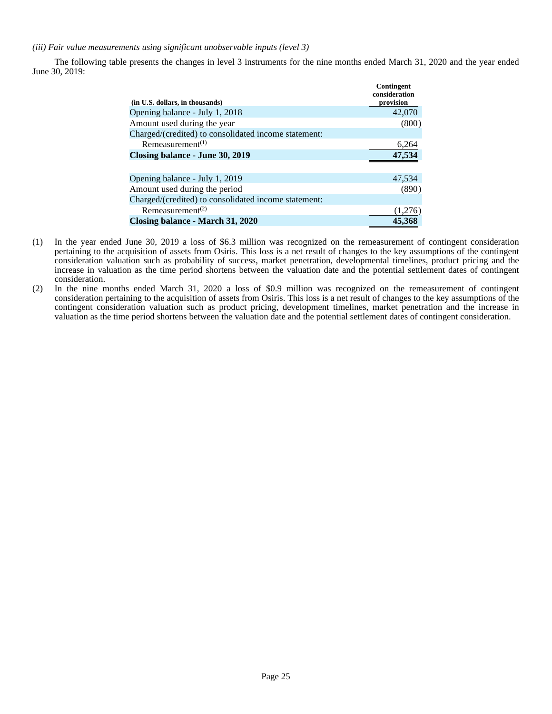*(iii) Fair value measurements using significant unobservable inputs (level 3)*

The following table presents the changes in level 3 instruments for the nine months ended March 31, 2020 and the year ended June 30, 2019:

| (in U.S. dollars, in thousands)                      | Contingent<br>consideration<br>provision |
|------------------------------------------------------|------------------------------------------|
| Opening balance - July 1, 2018                       | 42,070                                   |
| Amount used during the year                          | (800)                                    |
| Charged/(credited) to consolidated income statement: |                                          |
| Remeasurement <sup><math>(1)</math></sup>            | 6,264                                    |
| Closing balance - June 30, 2019                      | 47,534                                   |
|                                                      |                                          |
| Opening balance - July 1, 2019                       | 47,534                                   |
| Amount used during the period                        | (890)                                    |
| Charged/(credited) to consolidated income statement: |                                          |
| Remeasurement <sup>(2)</sup>                         | (1,276)                                  |
| Closing balance - March 31, 2020                     | 45.368                                   |

- (1) In the year ended June 30, 2019 a loss of \$6.3 million was recognized on the remeasurement of contingent consideration pertaining to the acquisition of assets from Osiris. This loss is a net result of changes to the key assumptions of the contingent consideration valuation such as probability of success, market penetration, developmental timelines, product pricing and the increase in valuation as the time period shortens between the valuation date and the potential settlement dates of contingent consideration.
- (2) In the nine months ended March 31, 2020 a loss of \$0.9 million was recognized on the remeasurement of contingent consideration pertaining to the acquisition of assets from Osiris. This loss is a net result of changes to the key assumptions of the contingent consideration valuation such as product pricing, development timelines, market penetration and the increase in valuation as the time period shortens between the valuation date and the potential settlement dates of contingent consideration.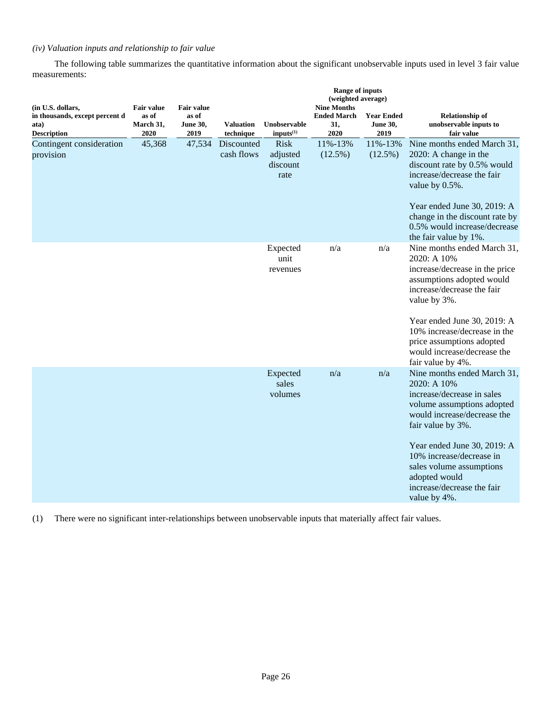## *(iv) Valuation inputs and relationship to fair value*

The following table summarizes the quantitative information about the significant unobservable inputs used in level 3 fair value measurements:

| (in U.S. dollars,                                            | <b>Fair value</b>          | <b>Fair value</b>                |                               |                                             | <b>Range of inputs</b><br>(weighted average)<br><b>Nine Months</b> |                                              |                                                                                                                                                                                                                                                                                                                  |  |
|--------------------------------------------------------------|----------------------------|----------------------------------|-------------------------------|---------------------------------------------|--------------------------------------------------------------------|----------------------------------------------|------------------------------------------------------------------------------------------------------------------------------------------------------------------------------------------------------------------------------------------------------------------------------------------------------------------|--|
| in thousands, except percent d<br>ata)<br><b>Description</b> | as of<br>March 31,<br>2020 | as of<br><b>June 30,</b><br>2019 | <b>Valuation</b><br>technique | Unobservable<br>$inputs^{(1)}$              | <b>Ended March</b><br>31,<br>2020                                  | <b>Year Ended</b><br><b>June 30,</b><br>2019 | <b>Relationship of</b><br>unobservable inputs to<br>fair value                                                                                                                                                                                                                                                   |  |
| Contingent consideration<br>provision                        | 45,368                     | 47,534                           | Discounted<br>cash flows      | <b>Risk</b><br>adjusted<br>discount<br>rate | 11%-13%<br>$(12.5\%)$                                              | 11%-13%<br>(12.5%)                           | Nine months ended March 31,<br>2020: A change in the<br>discount rate by 0.5% would<br>increase/decrease the fair<br>value by 0.5%.<br>Year ended June 30, 2019: A<br>change in the discount rate by<br>0.5% would increase/decrease<br>the fair value by 1%.                                                    |  |
|                                                              |                            |                                  |                               | Expected<br>unit<br>revenues                | n/a                                                                | n/a                                          | Nine months ended March 31,<br>2020: A 10%<br>increase/decrease in the price<br>assumptions adopted would<br>increase/decrease the fair<br>value by 3%.<br>Year ended June 30, 2019: A<br>10% increase/decrease in the<br>price assumptions adopted<br>would increase/decrease the<br>fair value by 4%.          |  |
|                                                              |                            |                                  |                               | Expected<br>sales<br>volumes                | n/a                                                                | n/a                                          | Nine months ended March 31,<br>2020: A 10%<br>increase/decrease in sales<br>volume assumptions adopted<br>would increase/decrease the<br>fair value by 3%.<br>Year ended June 30, 2019: A<br>10% increase/decrease in<br>sales volume assumptions<br>adopted would<br>increase/decrease the fair<br>value by 4%. |  |

(1) There were no significant inter-relationships between unobservable inputs that materially affect fair values.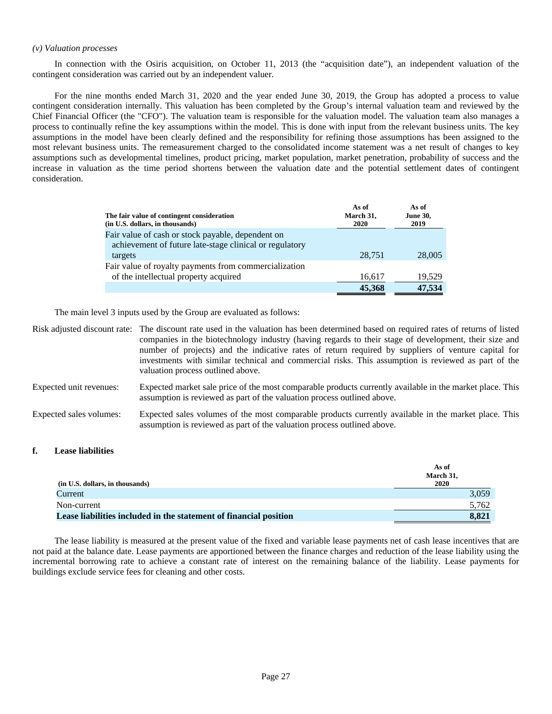#### *(v) Valuation processes*

In connection with the Osiris acquisition, on October 11, 2013 (the "acquisition date"), an independent valuation of the contingent consideration was carried out by an independent valuer.

For the nine months ended March 31, 2020 and the year ended June 30, 2019, the Group has adopted a process to value contingent consideration internally. This valuation has been completed by the Group's internal valuation team and reviewed by the Chief Financial Officer (the "CFO"). The valuation team is responsible for the valuation model. The valuation team also manages a process to continually refine the key assumptions within the model. This is done with input from the relevant business units. The key assumptions in the model have been clearly defined and the responsibility for refining those assumptions has been assigned to the most relevant business units. The remeasurement charged to the consolidated income statement was a net result of changes to key assumptions such as developmental timelines, product pricing, market population, market penetration, probability of success and the increase in valuation as the time period shortens between the valuation date and the potential settlement dates of contingent consideration.

| The fair value of contingent consideration<br>(in U.S. dollars, in thousands)                                | As of<br>March 31,<br>2020 | As of<br><b>June 30,</b><br>2019 |
|--------------------------------------------------------------------------------------------------------------|----------------------------|----------------------------------|
| Fair value of cash or stock payable, dependent on<br>achievement of future late-stage clinical or regulatory |                            |                                  |
| targets                                                                                                      | 28,751                     | 28,005                           |
| Fair value of royalty payments from commercialization                                                        |                            |                                  |
| of the intellectual property acquired                                                                        | 16,617                     | 19,529                           |
|                                                                                                              | 45,368                     | 47,534                           |

The main level 3 inputs used by the Group are evaluated as follows:

|                         | Risk adjusted discount rate: The discount rate used in the valuation has been determined based on required rates of returns of listed<br>companies in the biotechnology industry (having regards to their stage of development, their size and<br>number of projects) and the indicative rates of return required by suppliers of venture capital for<br>investments with similar technical and commercial risks. This assumption is reviewed as part of the<br>valuation process outlined above. |
|-------------------------|---------------------------------------------------------------------------------------------------------------------------------------------------------------------------------------------------------------------------------------------------------------------------------------------------------------------------------------------------------------------------------------------------------------------------------------------------------------------------------------------------|
| Expected unit revenues: | Expected market sale price of the most comparable products currently available in the market place. This<br>assumption is reviewed as part of the valuation process outlined above.                                                                                                                                                                                                                                                                                                               |
| Expected sales volumes: | Expected sales volumes of the most comparable products currently available in the market place. This<br>assumption is reviewed as part of the valuation process outlined above.                                                                                                                                                                                                                                                                                                                   |

## **f. Lease liabilities**

|                                                                   | As of<br>March 31, |
|-------------------------------------------------------------------|--------------------|
| (in U.S. dollars, in thousands)                                   | 2020               |
| Current                                                           | 3,059              |
| Non-current                                                       | 5.762              |
| Lease liabilities included in the statement of financial position | 8.821              |

The lease liability is measured at the present value of the fixed and variable lease payments net of cash lease incentives that are not paid at the balance date. Lease payments are apportioned between the finance charges and reduction of the lease liability using the incremental borrowing rate to achieve a constant rate of interest on the remaining balance of the liability. Lease payments for buildings exclude service fees for cleaning and other costs.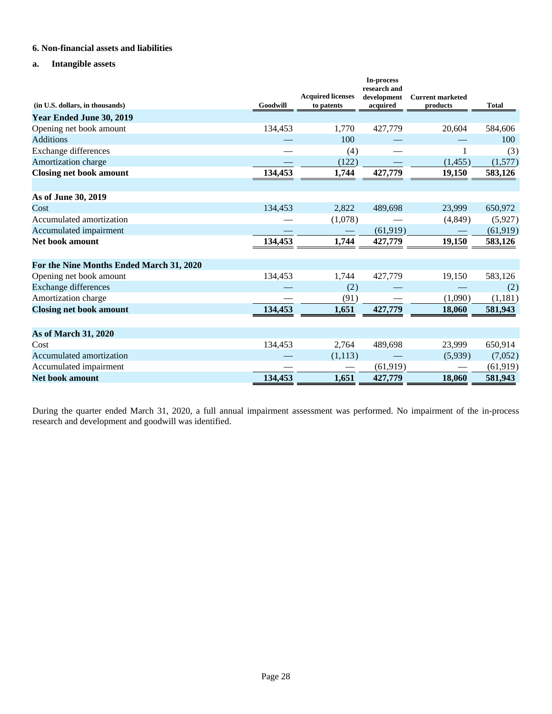## **6. Non-financial assets and liabilities**

## **a. Intangible assets**

| (in U.S. dollars, in thousands)          | Goodwill | <b>Acquired licenses</b><br>to patents | In-process<br>research and<br>development<br>acquired | <b>Current marketed</b><br>products | <b>Total</b> |
|------------------------------------------|----------|----------------------------------------|-------------------------------------------------------|-------------------------------------|--------------|
| Year Ended June 30, 2019                 |          |                                        |                                                       |                                     |              |
| Opening net book amount                  | 134,453  | 1,770                                  | 427,779                                               | 20,604                              | 584,606      |
| <b>Additions</b>                         |          | 100                                    |                                                       |                                     | 100          |
| Exchange differences                     |          | (4)                                    |                                                       |                                     | (3)          |
| Amortization charge                      |          | (122)                                  |                                                       | (1,455)                             | (1,577)      |
| <b>Closing net book amount</b>           | 134,453  | 1,744                                  | 427,779                                               | 19,150                              | 583,126      |
|                                          |          |                                        |                                                       |                                     |              |
| As of June 30, 2019                      |          |                                        |                                                       |                                     |              |
| Cost                                     | 134,453  | 2,822                                  | 489,698                                               | 23,999                              | 650,972      |
| Accumulated amortization                 |          | (1,078)                                |                                                       | (4,849)                             | (5,927)      |
| Accumulated impairment                   |          |                                        | (61, 919)                                             |                                     | (61, 919)    |
| Net book amount                          | 134,453  | 1,744                                  | 427,779                                               | 19,150                              | 583,126      |
| For the Nine Months Ended March 31, 2020 |          |                                        |                                                       |                                     |              |
| Opening net book amount                  | 134,453  | 1,744                                  | 427,779                                               | 19,150                              | 583,126      |
| <b>Exchange differences</b>              |          | (2)                                    |                                                       |                                     | (2)          |
| Amortization charge                      |          | (91)                                   |                                                       | (1,090)                             | (1,181)      |
| <b>Closing net book amount</b>           | 134,453  | 1,651                                  | 427,779                                               | 18,060                              | 581,943      |
| <b>As of March 31, 2020</b>              |          |                                        |                                                       |                                     |              |
| Cost                                     | 134,453  | 2,764                                  | 489,698                                               | 23,999                              | 650,914      |
| Accumulated amortization                 |          | (1,113)                                |                                                       | (5,939)                             | (7,052)      |
| Accumulated impairment                   |          |                                        | (61, 919)                                             |                                     | (61, 919)    |
| <b>Net book amount</b>                   | 134,453  | 1,651                                  | 427,779                                               | 18,060                              | 581,943      |

During the quarter ended March 31, 2020, a full annual impairment assessment was performed. No impairment of the in-process research and development and goodwill was identified.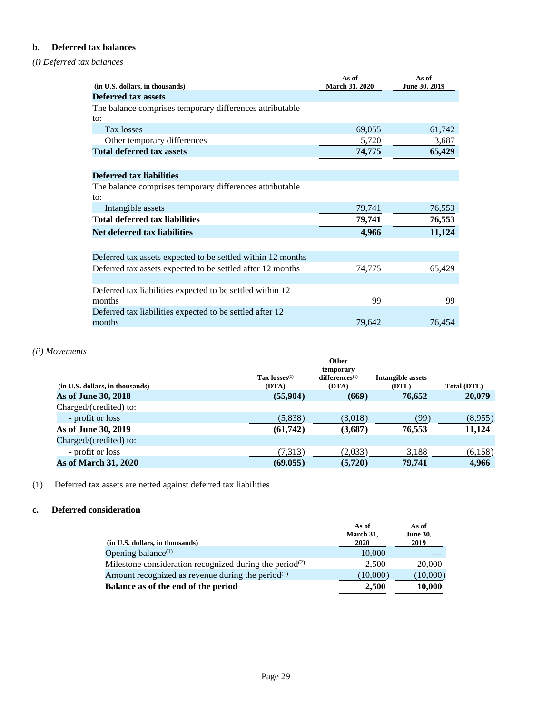## **b. Deferred tax balances**

## *(i) Deferred tax balances*

| (in U.S. dollars, in thousands)                             | As of<br><b>March 31, 2020</b> | As of<br>June 30, 2019 |
|-------------------------------------------------------------|--------------------------------|------------------------|
| <b>Deferred tax assets</b>                                  |                                |                        |
| The balance comprises temporary differences attributable    |                                |                        |
| to:                                                         |                                |                        |
| Tax losses                                                  | 69,055                         | 61,742                 |
| Other temporary differences                                 | 5,720                          | 3,687                  |
| <b>Total deferred tax assets</b>                            | 74,775                         | 65,429                 |
|                                                             |                                |                        |
| Deferred tax liabilities                                    |                                |                        |
| The balance comprises temporary differences attributable    |                                |                        |
| $\alpha$ :                                                  |                                |                        |
| Intangible assets                                           | 79,741                         | 76,553                 |
| <b>Total deferred tax liabilities</b>                       | 79,741                         | 76,553                 |
| Net deferred tax liabilities                                | 4,966                          | 11,124                 |
|                                                             |                                |                        |
| Deferred tax assets expected to be settled within 12 months |                                |                        |
| Deferred tax assets expected to be settled after 12 months  | 74,775                         | 65,429                 |
|                                                             |                                |                        |
| Deferred tax liabilities expected to be settled within 12   |                                |                        |
| months                                                      | 99                             | 99                     |
| Deferred tax liabilities expected to be settled after 12    |                                |                        |
| months                                                      | 79,642                         | 76,454                 |

## *(ii) Movements*

|                           | temporary           |                   |             |
|---------------------------|---------------------|-------------------|-------------|
| $\text{Tax losses}^{(1)}$ | $differences^{(1)}$ | Intangible assets |             |
| (DTA)                     | (DTA)               | (DTL)             | Total (DTL) |
| (55,904)                  | (669)               | 76.652            | 20,079      |
|                           |                     |                   |             |
| (5,838)                   | (3,018)             | (99)              | (8,955)     |
| (61,742)                  | (3,687)             | 76.553            | 11,124      |
|                           |                     |                   |             |
| (7,313)                   | (2,033)             | 3,188             | (6,158)     |
| (69, 055)                 | (5,720)             | 79,741            | 4,966       |
|                           |                     | Other             |             |

(1) Deferred tax assets are netted against deferred tax liabilities

## **c. Deferred consideration**

|                                                                                  | As of<br>March 31, | As of<br><b>June 30,</b> |
|----------------------------------------------------------------------------------|--------------------|--------------------------|
| (in U.S. dollars, in thousands)                                                  | 2020               | 2019                     |
| Opening balance $(1)$                                                            | 10,000             |                          |
| Milestone consideration recognized during the period <sup><math>(2)</math></sup> | 2.500              | 20,000                   |
| Amount recognized as revenue during the period $(1)$                             | (10,000)           | (10,000)                 |
| Balance as of the end of the period                                              | 2.500              | 10,000                   |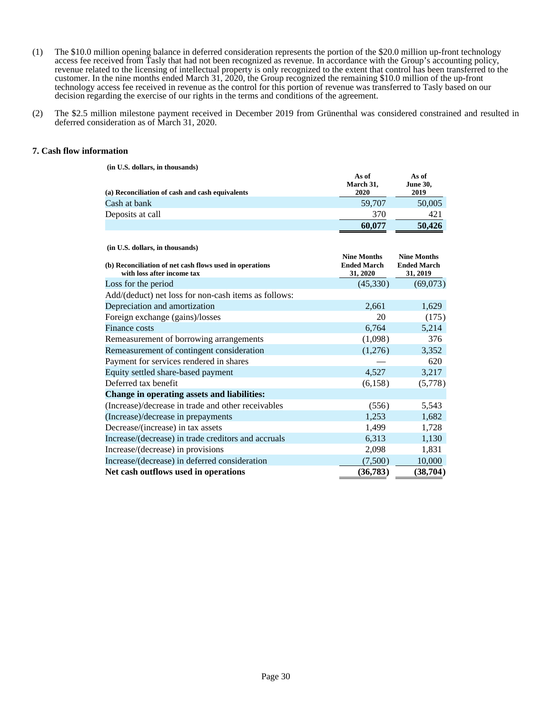- (1) The \$10.0 million opening balance in deferred consideration represents the portion of the \$20.0 million up-front technology access fee received from Tasly that had not been recognized as revenue. In accordance with the Group's accounting policy, revenue related to the licensing of intellectual property is only recognized to the extent that control has been transferred to the customer. In the nine months ended March 31, 2020, the Group recognized the remaining \$10.0 million of the up-front technology access fee received in revenue as the control for this portion of revenue was transferred to Tasly based on our decision regarding the exercise of our rights in the terms and conditions of the agreement.
- (2) The \$2.5 million milestone payment received in December 2019 from Grünenthal was considered constrained and resulted in deferred consideration as of March 31, 2020.

#### **7. Cash flow information**

 **(in U.S. dollars, in thousands)**

| (a) Reconciliation of cash and cash equivalents                                                                          | As of<br>March 31,<br>2020                           | As of<br><b>June 30,</b><br>2019                     |
|--------------------------------------------------------------------------------------------------------------------------|------------------------------------------------------|------------------------------------------------------|
| Cash at bank                                                                                                             | 59,707                                               | 50,005                                               |
| Deposits at call                                                                                                         | 370                                                  | 421                                                  |
|                                                                                                                          | 60,077                                               | 50,426                                               |
| (in U.S. dollars, in thousands)<br>(b) Reconciliation of net cash flows used in operations<br>with loss after income tax | <b>Nine Months</b><br><b>Ended March</b><br>31, 2020 | <b>Nine Months</b><br><b>Ended March</b><br>31, 2019 |
| Loss for the period                                                                                                      | (45,330)                                             | (69,073)                                             |
| Add/(deduct) net loss for non-cash items as follows:                                                                     |                                                      |                                                      |
| Depreciation and amortization                                                                                            | 2,661                                                | 1,629                                                |
| Foreign exchange (gains)/losses                                                                                          | 20                                                   | (175)                                                |
| Finance costs                                                                                                            | 6,764                                                | 5,214                                                |
| Remeasurement of borrowing arrangements                                                                                  | (1,098)                                              | 376                                                  |
| Remeasurement of contingent consideration                                                                                | (1,276)                                              | 3,352                                                |
| Payment for services rendered in shares                                                                                  |                                                      | 620                                                  |
| Equity settled share-based payment                                                                                       | 4,527                                                | 3,217                                                |
| Deferred tax benefit                                                                                                     | (6, 158)                                             | (5,778)                                              |
| Change in operating assets and liabilities:                                                                              |                                                      |                                                      |
| (Increase)/decrease in trade and other receivables                                                                       | (556)                                                | 5,543                                                |
| (Increase)/decrease in prepayments                                                                                       | 1,253                                                | 1,682                                                |
| Decrease/(increase) in tax assets                                                                                        | 1,499                                                | 1,728                                                |
| Increase/(decrease) in trade creditors and accruals                                                                      | 6,313                                                | 1,130                                                |
| Increase/(decrease) in provisions                                                                                        | 2,098                                                | 1,831                                                |
| Increase/(decrease) in deferred consideration                                                                            | (7,500)                                              | 10,000                                               |
| Net cash outflows used in operations                                                                                     | (36, 783)                                            | (38, 704)                                            |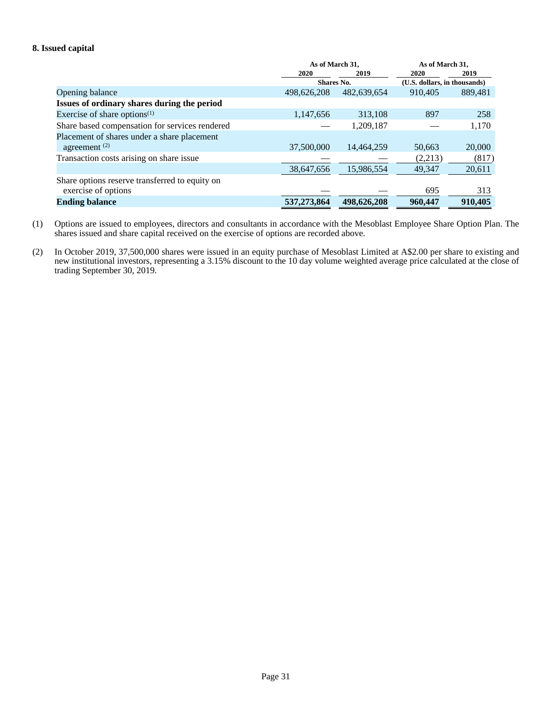## **8. Issued capital**

|                                                | As of March 31,   |             | As of March 31,              |         |
|------------------------------------------------|-------------------|-------------|------------------------------|---------|
|                                                | 2020              | 2019        | 2020                         | 2019    |
|                                                | <b>Shares No.</b> |             | (U.S. dollars, in thousands) |         |
| Opening balance                                | 498,626,208       | 482,639,654 | 910.405                      | 889,481 |
| Issues of ordinary shares during the period    |                   |             |                              |         |
| Exercise of share options $(1)$                | 1,147,656         | 313.108     | 897                          | 258     |
| Share based compensation for services rendered |                   | 1,209,187   |                              | 1,170   |
| Placement of shares under a share placement    |                   |             |                              |         |
| agreement $(2)$                                | 37,500,000        | 14,464,259  | 50,663                       | 20,000  |
| Transaction costs arising on share issue       |                   |             | (2,213)                      | (817)   |
|                                                | 38,647,656        | 15.986.554  | 49.347                       | 20,611  |
| Share options reserve transferred to equity on |                   |             |                              |         |
| exercise of options                            |                   |             | 695                          | 313     |
| <b>Ending balance</b>                          | 537,273,864       | 498,626,208 | 960,447                      | 910,405 |

- (1) Options are issued to employees, directors and consultants in accordance with the Mesoblast Employee Share Option Plan. The shares issued and share capital received on the exercise of options are recorded above.
- (2) In October 2019, 37,500,000 shares were issued in an equity purchase of Mesoblast Limited at A\$2.00 per share to existing and new institutional investors, representing a 3.15% discount to the 10 day volume weighted average price calculated at the close of trading September 30, 2019.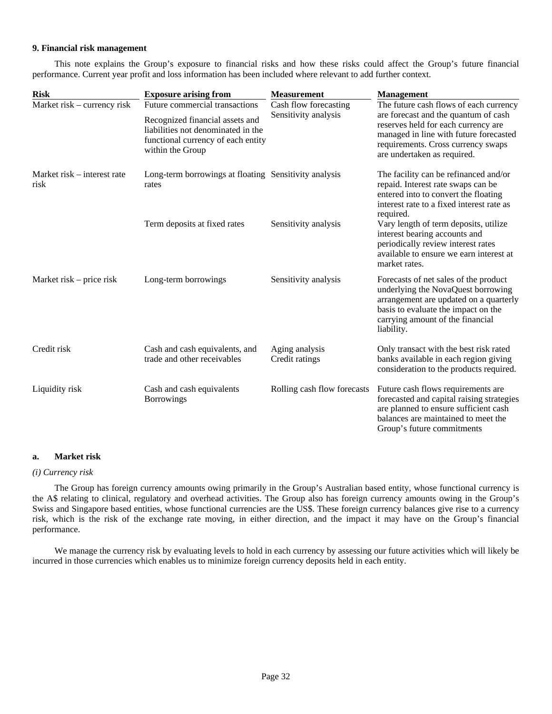#### **9. Financial risk management**

This note explains the Group's exposure to financial risks and how these risks could affect the Group's future financial performance. Current year profit and loss information has been included where relevant to add further context.

| <b>Risk</b>                         | <b>Exposure arising from</b>                                                                                                    | <b>Measurement</b>               | <b>Management</b>                                                                                                                                                                                              |  |  |
|-------------------------------------|---------------------------------------------------------------------------------------------------------------------------------|----------------------------------|----------------------------------------------------------------------------------------------------------------------------------------------------------------------------------------------------------------|--|--|
| Market risk – currency risk         | Future commercial transactions                                                                                                  | Cash flow forecasting            | The future cash flows of each currency                                                                                                                                                                         |  |  |
|                                     | Recognized financial assets and<br>liabilities not denominated in the<br>functional currency of each entity<br>within the Group | Sensitivity analysis             | are forecast and the quantum of cash<br>reserves held for each currency are<br>managed in line with future forecasted<br>requirements. Cross currency swaps<br>are undertaken as required.                     |  |  |
| Market risk – interest rate<br>risk | Long-term borrowings at floating Sensitivity analysis<br>rates                                                                  |                                  | The facility can be refinanced and/or<br>repaid. Interest rate swaps can be<br>entered into to convert the floating<br>interest rate to a fixed interest rate as<br>required.                                  |  |  |
|                                     | Term deposits at fixed rates                                                                                                    | Sensitivity analysis             | Vary length of term deposits, utilize<br>interest bearing accounts and<br>periodically review interest rates<br>available to ensure we earn interest at<br>market rates.                                       |  |  |
| Market risk – price risk            | Long-term borrowings                                                                                                            | Sensitivity analysis             | Forecasts of net sales of the product<br>underlying the NovaQuest borrowing<br>arrangement are updated on a quarterly<br>basis to evaluate the impact on the<br>carrying amount of the financial<br>liability. |  |  |
| Credit risk                         | Cash and cash equivalents, and<br>trade and other receivables                                                                   | Aging analysis<br>Credit ratings | Only transact with the best risk rated<br>banks available in each region giving<br>consideration to the products required.                                                                                     |  |  |
| Liquidity risk                      | Cash and cash equivalents<br><b>Borrowings</b>                                                                                  | Rolling cash flow forecasts      | Future cash flows requirements are<br>forecasted and capital raising strategies<br>are planned to ensure sufficient cash<br>balances are maintained to meet the<br>Group's future commitments                  |  |  |

## **a. Market risk**

## *(i) Currency risk*

The Group has foreign currency amounts owing primarily in the Group's Australian based entity, whose functional currency is the A\$ relating to clinical, regulatory and overhead activities. The Group also has foreign currency amounts owing in the Group's Swiss and Singapore based entities, whose functional currencies are the US\$. These foreign currency balances give rise to a currency risk, which is the risk of the exchange rate moving, in either direction, and the impact it may have on the Group's financial performance.

We manage the currency risk by evaluating levels to hold in each currency by assessing our future activities which will likely be incurred in those currencies which enables us to minimize foreign currency deposits held in each entity.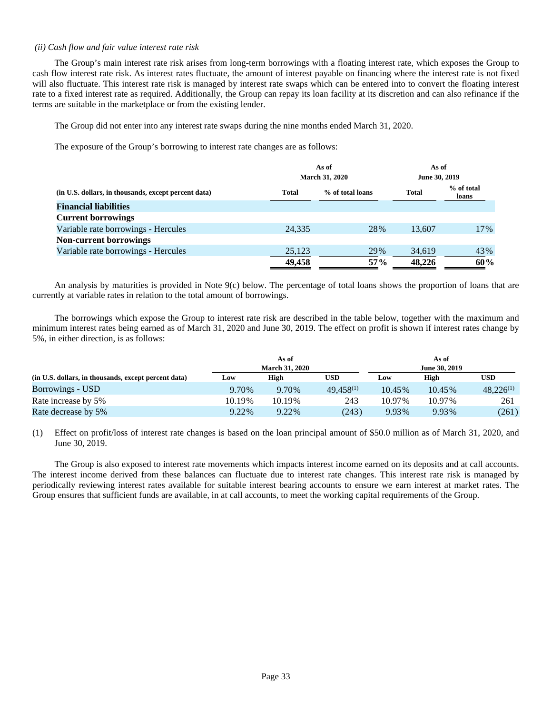#### *(ii) Cash flow and fair value interest rate risk*

The Group's main interest rate risk arises from long-term borrowings with a floating interest rate, which exposes the Group to cash flow interest rate risk. As interest rates fluctuate, the amount of interest payable on financing where the interest rate is not fixed will also fluctuate. This interest rate risk is managed by interest rate swaps which can be entered into to convert the floating interest rate to a fixed interest rate as required. Additionally, the Group can repay its loan facility at its discretion and can also refinance if the terms are suitable in the marketplace or from the existing lender.

The Group did not enter into any interest rate swaps during the nine months ended March 31, 2020.

The exposure of the Group's borrowing to interest rate changes are as follows:

|                                                      |        | As of<br><b>March 31, 2020</b> | As of<br>June 30, 2019 |                     |
|------------------------------------------------------|--------|--------------------------------|------------------------|---------------------|
| (in U.S. dollars, in thousands, except percent data) | Total  | % of total loans               | <b>Total</b>           | % of total<br>loans |
| <b>Financial liabilities</b>                         |        |                                |                        |                     |
| <b>Current borrowings</b>                            |        |                                |                        |                     |
| Variable rate borrowings - Hercules                  | 24.335 | 28%                            | 13.607                 | 17%                 |
| <b>Non-current borrowings</b>                        |        |                                |                        |                     |
| Variable rate borrowings - Hercules                  | 25,123 | 29%                            | 34,619                 | 43%                 |
|                                                      | 49,458 | $57\%$                         | 48.226                 | 60%                 |

An analysis by maturities is provided in Note 9(c) below. The percentage of total loans shows the proportion of loans that are currently at variable rates in relation to the total amount of borrowings.

The borrowings which expose the Group to interest rate risk are described in the table below, together with the maximum and minimum interest rates being earned as of March 31, 2020 and June 30, 2019. The effect on profit is shown if interest rates change by 5%, in either direction, is as follows:

|                                                      |                       | As of  |                |               | As of  |                |
|------------------------------------------------------|-----------------------|--------|----------------|---------------|--------|----------------|
|                                                      | <b>March 31, 2020</b> |        |                | June 30, 2019 |        |                |
| (in U.S. dollars, in thousands, except percent data) | Low                   | High   | USD            | Low           | High   | USD            |
| Borrowings - USD                                     | 9.70%                 | 9.70%  | $49.458^{(1)}$ | 10.45%        | 10.45% | $48.226^{(1)}$ |
| Rate increase by 5%                                  | 10.19%                | 10.19% | 243            | 10.97%        | 10.97% | 261            |
| Rate decrease by 5%                                  | 9.22%                 | 9.22%  | (243)          | 9.93%         | 9.93%  | (261)          |

(1) Effect on profit/loss of interest rate changes is based on the loan principal amount of \$50.0 million as of March 31, 2020, and June 30, 2019.

The Group is also exposed to interest rate movements which impacts interest income earned on its deposits and at call accounts. The interest income derived from these balances can fluctuate due to interest rate changes. This interest rate risk is managed by periodically reviewing interest rates available for suitable interest bearing accounts to ensure we earn interest at market rates. The Group ensures that sufficient funds are available, in at call accounts, to meet the working capital requirements of the Group.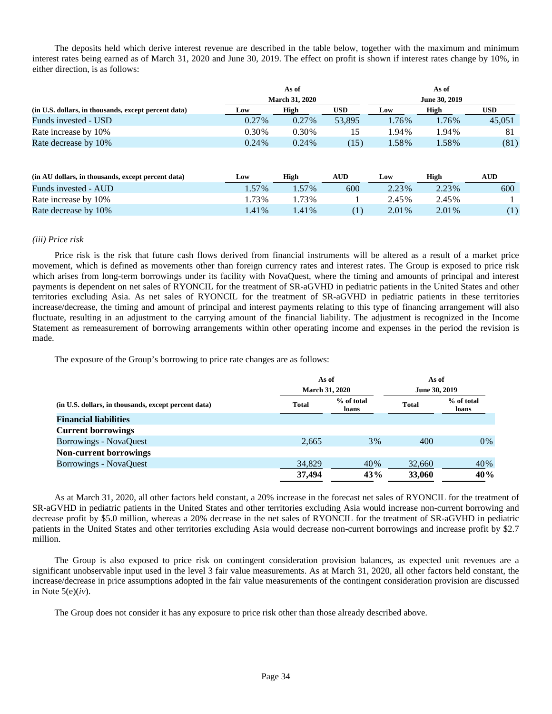The deposits held which derive interest revenue are described in the table below, together with the maximum and minimum interest rates being earned as of March 31, 2020 and June 30, 2019. The effect on profit is shown if interest rates change by 10%, in either direction, is as follows:

|                                                      |          | As of                 |            |       | As of         |            |
|------------------------------------------------------|----------|-----------------------|------------|-------|---------------|------------|
|                                                      |          | <b>March 31, 2020</b> |            |       | June 30, 2019 |            |
| (in U.S. dollars, in thousands, except percent data) | Low      | High                  | <b>USD</b> | Low   | High          | USD        |
| Funds invested - USD                                 | $0.27\%$ | $0.27\%$              | 53,895     | 1.76% | 1.76%         | 45,051     |
| Rate increase by 10%                                 | 0.30%    | 0.30%                 | 15         | 1.94% | 1.94%         | 81         |
| Rate decrease by 10%                                 | $0.24\%$ | $0.24\%$              | (15)       | 1.58% | 1.58%         | (81)       |
|                                                      |          |                       |            |       |               |            |
|                                                      |          |                       |            |       |               |            |
| (in AU dollars, in thousands, except percent data)   | Low      | High                  | <b>AUD</b> | Low   | High          | <b>AUD</b> |
| Funds invested - AUD                                 | 1.57%    | 1.57%                 | 600        | 2.23% | 2.23%         | 600        |
| Rate increase by 10%                                 | 1.73%    | 1.73%                 |            | 2.45% | 2.45%         |            |

Rate decrease by 10% 1.41% 1.41% 1.41% (1) 2.01% 2.01% (1)

#### *(iii) Price risk*

Price risk is the risk that future cash flows derived from financial instruments will be altered as a result of a market price movement, which is defined as movements other than foreign currency rates and interest rates. The Group is exposed to price risk which arises from long-term borrowings under its facility with NovaQuest, where the timing and amounts of principal and interest payments is dependent on net sales of RYONCIL for the treatment of SR-aGVHD in pediatric patients in the United States and other territories excluding Asia. As net sales of RYONCIL for the treatment of SR-aGVHD in pediatric patients in these territories increase/decrease, the timing and amount of principal and interest payments relating to this type of financing arrangement will also fluctuate, resulting in an adjustment to the carrying amount of the financial liability. The adjustment is recognized in the Income Statement as remeasurement of borrowing arrangements within other operating income and expenses in the period the revision is made.

The exposure of the Group's borrowing to price rate changes are as follows:

|                                                      |              | As of<br><b>March 31, 2020</b> |              | As of               |  |  |
|------------------------------------------------------|--------------|--------------------------------|--------------|---------------------|--|--|
| (in U.S. dollars, in thousands, except percent data) |              |                                |              | June 30, 2019       |  |  |
|                                                      | <b>Total</b> | % of total<br>loans            | <b>Total</b> | % of total<br>loans |  |  |
| <b>Financial liabilities</b>                         |              |                                |              |                     |  |  |
| <b>Current borrowings</b>                            |              |                                |              |                     |  |  |
| <b>Borrowings - NovaQuest</b>                        | 2,665        | $3\%$                          | 400          | $0\%$               |  |  |
| <b>Non-current borrowings</b>                        |              |                                |              |                     |  |  |
| Borrowings - NovaQuest                               | 34,829       | 40%                            | 32,660       | 40%                 |  |  |
|                                                      | 37,494       | 43%                            | 33,060       | 40%                 |  |  |

As at March 31, 2020, all other factors held constant, a 20% increase in the forecast net sales of RYONCIL for the treatment of SR-aGVHD in pediatric patients in the United States and other territories excluding Asia would increase non-current borrowing and decrease profit by \$5.0 million, whereas a 20% decrease in the net sales of RYONCIL for the treatment of SR-aGVHD in pediatric patients in the United States and other territories excluding Asia would decrease non-current borrowings and increase profit by \$2.7 million.

The Group is also exposed to price risk on contingent consideration provision balances, as expected unit revenues are a significant unobservable input used in the level 3 fair value measurements. As at March 31, 2020, all other factors held constant, the increase/decrease in price assumptions adopted in the fair value measurements of the contingent consideration provision are discussed in Note 5(e)(*iv*).

The Group does not consider it has any exposure to price risk other than those already described above.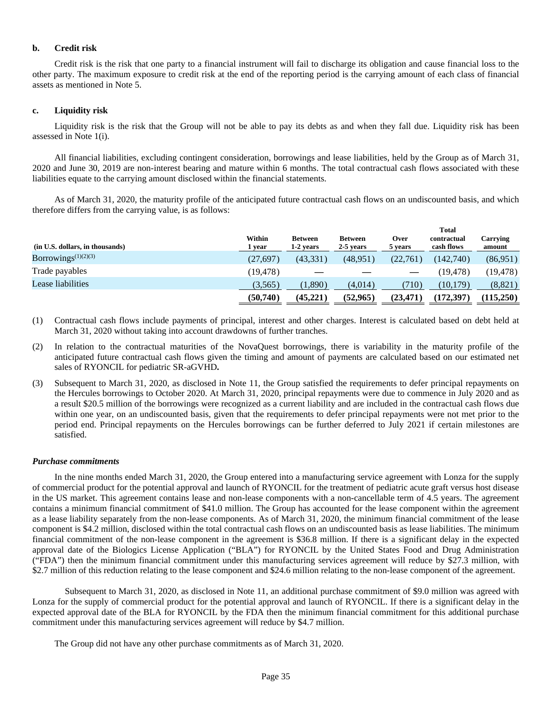#### **b. Credit risk**

Credit risk is the risk that one party to a financial instrument will fail to discharge its obligation and cause financial loss to the other party. The maximum exposure to credit risk at the end of the reporting period is the carrying amount of each class of financial assets as mentioned in Note 5.

#### **c. Liquidity risk**

Liquidity risk is the risk that the Group will not be able to pay its debts as and when they fall due. Liquidity risk has been assessed in Note 1(i).

All financial liabilities, excluding contingent consideration, borrowings and lease liabilities, held by the Group as of March 31, 2020 and June 30, 2019 are non-interest bearing and mature within 6 months. The total contractual cash flows associated with these liabilities equate to the carrying amount disclosed within the financial statements.

As of March 31, 2020, the maturity profile of the anticipated future contractual cash flows on an undiscounted basis, and which therefore differs from the carrying value, is as follows:

|                                 |                  |                             |                             | <b>Total</b>           |                           |                    |
|---------------------------------|------------------|-----------------------------|-----------------------------|------------------------|---------------------------|--------------------|
| (in U.S. dollars, in thousands) | Within<br>1 year | <b>Between</b><br>1-2 years | <b>Between</b><br>2-5 years | <b>Over</b><br>5 years | contractual<br>cash flows | Carrying<br>amount |
| Borrowings $(1)(2)(3)$          | (27, 697)        | (43, 331)                   | (48, 951)                   | (22,761)               | (142.740)                 | (86,951)           |
| Trade payables                  | (19,478)         |                             |                             |                        | (19,478)                  | (19, 478)          |
| Lease liabilities               | (3,565)          | 1,890)                      | (4,014)                     | (710)                  | (10, 179)                 | (8,821)            |
|                                 | (50,740)         | (45, 221)                   | (52, 965)                   | (23,471                | (172, 397)                | (115,250)          |

- (1) Contractual cash flows include payments of principal, interest and other charges. Interest is calculated based on debt held at March 31, 2020 without taking into account drawdowns of further tranches.
- (2) In relation to the contractual maturities of the NovaQuest borrowings, there is variability in the maturity profile of the anticipated future contractual cash flows given the timing and amount of payments are calculated based on our estimated net sales of RYONCIL for pediatric SR-aGVHD**.**
- (3) Subsequent to March 31, 2020, as disclosed in Note 11, the Group satisfied the requirements to defer principal repayments on the Hercules borrowings to October 2020. At March 31, 2020, principal repayments were due to commence in July 2020 and as a result \$20.5 million of the borrowings were recognized as a current liability and are included in the contractual cash flows due within one year, on an undiscounted basis, given that the requirements to defer principal repayments were not met prior to the period end. Principal repayments on the Hercules borrowings can be further deferred to July 2021 if certain milestones are satisfied.

#### *Purchase commitments*

In the nine months ended March 31, 2020, the Group entered into a manufacturing service agreement with Lonza for the supply of commercial product for the potential approval and launch of RYONCIL for the treatment of pediatric acute graft versus host disease in the US market. This agreement contains lease and non-lease components with a non-cancellable term of 4.5 years. The agreement contains a minimum financial commitment of \$41.0 million. The Group has accounted for the lease component within the agreement as a lease liability separately from the non-lease components. As of March 31, 2020, the minimum financial commitment of the lease component is \$4.2 million, disclosed within the total contractual cash flows on an undiscounted basis as lease liabilities. The minimum financial commitment of the non-lease component in the agreement is \$36.8 million. If there is a significant delay in the expected approval date of the Biologics License Application ("BLA") for RYONCIL by the United States Food and Drug Administration ("FDA") then the minimum financial commitment under this manufacturing services agreement will reduce by \$27.3 million, with \$2.7 million of this reduction relating to the lease component and \$24.6 million relating to the non-lease component of the agreement.

Subsequent to March 31, 2020, as disclosed in Note 11, an additional purchase commitment of \$9.0 million was agreed with Lonza for the supply of commercial product for the potential approval and launch of RYONCIL. If there is a significant delay in the expected approval date of the BLA for RYONCIL by the FDA then the minimum financial commitment for this additional purchase commitment under this manufacturing services agreement will reduce by \$4.7 million.

The Group did not have any other purchase commitments as of March 31, 2020.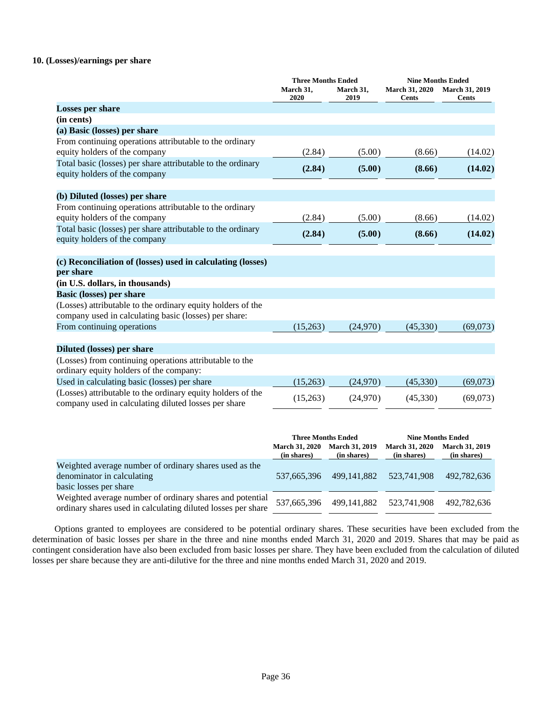## **10. (Losses)/earnings per share**

|                                                                                                                      | <b>Three Months Ended</b>            |                                                                                                                                                                               | <b>Nine Months Ended</b>       |                                       |  |
|----------------------------------------------------------------------------------------------------------------------|--------------------------------------|-------------------------------------------------------------------------------------------------------------------------------------------------------------------------------|--------------------------------|---------------------------------------|--|
|                                                                                                                      | March 31,<br>2020                    | March 31,<br>2019                                                                                                                                                             | <b>March 31, 2020</b><br>Cents | <b>March 31, 2019</b><br><b>Cents</b> |  |
| <b>Losses per share</b>                                                                                              |                                      |                                                                                                                                                                               |                                |                                       |  |
| (in cents)                                                                                                           |                                      |                                                                                                                                                                               |                                |                                       |  |
| (a) Basic (losses) per share                                                                                         |                                      |                                                                                                                                                                               |                                |                                       |  |
| From continuing operations attributable to the ordinary<br>equity holders of the company                             | (2.84)                               | (5.00)                                                                                                                                                                        | (8.66)                         | (14.02)                               |  |
| Total basic (losses) per share attributable to the ordinary<br>equity holders of the company                         | (2.84)                               | (5.00)                                                                                                                                                                        | (8.66)                         | (14.02)                               |  |
|                                                                                                                      |                                      |                                                                                                                                                                               |                                |                                       |  |
| (b) Diluted (losses) per share                                                                                       |                                      |                                                                                                                                                                               |                                |                                       |  |
| From continuing operations attributable to the ordinary<br>equity holders of the company                             | (2.84)                               | (5.00)                                                                                                                                                                        | (8.66)                         | (14.02)                               |  |
| Total basic (losses) per share attributable to the ordinary<br>equity holders of the company                         | (2.84)                               | (5.00)                                                                                                                                                                        | (8.66)                         | (14.02)                               |  |
| (c) Reconciliation of (losses) used in calculating (losses)<br>per share                                             |                                      |                                                                                                                                                                               |                                |                                       |  |
| (in U.S. dollars, in thousands)                                                                                      |                                      |                                                                                                                                                                               |                                |                                       |  |
| <b>Basic (losses) per share</b>                                                                                      |                                      |                                                                                                                                                                               |                                |                                       |  |
| (Losses) attributable to the ordinary equity holders of the<br>company used in calculating basic (losses) per share: |                                      |                                                                                                                                                                               |                                |                                       |  |
| From continuing operations                                                                                           | (15,263)                             | (24,970)                                                                                                                                                                      | (45,330)                       | (69,073)                              |  |
| <b>Diluted (losses) per share</b>                                                                                    |                                      |                                                                                                                                                                               |                                |                                       |  |
| (Losses) from continuing operations attributable to the<br>ordinary equity holders of the company:                   |                                      |                                                                                                                                                                               |                                |                                       |  |
| Used in calculating basic (losses) per share                                                                         | (15,263)                             | (24,970)                                                                                                                                                                      | (45,330)                       | (69,073)                              |  |
| (Losses) attributable to the ordinary equity holders of the<br>company used in calculating diluted losses per share  | (15,263)                             | (24,970)                                                                                                                                                                      | (45,330)                       | (69,073)                              |  |
|                                                                                                                      |                                      |                                                                                                                                                                               |                                |                                       |  |
|                                                                                                                      | <b>March 31, 2020</b><br>(in shares) | <b>Three Months Ended</b><br><b>Nine Months Ended</b><br><b>March 31, 2020</b><br><b>March 31, 2019</b><br><b>March 31, 2019</b><br>(in shares)<br>(in shares)<br>(in shares) |                                |                                       |  |
| Weighted average number of ordinary shares used as the<br>denominator in calculating                                 | 537,665,396                          | 499.141.882                                                                                                                                                                   | 523,741,908                    | 492,782,636                           |  |

basic losses per share

Weighted average number of ordinary shares and potential weighted average number of ordinary shares and potential 537,665,396 499,141,882 523,741,908 492,782,636 ordinary shares used in calculating diluted losses per share

Options granted to employees are considered to be potential ordinary shares. These securities have been excluded from the determination of basic losses per share in the three and nine months ended March 31, 2020 and 2019. Shares that may be paid as contingent consideration have also been excluded from basic losses per share. They have been excluded from the calculation of diluted losses per share because they are anti-dilutive for the three and nine months ended March 31, 2020 and 2019.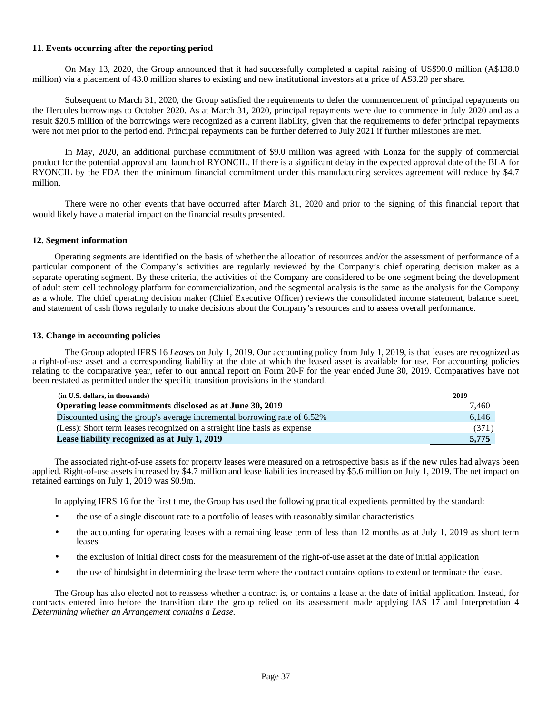## **11. Events occurring after the reporting period**

On May 13, 2020, the Group announced that it had successfully completed a capital raising of US\$90.0 million (A\$138.0 million) via a placement of 43.0 million shares to existing and new institutional investors at a price of A\$3.20 per share.

Subsequent to March 31, 2020, the Group satisfied the requirements to defer the commencement of principal repayments on the Hercules borrowings to October 2020. As at March 31, 2020, principal repayments were due to commence in July 2020 and as a result \$20.5 million of the borrowings were recognized as a current liability, given that the requirements to defer principal repayments were not met prior to the period end. Principal repayments can be further deferred to July 2021 if further milestones are met.

In May, 2020, an additional purchase commitment of \$9.0 million was agreed with Lonza for the supply of commercial product for the potential approval and launch of RYONCIL. If there is a significant delay in the expected approval date of the BLA for RYONCIL by the FDA then the minimum financial commitment under this manufacturing services agreement will reduce by \$4.7 million.

There were no other events that have occurred after March 31, 2020 and prior to the signing of this financial report that would likely have a material impact on the financial results presented.

# **12. Segment information**

Operating segments are identified on the basis of whether the allocation of resources and/or the assessment of performance of a particular component of the Company's activities are regularly reviewed by the Company's chief operating decision maker as a separate operating segment. By these criteria, the activities of the Company are considered to be one segment being the development of adult stem cell technology platform for commercialization, and the segmental analysis is the same as the analysis for the Company as a whole. The chief operating decision maker (Chief Executive Officer) reviews the consolidated income statement, balance sheet, and statement of cash flows regularly to make decisions about the Company's resources and to assess overall performance.

# **13. Change in accounting policies**

The Group adopted IFRS 16 *Leases* on July 1, 2019. Our accounting policy from July 1, 2019, is that leases are recognized as a right-of-use asset and a corresponding liability at the date at which the leased asset is available for use. For accounting policies relating to the comparative year, refer to our annual report on Form 20-F for the year ended June 30, 2019. Comparatives have not been restated as permitted under the specific transition provisions in the standard.

| (in U.S. dollars, in thousands)                                          | 2019  |
|--------------------------------------------------------------------------|-------|
| Operating lease commitments disclosed as at June 30, 2019                | 7.460 |
| Discounted using the group's average incremental borrowing rate of 6.52% | 6.146 |
| (Less): Short term leases recognized on a straight line basis as expense | (371) |
| Lease liability recognized as at July 1, 2019                            | 5.775 |

The associated right-of-use assets for property leases were measured on a retrospective basis as if the new rules had always been applied. Right-of-use assets increased by \$4.7 million and lease liabilities increased by \$5.6 million on July 1, 2019. The net impact on retained earnings on July 1, 2019 was \$0.9m.

In applying IFRS 16 for the first time, the Group has used the following practical expedients permitted by the standard:

- the use of a single discount rate to a portfolio of leases with reasonably similar characteristics
- the accounting for operating leases with a remaining lease term of less than 12 months as at July 1, 2019 as short term leases
- the exclusion of initial direct costs for the measurement of the right-of-use asset at the date of initial application
- the use of hindsight in determining the lease term where the contract contains options to extend or terminate the lease.

The Group has also elected not to reassess whether a contract is, or contains a lease at the date of initial application. Instead, for contracts entered into before the transition date the group relied on its assessment made applying IAS 17 and Interpretation 4 *Determining whether an Arrangement contains a Lease.*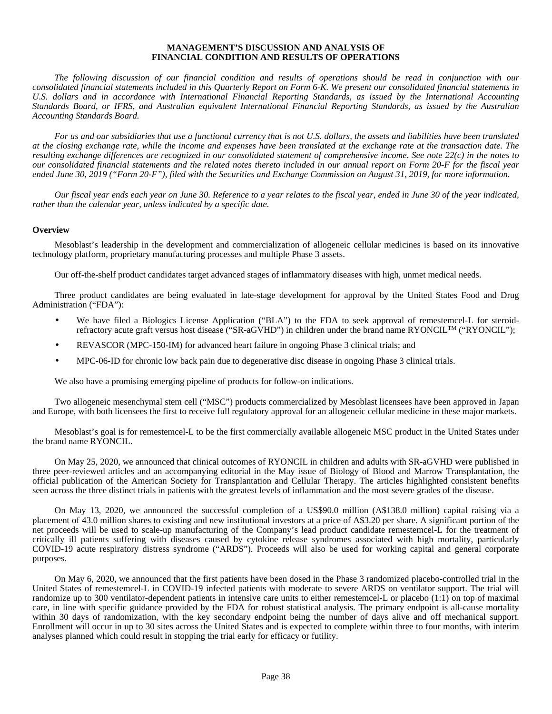# **MANAGEMENT'S DISCUSSION AND ANALYSIS OF FINANCIAL CONDITION AND RESULTS OF OPERATIONS**

*The following discussion of our financial condition and results of operations should be read in conjunction with our consolidated financial statements included in this Quarterly Report on Form 6-K. We present our consolidated financial statements in U.S. dollars and in accordance with International Financial Reporting Standards, as issued by the International Accounting Standards Board, or IFRS, and Australian equivalent International Financial Reporting Standards, as issued by the Australian Accounting Standards Board.*

*For us and our subsidiaries that use a functional currency that is not U.S. dollars, the assets and liabilities have been translated at the closing exchange rate, while the income and expenses have been translated at the exchange rate at the transaction date. The resulting exchange differences are recognized in our consolidated statement of comprehensive income. See note 22(c) in the notes to our consolidated financial statements and the related notes thereto included in our annual report on Form 20-F for the fiscal year ended June 30, 2019 ("Form 20-F"), filed with the Securities and Exchange Commission on August 31, 2019, for more information.*

*Our fiscal year ends each year on June 30. Reference to a year relates to the fiscal year, ended in June 30 of the year indicated, rather than the calendar year, unless indicated by a specific date.* 

## **Overview**

Mesoblast's leadership in the development and commercialization of allogeneic cellular medicines is based on its innovative technology platform, proprietary manufacturing processes and multiple Phase 3 assets.

Our off-the-shelf product candidates target advanced stages of inflammatory diseases with high, unmet medical needs.

Three product candidates are being evaluated in late-stage development for approval by the United States Food and Drug Administration ("FDA"):

- We have filed a Biologics License Application ("BLA") to the FDA to seek approval of remestemcel-L for steroidrefractory acute graft versus host disease ("SR-aGVHD") in children under the brand name RYONCILTM ("RYONCIL");
- REVASCOR (MPC-150-IM) for advanced heart failure in ongoing Phase 3 clinical trials; and
- MPC-06-ID for chronic low back pain due to degenerative disc disease in ongoing Phase 3 clinical trials.

We also have a promising emerging pipeline of products for follow-on indications.

Two allogeneic mesenchymal stem cell ("MSC") products commercialized by Mesoblast licensees have been approved in Japan and Europe, with both licensees the first to receive full regulatory approval for an allogeneic cellular medicine in these major markets.

Mesoblast's goal is for remestemcel-L to be the first commercially available allogeneic MSC product in the United States under the brand name RYONCIL.

On May 25, 2020, we announced that clinical outcomes of RYONCIL in children and adults with SR-aGVHD were published in three peer-reviewed articles and an accompanying editorial in the May issue of Biology of Blood and Marrow Transplantation, the official publication of the American Society for Transplantation and Cellular Therapy. The articles highlighted consistent benefits seen across the three distinct trials in patients with the greatest levels of inflammation and the most severe grades of the disease.

On May 13, 2020, we announced the successful completion of a US\$90.0 million (A\$138.0 million) capital raising via a placement of 43.0 million shares to existing and new institutional investors at a price of A\$3.20 per share. A significant portion of the net proceeds will be used to scale-up manufacturing of the Company's lead product candidate remestemcel-L for the treatment of critically ill patients suffering with diseases caused by cytokine release syndromes associated with high mortality, particularly COVID-19 acute respiratory distress syndrome ("ARDS"). Proceeds will also be used for working capital and general corporate purposes.

On May 6, 2020, we announced that the first patients have been dosed in the Phase 3 randomized placebo-controlled trial in the United States of remestemcel-L in COVID-19 infected patients with moderate to severe ARDS on ventilator support. The trial will randomize up to 300 ventilator-dependent patients in intensive care units to either remestemcel-L or placebo (1:1) on top of maximal care, in line with specific guidance provided by the FDA for robust statistical analysis. The primary endpoint is all-cause mortality within 30 days of randomization, with the key secondary endpoint being the number of days alive and off mechanical support. Enrollment will occur in up to 30 sites across the United States and is expected to complete within three to four months, with interim analyses planned which could result in stopping the trial early for efficacy or futility.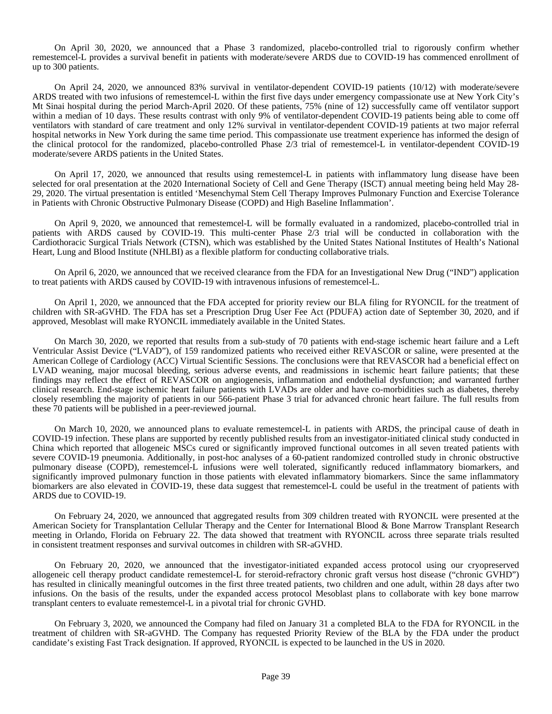On April 30, 2020, we announced that a Phase 3 randomized, placebo-controlled trial to rigorously confirm whether remestemcel-L provides a survival benefit in patients with moderate/severe ARDS due to COVID-19 has commenced enrollment of up to 300 patients.

On April 24, 2020, we announced 83% survival in ventilator-dependent COVID-19 patients (10/12) with moderate/severe ARDS treated with two infusions of remestemcel-L within the first five days under emergency compassionate use at New York City's Mt Sinai hospital during the period March-April 2020. Of these patients, 75% (nine of 12) successfully came off ventilator support within a median of 10 days. These results contrast with only 9% of ventilator-dependent COVID-19 patients being able to come off ventilators with standard of care treatment and only 12% survival in ventilator-dependent COVID-19 patients at two major referral hospital networks in New York during the same time period. This compassionate use treatment experience has informed the design of the clinical protocol for the randomized, placebo-controlled Phase 2/3 trial of remestemcel-L in ventilator-dependent COVID-19 moderate/severe ARDS patients in the United States.

On April 17, 2020, we announced that results using remestemcel-L in patients with inflammatory lung disease have been selected for oral presentation at the 2020 International Society of Cell and Gene Therapy (ISCT) annual meeting being held May 28- 29, 2020. The virtual presentation is entitled 'Mesenchymal Stem Cell Therapy Improves Pulmonary Function and Exercise Tolerance in Patients with Chronic Obstructive Pulmonary Disease (COPD) and High Baseline Inflammation'.

On April 9, 2020, we announced that remestemcel-L will be formally evaluated in a randomized, placebo-controlled trial in patients with ARDS caused by COVID-19. This multi-center Phase 2/3 trial will be conducted in collaboration with the Cardiothoracic Surgical Trials Network (CTSN), which was established by the United States National Institutes of Health's National Heart, Lung and Blood Institute (NHLBI) as a flexible platform for conducting collaborative trials.

On April 6, 2020, we announced that we received clearance from the FDA for an Investigational New Drug ("IND") application to treat patients with ARDS caused by COVID-19 with intravenous infusions of remestemcel-L.

On April 1, 2020, we announced that the FDA accepted for priority review our BLA filing for RYONCIL for the treatment of children with SR-aGVHD. The FDA has set a Prescription Drug User Fee Act (PDUFA) action date of September 30, 2020, and if approved, Mesoblast will make RYONCIL immediately available in the United States.

On March 30, 2020, we reported that results from a sub-study of 70 patients with end-stage ischemic heart failure and a Left Ventricular Assist Device ("LVAD"), of 159 randomized patients who received either REVASCOR or saline, were presented at the American College of Cardiology (ACC) Virtual Scientific Sessions. The conclusions were that REVASCOR had a beneficial effect on LVAD weaning, major mucosal bleeding, serious adverse events, and readmissions in ischemic heart failure patients; that these findings may reflect the effect of REVASCOR on angiogenesis, inflammation and endothelial dysfunction; and warranted further clinical research. End-stage ischemic heart failure patients with LVADs are older and have co-morbidities such as diabetes, thereby closely resembling the majority of patients in our 566-patient Phase 3 trial for advanced chronic heart failure. The full results from these 70 patients will be published in a peer-reviewed journal.

On March 10, 2020, we announced plans to evaluate remestemcel-L in patients with ARDS, the principal cause of death in COVID-19 infection. These plans are supported by recently published results from an investigator-initiated clinical study conducted in China which reported that allogeneic MSCs cured or significantly improved functional outcomes in all seven treated patients with severe COVID-19 pneumonia. Additionally, in post-hoc analyses of a 60-patient randomized controlled study in chronic obstructive pulmonary disease (COPD), remestemcel-L infusions were well tolerated, significantly reduced inflammatory biomarkers, and significantly improved pulmonary function in those patients with elevated inflammatory biomarkers. Since the same inflammatory biomarkers are also elevated in COVID-19, these data suggest that remestemcel-L could be useful in the treatment of patients with ARDS due to COVID-19.

On February 24, 2020, we announced that aggregated results from 309 children treated with RYONCIL were presented at the American Society for Transplantation Cellular Therapy and the Center for International Blood & Bone Marrow Transplant Research meeting in Orlando, Florida on February 22. The data showed that treatment with RYONCIL across three separate trials resulted in consistent treatment responses and survival outcomes in children with SR-aGVHD.

On February 20, 2020, we announced that the investigator-initiated expanded access protocol using our cryopreserved allogeneic cell therapy product candidate remestemcel-L for steroid-refractory chronic graft versus host disease ("chronic GVHD") has resulted in clinically meaningful outcomes in the first three treated patients, two children and one adult, within 28 days after two infusions. On the basis of the results, under the expanded access protocol Mesoblast plans to collaborate with key bone marrow transplant centers to evaluate remestemcel-L in a pivotal trial for chronic GVHD.

On February 3, 2020, we announced the Company had filed on January 31 a completed BLA to the FDA for RYONCIL in the treatment of children with SR-aGVHD. The Company has requested Priority Review of the BLA by the FDA under the product candidate's existing Fast Track designation. If approved, RYONCIL is expected to be launched in the US in 2020.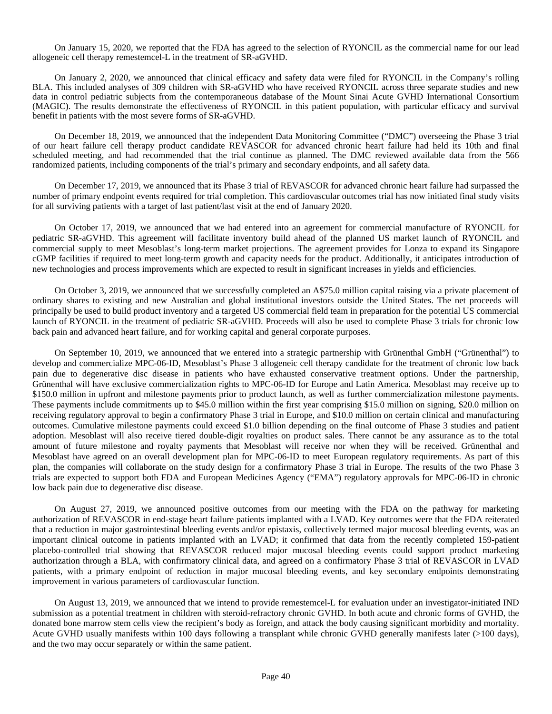On January 15, 2020, we reported that the FDA has agreed to the selection of RYONCIL as the commercial name for our lead allogeneic cell therapy remestemcel-L in the treatment of SR-aGVHD.

On January 2, 2020, we announced that clinical efficacy and safety data were filed for RYONCIL in the Company's rolling BLA. This included analyses of 309 children with SR-aGVHD who have received RYONCIL across three separate studies and new data in control pediatric subjects from the contemporaneous database of the Mount Sinai Acute GVHD International Consortium (MAGIC). The results demonstrate the effectiveness of RYONCIL in this patient population, with particular efficacy and survival benefit in patients with the most severe forms of SR-aGVHD.

On December 18, 2019, we announced that the independent Data Monitoring Committee ("DMC") overseeing the Phase 3 trial of our heart failure cell therapy product candidate REVASCOR for advanced chronic heart failure had held its 10th and final scheduled meeting, and had recommended that the trial continue as planned. The DMC reviewed available data from the 566 randomized patients, including components of the trial's primary and secondary endpoints, and all safety data.

On December 17, 2019, we announced that its Phase 3 trial of REVASCOR for advanced chronic heart failure had surpassed the number of primary endpoint events required for trial completion. This cardiovascular outcomes trial has now initiated final study visits for all surviving patients with a target of last patient/last visit at the end of January 2020.

On October 17, 2019, we announced that we had entered into an agreement for commercial manufacture of RYONCIL for pediatric SR-aGVHD. This agreement will facilitate inventory build ahead of the planned US market launch of RYONCIL and commercial supply to meet Mesoblast's long-term market projections. The agreement provides for Lonza to expand its Singapore cGMP facilities if required to meet long-term growth and capacity needs for the product. Additionally, it anticipates introduction of new technologies and process improvements which are expected to result in significant increases in yields and efficiencies.

On October 3, 2019, we announced that we successfully completed an A\$75.0 million capital raising via a private placement of ordinary shares to existing and new Australian and global institutional investors outside the United States. The net proceeds will principally be used to build product inventory and a targeted US commercial field team in preparation for the potential US commercial launch of RYONCIL in the treatment of pediatric SR-aGVHD. Proceeds will also be used to complete Phase 3 trials for chronic low back pain and advanced heart failure, and for working capital and general corporate purposes.

On September 10, 2019, we announced that we entered into a strategic partnership with Grünenthal GmbH ("Grünenthal") to develop and commercialize MPC-06-ID, Mesoblast's Phase 3 allogeneic cell therapy candidate for the treatment of chronic low back pain due to degenerative disc disease in patients who have exhausted conservative treatment options. Under the partnership, Grünenthal will have exclusive commercialization rights to MPC-06-ID for Europe and Latin America. Mesoblast may receive up to \$150.0 million in upfront and milestone payments prior to product launch, as well as further commercialization milestone payments. These payments include commitments up to \$45.0 million within the first year comprising \$15.0 million on signing, \$20.0 million on receiving regulatory approval to begin a confirmatory Phase 3 trial in Europe, and \$10.0 million on certain clinical and manufacturing outcomes. Cumulative milestone payments could exceed \$1.0 billion depending on the final outcome of Phase 3 studies and patient adoption. Mesoblast will also receive tiered double-digit royalties on product sales. There cannot be any assurance as to the total amount of future milestone and royalty payments that Mesoblast will receive nor when they will be received. Grünenthal and Mesoblast have agreed on an overall development plan for MPC-06-ID to meet European regulatory requirements. As part of this plan, the companies will collaborate on the study design for a confirmatory Phase 3 trial in Europe. The results of the two Phase 3 trials are expected to support both FDA and European Medicines Agency ("EMA") regulatory approvals for MPC-06-ID in chronic low back pain due to degenerative disc disease.

On August 27, 2019, we announced positive outcomes from our meeting with the FDA on the pathway for marketing authorization of REVASCOR in end-stage heart failure patients implanted with a LVAD. Key outcomes were that the FDA reiterated that a reduction in major gastrointestinal bleeding events and/or epistaxis, collectively termed major mucosal bleeding events, was an important clinical outcome in patients implanted with an LVAD; it confirmed that data from the recently completed 159-patient placebo-controlled trial showing that REVASCOR reduced major mucosal bleeding events could support product marketing authorization through a BLA, with confirmatory clinical data, and agreed on a confirmatory Phase 3 trial of REVASCOR in LVAD patients, with a primary endpoint of reduction in major mucosal bleeding events, and key secondary endpoints demonstrating improvement in various parameters of cardiovascular function.

On August 13, 2019, we announced that we intend to provide remestemcel-L for evaluation under an investigator-initiated IND submission as a potential treatment in children with steroid-refractory chronic GVHD. In both acute and chronic forms of GVHD, the donated bone marrow stem cells view the recipient's body as foreign, and attack the body causing significant morbidity and mortality. Acute GVHD usually manifests within 100 days following a transplant while chronic GVHD generally manifests later (>100 days), and the two may occur separately or within the same patient.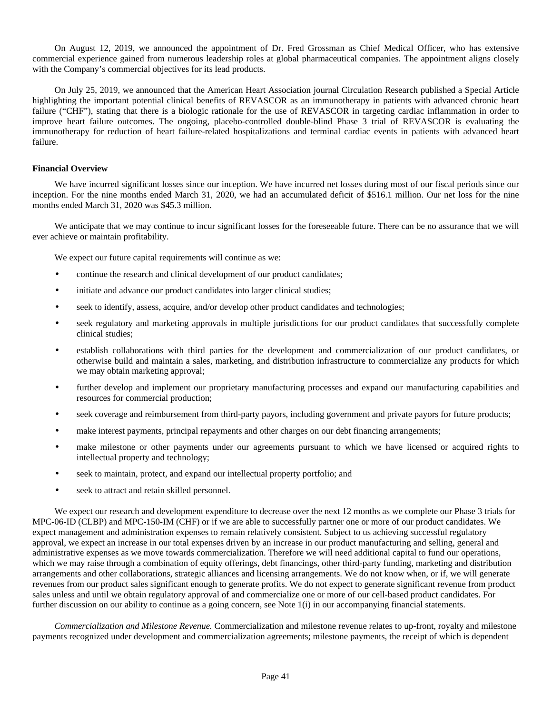On August 12, 2019, we announced the appointment of Dr. Fred Grossman as Chief Medical Officer, who has extensive commercial experience gained from numerous leadership roles at global pharmaceutical companies. The appointment aligns closely with the Company's commercial objectives for its lead products.

On July 25, 2019, we announced that the American Heart Association journal Circulation Research published a Special Article highlighting the important potential clinical benefits of REVASCOR as an immunotherapy in patients with advanced chronic heart failure ("CHF"), stating that there is a biologic rationale for the use of REVASCOR in targeting cardiac inflammation in order to improve heart failure outcomes. The ongoing, placebo-controlled double-blind Phase 3 trial of REVASCOR is evaluating the immunotherapy for reduction of heart failure-related hospitalizations and terminal cardiac events in patients with advanced heart failure.

# **Financial Overview**

We have incurred significant losses since our inception. We have incurred net losses during most of our fiscal periods since our inception. For the nine months ended March 31, 2020, we had an accumulated deficit of \$516.1 million. Our net loss for the nine months ended March 31, 2020 was \$45.3 million.

We anticipate that we may continue to incur significant losses for the foreseeable future. There can be no assurance that we will ever achieve or maintain profitability.

We expect our future capital requirements will continue as we:

- continue the research and clinical development of our product candidates;
- initiate and advance our product candidates into larger clinical studies;
- seek to identify, assess, acquire, and/or develop other product candidates and technologies;
- seek regulatory and marketing approvals in multiple jurisdictions for our product candidates that successfully complete clinical studies;
- establish collaborations with third parties for the development and commercialization of our product candidates, or otherwise build and maintain a sales, marketing, and distribution infrastructure to commercialize any products for which we may obtain marketing approval;
- further develop and implement our proprietary manufacturing processes and expand our manufacturing capabilities and resources for commercial production;
- seek coverage and reimbursement from third-party payors, including government and private payors for future products;
- make interest payments, principal repayments and other charges on our debt financing arrangements;
- make milestone or other payments under our agreements pursuant to which we have licensed or acquired rights to intellectual property and technology;
- seek to maintain, protect, and expand our intellectual property portfolio; and
- seek to attract and retain skilled personnel.

We expect our research and development expenditure to decrease over the next 12 months as we complete our Phase 3 trials for MPC-06-ID (CLBP) and MPC-150-IM (CHF) or if we are able to successfully partner one or more of our product candidates. We expect management and administration expenses to remain relatively consistent. Subject to us achieving successful regulatory approval, we expect an increase in our total expenses driven by an increase in our product manufacturing and selling, general and administrative expenses as we move towards commercialization. Therefore we will need additional capital to fund our operations, which we may raise through a combination of equity offerings, debt financings, other third-party funding, marketing and distribution arrangements and other collaborations, strategic alliances and licensing arrangements. We do not know when, or if, we will generate revenues from our product sales significant enough to generate profits. We do not expect to generate significant revenue from product sales unless and until we obtain regulatory approval of and commercialize one or more of our cell-based product candidates. For further discussion on our ability to continue as a going concern, see Note 1(i) in our accompanying financial statements.

*Commercialization and Milestone Revenue.* Commercialization and milestone revenue relates to up-front, royalty and milestone payments recognized under development and commercialization agreements; milestone payments, the receipt of which is dependent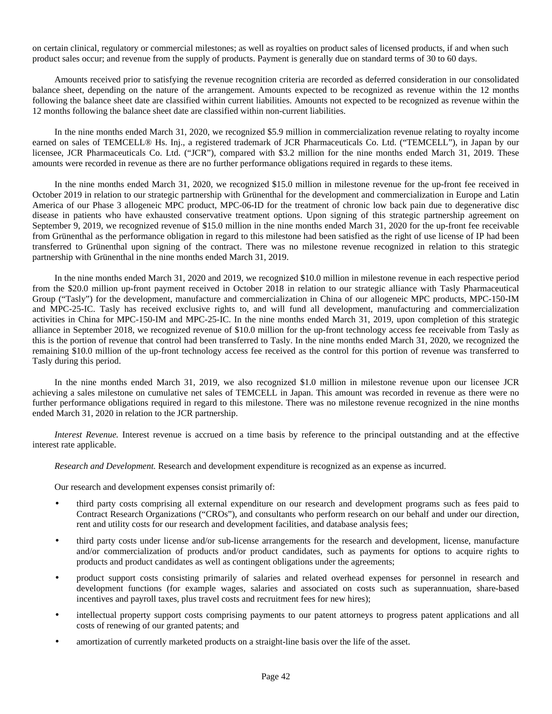on certain clinical, regulatory or commercial milestones; as well as royalties on product sales of licensed products, if and when such product sales occur; and revenue from the supply of products. Payment is generally due on standard terms of 30 to 60 days.

Amounts received prior to satisfying the revenue recognition criteria are recorded as deferred consideration in our consolidated balance sheet, depending on the nature of the arrangement. Amounts expected to be recognized as revenue within the 12 months following the balance sheet date are classified within current liabilities. Amounts not expected to be recognized as revenue within the 12 months following the balance sheet date are classified within non-current liabilities.

In the nine months ended March 31, 2020, we recognized \$5.9 million in commercialization revenue relating to royalty income earned on sales of TEMCELL® Hs. Inj., a registered trademark of JCR Pharmaceuticals Co. Ltd. ("TEMCELL"), in Japan by our licensee, JCR Pharmaceuticals Co. Ltd. ("JCR"), compared with \$3.2 million for the nine months ended March 31, 2019. These amounts were recorded in revenue as there are no further performance obligations required in regards to these items.

In the nine months ended March 31, 2020, we recognized \$15.0 million in milestone revenue for the up-front fee received in October 2019 in relation to our strategic partnership with Grünenthal for the development and commercialization in Europe and Latin America of our Phase 3 allogeneic MPC product, MPC-06-ID for the treatment of chronic low back pain due to degenerative disc disease in patients who have exhausted conservative treatment options. Upon signing of this strategic partnership agreement on September 9, 2019, we recognized revenue of \$15.0 million in the nine months ended March 31, 2020 for the up-front fee receivable from Grünenthal as the performance obligation in regard to this milestone had been satisfied as the right of use license of IP had been transferred to Grünenthal upon signing of the contract. There was no milestone revenue recognized in relation to this strategic partnership with Grünenthal in the nine months ended March 31, 2019.

In the nine months ended March 31, 2020 and 2019, we recognized \$10.0 million in milestone revenue in each respective period from the \$20.0 million up-front payment received in October 2018 in relation to our strategic alliance with Tasly Pharmaceutical Group ("Tasly") for the development, manufacture and commercialization in China of our allogeneic MPC products, MPC-150-IM and MPC-25-IC. Tasly has received exclusive rights to, and will fund all development, manufacturing and commercialization activities in China for MPC-150-IM and MPC-25-IC. In the nine months ended March 31, 2019, upon completion of this strategic alliance in September 2018, we recognized revenue of \$10.0 million for the up-front technology access fee receivable from Tasly as this is the portion of revenue that control had been transferred to Tasly. In the nine months ended March 31, 2020, we recognized the remaining \$10.0 million of the up-front technology access fee received as the control for this portion of revenue was transferred to Tasly during this period.

In the nine months ended March 31, 2019, we also recognized \$1.0 million in milestone revenue upon our licensee JCR achieving a sales milestone on cumulative net sales of TEMCELL in Japan. This amount was recorded in revenue as there were no further performance obligations required in regard to this milestone. There was no milestone revenue recognized in the nine months ended March 31, 2020 in relation to the JCR partnership.

*Interest Revenue.* Interest revenue is accrued on a time basis by reference to the principal outstanding and at the effective interest rate applicable.

*Research and Development.* Research and development expenditure is recognized as an expense as incurred.

Our research and development expenses consist primarily of:

- third party costs comprising all external expenditure on our research and development programs such as fees paid to Contract Research Organizations ("CROs"), and consultants who perform research on our behalf and under our direction, rent and utility costs for our research and development facilities, and database analysis fees;
- third party costs under license and/or sub-license arrangements for the research and development, license, manufacture and/or commercialization of products and/or product candidates, such as payments for options to acquire rights to products and product candidates as well as contingent obligations under the agreements;
- product support costs consisting primarily of salaries and related overhead expenses for personnel in research and development functions (for example wages, salaries and associated on costs such as superannuation, share-based incentives and payroll taxes, plus travel costs and recruitment fees for new hires);
- intellectual property support costs comprising payments to our patent attorneys to progress patent applications and all costs of renewing of our granted patents; and
- amortization of currently marketed products on a straight-line basis over the life of the asset.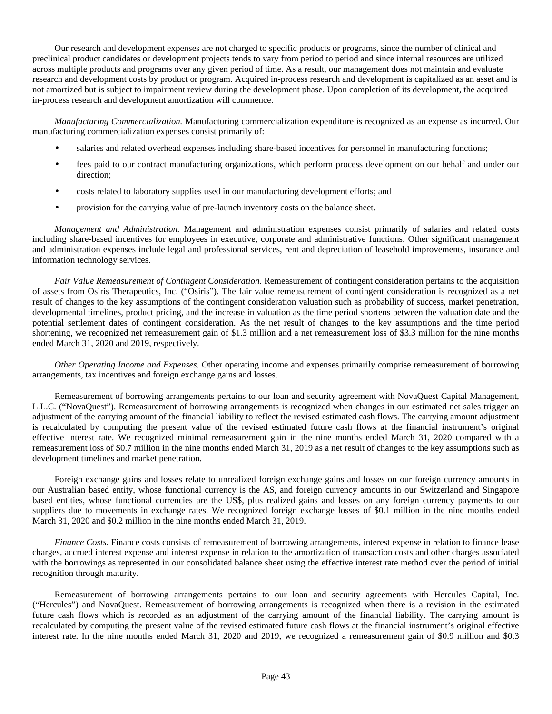Our research and development expenses are not charged to specific products or programs, since the number of clinical and preclinical product candidates or development projects tends to vary from period to period and since internal resources are utilized across multiple products and programs over any given period of time. As a result, our management does not maintain and evaluate research and development costs by product or program. Acquired in-process research and development is capitalized as an asset and is not amortized but is subject to impairment review during the development phase. Upon completion of its development, the acquired in-process research and development amortization will commence.

*Manufacturing Commercialization.* Manufacturing commercialization expenditure is recognized as an expense as incurred. Our manufacturing commercialization expenses consist primarily of:

- salaries and related overhead expenses including share-based incentives for personnel in manufacturing functions;
- fees paid to our contract manufacturing organizations, which perform process development on our behalf and under our direction;
- costs related to laboratory supplies used in our manufacturing development efforts; and
- provision for the carrying value of pre-launch inventory costs on the balance sheet.

*Management and Administration.* Management and administration expenses consist primarily of salaries and related costs including share-based incentives for employees in executive, corporate and administrative functions. Other significant management and administration expenses include legal and professional services, rent and depreciation of leasehold improvements, insurance and information technology services.

*Fair Value Remeasurement of Contingent Consideration.* Remeasurement of contingent consideration pertains to the acquisition of assets from Osiris Therapeutics, Inc. ("Osiris"). The fair value remeasurement of contingent consideration is recognized as a net result of changes to the key assumptions of the contingent consideration valuation such as probability of success, market penetration, developmental timelines, product pricing, and the increase in valuation as the time period shortens between the valuation date and the potential settlement dates of contingent consideration. As the net result of changes to the key assumptions and the time period shortening, we recognized net remeasurement gain of \$1.3 million and a net remeasurement loss of \$3.3 million for the nine months ended March 31, 2020 and 2019, respectively.

*Other Operating Income and Expenses.* Other operating income and expenses primarily comprise remeasurement of borrowing arrangements, tax incentives and foreign exchange gains and losses.

Remeasurement of borrowing arrangements pertains to our loan and security agreement with NovaQuest Capital Management, L.L.C. ("NovaQuest"). Remeasurement of borrowing arrangements is recognized when changes in our estimated net sales trigger an adjustment of the carrying amount of the financial liability to reflect the revised estimated cash flows. The carrying amount adjustment is recalculated by computing the present value of the revised estimated future cash flows at the financial instrument's original effective interest rate. We recognized minimal remeasurement gain in the nine months ended March 31, 2020 compared with a remeasurement loss of \$0.7 million in the nine months ended March 31, 2019 as a net result of changes to the key assumptions such as development timelines and market penetration.

Foreign exchange gains and losses relate to unrealized foreign exchange gains and losses on our foreign currency amounts in our Australian based entity, whose functional currency is the A\$, and foreign currency amounts in our Switzerland and Singapore based entities, whose functional currencies are the US\$, plus realized gains and losses on any foreign currency payments to our suppliers due to movements in exchange rates. We recognized foreign exchange losses of \$0.1 million in the nine months ended March 31, 2020 and \$0.2 million in the nine months ended March 31, 2019.

*Finance Costs.* Finance costs consists of remeasurement of borrowing arrangements, interest expense in relation to finance lease charges, accrued interest expense and interest expense in relation to the amortization of transaction costs and other charges associated with the borrowings as represented in our consolidated balance sheet using the effective interest rate method over the period of initial recognition through maturity.

Remeasurement of borrowing arrangements pertains to our loan and security agreements with Hercules Capital, Inc. ("Hercules") and NovaQuest. Remeasurement of borrowing arrangements is recognized when there is a revision in the estimated future cash flows which is recorded as an adjustment of the carrying amount of the financial liability. The carrying amount is recalculated by computing the present value of the revised estimated future cash flows at the financial instrument's original effective interest rate. In the nine months ended March 31, 2020 and 2019, we recognized a remeasurement gain of \$0.9 million and \$0.3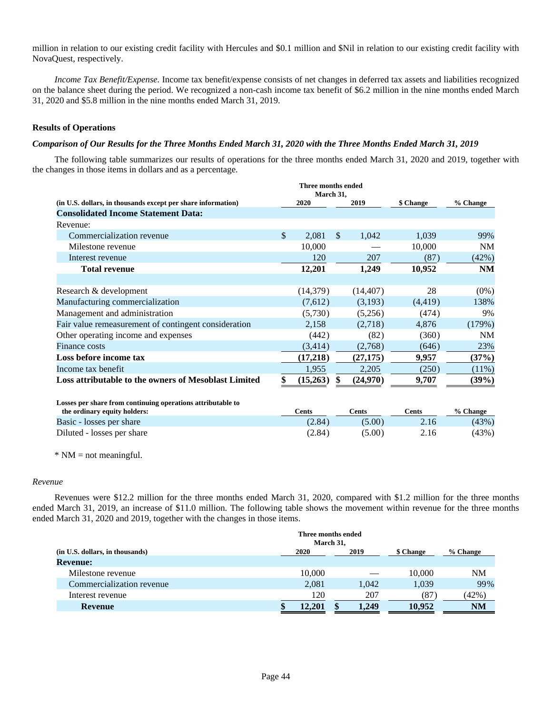million in relation to our existing credit facility with Hercules and \$0.1 million and \$Nil in relation to our existing credit facility with NovaQuest, respectively.

*Income Tax Benefit/Expense.* Income tax benefit/expense consists of net changes in deferred tax assets and liabilities recognized on the balance sheet during the period. We recognized a non-cash income tax benefit of \$6.2 million in the nine months ended March 31, 2020 and \$5.8 million in the nine months ended March 31, 2019.

# **Results of Operations**

# *Comparison of Our Results for the Three Months Ended March 31, 2020 with the Three Months Ended March 31, 2019*

The following table summarizes our results of operations for the three months ended March 31, 2020 and 2019, together with the changes in those items in dollars and as a percentage.

|                                                              | Three months ended<br>March 31, |                       |           |           |
|--------------------------------------------------------------|---------------------------------|-----------------------|-----------|-----------|
| (in U.S. dollars, in thousands except per share information) | 2020                            | 2019                  | \$ Change | % Change  |
| <b>Consolidated Income Statement Data:</b>                   |                                 |                       |           |           |
| Revenue:                                                     |                                 |                       |           |           |
| Commercialization revenue                                    | \$<br>2,081                     | $\mathbb{S}$<br>1,042 | 1,039     | 99%       |
| Milestone revenue                                            | 10,000                          |                       | 10,000    | <b>NM</b> |
| Interest revenue                                             | 120                             | 207                   | (87)      | (42%)     |
| <b>Total revenue</b>                                         | 12,201                          | 1,249                 | 10,952    | <b>NM</b> |
|                                                              |                                 |                       |           |           |
| Research & development                                       | (14,379)                        | (14, 407)             | 28        | $(0\%)$   |
| Manufacturing commercialization                              | (7,612)                         | (3,193)               | (4, 419)  | 138%      |
| Management and administration                                | (5,730)                         | (5,256)               | (474)     | 9%        |
| Fair value remeasurement of contingent consideration         | 2,158                           | (2,718)               | 4,876     | (179%)    |
| Other operating income and expenses                          | (442)                           | (82)                  | (360)     | <b>NM</b> |
| <b>Finance costs</b>                                         | (3, 414)                        | (2,768)               | (646)     | 23%       |
| Loss before income tax                                       | (17,218)                        | (27, 175)             | 9,957     | (37%)     |
| Income tax benefit                                           | 1,955                           | 2,205                 | (250)     | $(11\%)$  |
| Loss attributable to the owners of Mesoblast Limited         | (15,263)                        | (24,970)<br>S         | 9,707     | (39%)     |
|                                                              |                                 |                       |           |           |
| Losses per share from continuing operations attributable to  |                                 |                       |           |           |

| the ordinary equity holders: | Cents  | <b>€ents</b> | Cents | % Change |
|------------------------------|--------|--------------|-------|----------|
| Basic - losses per share     | (2.84) | (5.00)       | 2.16  | (43%)    |
| Diluted - losses per share   | (2.84) | (5.00)       | 2.16  | (43%)    |

 $*$  NM = not meaningful.

# *Revenue*

Revenues were \$12.2 million for the three months ended March 31, 2020, compared with \$1.2 million for the three months ended March 31, 2019, an increase of \$11.0 million. The following table shows the movement within revenue for the three months ended March 31, 2020 and 2019, together with the changes in those items.

|                                 | Three months ended | March 31, |       |           |           |
|---------------------------------|--------------------|-----------|-------|-----------|-----------|
| (in U.S. dollars, in thousands) | 2020               |           | 2019  | \$ Change | % Change  |
| <b>Revenue:</b>                 |                    |           |       |           |           |
| Milestone revenue               | 10,000             |           |       | 10.000    | NM        |
| Commercialization revenue       | 2,081              |           | 1.042 | 1.039     | 99%       |
| Interest revenue                | 120                |           | 207   | 87        | (42%)     |
| <b>Revenue</b>                  | 12.201             |           | 1.249 | 10.952    | <b>NM</b> |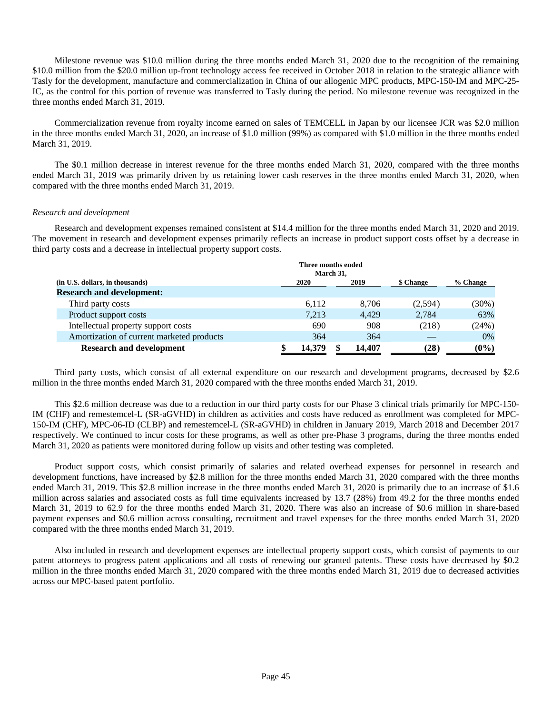Milestone revenue was \$10.0 million during the three months ended March 31, 2020 due to the recognition of the remaining \$10.0 million from the \$20.0 million up-front technology access fee received in October 2018 in relation to the strategic alliance with Tasly for the development, manufacture and commercialization in China of our allogenic MPC products, MPC-150-IM and MPC-25- IC, as the control for this portion of revenue was transferred to Tasly during the period. No milestone revenue was recognized in the three months ended March 31, 2019.

Commercialization revenue from royalty income earned on sales of TEMCELL in Japan by our licensee JCR was \$2.0 million in the three months ended March 31, 2020, an increase of \$1.0 million (99%) as compared with \$1.0 million in the three months ended March 31, 2019.

The \$0.1 million decrease in interest revenue for the three months ended March 31, 2020, compared with the three months ended March 31, 2019 was primarily driven by us retaining lower cash reserves in the three months ended March 31, 2020, when compared with the three months ended March 31, 2019.

## *Research and development*

Research and development expenses remained consistent at \$14.4 million for the three months ended March 31, 2020 and 2019. The movement in research and development expenses primarily reflects an increase in product support costs offset by a decrease in third party costs and a decrease in intellectual property support costs.

|                                           | Three months ended | March 31, |        |           |          |
|-------------------------------------------|--------------------|-----------|--------|-----------|----------|
| (in U.S. dollars, in thousands)           | 2020               |           | 2019   | \$ Change | % Change |
| <b>Research and development:</b>          |                    |           |        |           |          |
| Third party costs                         | 6,112              |           | 8.706  | (2,594)   | (30%)    |
| Product support costs                     | 7.213              |           | 4.429  | 2,784     | 63%      |
| Intellectual property support costs       | 690                |           | 908    | (218)     | (24%)    |
| Amortization of current marketed products | 364                |           | 364    |           | 0%       |
| <b>Research and development</b>           | 14.379             |           | 14.407 | (28)      | $(0\%)$  |

Third party costs, which consist of all external expenditure on our research and development programs, decreased by \$2.6 million in the three months ended March 31, 2020 compared with the three months ended March 31, 2019.

This \$2.6 million decrease was due to a reduction in our third party costs for our Phase 3 clinical trials primarily for MPC-150- IM (CHF) and remestemcel-L (SR-aGVHD) in children as activities and costs have reduced as enrollment was completed for MPC-150-IM (CHF), MPC-06-ID (CLBP) and remestemcel-L (SR-aGVHD) in children in January 2019, March 2018 and December 2017 respectively. We continued to incur costs for these programs, as well as other pre-Phase 3 programs, during the three months ended March 31, 2020 as patients were monitored during follow up visits and other testing was completed.

Product support costs, which consist primarily of salaries and related overhead expenses for personnel in research and development functions, have increased by \$2.8 million for the three months ended March 31, 2020 compared with the three months ended March 31, 2019. This \$2.8 million increase in the three months ended March 31, 2020 is primarily due to an increase of \$1.6 million across salaries and associated costs as full time equivalents increased by 13.7 (28%) from 49.2 for the three months ended March 31, 2019 to 62.9 for the three months ended March 31, 2020. There was also an increase of \$0.6 million in share-based payment expenses and \$0.6 million across consulting, recruitment and travel expenses for the three months ended March 31, 2020 compared with the three months ended March 31, 2019.

Also included in research and development expenses are intellectual property support costs, which consist of payments to our patent attorneys to progress patent applications and all costs of renewing our granted patents. These costs have decreased by \$0.2 million in the three months ended March 31, 2020 compared with the three months ended March 31, 2019 due to decreased activities across our MPC-based patent portfolio.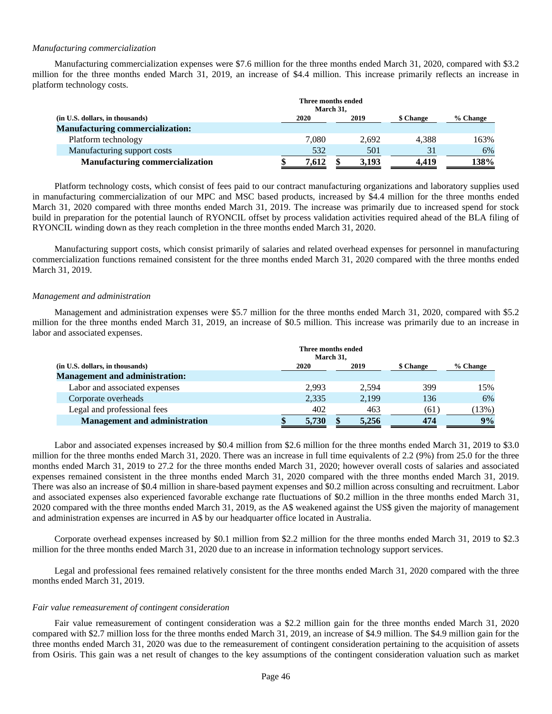### *Manufacturing commercialization*

Manufacturing commercialization expenses were \$7.6 million for the three months ended March 31, 2020, compared with \$3.2 million for the three months ended March 31, 2019, an increase of \$4.4 million. This increase primarily reflects an increase in platform technology costs.

|                                         |       | Three months ended<br>March 31, |           |          |
|-----------------------------------------|-------|---------------------------------|-----------|----------|
| (in U.S. dollars, in thousands)         | 2020  | 2019                            | \$ Change | % Change |
| <b>Manufacturing commercialization:</b> |       |                                 |           |          |
| Platform technology                     | 7.080 | 2.692                           | 4.388     | 163%     |
| Manufacturing support costs             | 532   | 501                             | 31        | 6%       |
| <b>Manufacturing commercialization</b>  | 7.612 | 3,193                           | 4.419     | 138%     |

Platform technology costs, which consist of fees paid to our contract manufacturing organizations and laboratory supplies used in manufacturing commercialization of our MPC and MSC based products, increased by \$4.4 million for the three months ended March 31, 2020 compared with three months ended March 31, 2019. The increase was primarily due to increased spend for stock build in preparation for the potential launch of RYONCIL offset by process validation activities required ahead of the BLA filing of RYONCIL winding down as they reach completion in the three months ended March 31, 2020.

Manufacturing support costs, which consist primarily of salaries and related overhead expenses for personnel in manufacturing commercialization functions remained consistent for the three months ended March 31, 2020 compared with the three months ended March 31, 2019.

### *Management and administration*

Management and administration expenses were \$5.7 million for the three months ended March 31, 2020, compared with \$5.2 million for the three months ended March 31, 2019, an increase of \$0.5 million. This increase was primarily due to an increase in labor and associated expenses.

|                                       |       | Three months ended<br>March 31, |       |           |          |      |
|---------------------------------------|-------|---------------------------------|-------|-----------|----------|------|
| (in U.S. dollars, in thousands)       | 2020  | 2019                            |       | \$ Change | % Change |      |
| <b>Management and administration:</b> |       |                                 |       |           |          |      |
| Labor and associated expenses         | 2.993 |                                 | 2.594 | 399       |          | 15%  |
| Corporate overheads                   | 2,335 |                                 | 2,199 | 136       |          | 6%   |
| Legal and professional fees           | 402   |                                 | 463   | (61)      |          | 13%) |
| <b>Management and administration</b>  | 5,730 | S                               | 5,256 | 474       |          | 9%   |

Labor and associated expenses increased by \$0.4 million from \$2.6 million for the three months ended March 31, 2019 to \$3.0 million for the three months ended March 31, 2020. There was an increase in full time equivalents of 2.2 (9%) from 25.0 for the three months ended March 31, 2019 to 27.2 for the three months ended March 31, 2020; however overall costs of salaries and associated expenses remained consistent in the three months ended March 31, 2020 compared with the three months ended March 31, 2019. There was also an increase of \$0.4 million in share-based payment expenses and \$0.2 million across consulting and recruitment. Labor and associated expenses also experienced favorable exchange rate fluctuations of \$0.2 million in the three months ended March 31, 2020 compared with the three months ended March 31, 2019, as the A\$ weakened against the US\$ given the majority of management and administration expenses are incurred in A\$ by our headquarter office located in Australia.

Corporate overhead expenses increased by \$0.1 million from \$2.2 million for the three months ended March 31, 2019 to \$2.3 million for the three months ended March 31, 2020 due to an increase in information technology support services.

Legal and professional fees remained relatively consistent for the three months ended March 31, 2020 compared with the three months ended March 31, 2019.

#### *Fair value remeasurement of contingent consideration*

Fair value remeasurement of contingent consideration was a \$2.2 million gain for the three months ended March 31, 2020 compared with \$2.7 million loss for the three months ended March 31, 2019, an increase of \$4.9 million. The \$4.9 million gain for the three months ended March 31, 2020 was due to the remeasurement of contingent consideration pertaining to the acquisition of assets from Osiris. This gain was a net result of changes to the key assumptions of the contingent consideration valuation such as market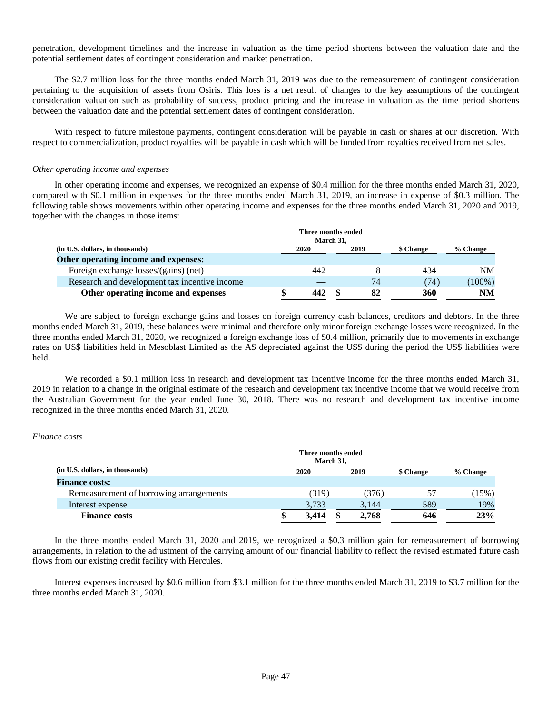penetration, development timelines and the increase in valuation as the time period shortens between the valuation date and the potential settlement dates of contingent consideration and market penetration.

The \$2.7 million loss for the three months ended March 31, 2019 was due to the remeasurement of contingent consideration pertaining to the acquisition of assets from Osiris. This loss is a net result of changes to the key assumptions of the contingent consideration valuation such as probability of success, product pricing and the increase in valuation as the time period shortens between the valuation date and the potential settlement dates of contingent consideration.

With respect to future milestone payments, contingent consideration will be payable in cash or shares at our discretion. With respect to commercialization, product royalties will be payable in cash which will be funded from royalties received from net sales.

## *Other operating income and expenses*

In other operating income and expenses, we recognized an expense of \$0.4 million for the three months ended March 31, 2020, compared with \$0.1 million in expenses for the three months ended March 31, 2019, an increase in expense of \$0.3 million. The following table shows movements within other operating income and expenses for the three months ended March 31, 2020 and 2019, together with the changes in those items:

| 2020 | 2019 | \$ Change                       | % Change  |
|------|------|---------------------------------|-----------|
|      |      |                                 |           |
| 442  |      | 434                             | <b>NM</b> |
|      | 74   | (74)                            | $100\%$ ) |
| 442  | 82   | <b>360</b>                      | <b>NM</b> |
|      |      | Three months ended<br>March 31, |           |

We are subject to foreign exchange gains and losses on foreign currency cash balances, creditors and debtors. In the three months ended March 31, 2019, these balances were minimal and therefore only minor foreign exchange losses were recognized. In the three months ended March 31, 2020, we recognized a foreign exchange loss of \$0.4 million, primarily due to movements in exchange rates on US\$ liabilities held in Mesoblast Limited as the A\$ depreciated against the US\$ during the period the US\$ liabilities were held.

We recorded a \$0.1 million loss in research and development tax incentive income for the three months ended March 31, 2019 in relation to a change in the original estimate of the research and development tax incentive income that we would receive from the Australian Government for the year ended June 30, 2018. There was no research and development tax incentive income recognized in the three months ended March 31, 2020.

## *Finance costs*

|                                         | Three months ended<br>March 31, |  |       |           |          |
|-----------------------------------------|---------------------------------|--|-------|-----------|----------|
| (in U.S. dollars, in thousands)         | 2020                            |  | 2019  | \$ Change | % Change |
| <b>Finance costs:</b>                   |                                 |  |       |           |          |
| Remeasurement of borrowing arrangements | (319)                           |  | (376) | 57        | (15%)    |
| Interest expense                        | 3,733                           |  | 3,144 | 589       | 19%      |
| <b>Finance costs</b>                    | 3.414                           |  | 2.768 | 646       | 23%      |

In the three months ended March 31, 2020 and 2019, we recognized a \$0.3 million gain for remeasurement of borrowing arrangements, in relation to the adjustment of the carrying amount of our financial liability to reflect the revised estimated future cash flows from our existing credit facility with Hercules.

Interest expenses increased by \$0.6 million from \$3.1 million for the three months ended March 31, 2019 to \$3.7 million for the three months ended March 31, 2020.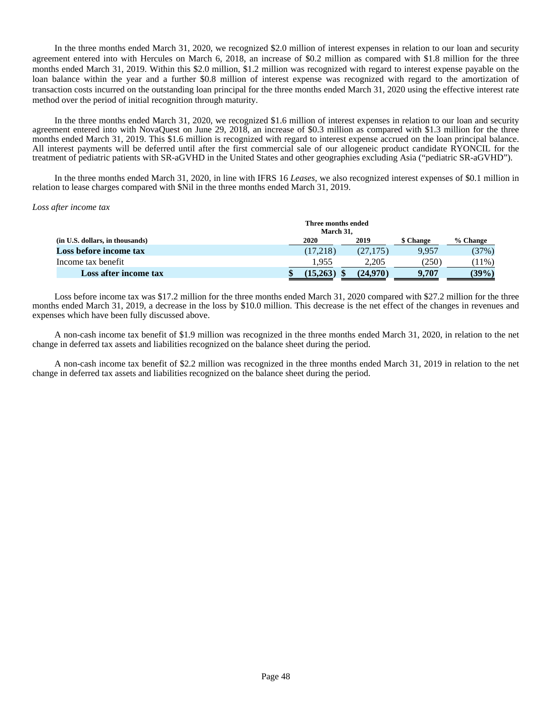In the three months ended March 31, 2020, we recognized \$2.0 million of interest expenses in relation to our loan and security agreement entered into with Hercules on March 6, 2018, an increase of \$0.2 million as compared with \$1.8 million for the three months ended March 31, 2019. Within this \$2.0 million, \$1.2 million was recognized with regard to interest expense payable on the loan balance within the year and a further \$0.8 million of interest expense was recognized with regard to the amortization of transaction costs incurred on the outstanding loan principal for the three months ended March 31, 2020 using the effective interest rate method over the period of initial recognition through maturity.

In the three months ended March 31, 2020, we recognized \$1.6 million of interest expenses in relation to our loan and security agreement entered into with NovaQuest on June 29, 2018, an increase of \$0.3 million as compared with \$1.3 million for the three months ended March 31, 2019. This \$1.6 million is recognized with regard to interest expense accrued on the loan principal balance. All interest payments will be deferred until after the first commercial sale of our allogeneic product candidate RYONCIL for the treatment of pediatric patients with SR-aGVHD in the United States and other geographies excluding Asia ("pediatric SR-aGVHD").

In the three months ended March 31, 2020, in line with IFRS 16 *Leases*, we also recognized interest expenses of \$0.1 million in relation to lease charges compared with \$Nil in the three months ended March 31, 2019.

#### *Loss after income tax*

|                                 |          | Three months ended<br>March 31. |                  |          |  |  |  |
|---------------------------------|----------|---------------------------------|------------------|----------|--|--|--|
| (in U.S. dollars, in thousands) | 2020     | 2019                            | <b>\$</b> Change | % Change |  |  |  |
| Loss before income tax          | (17.218) | (27, 175)                       | 9.957            | (37%)    |  |  |  |
| Income tax benefit              | 1.955    | 2.205                           | (250)            | $11\%)$  |  |  |  |
| Loss after income tax           | 15,263   | (24.970)                        | 9.707            | (39%)    |  |  |  |

Loss before income tax was \$17.2 million for the three months ended March 31, 2020 compared with \$27.2 million for the three months ended March 31, 2019, a decrease in the loss by \$10.0 million. This decrease is the net effect of the changes in revenues and expenses which have been fully discussed above.

A non-cash income tax benefit of \$1.9 million was recognized in the three months ended March 31, 2020, in relation to the net change in deferred tax assets and liabilities recognized on the balance sheet during the period.

A non-cash income tax benefit of \$2.2 million was recognized in the three months ended March 31, 2019 in relation to the net change in deferred tax assets and liabilities recognized on the balance sheet during the period.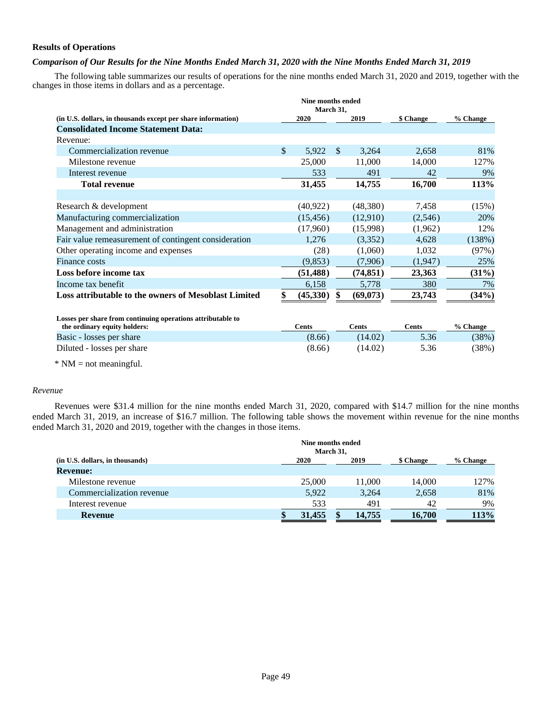# **Results of Operations**

# *Comparison of Our Results for the Nine Months Ended March 31, 2020 with the Nine Months Ended March 31, 2019*

The following table summarizes our results of operations for the nine months ended March 31, 2020 and 2019, together with the changes in those items in dollars and as a percentage.

|                                                              |              | Nine months ended<br>March 31, |              |           |           |          |
|--------------------------------------------------------------|--------------|--------------------------------|--------------|-----------|-----------|----------|
| (in U.S. dollars, in thousands except per share information) |              | <b>2020</b>                    |              | 2019      | \$ Change | % Change |
| <b>Consolidated Income Statement Data:</b>                   |              |                                |              |           |           |          |
| Revenue:                                                     |              |                                |              |           |           |          |
| Commercialization revenue                                    | $\mathbb{S}$ | 5,922                          | $\mathbb{S}$ | 3,264     | 2,658     | 81%      |
| Milestone revenue                                            |              | 25,000                         |              | 11,000    | 14,000    | 127%     |
| Interest revenue                                             |              | 533                            |              | 491       | 42        | 9%       |
| <b>Total revenue</b>                                         |              | 31,455                         |              | 14,755    | 16,700    | 113%     |
|                                                              |              |                                |              |           |           |          |
| Research & development                                       |              | (40, 922)                      |              | (48,380)  | 7,458     | (15%)    |
| Manufacturing commercialization                              |              | (15, 456)                      |              | (12,910)  | (2,546)   | 20%      |
| Management and administration                                |              | (17,960)                       |              | (15,998)  | (1,962)   | 12%      |
| Fair value remeasurement of contingent consideration         |              | 1,276                          |              | (3,352)   | 4,628     | (138%)   |
| Other operating income and expenses                          |              | (28)                           |              | (1,060)   | 1,032     | (97%)    |
| <b>Finance costs</b>                                         |              | (9,853)                        |              | (7,906)   | (1,947)   | 25%      |
| Loss before income tax                                       |              | (51, 488)                      |              | (74, 851) | 23,363    | (31%)    |
| Income tax benefit                                           |              | 6,158                          |              | 5,778     | 380       | 7%       |
| Loss attributable to the owners of Mesoblast Limited         |              | (45,330)                       |              | (69,073)  | 23,743    | (34%)    |

**Losses per share from continuing operations attributable to the ordinary equity holders: Cents Cents Cents Cents Cents Cents Cents** *S***<sub>6</sub> Change** Basic - losses per share (8.66) (14.02) 5.36 (38%) Diluted - losses per share (8.66) (14.02) 5.36 (38%)

 $*$  NM = not meaningful.

## *Revenue*

Revenues were \$31.4 million for the nine months ended March 31, 2020, compared with \$14.7 million for the nine months ended March 31, 2019, an increase of \$16.7 million. The following table shows the movement within revenue for the nine months ended March 31, 2020 and 2019, together with the changes in those items.

|                                 | Nine months ended | March 31, |        |           |          |
|---------------------------------|-------------------|-----------|--------|-----------|----------|
| (in U.S. dollars, in thousands) | 2020              |           | 2019   | \$ Change | % Change |
| <b>Revenue:</b>                 |                   |           |        |           |          |
| Milestone revenue               | 25,000            |           | 11,000 | 14,000    | 127%     |
| Commercialization revenue       | 5,922             |           | 3,264  | 2,658     | 81%      |
| Interest revenue                | 533               |           | 491    | 42        | 9%       |
| Revenue                         | 31,455            |           | 14,755 | 16,700    | 113%     |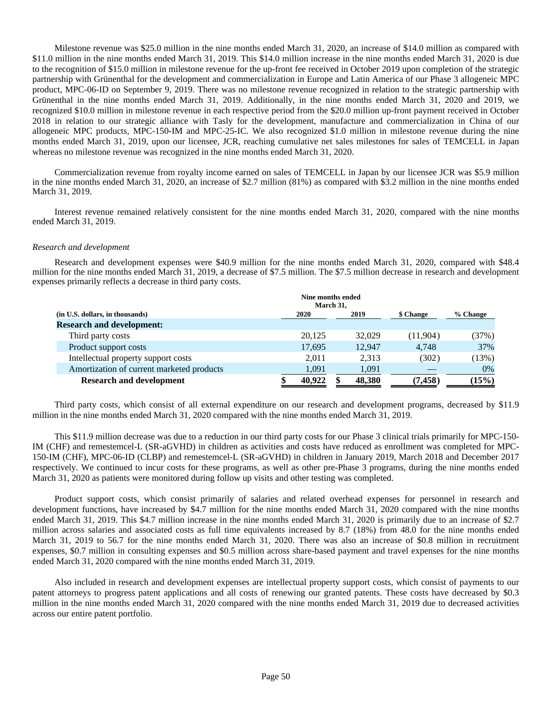Milestone revenue was \$25.0 million in the nine months ended March 31, 2020, an increase of \$14.0 million as compared with \$11.0 million in the nine months ended March 31, 2019. This \$14.0 million increase in the nine months ended March 31, 2020 is due to the recognition of \$15.0 million in milestone revenue for the up-front fee received in October 2019 upon completion of the strategic partnership with Grünenthal for the development and commercialization in Europe and Latin America of our Phase 3 allogeneic MPC product, MPC-06-ID on September 9, 2019. There was no milestone revenue recognized in relation to the strategic partnership with Grünenthal in the nine months ended March 31, 2019. Additionally, in the nine months ended March 31, 2020 and 2019, we recognized \$10.0 million in milestone revenue in each respective period from the \$20.0 million up-front payment received in October 2018 in relation to our strategic alliance with Tasly for the development, manufacture and commercialization in China of our allogeneic MPC products, MPC-150-IM and MPC-25-IC. We also recognized \$1.0 million in milestone revenue during the nine months ended March 31, 2019, upon our licensee, JCR, reaching cumulative net sales milestones for sales of TEMCELL in Japan whereas no milestone revenue was recognized in the nine months ended March 31, 2020.

Commercialization revenue from royalty income earned on sales of TEMCELL in Japan by our licensee JCR was \$5.9 million in the nine months ended March 31, 2020, an increase of \$2.7 million (81%) as compared with \$3.2 million in the nine months ended March 31, 2019.

Interest revenue remained relatively consistent for the nine months ended March 31, 2020, compared with the nine months ended March 31, 2019.

### *Research and development*

Research and development expenses were \$40.9 million for the nine months ended March 31, 2020, compared with \$48.4 million for the nine months ended March 31, 2019, a decrease of \$7.5 million. The \$7.5 million decrease in research and development expenses primarily reflects a decrease in third party costs.

|                                           | Nine months ended | March 31, |        |           |          |
|-------------------------------------------|-------------------|-----------|--------|-----------|----------|
| (in U.S. dollars, in thousands)           | <b>2020</b>       |           | 2019   | \$ Change | % Change |
| <b>Research and development:</b>          |                   |           |        |           |          |
| Third party costs                         | 20,125            |           | 32,029 | (11,904)  | (37%)    |
| Product support costs                     | 17,695            |           | 12.947 | 4.748     | 37%      |
| Intellectual property support costs       | 2.011             |           | 2.313  | (302)     | (13%)    |
| Amortization of current marketed products | 1,091             |           | 1,091  |           | $0\%$    |
| <b>Research and development</b>           | 40.922            |           | 48,380 | (7, 458)  | (15%)    |

Third party costs, which consist of all external expenditure on our research and development programs, decreased by \$11.9 million in the nine months ended March 31, 2020 compared with the nine months ended March 31, 2019.

This \$11.9 million decrease was due to a reduction in our third party costs for our Phase 3 clinical trials primarily for MPC-150- IM (CHF) and remestemcel-L (SR-aGVHD) in children as activities and costs have reduced as enrollment was completed for MPC-150-IM (CHF), MPC-06-ID (CLBP) and remestemcel-L (SR-aGVHD) in children in January 2019, March 2018 and December 2017 respectively. We continued to incur costs for these programs, as well as other pre-Phase 3 programs, during the nine months ended March 31, 2020 as patients were monitored during follow up visits and other testing was completed.

Product support costs, which consist primarily of salaries and related overhead expenses for personnel in research and development functions, have increased by \$4.7 million for the nine months ended March 31, 2020 compared with the nine months ended March 31, 2019. This \$4.7 million increase in the nine months ended March 31, 2020 is primarily due to an increase of \$2.7 million across salaries and associated costs as full time equivalents increased by 8.7 (18%) from 48.0 for the nine months ended March 31, 2019 to 56.7 for the nine months ended March 31, 2020. There was also an increase of \$0.8 million in recruitment expenses, \$0.7 million in consulting expenses and \$0.5 million across share-based payment and travel expenses for the nine months ended March 31, 2020 compared with the nine months ended March 31, 2019.

Also included in research and development expenses are intellectual property support costs, which consist of payments to our patent attorneys to progress patent applications and all costs of renewing our granted patents. These costs have decreased by \$0.3 million in the nine months ended March 31, 2020 compared with the nine months ended March 31, 2019 due to decreased activities across our entire patent portfolio.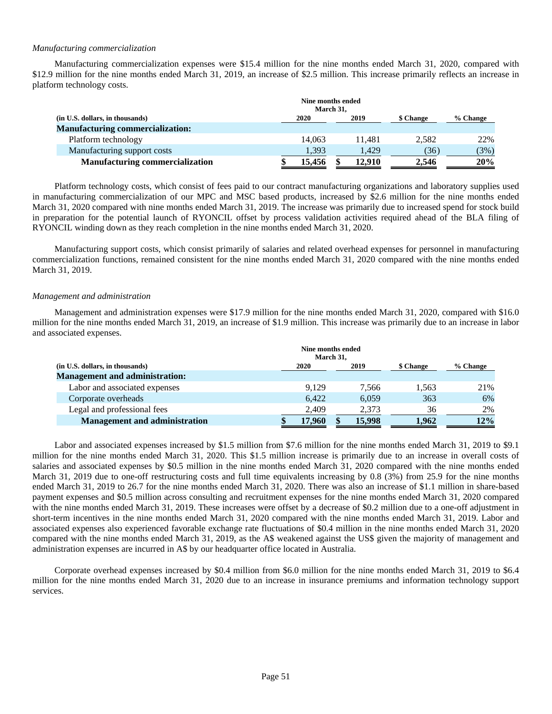## *Manufacturing commercialization*

Manufacturing commercialization expenses were \$15.4 million for the nine months ended March 31, 2020, compared with \$12.9 million for the nine months ended March 31, 2019, an increase of \$2.5 million. This increase primarily reflects an increase in platform technology costs.

|                                         | Nine months ended<br>March 31, |        |           |          |
|-----------------------------------------|--------------------------------|--------|-----------|----------|
| (in U.S. dollars, in thousands)         | 2020<br>2019                   |        | \$ Change | % Change |
| <b>Manufacturing commercialization:</b> |                                |        |           |          |
| Platform technology                     | 14.063                         | 11.481 | 2.582     | 22%      |
| Manufacturing support costs             | 1.393                          | 1.429  | (36)      | (3%)     |
| <b>Manufacturing commercialization</b>  | 15.456                         | 12.910 | 2,546     | 20%      |

Platform technology costs, which consist of fees paid to our contract manufacturing organizations and laboratory supplies used in manufacturing commercialization of our MPC and MSC based products, increased by \$2.6 million for the nine months ended March 31, 2020 compared with nine months ended March 31, 2019. The increase was primarily due to increased spend for stock build in preparation for the potential launch of RYONCIL offset by process validation activities required ahead of the BLA filing of RYONCIL winding down as they reach completion in the nine months ended March 31, 2020.

Manufacturing support costs, which consist primarily of salaries and related overhead expenses for personnel in manufacturing commercialization functions, remained consistent for the nine months ended March 31, 2020 compared with the nine months ended March 31, 2019.

# *Management and administration*

Management and administration expenses were \$17.9 million for the nine months ended March 31, 2020, compared with \$16.0 million for the nine months ended March 31, 2019, an increase of \$1.9 million. This increase was primarily due to an increase in labor and associated expenses.

|                                       |                                       | Nine months ended | March 31, |        |       |     |  |  |  |
|---------------------------------------|---------------------------------------|-------------------|-----------|--------|-------|-----|--|--|--|
| (in U.S. dollars, in thousands)       | 2019<br>\$ Change<br>% Change<br>2020 |                   |           |        |       |     |  |  |  |
| <b>Management and administration:</b> |                                       |                   |           |        |       |     |  |  |  |
| Labor and associated expenses         |                                       | 9.129             |           | 7.566  | 1,563 | 21% |  |  |  |
| Corporate overheads                   |                                       | 6.422             |           | 6,059  | 363   | 6%  |  |  |  |
| Legal and professional fees           |                                       | 2,409             |           | 2,373  | 36    | 2%  |  |  |  |
| <b>Management and administration</b>  |                                       | 17,960            |           | 15,998 | 1.962 | 12% |  |  |  |

Labor and associated expenses increased by \$1.5 million from \$7.6 million for the nine months ended March 31, 2019 to \$9.1 million for the nine months ended March 31, 2020. This \$1.5 million increase is primarily due to an increase in overall costs of salaries and associated expenses by \$0.5 million in the nine months ended March 31, 2020 compared with the nine months ended March 31, 2019 due to one-off restructuring costs and full time equivalents increasing by 0.8 (3%) from 25.9 for the nine months ended March 31, 2019 to 26.7 for the nine months ended March 31, 2020. There was also an increase of \$1.1 million in share-based payment expenses and \$0.5 million across consulting and recruitment expenses for the nine months ended March 31, 2020 compared with the nine months ended March 31, 2019. These increases were offset by a decrease of \$0.2 million due to a one-off adjustment in short-term incentives in the nine months ended March 31, 2020 compared with the nine months ended March 31, 2019. Labor and associated expenses also experienced favorable exchange rate fluctuations of \$0.4 million in the nine months ended March 31, 2020 compared with the nine months ended March 31, 2019, as the A\$ weakened against the US\$ given the majority of management and administration expenses are incurred in A\$ by our headquarter office located in Australia.

Corporate overhead expenses increased by \$0.4 million from \$6.0 million for the nine months ended March 31, 2019 to \$6.4 million for the nine months ended March 31, 2020 due to an increase in insurance premiums and information technology support services.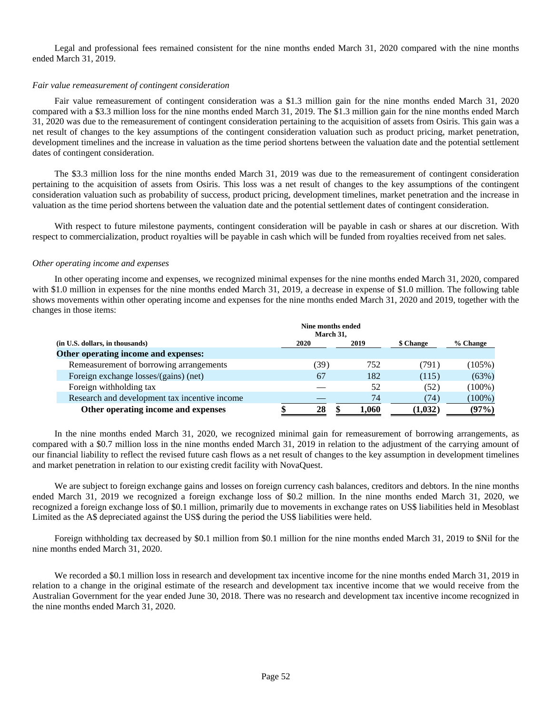Legal and professional fees remained consistent for the nine months ended March 31, 2020 compared with the nine months ended March 31, 2019.

### *Fair value remeasurement of contingent consideration*

Fair value remeasurement of contingent consideration was a \$1.3 million gain for the nine months ended March 31, 2020 compared with a \$3.3 million loss for the nine months ended March 31, 2019. The \$1.3 million gain for the nine months ended March 31, 2020 was due to the remeasurement of contingent consideration pertaining to the acquisition of assets from Osiris. This gain was a net result of changes to the key assumptions of the contingent consideration valuation such as product pricing, market penetration, development timelines and the increase in valuation as the time period shortens between the valuation date and the potential settlement dates of contingent consideration.

The \$3.3 million loss for the nine months ended March 31, 2019 was due to the remeasurement of contingent consideration pertaining to the acquisition of assets from Osiris. This loss was a net result of changes to the key assumptions of the contingent consideration valuation such as probability of success, product pricing, development timelines, market penetration and the increase in valuation as the time period shortens between the valuation date and the potential settlement dates of contingent consideration.

With respect to future milestone payments, contingent consideration will be payable in cash or shares at our discretion. With respect to commercialization, product royalties will be payable in cash which will be funded from royalties received from net sales.

### *Other operating income and expenses*

In other operating income and expenses, we recognized minimal expenses for the nine months ended March 31, 2020, compared with \$1.0 million in expenses for the nine months ended March 31, 2019, a decrease in expense of \$1.0 million. The following table shows movements within other operating income and expenses for the nine months ended March 31, 2020 and 2019, together with the changes in those items:

|                                               | Nine months ended<br>March 31, |      |  |       |           |           |
|-----------------------------------------------|--------------------------------|------|--|-------|-----------|-----------|
| (in U.S. dollars, in thousands)               | 2020                           |      |  | 2019  | \$ Change | % Change  |
| Other operating income and expenses:          |                                |      |  |       |           |           |
| Remeasurement of borrowing arrangements       |                                | (39) |  | 752   | (791)     | (105%)    |
| Foreign exchange losses/(gains) (net)         |                                | 67   |  | 182   | (115)     | (63%)     |
| Foreign withholding tax                       |                                |      |  | 52    | (52)      | $(100\%)$ |
| Research and development tax incentive income |                                |      |  | 74    | (74)      | $(100\%)$ |
| Other operating income and expenses           |                                | 28   |  | 1.060 | (1,032)   | (97%)     |

In the nine months ended March 31, 2020, we recognized minimal gain for remeasurement of borrowing arrangements, as compared with a \$0.7 million loss in the nine months ended March 31, 2019 in relation to the adjustment of the carrying amount of our financial liability to reflect the revised future cash flows as a net result of changes to the key assumption in development timelines and market penetration in relation to our existing credit facility with NovaQuest.

We are subject to foreign exchange gains and losses on foreign currency cash balances, creditors and debtors. In the nine months ended March 31, 2019 we recognized a foreign exchange loss of \$0.2 million. In the nine months ended March 31, 2020, we recognized a foreign exchange loss of \$0.1 million, primarily due to movements in exchange rates on US\$ liabilities held in Mesoblast Limited as the A\$ depreciated against the US\$ during the period the US\$ liabilities were held.

Foreign withholding tax decreased by \$0.1 million from \$0.1 million for the nine months ended March 31, 2019 to \$Nil for the nine months ended March 31, 2020.

We recorded a \$0.1 million loss in research and development tax incentive income for the nine months ended March 31, 2019 in relation to a change in the original estimate of the research and development tax incentive income that we would receive from the Australian Government for the year ended June 30, 2018. There was no research and development tax incentive income recognized in the nine months ended March 31, 2020.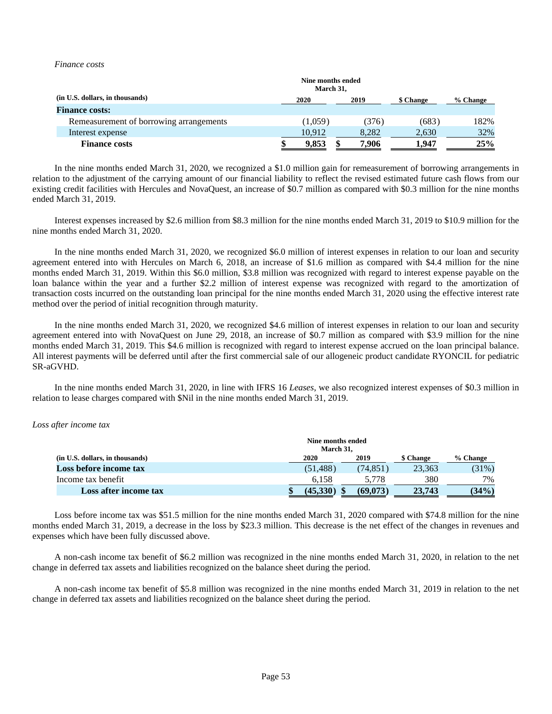### *Finance costs*

|                                         |      | Nine months ended<br>March 31, |   |       |           |          |
|-----------------------------------------|------|--------------------------------|---|-------|-----------|----------|
| (in U.S. dollars, in thousands)         | 2020 |                                |   | 2019  | \$ Change | % Change |
| <b>Finance costs:</b>                   |      |                                |   |       |           |          |
| Remeasurement of borrowing arrangements |      | (1.059)                        |   | (376) | (683)     | 182%     |
| Interest expense                        |      | 10.912                         |   | 8,282 | 2,630     | 32%      |
| <b>Finance costs</b>                    |      | 9.853                          | æ | 7.906 | 1.947     | 25%      |

In the nine months ended March 31, 2020, we recognized a \$1.0 million gain for remeasurement of borrowing arrangements in relation to the adjustment of the carrying amount of our financial liability to reflect the revised estimated future cash flows from our existing credit facilities with Hercules and NovaQuest, an increase of \$0.7 million as compared with \$0.3 million for the nine months ended March 31, 2019.

Interest expenses increased by \$2.6 million from \$8.3 million for the nine months ended March 31, 2019 to \$10.9 million for the nine months ended March 31, 2020.

In the nine months ended March 31, 2020, we recognized \$6.0 million of interest expenses in relation to our loan and security agreement entered into with Hercules on March 6, 2018, an increase of \$1.6 million as compared with \$4.4 million for the nine months ended March 31, 2019. Within this \$6.0 million, \$3.8 million was recognized with regard to interest expense payable on the loan balance within the year and a further \$2.2 million of interest expense was recognized with regard to the amortization of transaction costs incurred on the outstanding loan principal for the nine months ended March 31, 2020 using the effective interest rate method over the period of initial recognition through maturity.

In the nine months ended March 31, 2020, we recognized \$4.6 million of interest expenses in relation to our loan and security agreement entered into with NovaQuest on June 29, 2018, an increase of \$0.7 million as compared with \$3.9 million for the nine months ended March 31, 2019. This \$4.6 million is recognized with regard to interest expense accrued on the loan principal balance. All interest payments will be deferred until after the first commercial sale of our allogeneic product candidate RYONCIL for pediatric SR-aGVHD.

In the nine months ended March 31, 2020, in line with IFRS 16 *Leases*, we also recognized interest expenses of \$0.3 million in relation to lease charges compared with \$Nil in the nine months ended March 31, 2019.

#### *Loss after income tax*

|                                 | Nine months ended<br>March 31. |           |           |          |
|---------------------------------|--------------------------------|-----------|-----------|----------|
| (in U.S. dollars, in thousands) | 2020                           | 2019      | \$ Change | % Change |
| Loss before income tax          | (51.488)                       | (74, 851) | 23.363    | (31%)    |
| Income tax benefit              | 6.158                          | 5.778     | 380       | 7%       |
| Loss after income tax           | (45.330)                       | (69,073)  | 23,743    | (34%)    |

Loss before income tax was \$51.5 million for the nine months ended March 31, 2020 compared with \$74.8 million for the nine months ended March 31, 2019, a decrease in the loss by \$23.3 million. This decrease is the net effect of the changes in revenues and expenses which have been fully discussed above.

A non-cash income tax benefit of \$6.2 million was recognized in the nine months ended March 31, 2020, in relation to the net change in deferred tax assets and liabilities recognized on the balance sheet during the period.

A non-cash income tax benefit of \$5.8 million was recognized in the nine months ended March 31, 2019 in relation to the net change in deferred tax assets and liabilities recognized on the balance sheet during the period.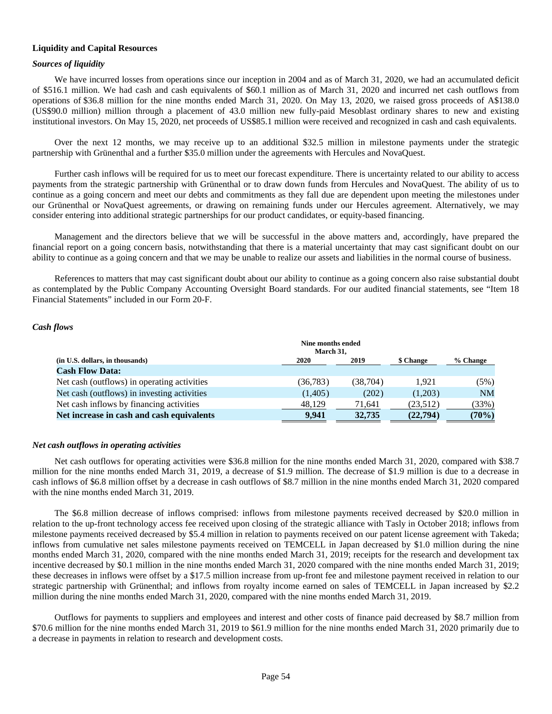# **Liquidity and Capital Resources**

# *Sources of liquidity*

We have incurred losses from operations since our inception in 2004 and as of March 31, 2020, we had an accumulated deficit of \$516.1 million. We had cash and cash equivalents of \$60.1 million as of March 31, 2020 and incurred net cash outflows from operations of \$36.8 million for the nine months ended March 31, 2020. On May 13, 2020, we raised gross proceeds of A\$138.0 (US\$90.0 million) million through a placement of 43.0 million new fully-paid Mesoblast ordinary shares to new and existing institutional investors. On May 15, 2020, net proceeds of US\$85.1 million were received and recognized in cash and cash equivalents.

Over the next 12 months, we may receive up to an additional \$32.5 million in milestone payments under the strategic partnership with Grünenthal and a further \$35.0 million under the agreements with Hercules and NovaQuest.

Further cash inflows will be required for us to meet our forecast expenditure. There is uncertainty related to our ability to access payments from the strategic partnership with Grünenthal or to draw down funds from Hercules and NovaQuest. The ability of us to continue as a going concern and meet our debts and commitments as they fall due are dependent upon meeting the milestones under our Grünenthal or NovaQuest agreements, or drawing on remaining funds under our Hercules agreement. Alternatively, we may consider entering into additional strategic partnerships for our product candidates, or equity-based financing.

Management and the directors believe that we will be successful in the above matters and, accordingly, have prepared the financial report on a going concern basis, notwithstanding that there is a material uncertainty that may cast significant doubt on our ability to continue as a going concern and that we may be unable to realize our assets and liabilities in the normal course of business.

References to matters that may cast significant doubt about our ability to continue as a going concern also raise substantial doubt as contemplated by the Public Company Accounting Oversight Board standards. For our audited financial statements, see "Item 18 Financial Statements" included in our Form 20-F.

# *Cash flows*

|                                             | Nine months ended<br>March 31, |           |           |           |
|---------------------------------------------|--------------------------------|-----------|-----------|-----------|
| (in U.S. dollars, in thousands)             | 2020                           | 2019      | \$ Change | % Change  |
| <b>Cash Flow Data:</b>                      |                                |           |           |           |
| Net cash (outflows) in operating activities | (36, 783)                      | (38, 704) | 1.921     | (5%)      |
| Net cash (outflows) in investing activities | (1,405)                        | (202)     | (1,203)   | <b>NM</b> |
| Net cash inflows by financing activities    | 48.129                         | 71.641    | (23,512)  | (33%)     |
| Net increase in cash and cash equivalents   | 9.941                          | 32,735    | (22, 794) | (70%)     |

## *Net cash outflows in operating activities*

Net cash outflows for operating activities were \$36.8 million for the nine months ended March 31, 2020, compared with \$38.7 million for the nine months ended March 31, 2019, a decrease of \$1.9 million. The decrease of \$1.9 million is due to a decrease in cash inflows of \$6.8 million offset by a decrease in cash outflows of \$8.7 million in the nine months ended March 31, 2020 compared with the nine months ended March 31, 2019.

The \$6.8 million decrease of inflows comprised: inflows from milestone payments received decreased by \$20.0 million in relation to the up-front technology access fee received upon closing of the strategic alliance with Tasly in October 2018; inflows from milestone payments received decreased by \$5.4 million in relation to payments received on our patent license agreement with Takeda; inflows from cumulative net sales milestone payments received on TEMCELL in Japan decreased by \$1.0 million during the nine months ended March 31, 2020, compared with the nine months ended March 31, 2019; receipts for the research and development tax incentive decreased by \$0.1 million in the nine months ended March 31, 2020 compared with the nine months ended March 31, 2019; these decreases in inflows were offset by a \$17.5 million increase from up-front fee and milestone payment received in relation to our strategic partnership with Grünenthal; and inflows from royalty income earned on sales of TEMCELL in Japan increased by \$2.2 million during the nine months ended March 31, 2020, compared with the nine months ended March 31, 2019.

Outflows for payments to suppliers and employees and interest and other costs of finance paid decreased by \$8.7 million from \$70.6 million for the nine months ended March 31, 2019 to \$61.9 million for the nine months ended March 31, 2020 primarily due to a decrease in payments in relation to research and development costs.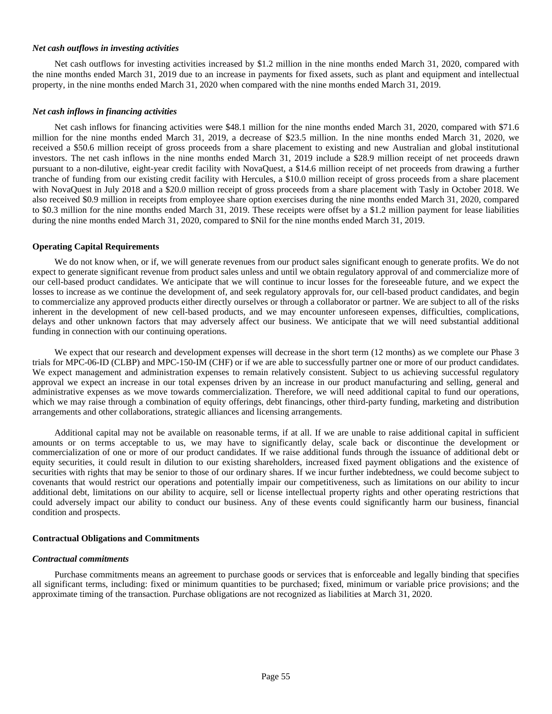### *Net cash outflows in investing activities*

Net cash outflows for investing activities increased by \$1.2 million in the nine months ended March 31, 2020, compared with the nine months ended March 31, 2019 due to an increase in payments for fixed assets, such as plant and equipment and intellectual property, in the nine months ended March 31, 2020 when compared with the nine months ended March 31, 2019.

### *Net cash inflows in financing activities*

Net cash inflows for financing activities were \$48.1 million for the nine months ended March 31, 2020, compared with \$71.6 million for the nine months ended March 31, 2019, a decrease of \$23.5 million. In the nine months ended March 31, 2020, we received a \$50.6 million receipt of gross proceeds from a share placement to existing and new Australian and global institutional investors. The net cash inflows in the nine months ended March 31, 2019 include a \$28.9 million receipt of net proceeds drawn pursuant to a non-dilutive, eight-year credit facility with NovaQuest, a \$14.6 million receipt of net proceeds from drawing a further tranche of funding from our existing credit facility with Hercules, a \$10.0 million receipt of gross proceeds from a share placement with NovaQuest in July 2018 and a \$20.0 million receipt of gross proceeds from a share placement with Tasly in October 2018. We also received \$0.9 million in receipts from employee share option exercises during the nine months ended March 31, 2020, compared to \$0.3 million for the nine months ended March 31, 2019. These receipts were offset by a \$1.2 million payment for lease liabilities during the nine months ended March 31, 2020, compared to \$Nil for the nine months ended March 31, 2019.

### **Operating Capital Requirements**

We do not know when, or if, we will generate revenues from our product sales significant enough to generate profits. We do not expect to generate significant revenue from product sales unless and until we obtain regulatory approval of and commercialize more of our cell-based product candidates. We anticipate that we will continue to incur losses for the foreseeable future, and we expect the losses to increase as we continue the development of, and seek regulatory approvals for, our cell-based product candidates, and begin to commercialize any approved products either directly ourselves or through a collaborator or partner. We are subject to all of the risks inherent in the development of new cell-based products, and we may encounter unforeseen expenses, difficulties, complications, delays and other unknown factors that may adversely affect our business. We anticipate that we will need substantial additional funding in connection with our continuing operations.

We expect that our research and development expenses will decrease in the short term (12 months) as we complete our Phase 3 trials for MPC-06-ID (CLBP) and MPC-150-IM (CHF) or if we are able to successfully partner one or more of our product candidates. We expect management and administration expenses to remain relatively consistent. Subject to us achieving successful regulatory approval we expect an increase in our total expenses driven by an increase in our product manufacturing and selling, general and administrative expenses as we move towards commercialization. Therefore, we will need additional capital to fund our operations, which we may raise through a combination of equity offerings, debt financings, other third-party funding, marketing and distribution arrangements and other collaborations, strategic alliances and licensing arrangements.

Additional capital may not be available on reasonable terms, if at all. If we are unable to raise additional capital in sufficient amounts or on terms acceptable to us, we may have to significantly delay, scale back or discontinue the development or commercialization of one or more of our product candidates. If we raise additional funds through the issuance of additional debt or equity securities, it could result in dilution to our existing shareholders, increased fixed payment obligations and the existence of securities with rights that may be senior to those of our ordinary shares. If we incur further indebtedness, we could become subject to covenants that would restrict our operations and potentially impair our competitiveness, such as limitations on our ability to incur additional debt, limitations on our ability to acquire, sell or license intellectual property rights and other operating restrictions that could adversely impact our ability to conduct our business. Any of these events could significantly harm our business, financial condition and prospects.

#### **Contractual Obligations and Commitments**

#### *Contractual commitments*

Purchase commitments means an agreement to purchase goods or services that is enforceable and legally binding that specifies all significant terms, including: fixed or minimum quantities to be purchased; fixed, minimum or variable price provisions; and the approximate timing of the transaction. Purchase obligations are not recognized as liabilities at March 31, 2020.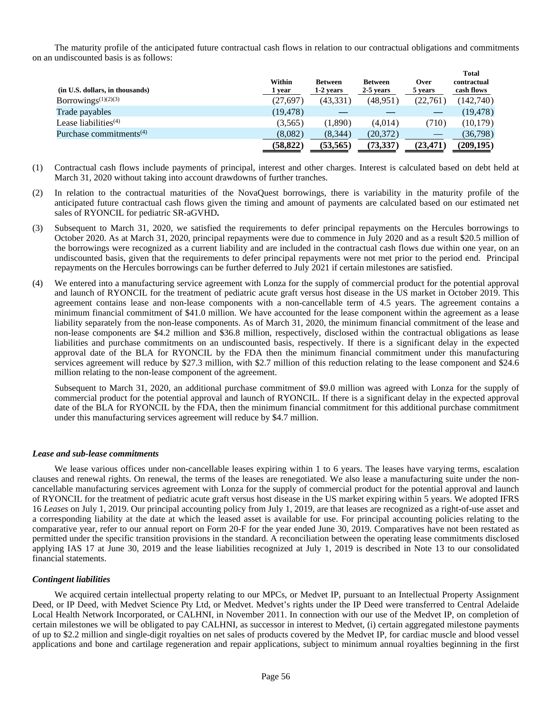The maturity profile of the anticipated future contractual cash flows in relation to our contractual obligations and commitments on an undiscounted basis is as follows:

| (in U.S. dollars, in thousands)              | Within<br>1 vear | <b>Between</b><br>1-2 years | <b>Between</b><br>2-5 years | Over<br>5 years | <b>Total</b><br>contractual<br>cash flows |
|----------------------------------------------|------------------|-----------------------------|-----------------------------|-----------------|-------------------------------------------|
| Borrowings <sup><math>(1)(2)(3)</math></sup> | (27, 697)        | (43,331)                    | (48, 951)                   | (22,761         | (142,740)                                 |
| Trade payables                               | (19, 478)        |                             |                             |                 | (19,478)                                  |
| Lease liabilities $(4)$                      | (3,565)          | (1,890)                     | (4.014)                     | (710)           | (10, 179)                                 |
| Purchase commitments <sup>(4)</sup>          | (8,082)          | (8,344)                     | (20, 372)                   |                 | (36,798)                                  |
|                                              | (58, 822)        | (53, 565)                   | (73, 337)                   | (23,471         | (209, 195)                                |

- (1) Contractual cash flows include payments of principal, interest and other charges. Interest is calculated based on debt held at March 31, 2020 without taking into account drawdowns of further tranches.
- (2) In relation to the contractual maturities of the NovaQuest borrowings, there is variability in the maturity profile of the anticipated future contractual cash flows given the timing and amount of payments are calculated based on our estimated net sales of RYONCIL for pediatric SR-aGVHD**.**
- (3) Subsequent to March 31, 2020, we satisfied the requirements to defer principal repayments on the Hercules borrowings to October 2020. As at March 31, 2020, principal repayments were due to commence in July 2020 and as a result \$20.5 million of the borrowings were recognized as a current liability and are included in the contractual cash flows due within one year, on an undiscounted basis, given that the requirements to defer principal repayments were not met prior to the period end. Principal repayments on the Hercules borrowings can be further deferred to July 2021 if certain milestones are satisfied.
- (4) We entered into a manufacturing service agreement with Lonza for the supply of commercial product for the potential approval and launch of RYONCIL for the treatment of pediatric acute graft versus host disease in the US market in October 2019. This agreement contains lease and non-lease components with a non-cancellable term of 4.5 years. The agreement contains a minimum financial commitment of \$41.0 million. We have accounted for the lease component within the agreement as a lease liability separately from the non-lease components. As of March 31, 2020, the minimum financial commitment of the lease and non-lease components are \$4.2 million and \$36.8 million, respectively, disclosed within the contractual obligations as lease liabilities and purchase commitments on an undiscounted basis, respectively. If there is a significant delay in the expected approval date of the BLA for RYONCIL by the FDA then the minimum financial commitment under this manufacturing services agreement will reduce by \$27.3 million, with \$2.7 million of this reduction relating to the lease component and \$24.6 million relating to the non-lease component of the agreement.

Subsequent to March 31, 2020, an additional purchase commitment of \$9.0 million was agreed with Lonza for the supply of commercial product for the potential approval and launch of RYONCIL. If there is a significant delay in the expected approval date of the BLA for RYONCIL by the FDA, then the minimum financial commitment for this additional purchase commitment under this manufacturing services agreement will reduce by \$4.7 million.

## *Lease and sub-lease commitments*

We lease various offices under non-cancellable leases expiring within 1 to 6 years. The leases have varying terms, escalation clauses and renewal rights. On renewal, the terms of the leases are renegotiated. We also lease a manufacturing suite under the noncancellable manufacturing services agreement with Lonza for the supply of commercial product for the potential approval and launch of RYONCIL for the treatment of pediatric acute graft versus host disease in the US market expiring within 5 years. We adopted IFRS 16 *Leases* on July 1, 2019. Our principal accounting policy from July 1, 2019, are that leases are recognized as a right-of-use asset and a corresponding liability at the date at which the leased asset is available for use. For principal accounting policies relating to the comparative year, refer to our annual report on Form 20-F for the year ended June 30, 2019. Comparatives have not been restated as permitted under the specific transition provisions in the standard. A reconciliation between the operating lease commitments disclosed applying IAS 17 at June 30, 2019 and the lease liabilities recognized at July 1, 2019 is described in Note 13 to our consolidated financial statements.

# *Contingent liabilities*

We acquired certain intellectual property relating to our MPCs, or Medvet IP, pursuant to an Intellectual Property Assignment Deed, or IP Deed, with Medvet Science Pty Ltd, or Medvet. Medvet's rights under the IP Deed were transferred to Central Adelaide Local Health Network Incorporated, or CALHNI, in November 2011. In connection with our use of the Medvet IP, on completion of certain milestones we will be obligated to pay CALHNI, as successor in interest to Medvet, (i) certain aggregated milestone payments of up to \$2.2 million and single-digit royalties on net sales of products covered by the Medvet IP, for cardiac muscle and blood vessel applications and bone and cartilage regeneration and repair applications, subject to minimum annual royalties beginning in the first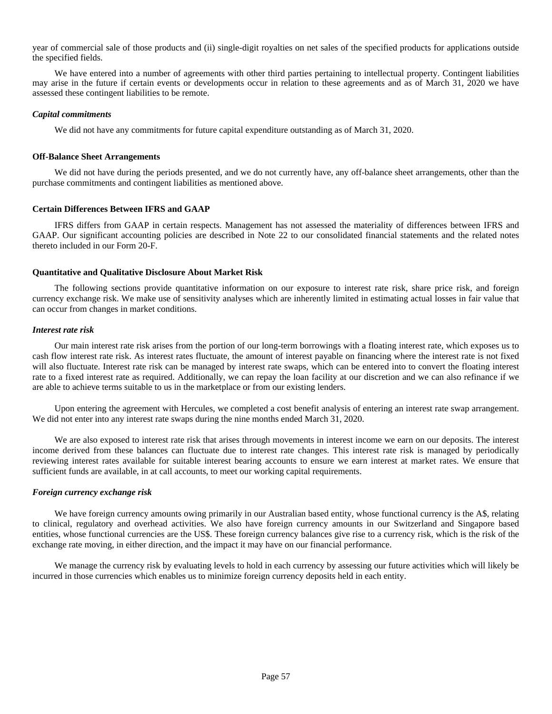year of commercial sale of those products and (ii) single-digit royalties on net sales of the specified products for applications outside the specified fields.

We have entered into a number of agreements with other third parties pertaining to intellectual property. Contingent liabilities may arise in the future if certain events or developments occur in relation to these agreements and as of March 31, 2020 we have assessed these contingent liabilities to be remote.

## *Capital commitments*

We did not have any commitments for future capital expenditure outstanding as of March 31, 2020.

# **Off-Balance Sheet Arrangements**

We did not have during the periods presented, and we do not currently have, any off-balance sheet arrangements, other than the purchase commitments and contingent liabilities as mentioned above.

## **Certain Differences Between IFRS and GAAP**

IFRS differs from GAAP in certain respects. Management has not assessed the materiality of differences between IFRS and GAAP. Our significant accounting policies are described in Note 22 to our consolidated financial statements and the related notes thereto included in our Form 20-F.

# **Quantitative and Qualitative Disclosure About Market Risk**

The following sections provide quantitative information on our exposure to interest rate risk, share price risk, and foreign currency exchange risk. We make use of sensitivity analyses which are inherently limited in estimating actual losses in fair value that can occur from changes in market conditions.

# *Interest rate risk*

Our main interest rate risk arises from the portion of our long-term borrowings with a floating interest rate, which exposes us to cash flow interest rate risk. As interest rates fluctuate, the amount of interest payable on financing where the interest rate is not fixed will also fluctuate. Interest rate risk can be managed by interest rate swaps, which can be entered into to convert the floating interest rate to a fixed interest rate as required. Additionally, we can repay the loan facility at our discretion and we can also refinance if we are able to achieve terms suitable to us in the marketplace or from our existing lenders.

Upon entering the agreement with Hercules, we completed a cost benefit analysis of entering an interest rate swap arrangement. We did not enter into any interest rate swaps during the nine months ended March 31, 2020.

We are also exposed to interest rate risk that arises through movements in interest income we earn on our deposits. The interest income derived from these balances can fluctuate due to interest rate changes. This interest rate risk is managed by periodically reviewing interest rates available for suitable interest bearing accounts to ensure we earn interest at market rates. We ensure that sufficient funds are available, in at call accounts, to meet our working capital requirements.

## *Foreign currency exchange risk*

We have foreign currency amounts owing primarily in our Australian based entity, whose functional currency is the A\$, relating to clinical, regulatory and overhead activities. We also have foreign currency amounts in our Switzerland and Singapore based entities, whose functional currencies are the US\$. These foreign currency balances give rise to a currency risk, which is the risk of the exchange rate moving, in either direction, and the impact it may have on our financial performance.

We manage the currency risk by evaluating levels to hold in each currency by assessing our future activities which will likely be incurred in those currencies which enables us to minimize foreign currency deposits held in each entity.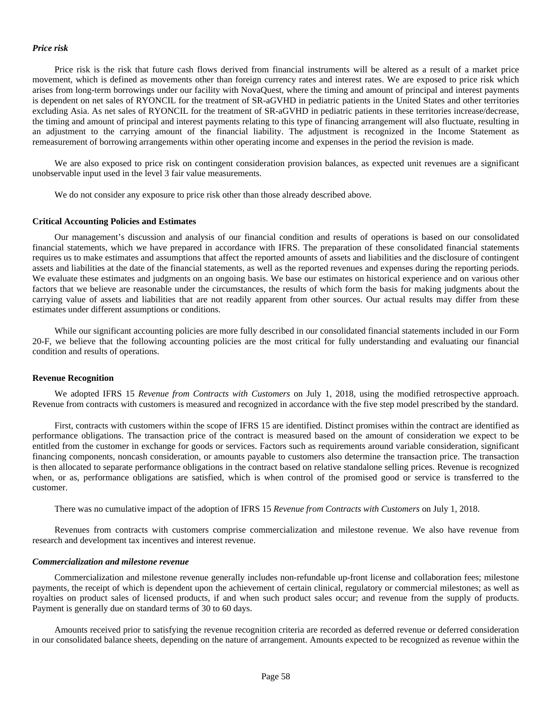### *Price risk*

Price risk is the risk that future cash flows derived from financial instruments will be altered as a result of a market price movement, which is defined as movements other than foreign currency rates and interest rates. We are exposed to price risk which arises from long-term borrowings under our facility with NovaQuest, where the timing and amount of principal and interest payments is dependent on net sales of RYONCIL for the treatment of SR-aGVHD in pediatric patients in the United States and other territories excluding Asia. As net sales of RYONCIL for the treatment of SR-aGVHD in pediatric patients in these territories increase/decrease, the timing and amount of principal and interest payments relating to this type of financing arrangement will also fluctuate, resulting in an adjustment to the carrying amount of the financial liability. The adjustment is recognized in the Income Statement as remeasurement of borrowing arrangements within other operating income and expenses in the period the revision is made.

We are also exposed to price risk on contingent consideration provision balances, as expected unit revenues are a significant unobservable input used in the level 3 fair value measurements.

We do not consider any exposure to price risk other than those already described above.

#### **Critical Accounting Policies and Estimates**

Our management's discussion and analysis of our financial condition and results of operations is based on our consolidated financial statements, which we have prepared in accordance with IFRS. The preparation of these consolidated financial statements requires us to make estimates and assumptions that affect the reported amounts of assets and liabilities and the disclosure of contingent assets and liabilities at the date of the financial statements, as well as the reported revenues and expenses during the reporting periods. We evaluate these estimates and judgments on an ongoing basis. We base our estimates on historical experience and on various other factors that we believe are reasonable under the circumstances, the results of which form the basis for making judgments about the carrying value of assets and liabilities that are not readily apparent from other sources. Our actual results may differ from these estimates under different assumptions or conditions.

While our significant accounting policies are more fully described in our consolidated financial statements included in our Form 20-F, we believe that the following accounting policies are the most critical for fully understanding and evaluating our financial condition and results of operations.

#### **Revenue Recognition**

We adopted IFRS 15 *Revenue from Contracts with Customers* on July 1, 2018, using the modified retrospective approach. Revenue from contracts with customers is measured and recognized in accordance with the five step model prescribed by the standard.

First, contracts with customers within the scope of IFRS 15 are identified. Distinct promises within the contract are identified as performance obligations. The transaction price of the contract is measured based on the amount of consideration we expect to be entitled from the customer in exchange for goods or services. Factors such as requirements around variable consideration, significant financing components, noncash consideration, or amounts payable to customers also determine the transaction price. The transaction is then allocated to separate performance obligations in the contract based on relative standalone selling prices. Revenue is recognized when, or as, performance obligations are satisfied, which is when control of the promised good or service is transferred to the customer.

There was no cumulative impact of the adoption of IFRS 15 *Revenue from Contracts with Customers* on July 1, 2018.

Revenues from contracts with customers comprise commercialization and milestone revenue. We also have revenue from research and development tax incentives and interest revenue.

#### *Commercialization and milestone revenue*

Commercialization and milestone revenue generally includes non-refundable up-front license and collaboration fees; milestone payments, the receipt of which is dependent upon the achievement of certain clinical, regulatory or commercial milestones; as well as royalties on product sales of licensed products, if and when such product sales occur; and revenue from the supply of products. Payment is generally due on standard terms of 30 to 60 days.

Amounts received prior to satisfying the revenue recognition criteria are recorded as deferred revenue or deferred consideration in our consolidated balance sheets, depending on the nature of arrangement. Amounts expected to be recognized as revenue within the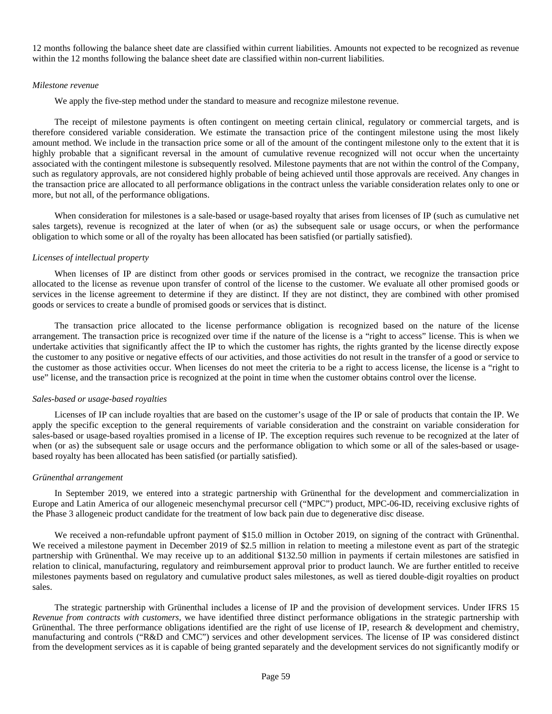12 months following the balance sheet date are classified within current liabilities. Amounts not expected to be recognized as revenue within the 12 months following the balance sheet date are classified within non-current liabilities.

#### *Milestone revenue*

We apply the five-step method under the standard to measure and recognize milestone revenue.

The receipt of milestone payments is often contingent on meeting certain clinical, regulatory or commercial targets, and is therefore considered variable consideration. We estimate the transaction price of the contingent milestone using the most likely amount method. We include in the transaction price some or all of the amount of the contingent milestone only to the extent that it is highly probable that a significant reversal in the amount of cumulative revenue recognized will not occur when the uncertainty associated with the contingent milestone is subsequently resolved. Milestone payments that are not within the control of the Company, such as regulatory approvals, are not considered highly probable of being achieved until those approvals are received. Any changes in the transaction price are allocated to all performance obligations in the contract unless the variable consideration relates only to one or more, but not all, of the performance obligations.

When consideration for milestones is a sale-based or usage-based royalty that arises from licenses of IP (such as cumulative net sales targets), revenue is recognized at the later of when (or as) the subsequent sale or usage occurs, or when the performance obligation to which some or all of the royalty has been allocated has been satisfied (or partially satisfied).

### *Licenses of intellectual property*

When licenses of IP are distinct from other goods or services promised in the contract, we recognize the transaction price allocated to the license as revenue upon transfer of control of the license to the customer. We evaluate all other promised goods or services in the license agreement to determine if they are distinct. If they are not distinct, they are combined with other promised goods or services to create a bundle of promised goods or services that is distinct.

The transaction price allocated to the license performance obligation is recognized based on the nature of the license arrangement. The transaction price is recognized over time if the nature of the license is a "right to access" license. This is when we undertake activities that significantly affect the IP to which the customer has rights, the rights granted by the license directly expose the customer to any positive or negative effects of our activities, and those activities do not result in the transfer of a good or service to the customer as those activities occur. When licenses do not meet the criteria to be a right to access license, the license is a "right to use" license, and the transaction price is recognized at the point in time when the customer obtains control over the license.

#### *Sales-based or usage-based royalties*

Licenses of IP can include royalties that are based on the customer's usage of the IP or sale of products that contain the IP. We apply the specific exception to the general requirements of variable consideration and the constraint on variable consideration for sales-based or usage-based royalties promised in a license of IP. The exception requires such revenue to be recognized at the later of when (or as) the subsequent sale or usage occurs and the performance obligation to which some or all of the sales-based or usagebased royalty has been allocated has been satisfied (or partially satisfied).

#### *Grünenthal arrangement*

In September 2019, we entered into a strategic partnership with Grünenthal for the development and commercialization in Europe and Latin America of our allogeneic mesenchymal precursor cell ("MPC") product, MPC-06-ID, receiving exclusive rights of the Phase 3 allogeneic product candidate for the treatment of low back pain due to degenerative disc disease.

We received a non-refundable upfront payment of \$15.0 million in October 2019, on signing of the contract with Grünenthal. We received a milestone payment in December 2019 of \$2.5 million in relation to meeting a milestone event as part of the strategic partnership with Grünenthal. We may receive up to an additional \$132.50 million in payments if certain milestones are satisfied in relation to clinical, manufacturing, regulatory and reimbursement approval prior to product launch. We are further entitled to receive milestones payments based on regulatory and cumulative product sales milestones, as well as tiered double-digit royalties on product sales.

The strategic partnership with Grünenthal includes a license of IP and the provision of development services. Under IFRS 15 *Revenue from contracts with customers*, we have identified three distinct performance obligations in the strategic partnership with Grünenthal. The three performance obligations identified are the right of use license of IP, research & development and chemistry, manufacturing and controls ("R&D and CMC") services and other development services. The license of IP was considered distinct from the development services as it is capable of being granted separately and the development services do not significantly modify or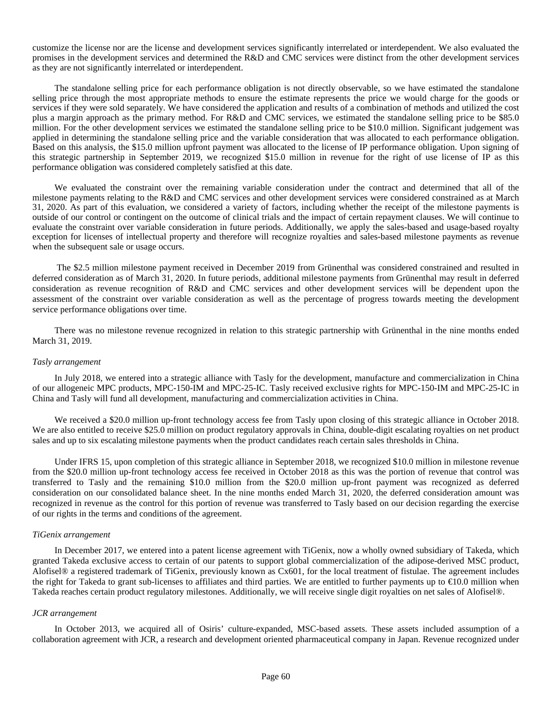customize the license nor are the license and development services significantly interrelated or interdependent. We also evaluated the promises in the development services and determined the R&D and CMC services were distinct from the other development services as they are not significantly interrelated or interdependent.

The standalone selling price for each performance obligation is not directly observable, so we have estimated the standalone selling price through the most appropriate methods to ensure the estimate represents the price we would charge for the goods or services if they were sold separately. We have considered the application and results of a combination of methods and utilized the cost plus a margin approach as the primary method. For R&D and CMC services, we estimated the standalone selling price to be \$85.0 million. For the other development services we estimated the standalone selling price to be \$10.0 million. Significant judgement was applied in determining the standalone selling price and the variable consideration that was allocated to each performance obligation. Based on this analysis, the \$15.0 million upfront payment was allocated to the license of IP performance obligation. Upon signing of this strategic partnership in September 2019, we recognized \$15.0 million in revenue for the right of use license of IP as this performance obligation was considered completely satisfied at this date.

We evaluated the constraint over the remaining variable consideration under the contract and determined that all of the milestone payments relating to the R&D and CMC services and other development services were considered constrained as at March 31, 2020. As part of this evaluation, we considered a variety of factors, including whether the receipt of the milestone payments is outside of our control or contingent on the outcome of clinical trials and the impact of certain repayment clauses. We will continue to evaluate the constraint over variable consideration in future periods. Additionally, we apply the sales-based and usage-based royalty exception for licenses of intellectual property and therefore will recognize royalties and sales-based milestone payments as revenue when the subsequent sale or usage occurs.

 The \$2.5 million milestone payment received in December 2019 from Grünenthal was considered constrained and resulted in deferred consideration as of March 31, 2020. In future periods, additional milestone payments from Grünenthal may result in deferred consideration as revenue recognition of R&D and CMC services and other development services will be dependent upon the assessment of the constraint over variable consideration as well as the percentage of progress towards meeting the development service performance obligations over time.

There was no milestone revenue recognized in relation to this strategic partnership with Grünenthal in the nine months ended March 31, 2019.

## *Tasly arrangement*

In July 2018, we entered into a strategic alliance with Tasly for the development, manufacture and commercialization in China of our allogeneic MPC products, MPC-150-IM and MPC-25-IC. Tasly received exclusive rights for MPC-150-IM and MPC-25-IC in China and Tasly will fund all development, manufacturing and commercialization activities in China.

We received a \$20.0 million up-front technology access fee from Tasly upon closing of this strategic alliance in October 2018. We are also entitled to receive \$25.0 million on product regulatory approvals in China, double-digit escalating royalties on net product sales and up to six escalating milestone payments when the product candidates reach certain sales thresholds in China.

Under IFRS 15, upon completion of this strategic alliance in September 2018, we recognized \$10.0 million in milestone revenue from the \$20.0 million up-front technology access fee received in October 2018 as this was the portion of revenue that control was transferred to Tasly and the remaining \$10.0 million from the \$20.0 million up-front payment was recognized as deferred consideration on our consolidated balance sheet. In the nine months ended March 31, 2020, the deferred consideration amount was recognized in revenue as the control for this portion of revenue was transferred to Tasly based on our decision regarding the exercise of our rights in the terms and conditions of the agreement.

### *TiGenix arrangement*

In December 2017, we entered into a patent license agreement with TiGenix, now a wholly owned subsidiary of Takeda, which granted Takeda exclusive access to certain of our patents to support global commercialization of the adipose-derived MSC product, Alofisel® a registered trademark of TiGenix, previously known as Cx601, for the local treatment of fistulae. The agreement includes the right for Takeda to grant sub-licenses to affiliates and third parties. We are entitled to further payments up to €10.0 million when Takeda reaches certain product regulatory milestones. Additionally, we will receive single digit royalties on net sales of Alofisel®.

#### *JCR arrangement*

In October 2013, we acquired all of Osiris' culture-expanded, MSC-based assets. These assets included assumption of a collaboration agreement with JCR, a research and development oriented pharmaceutical company in Japan. Revenue recognized under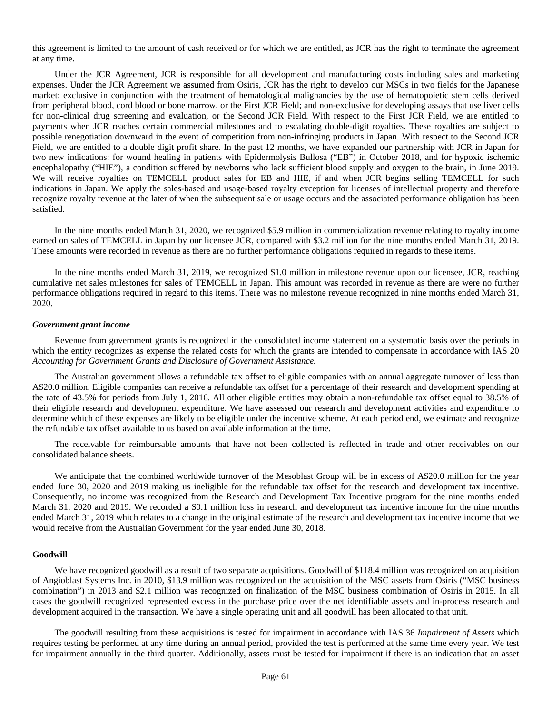this agreement is limited to the amount of cash received or for which we are entitled, as JCR has the right to terminate the agreement at any time.

Under the JCR Agreement, JCR is responsible for all development and manufacturing costs including sales and marketing expenses. Under the JCR Agreement we assumed from Osiris, JCR has the right to develop our MSCs in two fields for the Japanese market: exclusive in conjunction with the treatment of hematological malignancies by the use of hematopoietic stem cells derived from peripheral blood, cord blood or bone marrow, or the First JCR Field; and non-exclusive for developing assays that use liver cells for non-clinical drug screening and evaluation, or the Second JCR Field. With respect to the First JCR Field, we are entitled to payments when JCR reaches certain commercial milestones and to escalating double-digit royalties. These royalties are subject to possible renegotiation downward in the event of competition from non-infringing products in Japan. With respect to the Second JCR Field, we are entitled to a double digit profit share. In the past 12 months, we have expanded our partnership with JCR in Japan for two new indications: for wound healing in patients with Epidermolysis Bullosa ("EB") in October 2018, and for hypoxic ischemic encephalopathy ("HIE"), a condition suffered by newborns who lack sufficient blood supply and oxygen to the brain, in June 2019. We will receive royalties on TEMCELL product sales for EB and HIE, if and when JCR begins selling TEMCELL for such indications in Japan. We apply the sales-based and usage-based royalty exception for licenses of intellectual property and therefore recognize royalty revenue at the later of when the subsequent sale or usage occurs and the associated performance obligation has been satisfied.

In the nine months ended March 31, 2020, we recognized \$5.9 million in commercialization revenue relating to royalty income earned on sales of TEMCELL in Japan by our licensee JCR, compared with \$3.2 million for the nine months ended March 31, 2019. These amounts were recorded in revenue as there are no further performance obligations required in regards to these items.

In the nine months ended March 31, 2019, we recognized \$1.0 million in milestone revenue upon our licensee, JCR, reaching cumulative net sales milestones for sales of TEMCELL in Japan. This amount was recorded in revenue as there are were no further performance obligations required in regard to this items. There was no milestone revenue recognized in nine months ended March 31, 2020.

#### *Government grant income*

Revenue from government grants is recognized in the consolidated income statement on a systematic basis over the periods in which the entity recognizes as expense the related costs for which the grants are intended to compensate in accordance with IAS 20 *Accounting for Government Grants and Disclosure of Government Assistance.*

The Australian government allows a refundable tax offset to eligible companies with an annual aggregate turnover of less than A\$20.0 million. Eligible companies can receive a refundable tax offset for a percentage of their research and development spending at the rate of 43.5% for periods from July 1, 2016. All other eligible entities may obtain a non-refundable tax offset equal to 38.5% of their eligible research and development expenditure. We have assessed our research and development activities and expenditure to determine which of these expenses are likely to be eligible under the incentive scheme. At each period end, we estimate and recognize the refundable tax offset available to us based on available information at the time.

The receivable for reimbursable amounts that have not been collected is reflected in trade and other receivables on our consolidated balance sheets.

We anticipate that the combined worldwide turnover of the Mesoblast Group will be in excess of A\$20.0 million for the year ended June 30, 2020 and 2019 making us ineligible for the refundable tax offset for the research and development tax incentive. Consequently, no income was recognized from the Research and Development Tax Incentive program for the nine months ended March 31, 2020 and 2019. We recorded a \$0.1 million loss in research and development tax incentive income for the nine months ended March 31, 2019 which relates to a change in the original estimate of the research and development tax incentive income that we would receive from the Australian Government for the year ended June 30, 2018.

### **Goodwill**

We have recognized goodwill as a result of two separate acquisitions. Goodwill of \$118.4 million was recognized on acquisition of Angioblast Systems Inc. in 2010, \$13.9 million was recognized on the acquisition of the MSC assets from Osiris ("MSC business combination") in 2013 and \$2.1 million was recognized on finalization of the MSC business combination of Osiris in 2015. In all cases the goodwill recognized represented excess in the purchase price over the net identifiable assets and in-process research and development acquired in the transaction. We have a single operating unit and all goodwill has been allocated to that unit.

The goodwill resulting from these acquisitions is tested for impairment in accordance with IAS 36 *Impairment of Assets* which requires testing be performed at any time during an annual period, provided the test is performed at the same time every year. We test for impairment annually in the third quarter. Additionally, assets must be tested for impairment if there is an indication that an asset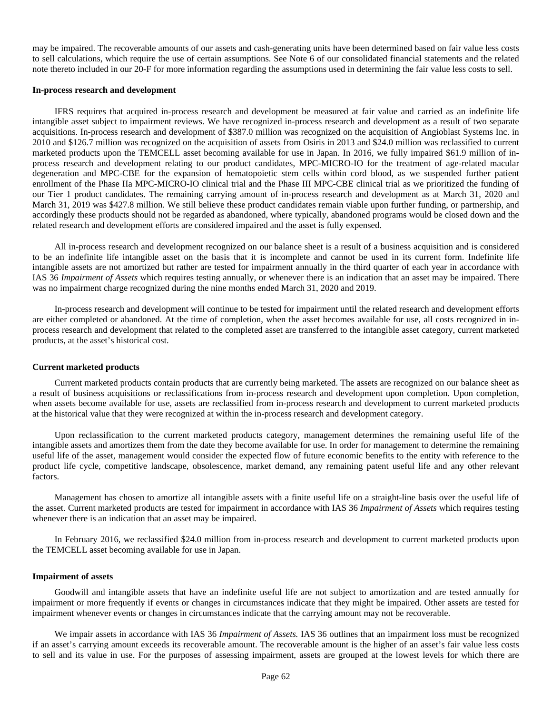may be impaired. The recoverable amounts of our assets and cash-generating units have been determined based on fair value less costs to sell calculations, which require the use of certain assumptions. See Note 6 of our consolidated financial statements and the related note thereto included in our 20-F for more information regarding the assumptions used in determining the fair value less costs to sell.

### **In-process research and development**

IFRS requires that acquired in-process research and development be measured at fair value and carried as an indefinite life intangible asset subject to impairment reviews. We have recognized in-process research and development as a result of two separate acquisitions. In-process research and development of \$387.0 million was recognized on the acquisition of Angioblast Systems Inc. in 2010 and \$126.7 million was recognized on the acquisition of assets from Osiris in 2013 and \$24.0 million was reclassified to current marketed products upon the TEMCELL asset becoming available for use in Japan. In 2016, we fully impaired \$61.9 million of inprocess research and development relating to our product candidates, MPC-MICRO-IO for the treatment of age-related macular degeneration and MPC-CBE for the expansion of hematopoietic stem cells within cord blood, as we suspended further patient enrollment of the Phase IIa MPC-MICRO-IO clinical trial and the Phase III MPC-CBE clinical trial as we prioritized the funding of our Tier 1 product candidates. The remaining carrying amount of in-process research and development as at March 31, 2020 and March 31, 2019 was \$427.8 million. We still believe these product candidates remain viable upon further funding, or partnership, and accordingly these products should not be regarded as abandoned, where typically, abandoned programs would be closed down and the related research and development efforts are considered impaired and the asset is fully expensed.

All in-process research and development recognized on our balance sheet is a result of a business acquisition and is considered to be an indefinite life intangible asset on the basis that it is incomplete and cannot be used in its current form. Indefinite life intangible assets are not amortized but rather are tested for impairment annually in the third quarter of each year in accordance with IAS 36 *Impairment of Assets* which requires testing annually, or whenever there is an indication that an asset may be impaired. There was no impairment charge recognized during the nine months ended March 31, 2020 and 2019.

In-process research and development will continue to be tested for impairment until the related research and development efforts are either completed or abandoned. At the time of completion, when the asset becomes available for use, all costs recognized in inprocess research and development that related to the completed asset are transferred to the intangible asset category, current marketed products, at the asset's historical cost.

### **Current marketed products**

Current marketed products contain products that are currently being marketed. The assets are recognized on our balance sheet as a result of business acquisitions or reclassifications from in-process research and development upon completion. Upon completion, when assets become available for use, assets are reclassified from in-process research and development to current marketed products at the historical value that they were recognized at within the in-process research and development category.

Upon reclassification to the current marketed products category, management determines the remaining useful life of the intangible assets and amortizes them from the date they become available for use. In order for management to determine the remaining useful life of the asset, management would consider the expected flow of future economic benefits to the entity with reference to the product life cycle, competitive landscape, obsolescence, market demand, any remaining patent useful life and any other relevant factors.

Management has chosen to amortize all intangible assets with a finite useful life on a straight-line basis over the useful life of the asset. Current marketed products are tested for impairment in accordance with IAS 36 *Impairment of Assets* which requires testing whenever there is an indication that an asset may be impaired.

In February 2016, we reclassified \$24.0 million from in-process research and development to current marketed products upon the TEMCELL asset becoming available for use in Japan.

### **Impairment of assets**

Goodwill and intangible assets that have an indefinite useful life are not subject to amortization and are tested annually for impairment or more frequently if events or changes in circumstances indicate that they might be impaired. Other assets are tested for impairment whenever events or changes in circumstances indicate that the carrying amount may not be recoverable.

We impair assets in accordance with IAS 36 *Impairment of Assets.* IAS 36 outlines that an impairment loss must be recognized if an asset's carrying amount exceeds its recoverable amount. The recoverable amount is the higher of an asset's fair value less costs to sell and its value in use. For the purposes of assessing impairment, assets are grouped at the lowest levels for which there are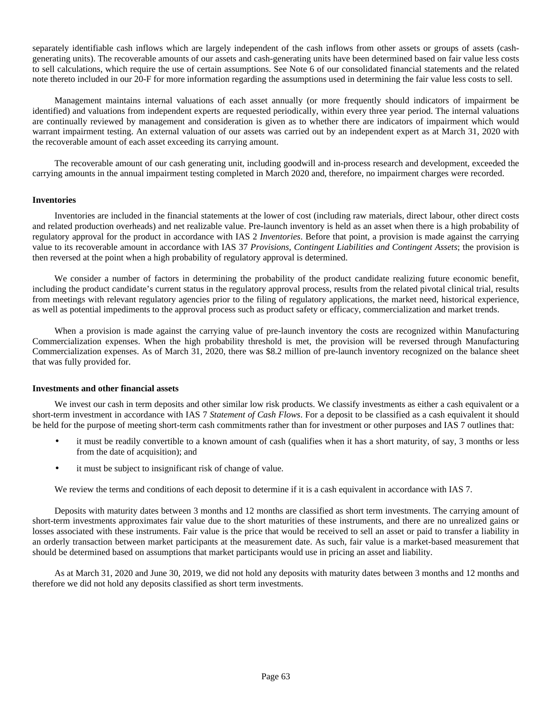separately identifiable cash inflows which are largely independent of the cash inflows from other assets or groups of assets (cashgenerating units). The recoverable amounts of our assets and cash-generating units have been determined based on fair value less costs to sell calculations, which require the use of certain assumptions. See Note 6 of our consolidated financial statements and the related note thereto included in our 20-F for more information regarding the assumptions used in determining the fair value less costs to sell.

Management maintains internal valuations of each asset annually (or more frequently should indicators of impairment be identified) and valuations from independent experts are requested periodically, within every three year period. The internal valuations are continually reviewed by management and consideration is given as to whether there are indicators of impairment which would warrant impairment testing. An external valuation of our assets was carried out by an independent expert as at March 31, 2020 with the recoverable amount of each asset exceeding its carrying amount.

The recoverable amount of our cash generating unit, including goodwill and in-process research and development, exceeded the carrying amounts in the annual impairment testing completed in March 2020 and, therefore, no impairment charges were recorded.

## **Inventories**

Inventories are included in the financial statements at the lower of cost (including raw materials, direct labour, other direct costs and related production overheads) and net realizable value. Pre-launch inventory is held as an asset when there is a high probability of regulatory approval for the product in accordance with IAS 2 *Inventories*. Before that point, a provision is made against the carrying value to its recoverable amount in accordance with IAS 37 *Provisions, Contingent Liabilities and Contingent Assets*; the provision is then reversed at the point when a high probability of regulatory approval is determined.

We consider a number of factors in determining the probability of the product candidate realizing future economic benefit, including the product candidate's current status in the regulatory approval process, results from the related pivotal clinical trial, results from meetings with relevant regulatory agencies prior to the filing of regulatory applications, the market need, historical experience, as well as potential impediments to the approval process such as product safety or efficacy, commercialization and market trends.

When a provision is made against the carrying value of pre-launch inventory the costs are recognized within Manufacturing Commercialization expenses. When the high probability threshold is met, the provision will be reversed through Manufacturing Commercialization expenses. As of March 31, 2020, there was \$8.2 million of pre-launch inventory recognized on the balance sheet that was fully provided for.

#### **Investments and other financial assets**

We invest our cash in term deposits and other similar low risk products. We classify investments as either a cash equivalent or a short-term investment in accordance with IAS 7 *Statement of Cash Flows*. For a deposit to be classified as a cash equivalent it should be held for the purpose of meeting short-term cash commitments rather than for investment or other purposes and IAS 7 outlines that:

- it must be readily convertible to a known amount of cash (qualifies when it has a short maturity, of say, 3 months or less from the date of acquisition); and
- it must be subject to insignificant risk of change of value.

We review the terms and conditions of each deposit to determine if it is a cash equivalent in accordance with IAS 7.

Deposits with maturity dates between 3 months and 12 months are classified as short term investments. The carrying amount of short-term investments approximates fair value due to the short maturities of these instruments, and there are no unrealized gains or losses associated with these instruments. Fair value is the price that would be received to sell an asset or paid to transfer a liability in an orderly transaction between market participants at the measurement date. As such, fair value is a market-based measurement that should be determined based on assumptions that market participants would use in pricing an asset and liability.

As at March 31, 2020 and June 30, 2019, we did not hold any deposits with maturity dates between 3 months and 12 months and therefore we did not hold any deposits classified as short term investments.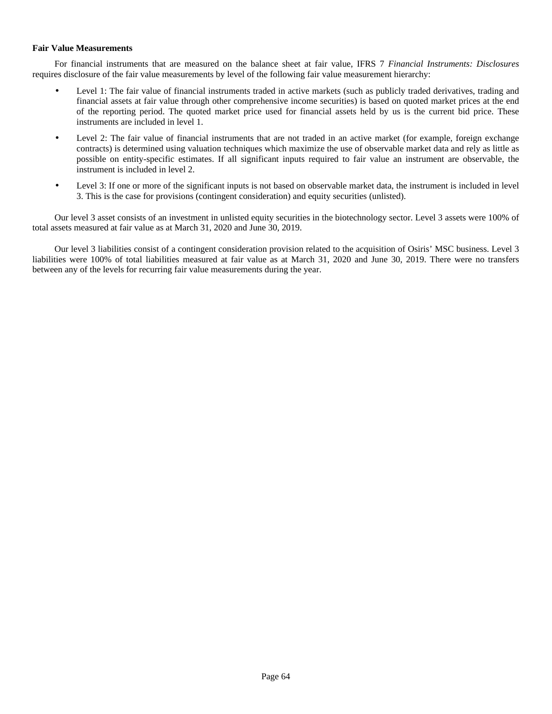# **Fair Value Measurements**

For financial instruments that are measured on the balance sheet at fair value, IFRS 7 *Financial Instruments: Disclosures* requires disclosure of the fair value measurements by level of the following fair value measurement hierarchy:

- Level 1: The fair value of financial instruments traded in active markets (such as publicly traded derivatives, trading and financial assets at fair value through other comprehensive income securities) is based on quoted market prices at the end of the reporting period. The quoted market price used for financial assets held by us is the current bid price. These instruments are included in level 1.
- Level 2: The fair value of financial instruments that are not traded in an active market (for example, foreign exchange contracts) is determined using valuation techniques which maximize the use of observable market data and rely as little as possible on entity-specific estimates. If all significant inputs required to fair value an instrument are observable, the instrument is included in level 2.
- Level 3: If one or more of the significant inputs is not based on observable market data, the instrument is included in level 3. This is the case for provisions (contingent consideration) and equity securities (unlisted).

Our level 3 asset consists of an investment in unlisted equity securities in the biotechnology sector. Level 3 assets were 100% of total assets measured at fair value as at March 31, 2020 and June 30, 2019.

Our level 3 liabilities consist of a contingent consideration provision related to the acquisition of Osiris' MSC business. Level 3 liabilities were 100% of total liabilities measured at fair value as at March 31, 2020 and June 30, 2019. There were no transfers between any of the levels for recurring fair value measurements during the year.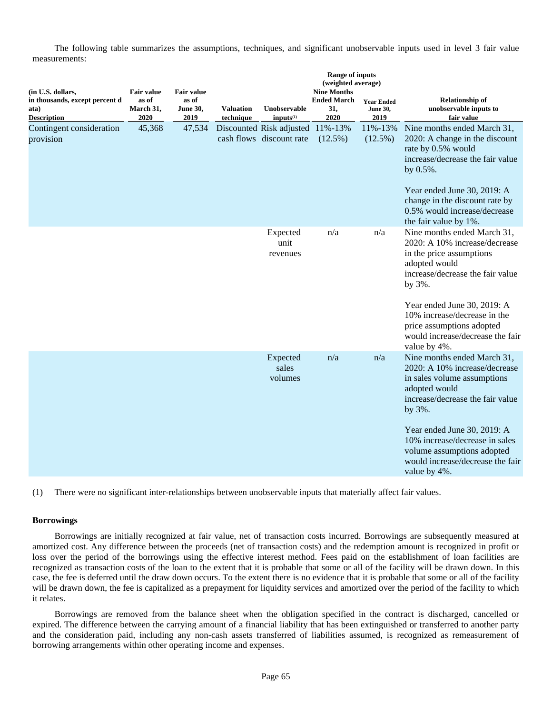The following table summarizes the assumptions, techniques, and significant unobservable inputs used in level 3 fair value measurements:

|                                                                                   | <b>Range of inputs</b><br>(weighted average)    |                                                       |                               |                                                      |                                                         |                                              |                                                                                                                                                                                                                                                                                                               |
|-----------------------------------------------------------------------------------|-------------------------------------------------|-------------------------------------------------------|-------------------------------|------------------------------------------------------|---------------------------------------------------------|----------------------------------------------|---------------------------------------------------------------------------------------------------------------------------------------------------------------------------------------------------------------------------------------------------------------------------------------------------------------|
| (in U.S. dollars,<br>in thousands, except percent d<br>ata)<br><b>Description</b> | <b>Fair value</b><br>as of<br>March 31,<br>2020 | <b>Fair value</b><br>as of<br><b>June 30,</b><br>2019 | <b>Valuation</b><br>technique | Unobservable<br>inputs <sup>(1)</sup>                | <b>Nine Months</b><br><b>Ended March</b><br>31,<br>2020 | <b>Year Ended</b><br><b>June 30,</b><br>2019 | <b>Relationship of</b><br>unobservable inputs to<br>fair value                                                                                                                                                                                                                                                |
| Contingent consideration<br>provision                                             | 45,368                                          | 47,534                                                |                               | Discounted Risk adjusted<br>cash flows discount rate | 11%-13%<br>$(12.5\%)$                                   | 11%-13%<br>$(12.5\%)$                        | Nine months ended March 31,<br>2020: A change in the discount<br>rate by 0.5% would<br>increase/decrease the fair value<br>by 0.5%.<br>Year ended June 30, 2019: A<br>change in the discount rate by<br>0.5% would increase/decrease<br>the fair value by 1%.                                                 |
|                                                                                   |                                                 |                                                       |                               | Expected<br>unit<br>revenues                         | n/a                                                     | n/a                                          | Nine months ended March 31,<br>2020: A 10% increase/decrease<br>in the price assumptions<br>adopted would<br>increase/decrease the fair value<br>by 3%.<br>Year ended June 30, 2019: A<br>10% increase/decrease in the<br>price assumptions adopted<br>would increase/decrease the fair<br>value by 4%.       |
|                                                                                   |                                                 |                                                       |                               | Expected<br>sales<br>volumes                         | n/a                                                     | n/a                                          | Nine months ended March 31,<br>2020: A 10% increase/decrease<br>in sales volume assumptions<br>adopted would<br>increase/decrease the fair value<br>by 3%.<br>Year ended June 30, 2019: A<br>10% increase/decrease in sales<br>volume assumptions adopted<br>would increase/decrease the fair<br>value by 4%. |

(1) There were no significant inter-relationships between unobservable inputs that materially affect fair values.

## **Borrowings**

Borrowings are initially recognized at fair value, net of transaction costs incurred. Borrowings are subsequently measured at amortized cost. Any difference between the proceeds (net of transaction costs) and the redemption amount is recognized in profit or loss over the period of the borrowings using the effective interest method. Fees paid on the establishment of loan facilities are recognized as transaction costs of the loan to the extent that it is probable that some or all of the facility will be drawn down. In this case, the fee is deferred until the draw down occurs. To the extent there is no evidence that it is probable that some or all of the facility will be drawn down, the fee is capitalized as a prepayment for liquidity services and amortized over the period of the facility to which it relates.

Borrowings are removed from the balance sheet when the obligation specified in the contract is discharged, cancelled or expired. The difference between the carrying amount of a financial liability that has been extinguished or transferred to another party and the consideration paid, including any non-cash assets transferred of liabilities assumed, is recognized as remeasurement of borrowing arrangements within other operating income and expenses.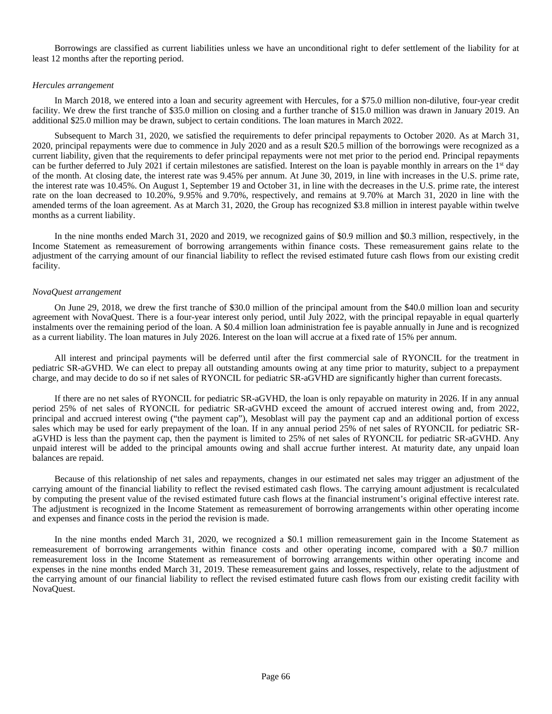Borrowings are classified as current liabilities unless we have an unconditional right to defer settlement of the liability for at least 12 months after the reporting period.

### *Hercules arrangement*

In March 2018, we entered into a loan and security agreement with Hercules, for a \$75.0 million non-dilutive, four-year credit facility. We drew the first tranche of \$35.0 million on closing and a further tranche of \$15.0 million was drawn in January 2019. An additional \$25.0 million may be drawn, subject to certain conditions. The loan matures in March 2022.

Subsequent to March 31, 2020, we satisfied the requirements to defer principal repayments to October 2020. As at March 31, 2020, principal repayments were due to commence in July 2020 and as a result \$20.5 million of the borrowings were recognized as a current liability, given that the requirements to defer principal repayments were not met prior to the period end. Principal repayments can be further deferred to July 2021 if certain milestones are satisfied. Interest on the loan is payable monthly in arrears on the 1st day of the month. At closing date, the interest rate was 9.45% per annum. At June 30, 2019, in line with increases in the U.S. prime rate, the interest rate was 10.45%. On August 1, September 19 and October 31, in line with the decreases in the U.S. prime rate, the interest rate on the loan decreased to 10.20%, 9.95% and 9.70%, respectively, and remains at 9.70% at March 31, 2020 in line with the amended terms of the loan agreement. As at March 31, 2020, the Group has recognized \$3.8 million in interest payable within twelve months as a current liability.

In the nine months ended March 31, 2020 and 2019, we recognized gains of \$0.9 million and \$0.3 million, respectively, in the Income Statement as remeasurement of borrowing arrangements within finance costs. These remeasurement gains relate to the adjustment of the carrying amount of our financial liability to reflect the revised estimated future cash flows from our existing credit facility.

### *NovaQuest arrangement*

On June 29, 2018, we drew the first tranche of \$30.0 million of the principal amount from the \$40.0 million loan and security agreement with NovaQuest. There is a four-year interest only period, until July 2022, with the principal repayable in equal quarterly instalments over the remaining period of the loan. A \$0.4 million loan administration fee is payable annually in June and is recognized as a current liability. The loan matures in July 2026. Interest on the loan will accrue at a fixed rate of 15% per annum.

All interest and principal payments will be deferred until after the first commercial sale of RYONCIL for the treatment in pediatric SR-aGVHD. We can elect to prepay all outstanding amounts owing at any time prior to maturity, subject to a prepayment charge, and may decide to do so if net sales of RYONCIL for pediatric SR-aGVHD are significantly higher than current forecasts.

If there are no net sales of RYONCIL for pediatric SR-aGVHD, the loan is only repayable on maturity in 2026. If in any annual period 25% of net sales of RYONCIL for pediatric SR-aGVHD exceed the amount of accrued interest owing and, from 2022, principal and accrued interest owing ("the payment cap"), Mesoblast will pay the payment cap and an additional portion of excess sales which may be used for early prepayment of the loan. If in any annual period 25% of net sales of RYONCIL for pediatric SRaGVHD is less than the payment cap, then the payment is limited to 25% of net sales of RYONCIL for pediatric SR-aGVHD. Any unpaid interest will be added to the principal amounts owing and shall accrue further interest. At maturity date, any unpaid loan balances are repaid.

Because of this relationship of net sales and repayments, changes in our estimated net sales may trigger an adjustment of the carrying amount of the financial liability to reflect the revised estimated cash flows. The carrying amount adjustment is recalculated by computing the present value of the revised estimated future cash flows at the financial instrument's original effective interest rate. The adjustment is recognized in the Income Statement as remeasurement of borrowing arrangements within other operating income and expenses and finance costs in the period the revision is made.

In the nine months ended March 31, 2020, we recognized a \$0.1 million remeasurement gain in the Income Statement as remeasurement of borrowing arrangements within finance costs and other operating income, compared with a \$0.7 million remeasurement loss in the Income Statement as remeasurement of borrowing arrangements within other operating income and expenses in the nine months ended March 31, 2019. These remeasurement gains and losses, respectively, relate to the adjustment of the carrying amount of our financial liability to reflect the revised estimated future cash flows from our existing credit facility with NovaQuest.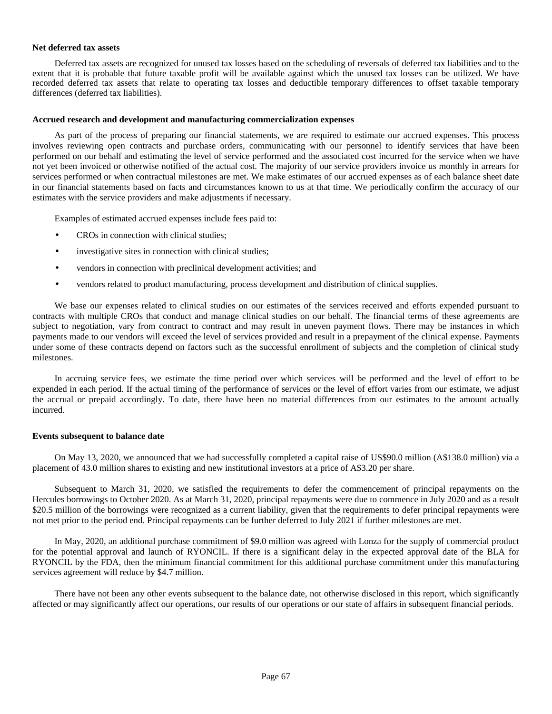### **Net deferred tax assets**

Deferred tax assets are recognized for unused tax losses based on the scheduling of reversals of deferred tax liabilities and to the extent that it is probable that future taxable profit will be available against which the unused tax losses can be utilized. We have recorded deferred tax assets that relate to operating tax losses and deductible temporary differences to offset taxable temporary differences (deferred tax liabilities).

## **Accrued research and development and manufacturing commercialization expenses**

As part of the process of preparing our financial statements, we are required to estimate our accrued expenses. This process involves reviewing open contracts and purchase orders, communicating with our personnel to identify services that have been performed on our behalf and estimating the level of service performed and the associated cost incurred for the service when we have not yet been invoiced or otherwise notified of the actual cost. The majority of our service providers invoice us monthly in arrears for services performed or when contractual milestones are met. We make estimates of our accrued expenses as of each balance sheet date in our financial statements based on facts and circumstances known to us at that time. We periodically confirm the accuracy of our estimates with the service providers and make adjustments if necessary.

Examples of estimated accrued expenses include fees paid to:

- CROs in connection with clinical studies;
- investigative sites in connection with clinical studies;
- vendors in connection with preclinical development activities; and
- vendors related to product manufacturing, process development and distribution of clinical supplies.

We base our expenses related to clinical studies on our estimates of the services received and efforts expended pursuant to contracts with multiple CROs that conduct and manage clinical studies on our behalf. The financial terms of these agreements are subject to negotiation, vary from contract to contract and may result in uneven payment flows. There may be instances in which payments made to our vendors will exceed the level of services provided and result in a prepayment of the clinical expense. Payments under some of these contracts depend on factors such as the successful enrollment of subjects and the completion of clinical study milestones.

In accruing service fees, we estimate the time period over which services will be performed and the level of effort to be expended in each period. If the actual timing of the performance of services or the level of effort varies from our estimate, we adjust the accrual or prepaid accordingly. To date, there have been no material differences from our estimates to the amount actually incurred.

#### **Events subsequent to balance date**

On May 13, 2020, we announced that we had successfully completed a capital raise of US\$90.0 million (A\$138.0 million) via a placement of 43.0 million shares to existing and new institutional investors at a price of A\$3.20 per share.

Subsequent to March 31, 2020, we satisfied the requirements to defer the commencement of principal repayments on the Hercules borrowings to October 2020. As at March 31, 2020, principal repayments were due to commence in July 2020 and as a result \$20.5 million of the borrowings were recognized as a current liability, given that the requirements to defer principal repayments were not met prior to the period end. Principal repayments can be further deferred to July 2021 if further milestones are met.

In May, 2020, an additional purchase commitment of \$9.0 million was agreed with Lonza for the supply of commercial product for the potential approval and launch of RYONCIL. If there is a significant delay in the expected approval date of the BLA for RYONCIL by the FDA, then the minimum financial commitment for this additional purchase commitment under this manufacturing services agreement will reduce by \$4.7 million.

There have not been any other events subsequent to the balance date, not otherwise disclosed in this report, which significantly affected or may significantly affect our operations, our results of our operations or our state of affairs in subsequent financial periods.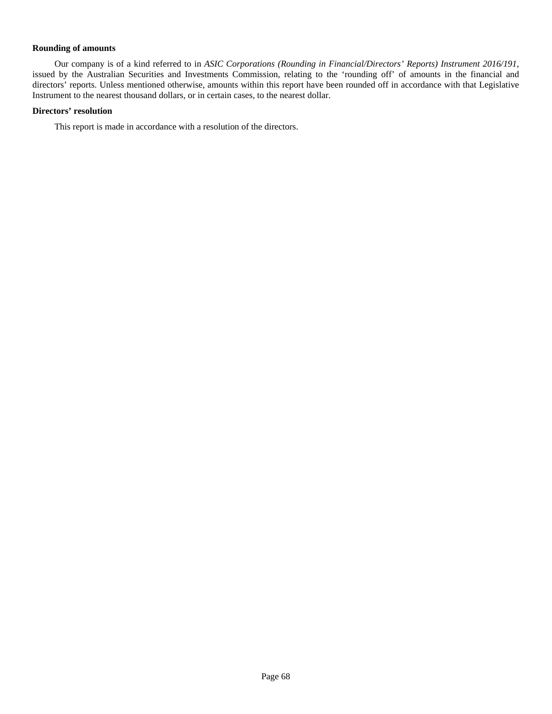# **Rounding of amounts**

Our company is of a kind referred to in *ASIC Corporations (Rounding in Financial/Directors' Reports) Instrument 2016/191*, issued by the Australian Securities and Investments Commission, relating to the 'rounding off' of amounts in the financial and directors' reports. Unless mentioned otherwise, amounts within this report have been rounded off in accordance with that Legislative Instrument to the nearest thousand dollars, or in certain cases, to the nearest dollar.

# **Directors' resolution**

This report is made in accordance with a resolution of the directors.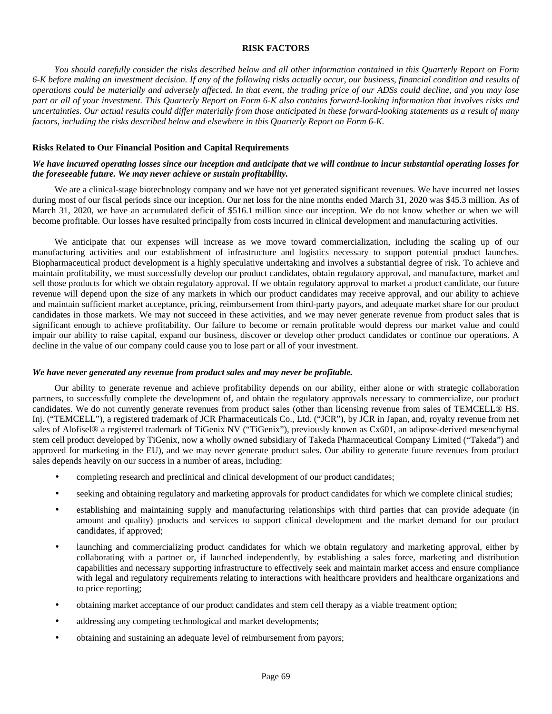# **RISK FACTORS**

*You should carefully consider the risks described below and all other information contained in this Quarterly Report on Form 6-K before making an investment decision. If any of the following risks actually occur, our business, financial condition and results of operations could be materially and adversely affected. In that event, the trading price of our ADSs could decline, and you may lose part or all of your investment. This Quarterly Report on Form 6-K also contains forward-looking information that involves risks and uncertainties. Our actual results could differ materially from those anticipated in these forward-looking statements as a result of many factors, including the risks described below and elsewhere in this Quarterly Report on Form 6-K.*

# **Risks Related to Our Financial Position and Capital Requirements**

# *We have incurred operating losses since our inception and anticipate that we will continue to incur substantial operating losses for the foreseeable future. We may never achieve or sustain profitability.*

We are a clinical-stage biotechnology company and we have not yet generated significant revenues. We have incurred net losses during most of our fiscal periods since our inception. Our net loss for the nine months ended March 31, 2020 was \$45.3 million. As of March 31, 2020, we have an accumulated deficit of \$516.1 million since our inception. We do not know whether or when we will become profitable. Our losses have resulted principally from costs incurred in clinical development and manufacturing activities.

We anticipate that our expenses will increase as we move toward commercialization, including the scaling up of our manufacturing activities and our establishment of infrastructure and logistics necessary to support potential product launches. Biopharmaceutical product development is a highly speculative undertaking and involves a substantial degree of risk. To achieve and maintain profitability, we must successfully develop our product candidates, obtain regulatory approval, and manufacture, market and sell those products for which we obtain regulatory approval. If we obtain regulatory approval to market a product candidate, our future revenue will depend upon the size of any markets in which our product candidates may receive approval, and our ability to achieve and maintain sufficient market acceptance, pricing, reimbursement from third-party payors, and adequate market share for our product candidates in those markets. We may not succeed in these activities, and we may never generate revenue from product sales that is significant enough to achieve profitability. Our failure to become or remain profitable would depress our market value and could impair our ability to raise capital, expand our business, discover or develop other product candidates or continue our operations. A decline in the value of our company could cause you to lose part or all of your investment.

## *We have never generated any revenue from product sales and may never be profitable.*

Our ability to generate revenue and achieve profitability depends on our ability, either alone or with strategic collaboration partners, to successfully complete the development of, and obtain the regulatory approvals necessary to commercialize, our product candidates. We do not currently generate revenues from product sales (other than licensing revenue from sales of TEMCELL® HS. Inj. ("TEMCELL"), a registered trademark of JCR Pharmaceuticals Co., Ltd. ("JCR"), by JCR in Japan, and, royalty revenue from net sales of Alofisel® a registered trademark of TiGenix NV ("TiGenix"), previously known as Cx601, an adipose-derived mesenchymal stem cell product developed by TiGenix, now a wholly owned subsidiary of Takeda Pharmaceutical Company Limited ("Takeda") and approved for marketing in the EU), and we may never generate product sales. Our ability to generate future revenues from product sales depends heavily on our success in a number of areas, including:

- completing research and preclinical and clinical development of our product candidates;
- seeking and obtaining regulatory and marketing approvals for product candidates for which we complete clinical studies;
- establishing and maintaining supply and manufacturing relationships with third parties that can provide adequate (in amount and quality) products and services to support clinical development and the market demand for our product candidates, if approved;
- launching and commercializing product candidates for which we obtain regulatory and marketing approval, either by collaborating with a partner or, if launched independently, by establishing a sales force, marketing and distribution capabilities and necessary supporting infrastructure to effectively seek and maintain market access and ensure compliance with legal and regulatory requirements relating to interactions with healthcare providers and healthcare organizations and to price reporting;
- obtaining market acceptance of our product candidates and stem cell therapy as a viable treatment option;
- addressing any competing technological and market developments;
- obtaining and sustaining an adequate level of reimbursement from payors;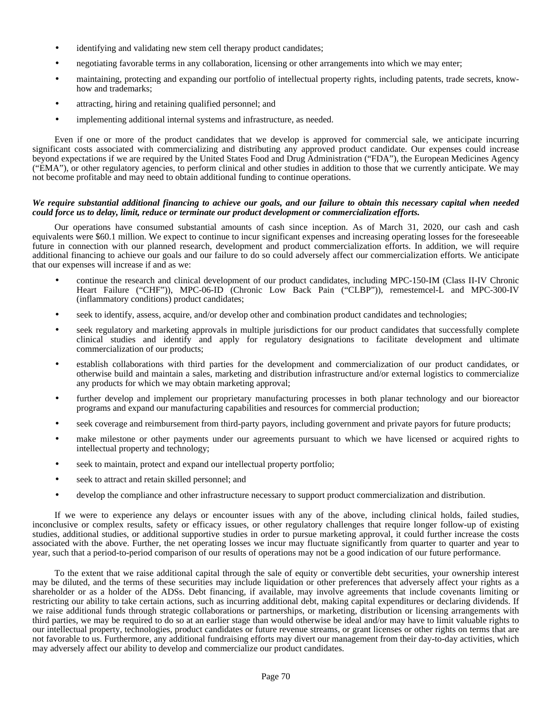- identifying and validating new stem cell therapy product candidates;
- negotiating favorable terms in any collaboration, licensing or other arrangements into which we may enter;
- maintaining, protecting and expanding our portfolio of intellectual property rights, including patents, trade secrets, knowhow and trademarks;
- attracting, hiring and retaining qualified personnel; and
- implementing additional internal systems and infrastructure, as needed.

Even if one or more of the product candidates that we develop is approved for commercial sale, we anticipate incurring significant costs associated with commercializing and distributing any approved product candidate. Our expenses could increase beyond expectations if we are required by the United States Food and Drug Administration ("FDA"), the European Medicines Agency ("EMA"), or other regulatory agencies, to perform clinical and other studies in addition to those that we currently anticipate. We may not become profitable and may need to obtain additional funding to continue operations.

### *We require substantial additional financing to achieve our goals, and our failure to obtain this necessary capital when needed could force us to delay, limit, reduce or terminate our product development or commercialization efforts.*

Our operations have consumed substantial amounts of cash since inception. As of March 31, 2020, our cash and cash equivalents were \$60.1 million. We expect to continue to incur significant expenses and increasing operating losses for the foreseeable future in connection with our planned research, development and product commercialization efforts. In addition, we will require additional financing to achieve our goals and our failure to do so could adversely affect our commercialization efforts. We anticipate that our expenses will increase if and as we:

- continue the research and clinical development of our product candidates, including MPC-150-IM (Class II-IV Chronic Heart Failure ("CHF")), MPC-06-ID (Chronic Low Back Pain ("CLBP")), remestemcel-L and MPC-300-IV (inflammatory conditions) product candidates;
- seek to identify, assess, acquire, and/or develop other and combination product candidates and technologies;
- seek regulatory and marketing approvals in multiple jurisdictions for our product candidates that successfully complete clinical studies and identify and apply for regulatory designations to facilitate development and ultimate commercialization of our products;
- establish collaborations with third parties for the development and commercialization of our product candidates, or otherwise build and maintain a sales, marketing and distribution infrastructure and/or external logistics to commercialize any products for which we may obtain marketing approval;
- further develop and implement our proprietary manufacturing processes in both planar technology and our bioreactor programs and expand our manufacturing capabilities and resources for commercial production;
- seek coverage and reimbursement from third-party payors, including government and private payors for future products;
- make milestone or other payments under our agreements pursuant to which we have licensed or acquired rights to intellectual property and technology;
- seek to maintain, protect and expand our intellectual property portfolio;
- seek to attract and retain skilled personnel; and
- develop the compliance and other infrastructure necessary to support product commercialization and distribution.

If we were to experience any delays or encounter issues with any of the above, including clinical holds, failed studies, inconclusive or complex results, safety or efficacy issues, or other regulatory challenges that require longer follow-up of existing studies, additional studies, or additional supportive studies in order to pursue marketing approval, it could further increase the costs associated with the above. Further, the net operating losses we incur may fluctuate significantly from quarter to quarter and year to year, such that a period-to-period comparison of our results of operations may not be a good indication of our future performance.

To the extent that we raise additional capital through the sale of equity or convertible debt securities, your ownership interest may be diluted, and the terms of these securities may include liquidation or other preferences that adversely affect your rights as a shareholder or as a holder of the ADSs. Debt financing, if available, may involve agreements that include covenants limiting or restricting our ability to take certain actions, such as incurring additional debt, making capital expenditures or declaring dividends. If we raise additional funds through strategic collaborations or partnerships, or marketing, distribution or licensing arrangements with third parties, we may be required to do so at an earlier stage than would otherwise be ideal and/or may have to limit valuable rights to our intellectual property, technologies, product candidates or future revenue streams, or grant licenses or other rights on terms that are not favorable to us. Furthermore, any additional fundraising efforts may divert our management from their day-to-day activities, which may adversely affect our ability to develop and commercialize our product candidates.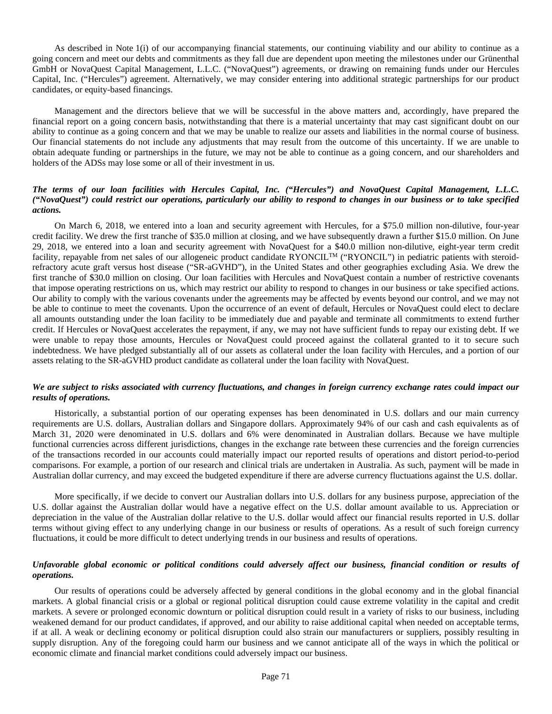As described in Note 1(i) of our accompanying financial statements, our continuing viability and our ability to continue as a going concern and meet our debts and commitments as they fall due are dependent upon meeting the milestones under our Grünenthal GmbH or NovaQuest Capital Management, L.L.C. ("NovaQuest") agreements, or drawing on remaining funds under our Hercules Capital, Inc. ("Hercules") agreement. Alternatively, we may consider entering into additional strategic partnerships for our product candidates, or equity-based financings.

Management and the directors believe that we will be successful in the above matters and, accordingly, have prepared the financial report on a going concern basis, notwithstanding that there is a material uncertainty that may cast significant doubt on our ability to continue as a going concern and that we may be unable to realize our assets and liabilities in the normal course of business. Our financial statements do not include any adjustments that may result from the outcome of this uncertainty. If we are unable to obtain adequate funding or partnerships in the future, we may not be able to continue as a going concern, and our shareholders and holders of the ADSs may lose some or all of their investment in us.

# *The terms of our loan facilities with Hercules Capital, Inc. ("Hercules") and NovaQuest Capital Management, L.L.C. ("NovaQuest") could restrict our operations, particularly our ability to respond to changes in our business or to take specified actions.*

On March 6, 2018, we entered into a loan and security agreement with Hercules, for a \$75.0 million non-dilutive, four-year credit facility. We drew the first tranche of \$35.0 million at closing, and we have subsequently drawn a further \$15.0 million. On June 29, 2018, we entered into a loan and security agreement with NovaQuest for a \$40.0 million non-dilutive, eight-year term credit facility, repayable from net sales of our allogeneic product candidate RYONCIL<sup>TM</sup> ("RYONCIL") in pediatric patients with steroidrefractory acute graft versus host disease ("SR-aGVHD"), in the United States and other geographies excluding Asia. We drew the first tranche of \$30.0 million on closing. Our loan facilities with Hercules and NovaQuest contain a number of restrictive covenants that impose operating restrictions on us, which may restrict our ability to respond to changes in our business or take specified actions. Our ability to comply with the various covenants under the agreements may be affected by events beyond our control, and we may not be able to continue to meet the covenants. Upon the occurrence of an event of default, Hercules or NovaQuest could elect to declare all amounts outstanding under the loan facility to be immediately due and payable and terminate all commitments to extend further credit. If Hercules or NovaQuest accelerates the repayment, if any, we may not have sufficient funds to repay our existing debt. If we were unable to repay those amounts, Hercules or NovaQuest could proceed against the collateral granted to it to secure such indebtedness. We have pledged substantially all of our assets as collateral under the loan facility with Hercules, and a portion of our assets relating to the SR-aGVHD product candidate as collateral under the loan facility with NovaQuest.

# *We are subject to risks associated with currency fluctuations, and changes in foreign currency exchange rates could impact our results of operations.*

Historically, a substantial portion of our operating expenses has been denominated in U.S. dollars and our main currency requirements are U.S. dollars, Australian dollars and Singapore dollars. Approximately 94% of our cash and cash equivalents as of March 31, 2020 were denominated in U.S. dollars and 6% were denominated in Australian dollars. Because we have multiple functional currencies across different jurisdictions, changes in the exchange rate between these currencies and the foreign currencies of the transactions recorded in our accounts could materially impact our reported results of operations and distort period-to-period comparisons. For example, a portion of our research and clinical trials are undertaken in Australia. As such, payment will be made in Australian dollar currency, and may exceed the budgeted expenditure if there are adverse currency fluctuations against the U.S. dollar.

More specifically, if we decide to convert our Australian dollars into U.S. dollars for any business purpose, appreciation of the U.S. dollar against the Australian dollar would have a negative effect on the U.S. dollar amount available to us. Appreciation or depreciation in the value of the Australian dollar relative to the U.S. dollar would affect our financial results reported in U.S. dollar terms without giving effect to any underlying change in our business or results of operations. As a result of such foreign currency fluctuations, it could be more difficult to detect underlying trends in our business and results of operations.

# *Unfavorable global economic or political conditions could adversely affect our business, financial condition or results of operations.*

Our results of operations could be adversely affected by general conditions in the global economy and in the global financial markets. A global financial crisis or a global or regional political disruption could cause extreme volatility in the capital and credit markets. A severe or prolonged economic downturn or political disruption could result in a variety of risks to our business, including weakened demand for our product candidates, if approved, and our ability to raise additional capital when needed on acceptable terms, if at all. A weak or declining economy or political disruption could also strain our manufacturers or suppliers, possibly resulting in supply disruption. Any of the foregoing could harm our business and we cannot anticipate all of the ways in which the political or economic climate and financial market conditions could adversely impact our business.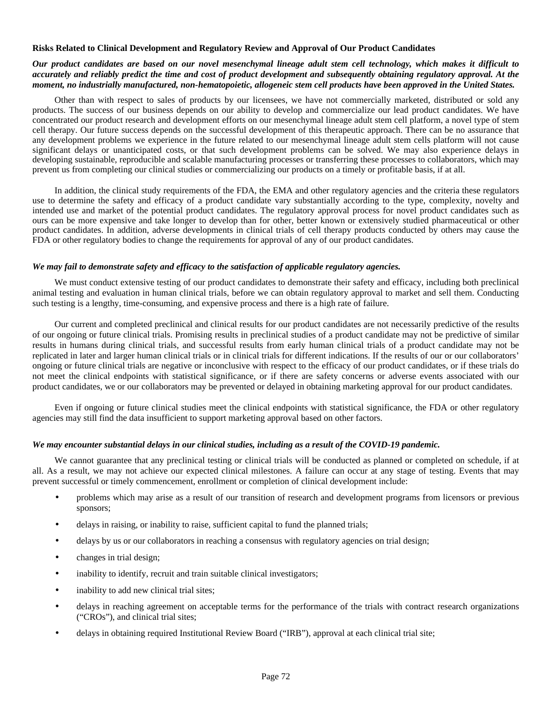## **Risks Related to Clinical Development and Regulatory Review and Approval of Our Product Candidates**

# *Our product candidates are based on our novel mesenchymal lineage adult stem cell technology, which makes it difficult to accurately and reliably predict the time and cost of product development and subsequently obtaining regulatory approval. At the moment, no industrially manufactured, non-hematopoietic, allogeneic stem cell products have been approved in the United States.*

Other than with respect to sales of products by our licensees, we have not commercially marketed, distributed or sold any products. The success of our business depends on our ability to develop and commercialize our lead product candidates. We have concentrated our product research and development efforts on our mesenchymal lineage adult stem cell platform, a novel type of stem cell therapy. Our future success depends on the successful development of this therapeutic approach. There can be no assurance that any development problems we experience in the future related to our mesenchymal lineage adult stem cells platform will not cause significant delays or unanticipated costs, or that such development problems can be solved. We may also experience delays in developing sustainable, reproducible and scalable manufacturing processes or transferring these processes to collaborators, which may prevent us from completing our clinical studies or commercializing our products on a timely or profitable basis, if at all.

In addition, the clinical study requirements of the FDA, the EMA and other regulatory agencies and the criteria these regulators use to determine the safety and efficacy of a product candidate vary substantially according to the type, complexity, novelty and intended use and market of the potential product candidates. The regulatory approval process for novel product candidates such as ours can be more expensive and take longer to develop than for other, better known or extensively studied pharmaceutical or other product candidates. In addition, adverse developments in clinical trials of cell therapy products conducted by others may cause the FDA or other regulatory bodies to change the requirements for approval of any of our product candidates.

## *We may fail to demonstrate safety and efficacy to the satisfaction of applicable regulatory agencies.*

We must conduct extensive testing of our product candidates to demonstrate their safety and efficacy, including both preclinical animal testing and evaluation in human clinical trials, before we can obtain regulatory approval to market and sell them. Conducting such testing is a lengthy, time-consuming, and expensive process and there is a high rate of failure.

Our current and completed preclinical and clinical results for our product candidates are not necessarily predictive of the results of our ongoing or future clinical trials. Promising results in preclinical studies of a product candidate may not be predictive of similar results in humans during clinical trials, and successful results from early human clinical trials of a product candidate may not be replicated in later and larger human clinical trials or in clinical trials for different indications. If the results of our or our collaborators' ongoing or future clinical trials are negative or inconclusive with respect to the efficacy of our product candidates, or if these trials do not meet the clinical endpoints with statistical significance, or if there are safety concerns or adverse events associated with our product candidates, we or our collaborators may be prevented or delayed in obtaining marketing approval for our product candidates.

Even if ongoing or future clinical studies meet the clinical endpoints with statistical significance, the FDA or other regulatory agencies may still find the data insufficient to support marketing approval based on other factors.

## *We may encounter substantial delays in our clinical studies, including as a result of the COVID-19 pandemic.*

We cannot guarantee that any preclinical testing or clinical trials will be conducted as planned or completed on schedule, if at all. As a result, we may not achieve our expected clinical milestones. A failure can occur at any stage of testing. Events that may prevent successful or timely commencement, enrollment or completion of clinical development include:

- problems which may arise as a result of our transition of research and development programs from licensors or previous sponsors;
- delays in raising, or inability to raise, sufficient capital to fund the planned trials;
- delays by us or our collaborators in reaching a consensus with regulatory agencies on trial design;
- changes in trial design;
- inability to identify, recruit and train suitable clinical investigators;
- inability to add new clinical trial sites;
- delays in reaching agreement on acceptable terms for the performance of the trials with contract research organizations ("CROs"), and clinical trial sites;
- delays in obtaining required Institutional Review Board ("IRB"), approval at each clinical trial site;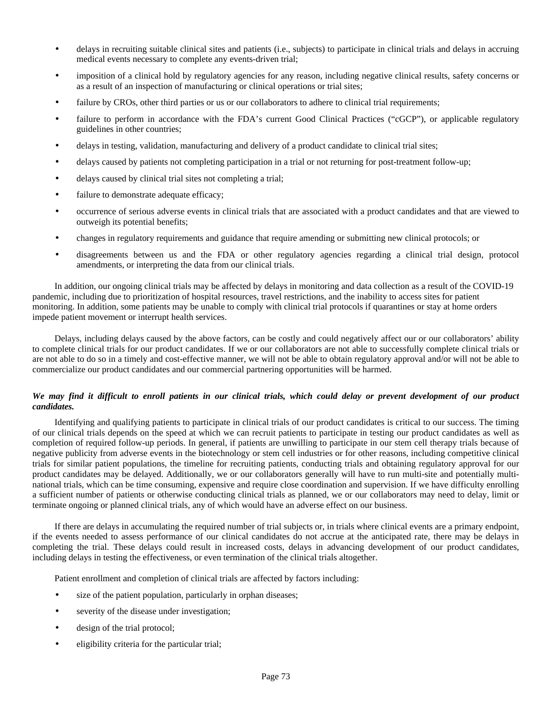- delays in recruiting suitable clinical sites and patients (i.e., subjects) to participate in clinical trials and delays in accruing medical events necessary to complete any events-driven trial;
- imposition of a clinical hold by regulatory agencies for any reason, including negative clinical results, safety concerns or as a result of an inspection of manufacturing or clinical operations or trial sites;
- failure by CROs, other third parties or us or our collaborators to adhere to clinical trial requirements;
- failure to perform in accordance with the FDA's current Good Clinical Practices ("cGCP"), or applicable regulatory guidelines in other countries;
- delays in testing, validation, manufacturing and delivery of a product candidate to clinical trial sites;
- delays caused by patients not completing participation in a trial or not returning for post-treatment follow-up;
- delays caused by clinical trial sites not completing a trial;
- failure to demonstrate adequate efficacy;
- occurrence of serious adverse events in clinical trials that are associated with a product candidates and that are viewed to outweigh its potential benefits;
- changes in regulatory requirements and guidance that require amending or submitting new clinical protocols; or
- disagreements between us and the FDA or other regulatory agencies regarding a clinical trial design, protocol amendments, or interpreting the data from our clinical trials.

In addition, our ongoing clinical trials may be affected by delays in monitoring and data collection as a result of the COVID-19 pandemic, including due to prioritization of hospital resources, travel restrictions, and the inability to access sites for patient monitoring. In addition, some patients may be unable to comply with clinical trial protocols if quarantines or stay at home orders impede patient movement or interrupt health services.

Delays, including delays caused by the above factors, can be costly and could negatively affect our or our collaborators' ability to complete clinical trials for our product candidates. If we or our collaborators are not able to successfully complete clinical trials or are not able to do so in a timely and cost-effective manner, we will not be able to obtain regulatory approval and/or will not be able to commercialize our product candidates and our commercial partnering opportunities will be harmed.

# *We may find it difficult to enroll patients in our clinical trials, which could delay or prevent development of our product candidates.*

Identifying and qualifying patients to participate in clinical trials of our product candidates is critical to our success. The timing of our clinical trials depends on the speed at which we can recruit patients to participate in testing our product candidates as well as completion of required follow-up periods. In general, if patients are unwilling to participate in our stem cell therapy trials because of negative publicity from adverse events in the biotechnology or stem cell industries or for other reasons, including competitive clinical trials for similar patient populations, the timeline for recruiting patients, conducting trials and obtaining regulatory approval for our product candidates may be delayed. Additionally, we or our collaborators generally will have to run multi-site and potentially multinational trials, which can be time consuming, expensive and require close coordination and supervision. If we have difficulty enrolling a sufficient number of patients or otherwise conducting clinical trials as planned, we or our collaborators may need to delay, limit or terminate ongoing or planned clinical trials, any of which would have an adverse effect on our business.

If there are delays in accumulating the required number of trial subjects or, in trials where clinical events are a primary endpoint, if the events needed to assess performance of our clinical candidates do not accrue at the anticipated rate, there may be delays in completing the trial. These delays could result in increased costs, delays in advancing development of our product candidates, including delays in testing the effectiveness, or even termination of the clinical trials altogether.

Patient enrollment and completion of clinical trials are affected by factors including:

- size of the patient population, particularly in orphan diseases;
- severity of the disease under investigation;
- design of the trial protocol;
- eligibility criteria for the particular trial;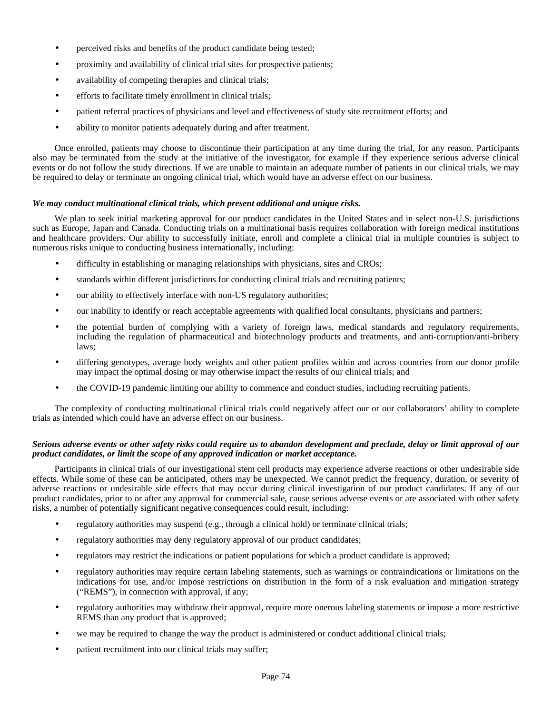- perceived risks and benefits of the product candidate being tested;
- proximity and availability of clinical trial sites for prospective patients;
- availability of competing therapies and clinical trials;
- efforts to facilitate timely enrollment in clinical trials;
- patient referral practices of physicians and level and effectiveness of study site recruitment efforts; and
- ability to monitor patients adequately during and after treatment.

Once enrolled, patients may choose to discontinue their participation at any time during the trial, for any reason. Participants also may be terminated from the study at the initiative of the investigator, for example if they experience serious adverse clinical events or do not follow the study directions. If we are unable to maintain an adequate number of patients in our clinical trials, we may be required to delay or terminate an ongoing clinical trial, which would have an adverse effect on our business.

#### *We may conduct multinational clinical trials, which present additional and unique risks.*

We plan to seek initial marketing approval for our product candidates in the United States and in select non-U.S. jurisdictions such as Europe, Japan and Canada. Conducting trials on a multinational basis requires collaboration with foreign medical institutions and healthcare providers. Our ability to successfully initiate, enroll and complete a clinical trial in multiple countries is subject to numerous risks unique to conducting business internationally, including:

- difficulty in establishing or managing relationships with physicians, sites and CROs;
- standards within different jurisdictions for conducting clinical trials and recruiting patients;
- our ability to effectively interface with non-US regulatory authorities;
- our inability to identify or reach acceptable agreements with qualified local consultants, physicians and partners;
- the potential burden of complying with a variety of foreign laws, medical standards and regulatory requirements, including the regulation of pharmaceutical and biotechnology products and treatments, and anti-corruption/anti-bribery laws;
- differing genotypes, average body weights and other patient profiles within and across countries from our donor profile may impact the optimal dosing or may otherwise impact the results of our clinical trials; and
- the COVID-19 pandemic limiting our ability to commence and conduct studies, including recruiting patients.

The complexity of conducting multinational clinical trials could negatively affect our or our collaborators' ability to complete trials as intended which could have an adverse effect on our business.

## *Serious adverse events or other safety risks could require us to abandon development and preclude, delay or limit approval of our product candidates, or limit the scope of any approved indication or market acceptance.*

Participants in clinical trials of our investigational stem cell products may experience adverse reactions or other undesirable side effects. While some of these can be anticipated, others may be unexpected. We cannot predict the frequency, duration, or severity of adverse reactions or undesirable side effects that may occur during clinical investigation of our product candidates. If any of our product candidates, prior to or after any approval for commercial sale, cause serious adverse events or are associated with other safety risks, a number of potentially significant negative consequences could result, including:

- regulatory authorities may suspend (e.g., through a clinical hold) or terminate clinical trials;
- regulatory authorities may deny regulatory approval of our product candidates;
- regulators may restrict the indications or patient populations for which a product candidate is approved;
- regulatory authorities may require certain labeling statements, such as warnings or contraindications or limitations on the indications for use, and/or impose restrictions on distribution in the form of a risk evaluation and mitigation strategy ("REMS"), in connection with approval, if any;
- regulatory authorities may withdraw their approval, require more onerous labeling statements or impose a more restrictive REMS than any product that is approved;
- we may be required to change the way the product is administered or conduct additional clinical trials;
- patient recruitment into our clinical trials may suffer;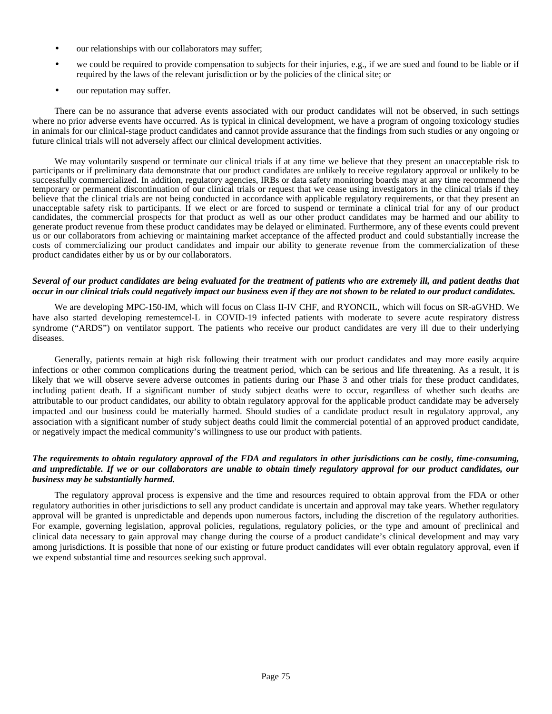- our relationships with our collaborators may suffer;
- we could be required to provide compensation to subjects for their injuries, e.g., if we are sued and found to be liable or if required by the laws of the relevant jurisdiction or by the policies of the clinical site; or
- our reputation may suffer.

There can be no assurance that adverse events associated with our product candidates will not be observed, in such settings where no prior adverse events have occurred. As is typical in clinical development, we have a program of ongoing toxicology studies in animals for our clinical-stage product candidates and cannot provide assurance that the findings from such studies or any ongoing or future clinical trials will not adversely affect our clinical development activities.

We may voluntarily suspend or terminate our clinical trials if at any time we believe that they present an unacceptable risk to participants or if preliminary data demonstrate that our product candidates are unlikely to receive regulatory approval or unlikely to be successfully commercialized. In addition, regulatory agencies, IRBs or data safety monitoring boards may at any time recommend the temporary or permanent discontinuation of our clinical trials or request that we cease using investigators in the clinical trials if they believe that the clinical trials are not being conducted in accordance with applicable regulatory requirements, or that they present an unacceptable safety risk to participants. If we elect or are forced to suspend or terminate a clinical trial for any of our product candidates, the commercial prospects for that product as well as our other product candidates may be harmed and our ability to generate product revenue from these product candidates may be delayed or eliminated. Furthermore, any of these events could prevent us or our collaborators from achieving or maintaining market acceptance of the affected product and could substantially increase the costs of commercializing our product candidates and impair our ability to generate revenue from the commercialization of these product candidates either by us or by our collaborators.

# *Several of our product candidates are being evaluated for the treatment of patients who are extremely ill, and patient deaths that occur in our clinical trials could negatively impact our business even if they are not shown to be related to our product candidates.*

We are developing MPC-150-IM, which will focus on Class II-IV CHF, and RYONCIL, which will focus on SR-aGVHD. We have also started developing remestemcel-L in COVID-19 infected patients with moderate to severe acute respiratory distress syndrome ("ARDS") on ventilator support. The patients who receive our product candidates are very ill due to their underlying diseases.

Generally, patients remain at high risk following their treatment with our product candidates and may more easily acquire infections or other common complications during the treatment period, which can be serious and life threatening. As a result, it is likely that we will observe severe adverse outcomes in patients during our Phase 3 and other trials for these product candidates, including patient death. If a significant number of study subject deaths were to occur, regardless of whether such deaths are attributable to our product candidates, our ability to obtain regulatory approval for the applicable product candidate may be adversely impacted and our business could be materially harmed. Should studies of a candidate product result in regulatory approval, any association with a significant number of study subject deaths could limit the commercial potential of an approved product candidate, or negatively impact the medical community's willingness to use our product with patients.

# *The requirements to obtain regulatory approval of the FDA and regulators in other jurisdictions can be costly, time-consuming, and unpredictable. If we or our collaborators are unable to obtain timely regulatory approval for our product candidates, our business may be substantially harmed.*

The regulatory approval process is expensive and the time and resources required to obtain approval from the FDA or other regulatory authorities in other jurisdictions to sell any product candidate is uncertain and approval may take years. Whether regulatory approval will be granted is unpredictable and depends upon numerous factors, including the discretion of the regulatory authorities. For example, governing legislation, approval policies, regulations, regulatory policies, or the type and amount of preclinical and clinical data necessary to gain approval may change during the course of a product candidate's clinical development and may vary among jurisdictions. It is possible that none of our existing or future product candidates will ever obtain regulatory approval, even if we expend substantial time and resources seeking such approval.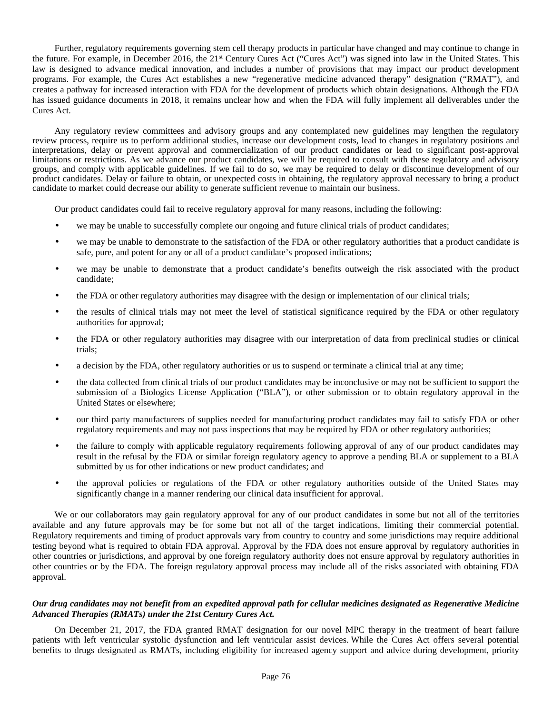Further, regulatory requirements governing stem cell therapy products in particular have changed and may continue to change in the future. For example, in December 2016, the 21<sup>st</sup> Century Cures Act ("Cures Act") was signed into law in the United States. This law is designed to advance medical innovation, and includes a number of provisions that may impact our product development programs. For example, the Cures Act establishes a new "regenerative medicine advanced therapy" designation ("RMAT"), and creates a pathway for increased interaction with FDA for the development of products which obtain designations. Although the FDA has issued guidance documents in 2018, it remains unclear how and when the FDA will fully implement all deliverables under the Cures Act.

Any regulatory review committees and advisory groups and any contemplated new guidelines may lengthen the regulatory review process, require us to perform additional studies, increase our development costs, lead to changes in regulatory positions and interpretations, delay or prevent approval and commercialization of our product candidates or lead to significant post-approval limitations or restrictions. As we advance our product candidates, we will be required to consult with these regulatory and advisory groups, and comply with applicable guidelines. If we fail to do so, we may be required to delay or discontinue development of our product candidates. Delay or failure to obtain, or unexpected costs in obtaining, the regulatory approval necessary to bring a product candidate to market could decrease our ability to generate sufficient revenue to maintain our business.

Our product candidates could fail to receive regulatory approval for many reasons, including the following:

- we may be unable to successfully complete our ongoing and future clinical trials of product candidates;
- we may be unable to demonstrate to the satisfaction of the FDA or other regulatory authorities that a product candidate is safe, pure, and potent for any or all of a product candidate's proposed indications;
- we may be unable to demonstrate that a product candidate's benefits outweigh the risk associated with the product candidate;
- the FDA or other regulatory authorities may disagree with the design or implementation of our clinical trials;
- the results of clinical trials may not meet the level of statistical significance required by the FDA or other regulatory authorities for approval;
- the FDA or other regulatory authorities may disagree with our interpretation of data from preclinical studies or clinical trials;
- a decision by the FDA, other regulatory authorities or us to suspend or terminate a clinical trial at any time;
- the data collected from clinical trials of our product candidates may be inconclusive or may not be sufficient to support the submission of a Biologics License Application ("BLA"), or other submission or to obtain regulatory approval in the United States or elsewhere;
- our third party manufacturers of supplies needed for manufacturing product candidates may fail to satisfy FDA or other regulatory requirements and may not pass inspections that may be required by FDA or other regulatory authorities;
- the failure to comply with applicable regulatory requirements following approval of any of our product candidates may result in the refusal by the FDA or similar foreign regulatory agency to approve a pending BLA or supplement to a BLA submitted by us for other indications or new product candidates; and
- the approval policies or regulations of the FDA or other regulatory authorities outside of the United States may significantly change in a manner rendering our clinical data insufficient for approval.

We or our collaborators may gain regulatory approval for any of our product candidates in some but not all of the territories available and any future approvals may be for some but not all of the target indications, limiting their commercial potential. Regulatory requirements and timing of product approvals vary from country to country and some jurisdictions may require additional testing beyond what is required to obtain FDA approval. Approval by the FDA does not ensure approval by regulatory authorities in other countries or jurisdictions, and approval by one foreign regulatory authority does not ensure approval by regulatory authorities in other countries or by the FDA. The foreign regulatory approval process may include all of the risks associated with obtaining FDA approval.

#### *Our drug candidates may not benefit from an expedited approval path for cellular medicines designated as Regenerative Medicine Advanced Therapies (RMATs) under the 21st Century Cures Act.*

On December 21, 2017, the FDA granted RMAT designation for our novel MPC therapy in the treatment of heart failure patients with left ventricular systolic dysfunction and left ventricular assist devices. While the Cures Act offers several potential benefits to drugs designated as RMATs, including eligibility for increased agency support and advice during development, priority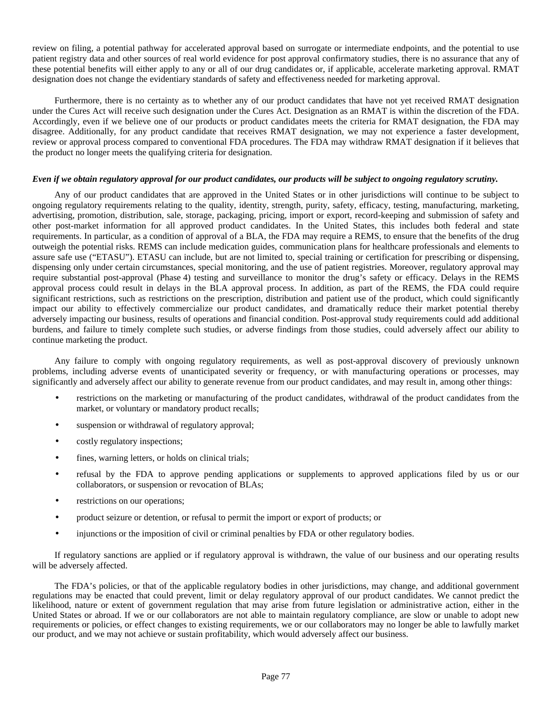review on filing, a potential pathway for accelerated approval based on surrogate or intermediate endpoints, and the potential to use patient registry data and other sources of real world evidence for post approval confirmatory studies, there is no assurance that any of these potential benefits will either apply to any or all of our drug candidates or, if applicable, accelerate marketing approval. RMAT designation does not change the evidentiary standards of safety and effectiveness needed for marketing approval.

Furthermore, there is no certainty as to whether any of our product candidates that have not yet received RMAT designation under the Cures Act will receive such designation under the Cures Act. Designation as an RMAT is within the discretion of the FDA. Accordingly, even if we believe one of our products or product candidates meets the criteria for RMAT designation, the FDA may disagree. Additionally, for any product candidate that receives RMAT designation, we may not experience a faster development, review or approval process compared to conventional FDA procedures. The FDA may withdraw RMAT designation if it believes that the product no longer meets the qualifying criteria for designation.

## *Even if we obtain regulatory approval for our product candidates, our products will be subject to ongoing regulatory scrutiny.*

Any of our product candidates that are approved in the United States or in other jurisdictions will continue to be subject to ongoing regulatory requirements relating to the quality, identity, strength, purity, safety, efficacy, testing, manufacturing, marketing, advertising, promotion, distribution, sale, storage, packaging, pricing, import or export, record-keeping and submission of safety and other post-market information for all approved product candidates. In the United States, this includes both federal and state requirements. In particular, as a condition of approval of a BLA, the FDA may require a REMS, to ensure that the benefits of the drug outweigh the potential risks. REMS can include medication guides, communication plans for healthcare professionals and elements to assure safe use ("ETASU"). ETASU can include, but are not limited to, special training or certification for prescribing or dispensing, dispensing only under certain circumstances, special monitoring, and the use of patient registries. Moreover, regulatory approval may require substantial post-approval (Phase 4) testing and surveillance to monitor the drug's safety or efficacy. Delays in the REMS approval process could result in delays in the BLA approval process. In addition, as part of the REMS, the FDA could require significant restrictions, such as restrictions on the prescription, distribution and patient use of the product, which could significantly impact our ability to effectively commercialize our product candidates, and dramatically reduce their market potential thereby adversely impacting our business, results of operations and financial condition. Post-approval study requirements could add additional burdens, and failure to timely complete such studies, or adverse findings from those studies, could adversely affect our ability to continue marketing the product.

Any failure to comply with ongoing regulatory requirements, as well as post-approval discovery of previously unknown problems, including adverse events of unanticipated severity or frequency, or with manufacturing operations or processes, may significantly and adversely affect our ability to generate revenue from our product candidates, and may result in, among other things:

- restrictions on the marketing or manufacturing of the product candidates, withdrawal of the product candidates from the market, or voluntary or mandatory product recalls;
- suspension or withdrawal of regulatory approval;
- costly regulatory inspections;
- fines, warning letters, or holds on clinical trials;
- refusal by the FDA to approve pending applications or supplements to approved applications filed by us or our collaborators, or suspension or revocation of BLAs;
- restrictions on our operations;
- product seizure or detention, or refusal to permit the import or export of products; or
- injunctions or the imposition of civil or criminal penalties by FDA or other regulatory bodies.

If regulatory sanctions are applied or if regulatory approval is withdrawn, the value of our business and our operating results will be adversely affected.

The FDA's policies, or that of the applicable regulatory bodies in other jurisdictions, may change, and additional government regulations may be enacted that could prevent, limit or delay regulatory approval of our product candidates. We cannot predict the likelihood, nature or extent of government regulation that may arise from future legislation or administrative action, either in the United States or abroad. If we or our collaborators are not able to maintain regulatory compliance, are slow or unable to adopt new requirements or policies, or effect changes to existing requirements, we or our collaborators may no longer be able to lawfully market our product, and we may not achieve or sustain profitability, which would adversely affect our business.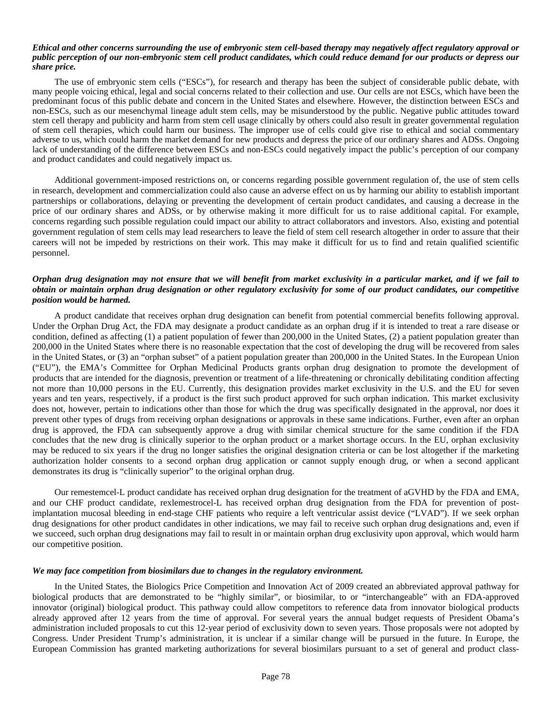#### *Ethical and other concerns surrounding the use of embryonic stem cell-based therapy may negatively affect regulatory approval or public perception of our non-embryonic stem cell product candidates, which could reduce demand for our products or depress our share price.*

The use of embryonic stem cells ("ESCs"), for research and therapy has been the subject of considerable public debate, with many people voicing ethical, legal and social concerns related to their collection and use. Our cells are not ESCs, which have been the predominant focus of this public debate and concern in the United States and elsewhere. However, the distinction between ESCs and non-ESCs, such as our mesenchymal lineage adult stem cells, may be misunderstood by the public. Negative public attitudes toward stem cell therapy and publicity and harm from stem cell usage clinically by others could also result in greater governmental regulation of stem cell therapies, which could harm our business. The improper use of cells could give rise to ethical and social commentary adverse to us, which could harm the market demand for new products and depress the price of our ordinary shares and ADSs. Ongoing lack of understanding of the difference between ESCs and non-ESCs could negatively impact the public's perception of our company and product candidates and could negatively impact us.

Additional government-imposed restrictions on, or concerns regarding possible government regulation of, the use of stem cells in research, development and commercialization could also cause an adverse effect on us by harming our ability to establish important partnerships or collaborations, delaying or preventing the development of certain product candidates, and causing a decrease in the price of our ordinary shares and ADSs, or by otherwise making it more difficult for us to raise additional capital. For example, concerns regarding such possible regulation could impact our ability to attract collaborators and investors. Also, existing and potential government regulation of stem cells may lead researchers to leave the field of stem cell research altogether in order to assure that their careers will not be impeded by restrictions on their work. This may make it difficult for us to find and retain qualified scientific personnel.

# *Orphan drug designation may not ensure that we will benefit from market exclusivity in a particular market, and if we fail to obtain or maintain orphan drug designation or other regulatory exclusivity for some of our product candidates, our competitive position would be harmed.*

A product candidate that receives orphan drug designation can benefit from potential commercial benefits following approval. Under the Orphan Drug Act, the FDA may designate a product candidate as an orphan drug if it is intended to treat a rare disease or condition, defined as affecting (1) a patient population of fewer than 200,000 in the United States, (2) a patient population greater than 200,000 in the United States where there is no reasonable expectation that the cost of developing the drug will be recovered from sales in the United States, or (3) an "orphan subset" of a patient population greater than 200,000 in the United States. In the European Union ("EU"), the EMA's Committee for Orphan Medicinal Products grants orphan drug designation to promote the development of products that are intended for the diagnosis, prevention or treatment of a life-threatening or chronically debilitating condition affecting not more than 10,000 persons in the EU. Currently, this designation provides market exclusivity in the U.S. and the EU for seven years and ten years, respectively, if a product is the first such product approved for such orphan indication. This market exclusivity does not, however, pertain to indications other than those for which the drug was specifically designated in the approval, nor does it prevent other types of drugs from receiving orphan designations or approvals in these same indications. Further, even after an orphan drug is approved, the FDA can subsequently approve a drug with similar chemical structure for the same condition if the FDA concludes that the new drug is clinically superior to the orphan product or a market shortage occurs. In the EU, orphan exclusivity may be reduced to six years if the drug no longer satisfies the original designation criteria or can be lost altogether if the marketing authorization holder consents to a second orphan drug application or cannot supply enough drug, or when a second applicant demonstrates its drug is "clinically superior" to the original orphan drug.

Our remestemcel-L product candidate has received orphan drug designation for the treatment of aGVHD by the FDA and EMA, and our CHF product candidate, rexlemestrocel-L has received orphan drug designation from the FDA for prevention of postimplantation mucosal bleeding in end-stage CHF patients who require a left ventricular assist device ("LVAD"). If we seek orphan drug designations for other product candidates in other indications, we may fail to receive such orphan drug designations and, even if we succeed, such orphan drug designations may fail to result in or maintain orphan drug exclusivity upon approval, which would harm our competitive position.

#### *We may face competition from biosimilars due to changes in the regulatory environment.*

In the United States, the Biologics Price Competition and Innovation Act of 2009 created an abbreviated approval pathway for biological products that are demonstrated to be "highly similar", or biosimilar, to or "interchangeable" with an FDA-approved innovator (original) biological product. This pathway could allow competitors to reference data from innovator biological products already approved after 12 years from the time of approval. For several years the annual budget requests of President Obama's administration included proposals to cut this 12-year period of exclusivity down to seven years. Those proposals were not adopted by Congress. Under President Trump's administration, it is unclear if a similar change will be pursued in the future. In Europe, the European Commission has granted marketing authorizations for several biosimilars pursuant to a set of general and product class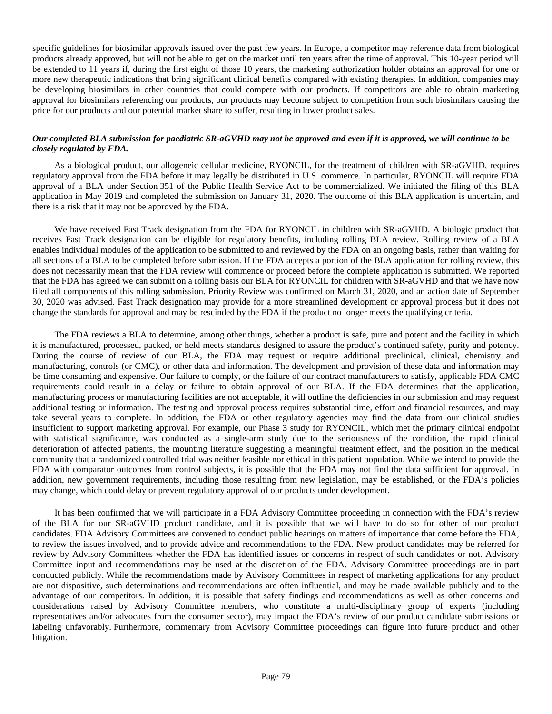specific guidelines for biosimilar approvals issued over the past few years. In Europe, a competitor may reference data from biological products already approved, but will not be able to get on the market until ten years after the time of approval. This 10-year period will be extended to 11 years if, during the first eight of those 10 years, the marketing authorization holder obtains an approval for one or more new therapeutic indications that bring significant clinical benefits compared with existing therapies. In addition, companies may be developing biosimilars in other countries that could compete with our products. If competitors are able to obtain marketing approval for biosimilars referencing our products, our products may become subject to competition from such biosimilars causing the price for our products and our potential market share to suffer, resulting in lower product sales.

## *Our completed BLA submission for paediatric SR-aGVHD may not be approved and even if it is approved, we will continue to be closely regulated by FDA.*

As a biological product, our allogeneic cellular medicine, RYONCIL, for the treatment of children with SR-aGVHD, requires regulatory approval from the FDA before it may legally be distributed in U.S. commerce. In particular, RYONCIL will require FDA approval of a BLA under Section 351 of the Public Health Service Act to be commercialized. We initiated the filing of this BLA application in May 2019 and completed the submission on January 31, 2020. The outcome of this BLA application is uncertain, and there is a risk that it may not be approved by the FDA.

We have received Fast Track designation from the FDA for RYONCIL in children with SR-aGVHD. A biologic product that receives Fast Track designation can be eligible for regulatory benefits, including rolling BLA review. Rolling review of a BLA enables individual modules of the application to be submitted to and reviewed by the FDA on an ongoing basis, rather than waiting for all sections of a BLA to be completed before submission. If the FDA accepts a portion of the BLA application for rolling review, this does not necessarily mean that the FDA review will commence or proceed before the complete application is submitted. We reported that the FDA has agreed we can submit on a rolling basis our BLA for RYONCIL for children with SR-aGVHD and that we have now filed all components of this rolling submission. Priority Review was confirmed on March 31, 2020, and an action date of September 30, 2020 was advised. Fast Track designation may provide for a more streamlined development or approval process but it does not change the standards for approval and may be rescinded by the FDA if the product no longer meets the qualifying criteria.

The FDA reviews a BLA to determine, among other things, whether a product is safe, pure and potent and the facility in which it is manufactured, processed, packed, or held meets standards designed to assure the product's continued safety, purity and potency. During the course of review of our BLA, the FDA may request or require additional preclinical, clinical, chemistry and manufacturing, controls (or CMC), or other data and information. The development and provision of these data and information may be time consuming and expensive. Our failure to comply, or the failure of our contract manufacturers to satisfy, applicable FDA CMC requirements could result in a delay or failure to obtain approval of our BLA. If the FDA determines that the application, manufacturing process or manufacturing facilities are not acceptable, it will outline the deficiencies in our submission and may request additional testing or information. The testing and approval process requires substantial time, effort and financial resources, and may take several years to complete. In addition, the FDA or other regulatory agencies may find the data from our clinical studies insufficient to support marketing approval. For example, our Phase 3 study for RYONCIL, which met the primary clinical endpoint with statistical significance, was conducted as a single-arm study due to the seriousness of the condition, the rapid clinical deterioration of affected patients, the mounting literature suggesting a meaningful treatment effect, and the position in the medical community that a randomized controlled trial was neither feasible nor ethical in this patient population. While we intend to provide the FDA with comparator outcomes from control subjects, it is possible that the FDA may not find the data sufficient for approval. In addition, new government requirements, including those resulting from new legislation, may be established, or the FDA's policies may change, which could delay or prevent regulatory approval of our products under development.

It has been confirmed that we will participate in a FDA Advisory Committee proceeding in connection with the FDA's review of the BLA for our SR-aGVHD product candidate, and it is possible that we will have to do so for other of our product candidates. FDA Advisory Committees are convened to conduct public hearings on matters of importance that come before the FDA, to review the issues involved, and to provide advice and recommendations to the FDA. New product candidates may be referred for review by Advisory Committees whether the FDA has identified issues or concerns in respect of such candidates or not. Advisory Committee input and recommendations may be used at the discretion of the FDA. Advisory Committee proceedings are in part conducted publicly. While the recommendations made by Advisory Committees in respect of marketing applications for any product are not dispositive, such determinations and recommendations are often influential, and may be made available publicly and to the advantage of our competitors. In addition, it is possible that safety findings and recommendations as well as other concerns and considerations raised by Advisory Committee members, who constitute a multi-disciplinary group of experts (including representatives and/or advocates from the consumer sector), may impact the FDA's review of our product candidate submissions or labeling unfavorably. Furthermore, commentary from Advisory Committee proceedings can figure into future product and other litigation.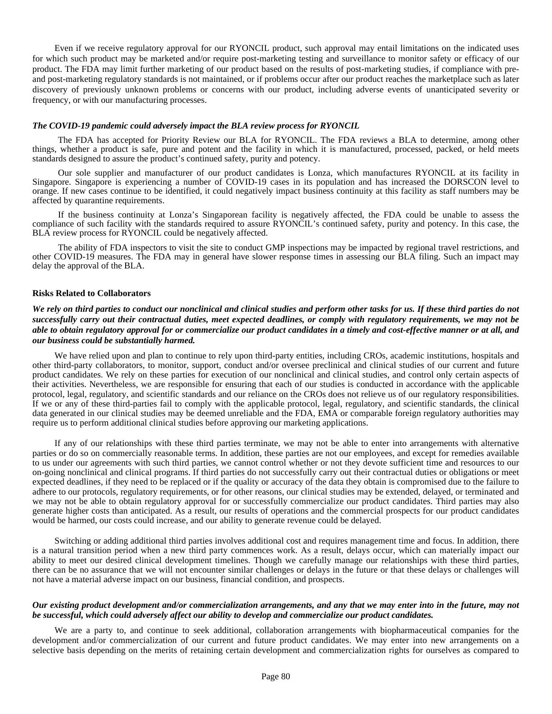Even if we receive regulatory approval for our RYONCIL product, such approval may entail limitations on the indicated uses for which such product may be marketed and/or require post-marketing testing and surveillance to monitor safety or efficacy of our product. The FDA may limit further marketing of our product based on the results of post-marketing studies, if compliance with preand post-marketing regulatory standards is not maintained, or if problems occur after our product reaches the marketplace such as later discovery of previously unknown problems or concerns with our product, including adverse events of unanticipated severity or frequency, or with our manufacturing processes.

#### *The COVID-19 pandemic could adversely impact the BLA review process for RYONCIL*

The FDA has accepted for Priority Review our BLA for RYONCIL. The FDA reviews a BLA to determine, among other things, whether a product is safe, pure and potent and the facility in which it is manufactured, processed, packed, or held meets standards designed to assure the product's continued safety, purity and potency.

Our sole supplier and manufacturer of our product candidates is Lonza, which manufactures RYONCIL at its facility in Singapore. Singapore is experiencing a number of COVID-19 cases in its population and has increased the DORSCON level to orange. If new cases continue to be identified, it could negatively impact business continuity at this facility as staff numbers may be affected by quarantine requirements.

If the business continuity at Lonza's Singaporean facility is negatively affected, the FDA could be unable to assess the compliance of such facility with the standards required to assure RYONCIL's continued safety, purity and potency. In this case, the BLA review process for RYONCIL could be negatively affected.

The ability of FDA inspectors to visit the site to conduct GMP inspections may be impacted by regional travel restrictions, and other COVID-19 measures. The FDA may in general have slower response times in assessing our BLA filing. Such an impact may delay the approval of the BLA.

#### **Risks Related to Collaborators**

*We rely on third parties to conduct our nonclinical and clinical studies and perform other tasks for us. If these third parties do not successfully carry out their contractual duties, meet expected deadlines, or comply with regulatory requirements, we may not be able to obtain regulatory approval for or commercialize our product candidates in a timely and cost-effective manner or at all, and our business could be substantially harmed.*

We have relied upon and plan to continue to rely upon third-party entities, including CROs, academic institutions, hospitals and other third-party collaborators, to monitor, support, conduct and/or oversee preclinical and clinical studies of our current and future product candidates. We rely on these parties for execution of our nonclinical and clinical studies, and control only certain aspects of their activities. Nevertheless, we are responsible for ensuring that each of our studies is conducted in accordance with the applicable protocol, legal, regulatory, and scientific standards and our reliance on the CROs does not relieve us of our regulatory responsibilities. If we or any of these third-parties fail to comply with the applicable protocol, legal, regulatory, and scientific standards, the clinical data generated in our clinical studies may be deemed unreliable and the FDA, EMA or comparable foreign regulatory authorities may require us to perform additional clinical studies before approving our marketing applications.

If any of our relationships with these third parties terminate, we may not be able to enter into arrangements with alternative parties or do so on commercially reasonable terms. In addition, these parties are not our employees, and except for remedies available to us under our agreements with such third parties, we cannot control whether or not they devote sufficient time and resources to our on-going nonclinical and clinical programs. If third parties do not successfully carry out their contractual duties or obligations or meet expected deadlines, if they need to be replaced or if the quality or accuracy of the data they obtain is compromised due to the failure to adhere to our protocols, regulatory requirements, or for other reasons, our clinical studies may be extended, delayed, or terminated and we may not be able to obtain regulatory approval for or successfully commercialize our product candidates. Third parties may also generate higher costs than anticipated. As a result, our results of operations and the commercial prospects for our product candidates would be harmed, our costs could increase, and our ability to generate revenue could be delayed.

Switching or adding additional third parties involves additional cost and requires management time and focus. In addition, there is a natural transition period when a new third party commences work. As a result, delays occur, which can materially impact our ability to meet our desired clinical development timelines. Though we carefully manage our relationships with these third parties, there can be no assurance that we will not encounter similar challenges or delays in the future or that these delays or challenges will not have a material adverse impact on our business, financial condition, and prospects.

#### *Our existing product development and/or commercialization arrangements, and any that we may enter into in the future, may not be successful, which could adversely affect our ability to develop and commercialize our product candidates.*

We are a party to, and continue to seek additional, collaboration arrangements with biopharmaceutical companies for the development and/or commercialization of our current and future product candidates. We may enter into new arrangements on a selective basis depending on the merits of retaining certain development and commercialization rights for ourselves as compared to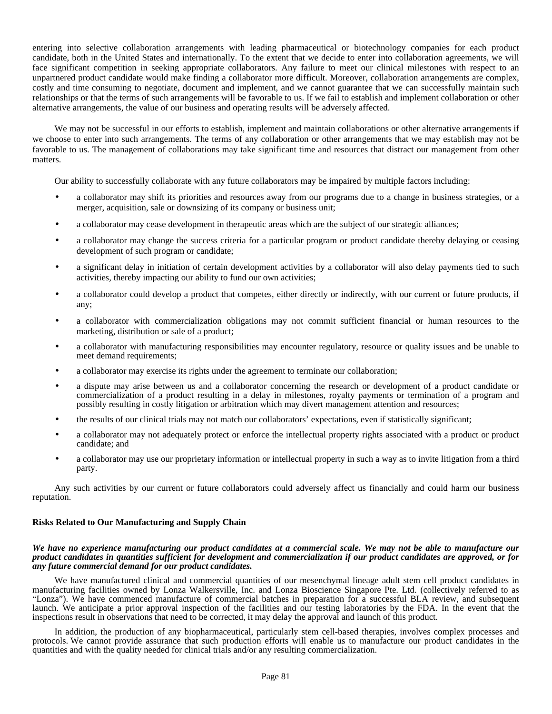entering into selective collaboration arrangements with leading pharmaceutical or biotechnology companies for each product candidate, both in the United States and internationally. To the extent that we decide to enter into collaboration agreements, we will face significant competition in seeking appropriate collaborators. Any failure to meet our clinical milestones with respect to an unpartnered product candidate would make finding a collaborator more difficult. Moreover, collaboration arrangements are complex, costly and time consuming to negotiate, document and implement, and we cannot guarantee that we can successfully maintain such relationships or that the terms of such arrangements will be favorable to us. If we fail to establish and implement collaboration or other alternative arrangements, the value of our business and operating results will be adversely affected.

We may not be successful in our efforts to establish, implement and maintain collaborations or other alternative arrangements if we choose to enter into such arrangements. The terms of any collaboration or other arrangements that we may establish may not be favorable to us. The management of collaborations may take significant time and resources that distract our management from other matters.

Our ability to successfully collaborate with any future collaborators may be impaired by multiple factors including:

- a collaborator may shift its priorities and resources away from our programs due to a change in business strategies, or a merger, acquisition, sale or downsizing of its company or business unit;
- a collaborator may cease development in therapeutic areas which are the subject of our strategic alliances;
- a collaborator may change the success criteria for a particular program or product candidate thereby delaying or ceasing development of such program or candidate;
- a significant delay in initiation of certain development activities by a collaborator will also delay payments tied to such activities, thereby impacting our ability to fund our own activities;
- a collaborator could develop a product that competes, either directly or indirectly, with our current or future products, if any;
- a collaborator with commercialization obligations may not commit sufficient financial or human resources to the marketing, distribution or sale of a product;
- a collaborator with manufacturing responsibilities may encounter regulatory, resource or quality issues and be unable to meet demand requirements;
- a collaborator may exercise its rights under the agreement to terminate our collaboration;
- a dispute may arise between us and a collaborator concerning the research or development of a product candidate or commercialization of a product resulting in a delay in milestones, royalty payments or termination of a program and possibly resulting in costly litigation or arbitration which may divert management attention and resources;
- the results of our clinical trials may not match our collaborators' expectations, even if statistically significant;
- a collaborator may not adequately protect or enforce the intellectual property rights associated with a product or product candidate; and
- a collaborator may use our proprietary information or intellectual property in such a way as to invite litigation from a third party.

Any such activities by our current or future collaborators could adversely affect us financially and could harm our business reputation.

#### **Risks Related to Our Manufacturing and Supply Chain**

#### *We have no experience manufacturing our product candidates at a commercial scale. We may not be able to manufacture our product candidates in quantities sufficient for development and commercialization if our product candidates are approved, or for any future commercial demand for our product candidates.*

We have manufactured clinical and commercial quantities of our mesenchymal lineage adult stem cell product candidates in manufacturing facilities owned by Lonza Walkersville, Inc. and Lonza Bioscience Singapore Pte. Ltd. (collectively referred to as "Lonza"). We have commenced manufacture of commercial batches in preparation for a successful BLA review, and subsequent launch. We anticipate a prior approval inspection of the facilities and our testing laboratories by the FDA. In the event that the inspections result in observations that need to be corrected, it may delay the approval and launch of this product.

In addition, the production of any biopharmaceutical, particularly stem cell-based therapies, involves complex processes and protocols. We cannot provide assurance that such production efforts will enable us to manufacture our product candidates in the quantities and with the quality needed for clinical trials and/or any resulting commercialization.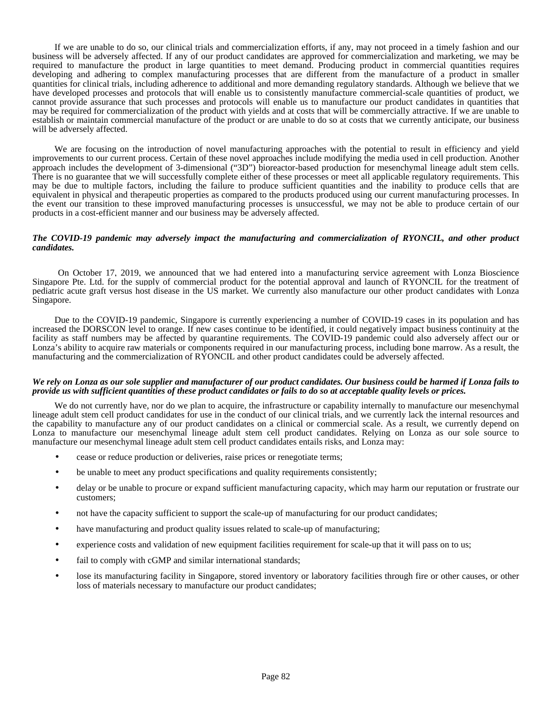If we are unable to do so, our clinical trials and commercialization efforts, if any, may not proceed in a timely fashion and our business will be adversely affected. If any of our product candidates are approved for commercialization and marketing, we may be required to manufacture the product in large quantities to meet demand. Producing product in commercial quantities requires developing and adhering to complex manufacturing processes that are different from the manufacture of a product in smaller quantities for clinical trials, including adherence to additional and more demanding regulatory standards. Although we believe that we have developed processes and protocols that will enable us to consistently manufacture commercial-scale quantities of product, we cannot provide assurance that such processes and protocols will enable us to manufacture our product candidates in quantities that may be required for commercialization of the product with yields and at costs that will be commercially attractive. If we are unable to establish or maintain commercial manufacture of the product or are unable to do so at costs that we currently anticipate, our business will be adversely affected.

We are focusing on the introduction of novel manufacturing approaches with the potential to result in efficiency and yield improvements to our current process. Certain of these novel approaches include modifying the media used in cell production. Another approach includes the development of 3-dimensional ("3D") bioreactor-based production for mesenchymal lineage adult stem cells. There is no guarantee that we will successfully complete either of these processes or meet all applicable regulatory requirements. This may be due to multiple factors, including the failure to produce sufficient quantities and the inability to produce cells that are equivalent in physical and therapeutic properties as compared to the products produced using our current manufacturing processes. In the event our transition to these improved manufacturing processes is unsuccessful, we may not be able to produce certain of our products in a cost-efficient manner and our business may be adversely affected.

#### *The COVID-19 pandemic may adversely impact the manufacturing and commercialization of RYONCIL, and other product candidates.*

On October 17, 2019, we announced that we had entered into a manufacturing service agreement with Lonza Bioscience Singapore Pte. Ltd. for the supply of commercial product for the potential approval and launch of RYONCIL for the treatment of pediatric acute graft versus host disease in the US market. We currently also manufacture our other product candidates with Lonza Singapore.

Due to the COVID-19 pandemic, Singapore is currently experiencing a number of COVID-19 cases in its population and has increased the DORSCON level to orange. If new cases continue to be identified, it could negatively impact business continuity at the facility as staff numbers may be affected by quarantine requirements. The COVID-19 pandemic could also adversely affect our or Lonza's ability to acquire raw materials or components required in our manufacturing process, including bone marrow. As a result, the manufacturing and the commercialization of RYONCIL and other product candidates could be adversely affected.

#### *We rely on Lonza as our sole supplier and manufacturer of our product candidates. Our business could be harmed if Lonza fails to provide us with sufficient quantities of these product candidates or fails to do so at acceptable quality levels or prices.*

We do not currently have, nor do we plan to acquire, the infrastructure or capability internally to manufacture our mesenchymal lineage adult stem cell product candidates for use in the conduct of our clinical trials, and we currently lack the internal resources and the capability to manufacture any of our product candidates on a clinical or commercial scale. As a result, we currently depend on Lonza to manufacture our mesenchymal lineage adult stem cell product candidates. Relying on Lonza as our sole source to manufacture our mesenchymal lineage adult stem cell product candidates entails risks, and Lonza may:

- cease or reduce production or deliveries, raise prices or renegotiate terms;
- be unable to meet any product specifications and quality requirements consistently;
- delay or be unable to procure or expand sufficient manufacturing capacity, which may harm our reputation or frustrate our customers;
- not have the capacity sufficient to support the scale-up of manufacturing for our product candidates;
- have manufacturing and product quality issues related to scale-up of manufacturing;
- experience costs and validation of new equipment facilities requirement for scale-up that it will pass on to us;
- fail to comply with cGMP and similar international standards;
- lose its manufacturing facility in Singapore, stored inventory or laboratory facilities through fire or other causes, or other loss of materials necessary to manufacture our product candidates;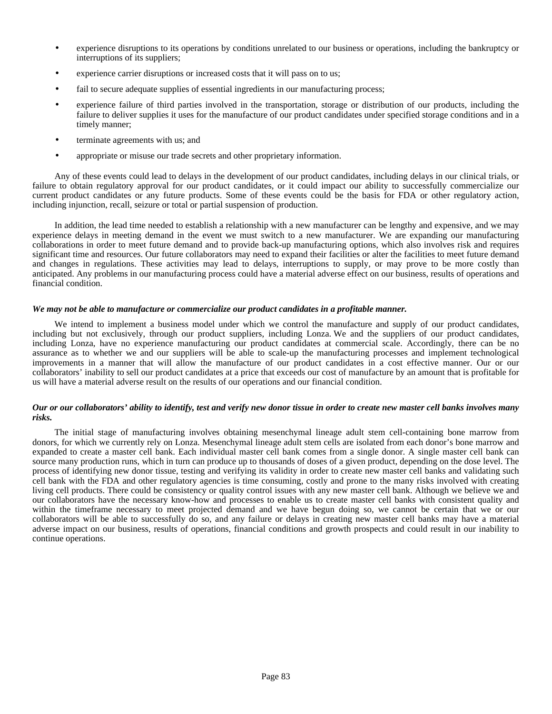- experience disruptions to its operations by conditions unrelated to our business or operations, including the bankruptcy or interruptions of its suppliers;
- experience carrier disruptions or increased costs that it will pass on to us;
- fail to secure adequate supplies of essential ingredients in our manufacturing process;
- experience failure of third parties involved in the transportation, storage or distribution of our products, including the failure to deliver supplies it uses for the manufacture of our product candidates under specified storage conditions and in a timely manner;
- terminate agreements with us; and
- appropriate or misuse our trade secrets and other proprietary information.

Any of these events could lead to delays in the development of our product candidates, including delays in our clinical trials, or failure to obtain regulatory approval for our product candidates, or it could impact our ability to successfully commercialize our current product candidates or any future products. Some of these events could be the basis for FDA or other regulatory action, including injunction, recall, seizure or total or partial suspension of production.

In addition, the lead time needed to establish a relationship with a new manufacturer can be lengthy and expensive, and we may experience delays in meeting demand in the event we must switch to a new manufacturer. We are expanding our manufacturing collaborations in order to meet future demand and to provide back-up manufacturing options, which also involves risk and requires significant time and resources. Our future collaborators may need to expand their facilities or alter the facilities to meet future demand and changes in regulations. These activities may lead to delays, interruptions to supply, or may prove to be more costly than anticipated. Any problems in our manufacturing process could have a material adverse effect on our business, results of operations and financial condition.

#### *We may not be able to manufacture or commercialize our product candidates in a profitable manner.*

We intend to implement a business model under which we control the manufacture and supply of our product candidates, including but not exclusively, through our product suppliers, including Lonza. We and the suppliers of our product candidates, including Lonza, have no experience manufacturing our product candidates at commercial scale. Accordingly, there can be no assurance as to whether we and our suppliers will be able to scale-up the manufacturing processes and implement technological improvements in a manner that will allow the manufacture of our product candidates in a cost effective manner. Our or our collaborators' inability to sell our product candidates at a price that exceeds our cost of manufacture by an amount that is profitable for us will have a material adverse result on the results of our operations and our financial condition.

#### *Our or our collaborators' ability to identify, test and verify new donor tissue in order to create new master cell banks involves many risks.*

The initial stage of manufacturing involves obtaining mesenchymal lineage adult stem cell-containing bone marrow from donors, for which we currently rely on Lonza. Mesenchymal lineage adult stem cells are isolated from each donor's bone marrow and expanded to create a master cell bank. Each individual master cell bank comes from a single donor. A single master cell bank can source many production runs, which in turn can produce up to thousands of doses of a given product, depending on the dose level. The process of identifying new donor tissue, testing and verifying its validity in order to create new master cell banks and validating such cell bank with the FDA and other regulatory agencies is time consuming, costly and prone to the many risks involved with creating living cell products. There could be consistency or quality control issues with any new master cell bank. Although we believe we and our collaborators have the necessary know-how and processes to enable us to create master cell banks with consistent quality and within the timeframe necessary to meet projected demand and we have begun doing so, we cannot be certain that we or our collaborators will be able to successfully do so, and any failure or delays in creating new master cell banks may have a material adverse impact on our business, results of operations, financial conditions and growth prospects and could result in our inability to continue operations.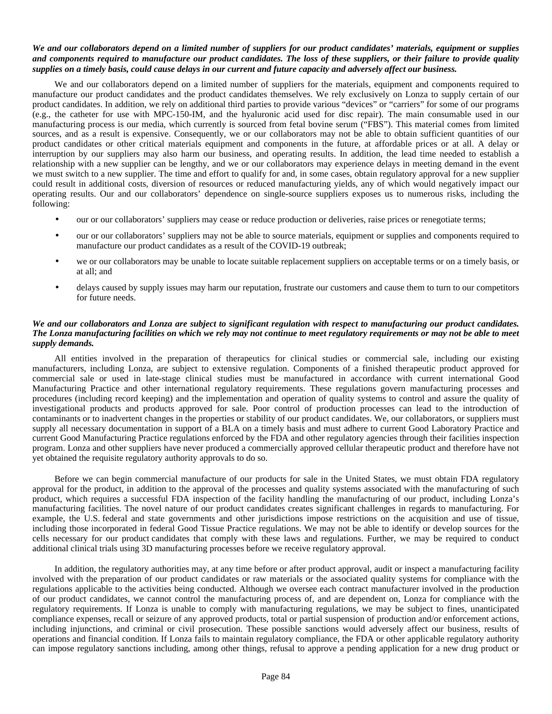### *We and our collaborators depend on a limited number of suppliers for our product candidates' materials, equipment or supplies and components required to manufacture our product candidates. The loss of these suppliers, or their failure to provide quality supplies on a timely basis, could cause delays in our current and future capacity and adversely affect our business.*

We and our collaborators depend on a limited number of suppliers for the materials, equipment and components required to manufacture our product candidates and the product candidates themselves. We rely exclusively on Lonza to supply certain of our product candidates. In addition, we rely on additional third parties to provide various "devices" or "carriers" for some of our programs (e.g., the catheter for use with MPC-150-IM, and the hyaluronic acid used for disc repair). The main consumable used in our manufacturing process is our media, which currently is sourced from fetal bovine serum ("FBS"). This material comes from limited sources, and as a result is expensive. Consequently, we or our collaborators may not be able to obtain sufficient quantities of our product candidates or other critical materials equipment and components in the future, at affordable prices or at all. A delay or interruption by our suppliers may also harm our business, and operating results. In addition, the lead time needed to establish a relationship with a new supplier can be lengthy, and we or our collaborators may experience delays in meeting demand in the event we must switch to a new supplier. The time and effort to qualify for and, in some cases, obtain regulatory approval for a new supplier could result in additional costs, diversion of resources or reduced manufacturing yields, any of which would negatively impact our operating results. Our and our collaborators' dependence on single-source suppliers exposes us to numerous risks, including the following:

- our or our collaborators' suppliers may cease or reduce production or deliveries, raise prices or renegotiate terms;
- our or our collaborators' suppliers may not be able to source materials, equipment or supplies and components required to manufacture our product candidates as a result of the COVID-19 outbreak;
- we or our collaborators may be unable to locate suitable replacement suppliers on acceptable terms or on a timely basis, or at all; and
- delays caused by supply issues may harm our reputation, frustrate our customers and cause them to turn to our competitors for future needs.

# *We and our collaborators and Lonza are subject to significant regulation with respect to manufacturing our product candidates. The Lonza manufacturing facilities on which we rely may not continue to meet regulatory requirements or may not be able to meet supply demands.*

All entities involved in the preparation of therapeutics for clinical studies or commercial sale, including our existing manufacturers, including Lonza, are subject to extensive regulation. Components of a finished therapeutic product approved for commercial sale or used in late-stage clinical studies must be manufactured in accordance with current international Good Manufacturing Practice and other international regulatory requirements. These regulations govern manufacturing processes and procedures (including record keeping) and the implementation and operation of quality systems to control and assure the quality of investigational products and products approved for sale. Poor control of production processes can lead to the introduction of contaminants or to inadvertent changes in the properties or stability of our product candidates. We, our collaborators, or suppliers must supply all necessary documentation in support of a BLA on a timely basis and must adhere to current Good Laboratory Practice and current Good Manufacturing Practice regulations enforced by the FDA and other regulatory agencies through their facilities inspection program. Lonza and other suppliers have never produced a commercially approved cellular therapeutic product and therefore have not yet obtained the requisite regulatory authority approvals to do so.

Before we can begin commercial manufacture of our products for sale in the United States, we must obtain FDA regulatory approval for the product, in addition to the approval of the processes and quality systems associated with the manufacturing of such product, which requires a successful FDA inspection of the facility handling the manufacturing of our product, including Lonza's manufacturing facilities. The novel nature of our product candidates creates significant challenges in regards to manufacturing. For example, the U.S. federal and state governments and other jurisdictions impose restrictions on the acquisition and use of tissue, including those incorporated in federal Good Tissue Practice regulations. We may not be able to identify or develop sources for the cells necessary for our product candidates that comply with these laws and regulations. Further, we may be required to conduct additional clinical trials using 3D manufacturing processes before we receive regulatory approval.

In addition, the regulatory authorities may, at any time before or after product approval, audit or inspect a manufacturing facility involved with the preparation of our product candidates or raw materials or the associated quality systems for compliance with the regulations applicable to the activities being conducted. Although we oversee each contract manufacturer involved in the production of our product candidates, we cannot control the manufacturing process of, and are dependent on, Lonza for compliance with the regulatory requirements. If Lonza is unable to comply with manufacturing regulations, we may be subject to fines, unanticipated compliance expenses, recall or seizure of any approved products, total or partial suspension of production and/or enforcement actions, including injunctions, and criminal or civil prosecution. These possible sanctions would adversely affect our business, results of operations and financial condition. If Lonza fails to maintain regulatory compliance, the FDA or other applicable regulatory authority can impose regulatory sanctions including, among other things, refusal to approve a pending application for a new drug product or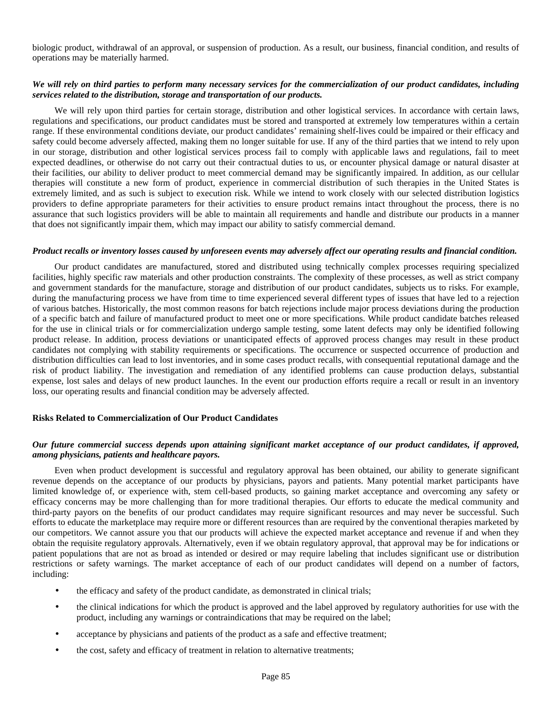biologic product, withdrawal of an approval, or suspension of production. As a result, our business, financial condition, and results of operations may be materially harmed.

# *We will rely on third parties to perform many necessary services for the commercialization of our product candidates, including services related to the distribution, storage and transportation of our products.*

We will rely upon third parties for certain storage, distribution and other logistical services. In accordance with certain laws, regulations and specifications, our product candidates must be stored and transported at extremely low temperatures within a certain range. If these environmental conditions deviate, our product candidates' remaining shelf-lives could be impaired or their efficacy and safety could become adversely affected, making them no longer suitable for use. If any of the third parties that we intend to rely upon in our storage, distribution and other logistical services process fail to comply with applicable laws and regulations, fail to meet expected deadlines, or otherwise do not carry out their contractual duties to us, or encounter physical damage or natural disaster at their facilities, our ability to deliver product to meet commercial demand may be significantly impaired. In addition, as our cellular therapies will constitute a new form of product, experience in commercial distribution of such therapies in the United States is extremely limited, and as such is subject to execution risk. While we intend to work closely with our selected distribution logistics providers to define appropriate parameters for their activities to ensure product remains intact throughout the process, there is no assurance that such logistics providers will be able to maintain all requirements and handle and distribute our products in a manner that does not significantly impair them, which may impact our ability to satisfy commercial demand.

#### *Product recalls or inventory losses caused by unforeseen events may adversely affect our operating results and financial condition.*

Our product candidates are manufactured, stored and distributed using technically complex processes requiring specialized facilities, highly specific raw materials and other production constraints. The complexity of these processes, as well as strict company and government standards for the manufacture, storage and distribution of our product candidates, subjects us to risks. For example, during the manufacturing process we have from time to time experienced several different types of issues that have led to a rejection of various batches. Historically, the most common reasons for batch rejections include major process deviations during the production of a specific batch and failure of manufactured product to meet one or more specifications. While product candidate batches released for the use in clinical trials or for commercialization undergo sample testing, some latent defects may only be identified following product release. In addition, process deviations or unanticipated effects of approved process changes may result in these product candidates not complying with stability requirements or specifications. The occurrence or suspected occurrence of production and distribution difficulties can lead to lost inventories, and in some cases product recalls, with consequential reputational damage and the risk of product liability. The investigation and remediation of any identified problems can cause production delays, substantial expense, lost sales and delays of new product launches. In the event our production efforts require a recall or result in an inventory loss, our operating results and financial condition may be adversely affected.

#### **Risks Related to Commercialization of Our Product Candidates**

## *Our future commercial success depends upon attaining significant market acceptance of our product candidates, if approved, among physicians, patients and healthcare payors.*

Even when product development is successful and regulatory approval has been obtained, our ability to generate significant revenue depends on the acceptance of our products by physicians, payors and patients. Many potential market participants have limited knowledge of, or experience with, stem cell-based products, so gaining market acceptance and overcoming any safety or efficacy concerns may be more challenging than for more traditional therapies. Our efforts to educate the medical community and third-party payors on the benefits of our product candidates may require significant resources and may never be successful. Such efforts to educate the marketplace may require more or different resources than are required by the conventional therapies marketed by our competitors. We cannot assure you that our products will achieve the expected market acceptance and revenue if and when they obtain the requisite regulatory approvals. Alternatively, even if we obtain regulatory approval, that approval may be for indications or patient populations that are not as broad as intended or desired or may require labeling that includes significant use or distribution restrictions or safety warnings. The market acceptance of each of our product candidates will depend on a number of factors, including:

- the efficacy and safety of the product candidate, as demonstrated in clinical trials;
- the clinical indications for which the product is approved and the label approved by regulatory authorities for use with the product, including any warnings or contraindications that may be required on the label;
- acceptance by physicians and patients of the product as a safe and effective treatment;
- the cost, safety and efficacy of treatment in relation to alternative treatments;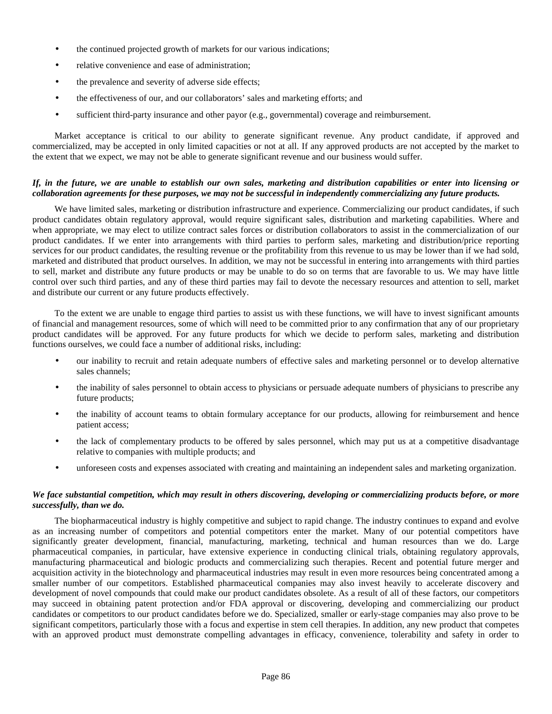- the continued projected growth of markets for our various indications;
- relative convenience and ease of administration;
- the prevalence and severity of adverse side effects;
- the effectiveness of our, and our collaborators' sales and marketing efforts; and
- sufficient third-party insurance and other payor (e.g., governmental) coverage and reimbursement.

Market acceptance is critical to our ability to generate significant revenue. Any product candidate, if approved and commercialized, may be accepted in only limited capacities or not at all. If any approved products are not accepted by the market to the extent that we expect, we may not be able to generate significant revenue and our business would suffer.

# *If, in the future, we are unable to establish our own sales, marketing and distribution capabilities or enter into licensing or collaboration agreements for these purposes, we may not be successful in independently commercializing any future products.*

We have limited sales, marketing or distribution infrastructure and experience. Commercializing our product candidates, if such product candidates obtain regulatory approval, would require significant sales, distribution and marketing capabilities. Where and when appropriate, we may elect to utilize contract sales forces or distribution collaborators to assist in the commercialization of our product candidates. If we enter into arrangements with third parties to perform sales, marketing and distribution/price reporting services for our product candidates, the resulting revenue or the profitability from this revenue to us may be lower than if we had sold, marketed and distributed that product ourselves. In addition, we may not be successful in entering into arrangements with third parties to sell, market and distribute any future products or may be unable to do so on terms that are favorable to us. We may have little control over such third parties, and any of these third parties may fail to devote the necessary resources and attention to sell, market and distribute our current or any future products effectively.

To the extent we are unable to engage third parties to assist us with these functions, we will have to invest significant amounts of financial and management resources, some of which will need to be committed prior to any confirmation that any of our proprietary product candidates will be approved. For any future products for which we decide to perform sales, marketing and distribution functions ourselves, we could face a number of additional risks, including:

- our inability to recruit and retain adequate numbers of effective sales and marketing personnel or to develop alternative sales channels;
- the inability of sales personnel to obtain access to physicians or persuade adequate numbers of physicians to prescribe any future products;
- the inability of account teams to obtain formulary acceptance for our products, allowing for reimbursement and hence patient access;
- the lack of complementary products to be offered by sales personnel, which may put us at a competitive disadvantage relative to companies with multiple products; and
- unforeseen costs and expenses associated with creating and maintaining an independent sales and marketing organization.

## *We face substantial competition, which may result in others discovering, developing or commercializing products before, or more successfully, than we do.*

The biopharmaceutical industry is highly competitive and subject to rapid change. The industry continues to expand and evolve as an increasing number of competitors and potential competitors enter the market. Many of our potential competitors have significantly greater development, financial, manufacturing, marketing, technical and human resources than we do. Large pharmaceutical companies, in particular, have extensive experience in conducting clinical trials, obtaining regulatory approvals, manufacturing pharmaceutical and biologic products and commercializing such therapies. Recent and potential future merger and acquisition activity in the biotechnology and pharmaceutical industries may result in even more resources being concentrated among a smaller number of our competitors. Established pharmaceutical companies may also invest heavily to accelerate discovery and development of novel compounds that could make our product candidates obsolete. As a result of all of these factors, our competitors may succeed in obtaining patent protection and/or FDA approval or discovering, developing and commercializing our product candidates or competitors to our product candidates before we do. Specialized, smaller or early-stage companies may also prove to be significant competitors, particularly those with a focus and expertise in stem cell therapies. In addition, any new product that competes with an approved product must demonstrate compelling advantages in efficacy, convenience, tolerability and safety in order to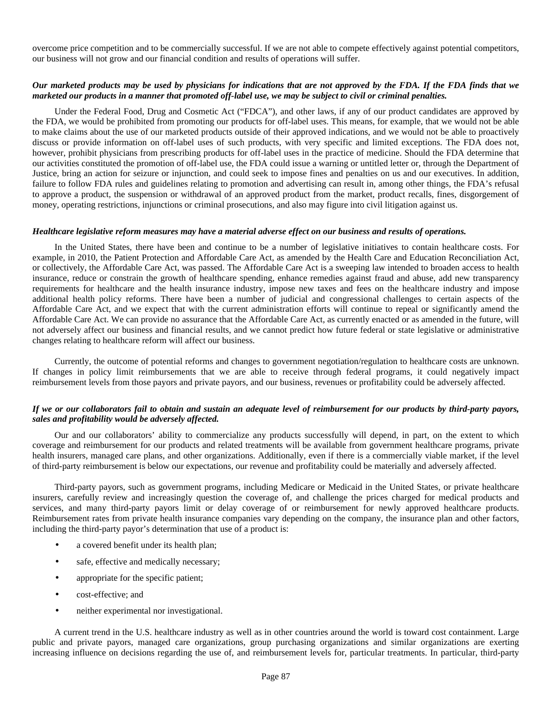overcome price competition and to be commercially successful. If we are not able to compete effectively against potential competitors, our business will not grow and our financial condition and results of operations will suffer.

## *Our marketed products may be used by physicians for indications that are not approved by the FDA. If the FDA finds that we marketed our products in a manner that promoted off-label use, we may be subject to civil or criminal penalties.*

Under the Federal Food, Drug and Cosmetic Act ("FDCA"), and other laws, if any of our product candidates are approved by the FDA, we would be prohibited from promoting our products for off-label uses. This means, for example, that we would not be able to make claims about the use of our marketed products outside of their approved indications, and we would not be able to proactively discuss or provide information on off-label uses of such products, with very specific and limited exceptions. The FDA does not, however, prohibit physicians from prescribing products for off-label uses in the practice of medicine. Should the FDA determine that our activities constituted the promotion of off-label use, the FDA could issue a warning or untitled letter or, through the Department of Justice, bring an action for seizure or injunction, and could seek to impose fines and penalties on us and our executives. In addition, failure to follow FDA rules and guidelines relating to promotion and advertising can result in, among other things, the FDA's refusal to approve a product, the suspension or withdrawal of an approved product from the market, product recalls, fines, disgorgement of money, operating restrictions, injunctions or criminal prosecutions, and also may figure into civil litigation against us.

#### *Healthcare legislative reform measures may have a material adverse effect on our business and results of operations.*

In the United States, there have been and continue to be a number of legislative initiatives to contain healthcare costs. For example, in 2010, the Patient Protection and Affordable Care Act, as amended by the Health Care and Education Reconciliation Act, or collectively, the Affordable Care Act, was passed. The Affordable Care Act is a sweeping law intended to broaden access to health insurance, reduce or constrain the growth of healthcare spending, enhance remedies against fraud and abuse, add new transparency requirements for healthcare and the health insurance industry, impose new taxes and fees on the healthcare industry and impose additional health policy reforms. There have been a number of judicial and congressional challenges to certain aspects of the Affordable Care Act, and we expect that with the current administration efforts will continue to repeal or significantly amend the Affordable Care Act. We can provide no assurance that the Affordable Care Act, as currently enacted or as amended in the future, will not adversely affect our business and financial results, and we cannot predict how future federal or state legislative or administrative changes relating to healthcare reform will affect our business.

Currently, the outcome of potential reforms and changes to government negotiation/regulation to healthcare costs are unknown. If changes in policy limit reimbursements that we are able to receive through federal programs, it could negatively impact reimbursement levels from those payors and private payors, and our business, revenues or profitability could be adversely affected.

## *If we or our collaborators fail to obtain and sustain an adequate level of reimbursement for our products by third-party payors, sales and profitability would be adversely affected.*

Our and our collaborators' ability to commercialize any products successfully will depend, in part, on the extent to which coverage and reimbursement for our products and related treatments will be available from government healthcare programs, private health insurers, managed care plans, and other organizations. Additionally, even if there is a commercially viable market, if the level of third-party reimbursement is below our expectations, our revenue and profitability could be materially and adversely affected.

Third-party payors, such as government programs, including Medicare or Medicaid in the United States, or private healthcare insurers, carefully review and increasingly question the coverage of, and challenge the prices charged for medical products and services, and many third-party payors limit or delay coverage of or reimbursement for newly approved healthcare products. Reimbursement rates from private health insurance companies vary depending on the company, the insurance plan and other factors, including the third-party payor's determination that use of a product is:

- a covered benefit under its health plan;
- safe, effective and medically necessary;
- appropriate for the specific patient;
- cost-effective; and
- neither experimental nor investigational.

A current trend in the U.S. healthcare industry as well as in other countries around the world is toward cost containment. Large public and private payors, managed care organizations, group purchasing organizations and similar organizations are exerting increasing influence on decisions regarding the use of, and reimbursement levels for, particular treatments. In particular, third-party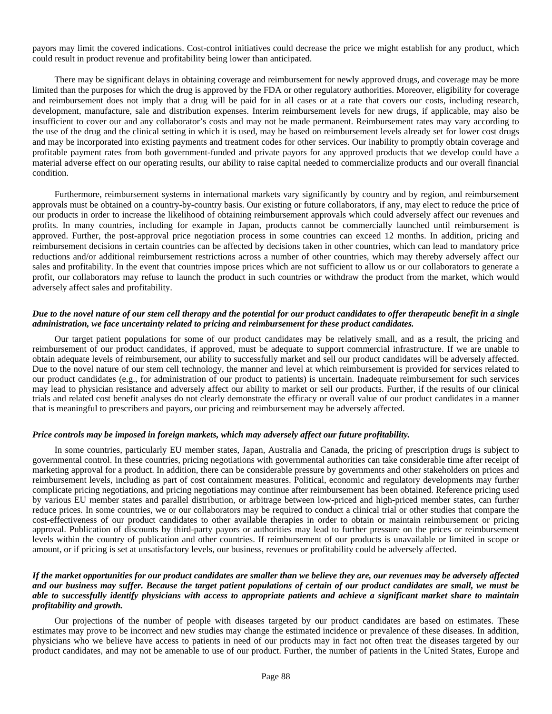payors may limit the covered indications. Cost-control initiatives could decrease the price we might establish for any product, which could result in product revenue and profitability being lower than anticipated.

There may be significant delays in obtaining coverage and reimbursement for newly approved drugs, and coverage may be more limited than the purposes for which the drug is approved by the FDA or other regulatory authorities. Moreover, eligibility for coverage and reimbursement does not imply that a drug will be paid for in all cases or at a rate that covers our costs, including research, development, manufacture, sale and distribution expenses. Interim reimbursement levels for new drugs, if applicable, may also be insufficient to cover our and any collaborator's costs and may not be made permanent. Reimbursement rates may vary according to the use of the drug and the clinical setting in which it is used, may be based on reimbursement levels already set for lower cost drugs and may be incorporated into existing payments and treatment codes for other services. Our inability to promptly obtain coverage and profitable payment rates from both government-funded and private payors for any approved products that we develop could have a material adverse effect on our operating results, our ability to raise capital needed to commercialize products and our overall financial condition.

Furthermore, reimbursement systems in international markets vary significantly by country and by region, and reimbursement approvals must be obtained on a country-by-country basis. Our existing or future collaborators, if any, may elect to reduce the price of our products in order to increase the likelihood of obtaining reimbursement approvals which could adversely affect our revenues and profits. In many countries, including for example in Japan, products cannot be commercially launched until reimbursement is approved. Further, the post-approval price negotiation process in some countries can exceed 12 months. In addition, pricing and reimbursement decisions in certain countries can be affected by decisions taken in other countries, which can lead to mandatory price reductions and/or additional reimbursement restrictions across a number of other countries, which may thereby adversely affect our sales and profitability. In the event that countries impose prices which are not sufficient to allow us or our collaborators to generate a profit, our collaborators may refuse to launch the product in such countries or withdraw the product from the market, which would adversely affect sales and profitability.

#### *Due to the novel nature of our stem cell therapy and the potential for our product candidates to offer therapeutic benefit in a single administration, we face uncertainty related to pricing and reimbursement for these product candidates.*

Our target patient populations for some of our product candidates may be relatively small, and as a result, the pricing and reimbursement of our product candidates, if approved, must be adequate to support commercial infrastructure. If we are unable to obtain adequate levels of reimbursement, our ability to successfully market and sell our product candidates will be adversely affected. Due to the novel nature of our stem cell technology, the manner and level at which reimbursement is provided for services related to our product candidates (e.g., for administration of our product to patients) is uncertain. Inadequate reimbursement for such services may lead to physician resistance and adversely affect our ability to market or sell our products. Further, if the results of our clinical trials and related cost benefit analyses do not clearly demonstrate the efficacy or overall value of our product candidates in a manner that is meaningful to prescribers and payors, our pricing and reimbursement may be adversely affected.

#### *Price controls may be imposed in foreign markets, which may adversely affect our future profitability.*

In some countries, particularly EU member states, Japan, Australia and Canada, the pricing of prescription drugs is subject to governmental control. In these countries, pricing negotiations with governmental authorities can take considerable time after receipt of marketing approval for a product. In addition, there can be considerable pressure by governments and other stakeholders on prices and reimbursement levels, including as part of cost containment measures. Political, economic and regulatory developments may further complicate pricing negotiations, and pricing negotiations may continue after reimbursement has been obtained. Reference pricing used by various EU member states and parallel distribution, or arbitrage between low-priced and high-priced member states, can further reduce prices. In some countries, we or our collaborators may be required to conduct a clinical trial or other studies that compare the cost-effectiveness of our product candidates to other available therapies in order to obtain or maintain reimbursement or pricing approval. Publication of discounts by third-party payors or authorities may lead to further pressure on the prices or reimbursement levels within the country of publication and other countries. If reimbursement of our products is unavailable or limited in scope or amount, or if pricing is set at unsatisfactory levels, our business, revenues or profitability could be adversely affected.

#### *If the market opportunities for our product candidates are smaller than we believe they are, our revenues may be adversely affected and our business may suffer. Because the target patient populations of certain of our product candidates are small, we must be able to successfully identify physicians with access to appropriate patients and achieve a significant market share to maintain profitability and growth.*

Our projections of the number of people with diseases targeted by our product candidates are based on estimates. These estimates may prove to be incorrect and new studies may change the estimated incidence or prevalence of these diseases. In addition, physicians who we believe have access to patients in need of our products may in fact not often treat the diseases targeted by our product candidates, and may not be amenable to use of our product. Further, the number of patients in the United States, Europe and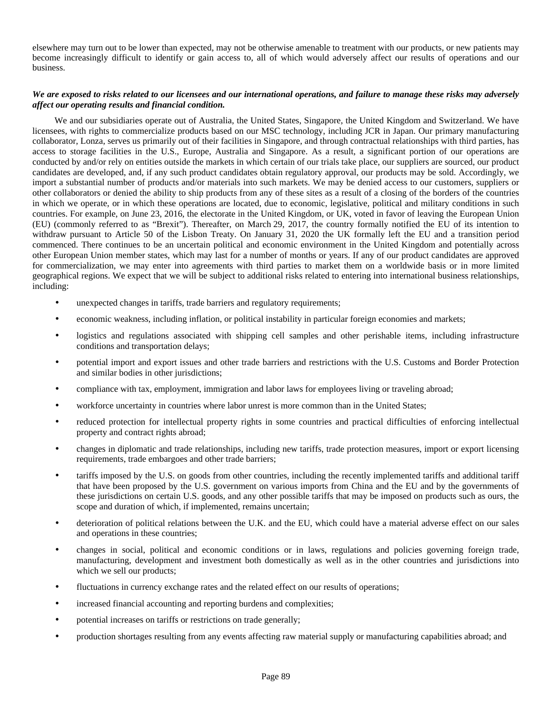elsewhere may turn out to be lower than expected, may not be otherwise amenable to treatment with our products, or new patients may become increasingly difficult to identify or gain access to, all of which would adversely affect our results of operations and our business.

# *We are exposed to risks related to our licensees and our international operations, and failure to manage these risks may adversely affect our operating results and financial condition.*

We and our subsidiaries operate out of Australia, the United States, Singapore, the United Kingdom and Switzerland. We have licensees, with rights to commercialize products based on our MSC technology, including JCR in Japan. Our primary manufacturing collaborator, Lonza, serves us primarily out of their facilities in Singapore, and through contractual relationships with third parties, has access to storage facilities in the U.S., Europe, Australia and Singapore. As a result, a significant portion of our operations are conducted by and/or rely on entities outside the markets in which certain of our trials take place, our suppliers are sourced, our product candidates are developed, and, if any such product candidates obtain regulatory approval, our products may be sold. Accordingly, we import a substantial number of products and/or materials into such markets. We may be denied access to our customers, suppliers or other collaborators or denied the ability to ship products from any of these sites as a result of a closing of the borders of the countries in which we operate, or in which these operations are located, due to economic, legislative, political and military conditions in such countries. For example, on June 23, 2016, the electorate in the United Kingdom, or UK, voted in favor of leaving the European Union (EU) (commonly referred to as "Brexit"). Thereafter, on March 29, 2017, the country formally notified the EU of its intention to withdraw pursuant to Article 50 of the Lisbon Treaty. On January 31, 2020 the UK formally left the EU and a transition period commenced. There continues to be an uncertain political and economic environment in the United Kingdom and potentially across other European Union member states, which may last for a number of months or years. If any of our product candidates are approved for commercialization, we may enter into agreements with third parties to market them on a worldwide basis or in more limited geographical regions. We expect that we will be subject to additional risks related to entering into international business relationships, including:

- unexpected changes in tariffs, trade barriers and regulatory requirements;
- economic weakness, including inflation, or political instability in particular foreign economies and markets;
- logistics and regulations associated with shipping cell samples and other perishable items, including infrastructure conditions and transportation delays;
- potential import and export issues and other trade barriers and restrictions with the U.S. Customs and Border Protection and similar bodies in other jurisdictions;
- compliance with tax, employment, immigration and labor laws for employees living or traveling abroad;
- workforce uncertainty in countries where labor unrest is more common than in the United States;
- reduced protection for intellectual property rights in some countries and practical difficulties of enforcing intellectual property and contract rights abroad;
- changes in diplomatic and trade relationships, including new tariffs, trade protection measures, import or export licensing requirements, trade embargoes and other trade barriers;
- tariffs imposed by the U.S. on goods from other countries, including the recently implemented tariffs and additional tariff that have been proposed by the U.S. government on various imports from China and the EU and by the governments of these jurisdictions on certain U.S. goods, and any other possible tariffs that may be imposed on products such as ours, the scope and duration of which, if implemented, remains uncertain;
- deterioration of political relations between the U.K. and the EU, which could have a material adverse effect on our sales and operations in these countries;
- changes in social, political and economic conditions or in laws, regulations and policies governing foreign trade, manufacturing, development and investment both domestically as well as in the other countries and jurisdictions into which we sell our products;
- fluctuations in currency exchange rates and the related effect on our results of operations;
- increased financial accounting and reporting burdens and complexities;
- potential increases on tariffs or restrictions on trade generally;
- production shortages resulting from any events affecting raw material supply or manufacturing capabilities abroad; and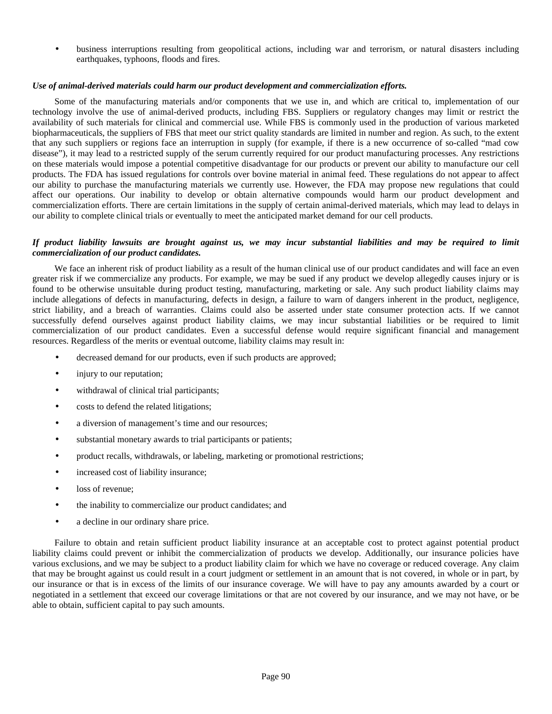• business interruptions resulting from geopolitical actions, including war and terrorism, or natural disasters including earthquakes, typhoons, floods and fires.

#### *Use of animal-derived materials could harm our product development and commercialization efforts.*

Some of the manufacturing materials and/or components that we use in, and which are critical to, implementation of our technology involve the use of animal-derived products, including FBS. Suppliers or regulatory changes may limit or restrict the availability of such materials for clinical and commercial use. While FBS is commonly used in the production of various marketed biopharmaceuticals, the suppliers of FBS that meet our strict quality standards are limited in number and region. As such, to the extent that any such suppliers or regions face an interruption in supply (for example, if there is a new occurrence of so-called "mad cow disease"), it may lead to a restricted supply of the serum currently required for our product manufacturing processes. Any restrictions on these materials would impose a potential competitive disadvantage for our products or prevent our ability to manufacture our cell products. The FDA has issued regulations for controls over bovine material in animal feed. These regulations do not appear to affect our ability to purchase the manufacturing materials we currently use. However, the FDA may propose new regulations that could affect our operations. Our inability to develop or obtain alternative compounds would harm our product development and commercialization efforts. There are certain limitations in the supply of certain animal-derived materials, which may lead to delays in our ability to complete clinical trials or eventually to meet the anticipated market demand for our cell products.

### *If product liability lawsuits are brought against us, we may incur substantial liabilities and may be required to limit commercialization of our product candidates.*

We face an inherent risk of product liability as a result of the human clinical use of our product candidates and will face an even greater risk if we commercialize any products. For example, we may be sued if any product we develop allegedly causes injury or is found to be otherwise unsuitable during product testing, manufacturing, marketing or sale. Any such product liability claims may include allegations of defects in manufacturing, defects in design, a failure to warn of dangers inherent in the product, negligence, strict liability, and a breach of warranties. Claims could also be asserted under state consumer protection acts. If we cannot successfully defend ourselves against product liability claims, we may incur substantial liabilities or be required to limit commercialization of our product candidates. Even a successful defense would require significant financial and management resources. Regardless of the merits or eventual outcome, liability claims may result in:

- decreased demand for our products, even if such products are approved;
- injury to our reputation;
- withdrawal of clinical trial participants;
- costs to defend the related litigations;
- a diversion of management's time and our resources;
- substantial monetary awards to trial participants or patients;
- product recalls, withdrawals, or labeling, marketing or promotional restrictions;
- increased cost of liability insurance;
- loss of revenue:
- the inability to commercialize our product candidates; and
- a decline in our ordinary share price.

Failure to obtain and retain sufficient product liability insurance at an acceptable cost to protect against potential product liability claims could prevent or inhibit the commercialization of products we develop. Additionally, our insurance policies have various exclusions, and we may be subject to a product liability claim for which we have no coverage or reduced coverage. Any claim that may be brought against us could result in a court judgment or settlement in an amount that is not covered, in whole or in part, by our insurance or that is in excess of the limits of our insurance coverage. We will have to pay any amounts awarded by a court or negotiated in a settlement that exceed our coverage limitations or that are not covered by our insurance, and we may not have, or be able to obtain, sufficient capital to pay such amounts.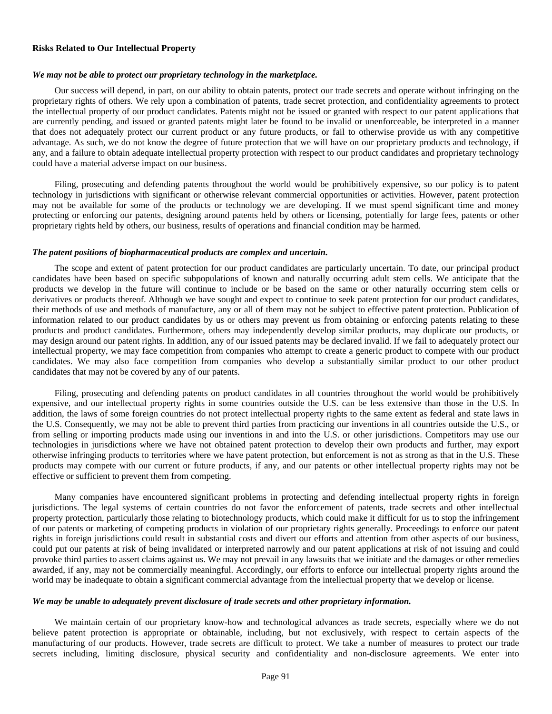#### **Risks Related to Our Intellectual Property**

#### *We may not be able to protect our proprietary technology in the marketplace.*

Our success will depend, in part, on our ability to obtain patents, protect our trade secrets and operate without infringing on the proprietary rights of others. We rely upon a combination of patents, trade secret protection, and confidentiality agreements to protect the intellectual property of our product candidates. Patents might not be issued or granted with respect to our patent applications that are currently pending, and issued or granted patents might later be found to be invalid or unenforceable, be interpreted in a manner that does not adequately protect our current product or any future products, or fail to otherwise provide us with any competitive advantage. As such, we do not know the degree of future protection that we will have on our proprietary products and technology, if any, and a failure to obtain adequate intellectual property protection with respect to our product candidates and proprietary technology could have a material adverse impact on our business.

Filing, prosecuting and defending patents throughout the world would be prohibitively expensive, so our policy is to patent technology in jurisdictions with significant or otherwise relevant commercial opportunities or activities. However, patent protection may not be available for some of the products or technology we are developing. If we must spend significant time and money protecting or enforcing our patents, designing around patents held by others or licensing, potentially for large fees, patents or other proprietary rights held by others, our business, results of operations and financial condition may be harmed.

#### *The patent positions of biopharmaceutical products are complex and uncertain.*

The scope and extent of patent protection for our product candidates are particularly uncertain. To date, our principal product candidates have been based on specific subpopulations of known and naturally occurring adult stem cells. We anticipate that the products we develop in the future will continue to include or be based on the same or other naturally occurring stem cells or derivatives or products thereof. Although we have sought and expect to continue to seek patent protection for our product candidates, their methods of use and methods of manufacture, any or all of them may not be subject to effective patent protection. Publication of information related to our product candidates by us or others may prevent us from obtaining or enforcing patents relating to these products and product candidates. Furthermore, others may independently develop similar products, may duplicate our products, or may design around our patent rights. In addition, any of our issued patents may be declared invalid. If we fail to adequately protect our intellectual property, we may face competition from companies who attempt to create a generic product to compete with our product candidates. We may also face competition from companies who develop a substantially similar product to our other product candidates that may not be covered by any of our patents.

Filing, prosecuting and defending patents on product candidates in all countries throughout the world would be prohibitively expensive, and our intellectual property rights in some countries outside the U.S. can be less extensive than those in the U.S. In addition, the laws of some foreign countries do not protect intellectual property rights to the same extent as federal and state laws in the U.S. Consequently, we may not be able to prevent third parties from practicing our inventions in all countries outside the U.S., or from selling or importing products made using our inventions in and into the U.S. or other jurisdictions. Competitors may use our technologies in jurisdictions where we have not obtained patent protection to develop their own products and further, may export otherwise infringing products to territories where we have patent protection, but enforcement is not as strong as that in the U.S. These products may compete with our current or future products, if any, and our patents or other intellectual property rights may not be effective or sufficient to prevent them from competing.

Many companies have encountered significant problems in protecting and defending intellectual property rights in foreign jurisdictions. The legal systems of certain countries do not favor the enforcement of patents, trade secrets and other intellectual property protection, particularly those relating to biotechnology products, which could make it difficult for us to stop the infringement of our patents or marketing of competing products in violation of our proprietary rights generally. Proceedings to enforce our patent rights in foreign jurisdictions could result in substantial costs and divert our efforts and attention from other aspects of our business, could put our patents at risk of being invalidated or interpreted narrowly and our patent applications at risk of not issuing and could provoke third parties to assert claims against us. We may not prevail in any lawsuits that we initiate and the damages or other remedies awarded, if any, may not be commercially meaningful. Accordingly, our efforts to enforce our intellectual property rights around the world may be inadequate to obtain a significant commercial advantage from the intellectual property that we develop or license.

#### *We may be unable to adequately prevent disclosure of trade secrets and other proprietary information.*

We maintain certain of our proprietary know-how and technological advances as trade secrets, especially where we do not believe patent protection is appropriate or obtainable, including, but not exclusively, with respect to certain aspects of the manufacturing of our products. However, trade secrets are difficult to protect. We take a number of measures to protect our trade secrets including, limiting disclosure, physical security and confidentiality and non-disclosure agreements. We enter into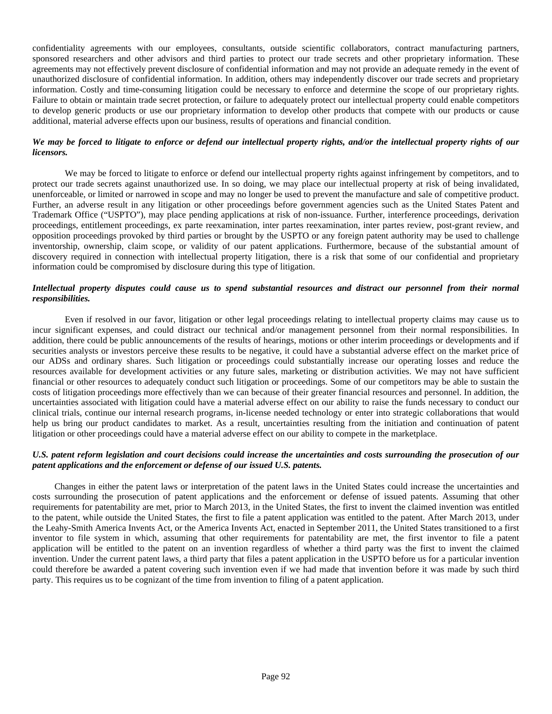confidentiality agreements with our employees, consultants, outside scientific collaborators, contract manufacturing partners, sponsored researchers and other advisors and third parties to protect our trade secrets and other proprietary information. These agreements may not effectively prevent disclosure of confidential information and may not provide an adequate remedy in the event of unauthorized disclosure of confidential information. In addition, others may independently discover our trade secrets and proprietary information. Costly and time-consuming litigation could be necessary to enforce and determine the scope of our proprietary rights. Failure to obtain or maintain trade secret protection, or failure to adequately protect our intellectual property could enable competitors to develop generic products or use our proprietary information to develop other products that compete with our products or cause additional, material adverse effects upon our business, results of operations and financial condition.

# *We may be forced to litigate to enforce or defend our intellectual property rights, and/or the intellectual property rights of our licensors.*

We may be forced to litigate to enforce or defend our intellectual property rights against infringement by competitors, and to protect our trade secrets against unauthorized use. In so doing, we may place our intellectual property at risk of being invalidated, unenforceable, or limited or narrowed in scope and may no longer be used to prevent the manufacture and sale of competitive product. Further, an adverse result in any litigation or other proceedings before government agencies such as the United States Patent and Trademark Office ("USPTO"), may place pending applications at risk of non-issuance. Further, interference proceedings, derivation proceedings, entitlement proceedings, ex parte reexamination, inter partes reexamination, inter partes review, post-grant review, and opposition proceedings provoked by third parties or brought by the USPTO or any foreign patent authority may be used to challenge inventorship, ownership, claim scope, or validity of our patent applications. Furthermore, because of the substantial amount of discovery required in connection with intellectual property litigation, there is a risk that some of our confidential and proprietary information could be compromised by disclosure during this type of litigation.

# *Intellectual property disputes could cause us to spend substantial resources and distract our personnel from their normal responsibilities.*

Even if resolved in our favor, litigation or other legal proceedings relating to intellectual property claims may cause us to incur significant expenses, and could distract our technical and/or management personnel from their normal responsibilities. In addition, there could be public announcements of the results of hearings, motions or other interim proceedings or developments and if securities analysts or investors perceive these results to be negative, it could have a substantial adverse effect on the market price of our ADSs and ordinary shares. Such litigation or proceedings could substantially increase our operating losses and reduce the resources available for development activities or any future sales, marketing or distribution activities. We may not have sufficient financial or other resources to adequately conduct such litigation or proceedings. Some of our competitors may be able to sustain the costs of litigation proceedings more effectively than we can because of their greater financial resources and personnel. In addition, the uncertainties associated with litigation could have a material adverse effect on our ability to raise the funds necessary to conduct our clinical trials, continue our internal research programs, in-license needed technology or enter into strategic collaborations that would help us bring our product candidates to market. As a result, uncertainties resulting from the initiation and continuation of patent litigation or other proceedings could have a material adverse effect on our ability to compete in the marketplace.

## *U.S. patent reform legislation and court decisions could increase the uncertainties and costs surrounding the prosecution of our patent applications and the enforcement or defense of our issued U.S. patents.*

Changes in either the patent laws or interpretation of the patent laws in the United States could increase the uncertainties and costs surrounding the prosecution of patent applications and the enforcement or defense of issued patents. Assuming that other requirements for patentability are met, prior to March 2013, in the United States, the first to invent the claimed invention was entitled to the patent, while outside the United States, the first to file a patent application was entitled to the patent. After March 2013, under the Leahy-Smith America Invents Act, or the America Invents Act, enacted in September 2011, the United States transitioned to a first inventor to file system in which, assuming that other requirements for patentability are met, the first inventor to file a patent application will be entitled to the patent on an invention regardless of whether a third party was the first to invent the claimed invention. Under the current patent laws, a third party that files a patent application in the USPTO before us for a particular invention could therefore be awarded a patent covering such invention even if we had made that invention before it was made by such third party. This requires us to be cognizant of the time from invention to filing of a patent application.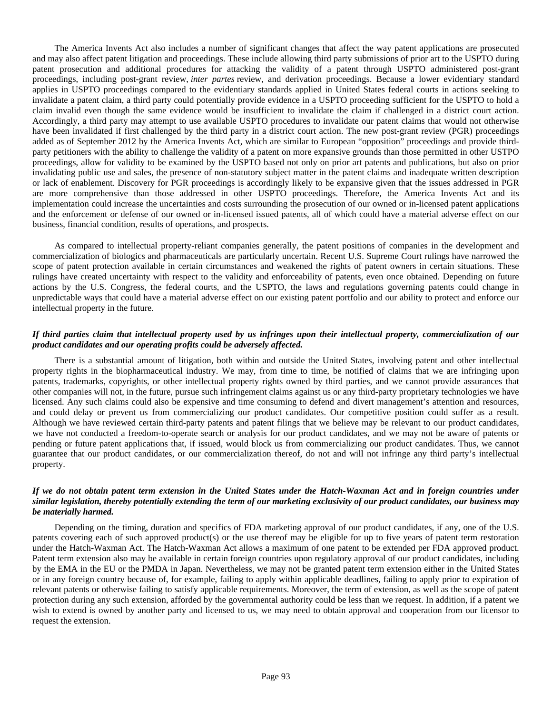The America Invents Act also includes a number of significant changes that affect the way patent applications are prosecuted and may also affect patent litigation and proceedings. These include allowing third party submissions of prior art to the USPTO during patent prosecution and additional procedures for attacking the validity of a patent through USPTO administered post-grant proceedings, including post-grant review, *inter partes* review, and derivation proceedings. Because a lower evidentiary standard applies in USPTO proceedings compared to the evidentiary standards applied in United States federal courts in actions seeking to invalidate a patent claim, a third party could potentially provide evidence in a USPTO proceeding sufficient for the USPTO to hold a claim invalid even though the same evidence would be insufficient to invalidate the claim if challenged in a district court action. Accordingly, a third party may attempt to use available USPTO procedures to invalidate our patent claims that would not otherwise have been invalidated if first challenged by the third party in a district court action. The new post-grant review (PGR) proceedings added as of September 2012 by the America Invents Act, which are similar to European "opposition" proceedings and provide thirdparty petitioners with the ability to challenge the validity of a patent on more expansive grounds than those permitted in other USTPO proceedings, allow for validity to be examined by the USPTO based not only on prior art patents and publications, but also on prior invalidating public use and sales, the presence of non-statutory subject matter in the patent claims and inadequate written description or lack of enablement. Discovery for PGR proceedings is accordingly likely to be expansive given that the issues addressed in PGR are more comprehensive than those addressed in other USPTO proceedings. Therefore, the America Invents Act and its implementation could increase the uncertainties and costs surrounding the prosecution of our owned or in-licensed patent applications and the enforcement or defense of our owned or in-licensed issued patents, all of which could have a material adverse effect on our business, financial condition, results of operations, and prospects.

As compared to intellectual property-reliant companies generally, the patent positions of companies in the development and commercialization of biologics and pharmaceuticals are particularly uncertain. Recent U.S. Supreme Court rulings have narrowed the scope of patent protection available in certain circumstances and weakened the rights of patent owners in certain situations. These rulings have created uncertainty with respect to the validity and enforceability of patents, even once obtained. Depending on future actions by the U.S. Congress, the federal courts, and the USPTO, the laws and regulations governing patents could change in unpredictable ways that could have a material adverse effect on our existing patent portfolio and our ability to protect and enforce our intellectual property in the future.

# *If third parties claim that intellectual property used by us infringes upon their intellectual property, commercialization of our product candidates and our operating profits could be adversely affected.*

There is a substantial amount of litigation, both within and outside the United States, involving patent and other intellectual property rights in the biopharmaceutical industry. We may, from time to time, be notified of claims that we are infringing upon patents, trademarks, copyrights, or other intellectual property rights owned by third parties, and we cannot provide assurances that other companies will not, in the future, pursue such infringement claims against us or any third-party proprietary technologies we have licensed. Any such claims could also be expensive and time consuming to defend and divert management's attention and resources, and could delay or prevent us from commercializing our product candidates. Our competitive position could suffer as a result. Although we have reviewed certain third-party patents and patent filings that we believe may be relevant to our product candidates, we have not conducted a freedom-to-operate search or analysis for our product candidates, and we may not be aware of patents or pending or future patent applications that, if issued, would block us from commercializing our product candidates. Thus, we cannot guarantee that our product candidates, or our commercialization thereof, do not and will not infringe any third party's intellectual property.

## *If we do not obtain patent term extension in the United States under the Hatch-Waxman Act and in foreign countries under similar legislation, thereby potentially extending the term of our marketing exclusivity of our product candidates, our business may be materially harmed.*

Depending on the timing, duration and specifics of FDA marketing approval of our product candidates, if any, one of the U.S. patents covering each of such approved product(s) or the use thereof may be eligible for up to five years of patent term restoration under the Hatch-Waxman Act. The Hatch-Waxman Act allows a maximum of one patent to be extended per FDA approved product. Patent term extension also may be available in certain foreign countries upon regulatory approval of our product candidates, including by the EMA in the EU or the PMDA in Japan. Nevertheless, we may not be granted patent term extension either in the United States or in any foreign country because of, for example, failing to apply within applicable deadlines, failing to apply prior to expiration of relevant patents or otherwise failing to satisfy applicable requirements. Moreover, the term of extension, as well as the scope of patent protection during any such extension, afforded by the governmental authority could be less than we request. In addition, if a patent we wish to extend is owned by another party and licensed to us, we may need to obtain approval and cooperation from our licensor to request the extension.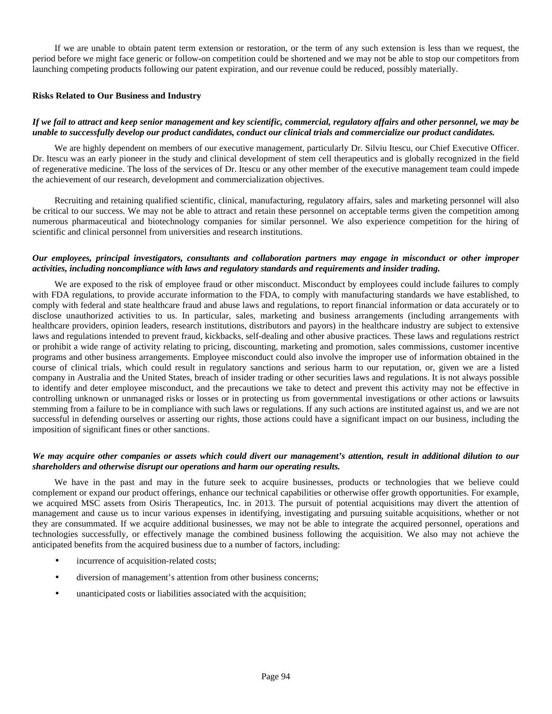If we are unable to obtain patent term extension or restoration, or the term of any such extension is less than we request, the period before we might face generic or follow-on competition could be shortened and we may not be able to stop our competitors from launching competing products following our patent expiration, and our revenue could be reduced, possibly materially.

#### **Risks Related to Our Business and Industry**

# *If we fail to attract and keep senior management and key scientific, commercial, regulatory affairs and other personnel, we may be unable to successfully develop our product candidates, conduct our clinical trials and commercialize our product candidates.*

We are highly dependent on members of our executive management, particularly Dr. Silviu Itescu, our Chief Executive Officer. Dr. Itescu was an early pioneer in the study and clinical development of stem cell therapeutics and is globally recognized in the field of regenerative medicine. The loss of the services of Dr. Itescu or any other member of the executive management team could impede the achievement of our research, development and commercialization objectives.

Recruiting and retaining qualified scientific, clinical, manufacturing, regulatory affairs, sales and marketing personnel will also be critical to our success. We may not be able to attract and retain these personnel on acceptable terms given the competition among numerous pharmaceutical and biotechnology companies for similar personnel. We also experience competition for the hiring of scientific and clinical personnel from universities and research institutions.

# *Our employees, principal investigators, consultants and collaboration partners may engage in misconduct or other improper activities, including noncompliance with laws and regulatory standards and requirements and insider trading.*

We are exposed to the risk of employee fraud or other misconduct. Misconduct by employees could include failures to comply with FDA regulations, to provide accurate information to the FDA, to comply with manufacturing standards we have established, to comply with federal and state healthcare fraud and abuse laws and regulations, to report financial information or data accurately or to disclose unauthorized activities to us. In particular, sales, marketing and business arrangements (including arrangements with healthcare providers, opinion leaders, research institutions, distributors and payors) in the healthcare industry are subject to extensive laws and regulations intended to prevent fraud, kickbacks, self-dealing and other abusive practices. These laws and regulations restrict or prohibit a wide range of activity relating to pricing, discounting, marketing and promotion, sales commissions, customer incentive programs and other business arrangements. Employee misconduct could also involve the improper use of information obtained in the course of clinical trials, which could result in regulatory sanctions and serious harm to our reputation, or, given we are a listed company in Australia and the United States, breach of insider trading or other securities laws and regulations. It is not always possible to identify and deter employee misconduct, and the precautions we take to detect and prevent this activity may not be effective in controlling unknown or unmanaged risks or losses or in protecting us from governmental investigations or other actions or lawsuits stemming from a failure to be in compliance with such laws or regulations. If any such actions are instituted against us, and we are not successful in defending ourselves or asserting our rights, those actions could have a significant impact on our business, including the imposition of significant fines or other sanctions.

## *We may acquire other companies or assets which could divert our management's attention, result in additional dilution to our shareholders and otherwise disrupt our operations and harm our operating results.*

We have in the past and may in the future seek to acquire businesses, products or technologies that we believe could complement or expand our product offerings, enhance our technical capabilities or otherwise offer growth opportunities. For example, we acquired MSC assets from Osiris Therapeutics, Inc. in 2013. The pursuit of potential acquisitions may divert the attention of management and cause us to incur various expenses in identifying, investigating and pursuing suitable acquisitions, whether or not they are consummated. If we acquire additional businesses, we may not be able to integrate the acquired personnel, operations and technologies successfully, or effectively manage the combined business following the acquisition. We also may not achieve the anticipated benefits from the acquired business due to a number of factors, including:

- incurrence of acquisition-related costs;
- diversion of management's attention from other business concerns;
- unanticipated costs or liabilities associated with the acquisition;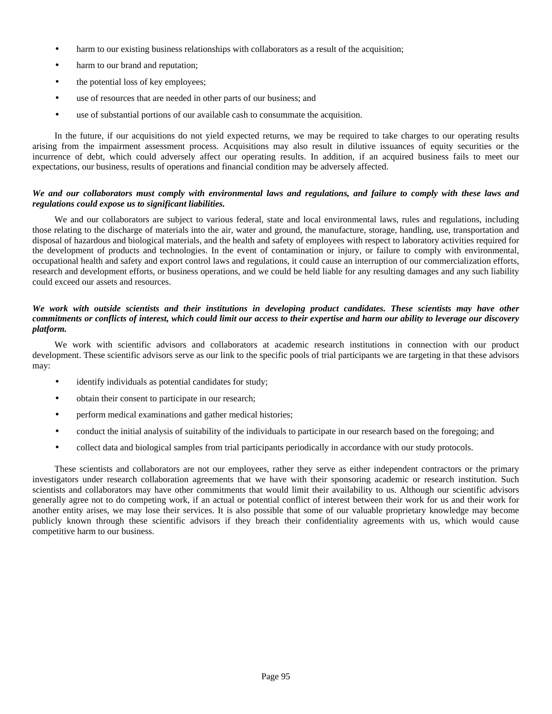- harm to our existing business relationships with collaborators as a result of the acquisition;
- harm to our brand and reputation;
- the potential loss of key employees;
- use of resources that are needed in other parts of our business; and
- use of substantial portions of our available cash to consummate the acquisition.

In the future, if our acquisitions do not yield expected returns, we may be required to take charges to our operating results arising from the impairment assessment process. Acquisitions may also result in dilutive issuances of equity securities or the incurrence of debt, which could adversely affect our operating results. In addition, if an acquired business fails to meet our expectations, our business, results of operations and financial condition may be adversely affected.

### *We and our collaborators must comply with environmental laws and regulations, and failure to comply with these laws and regulations could expose us to significant liabilities.*

We and our collaborators are subject to various federal, state and local environmental laws, rules and regulations, including those relating to the discharge of materials into the air, water and ground, the manufacture, storage, handling, use, transportation and disposal of hazardous and biological materials, and the health and safety of employees with respect to laboratory activities required for the development of products and technologies. In the event of contamination or injury, or failure to comply with environmental, occupational health and safety and export control laws and regulations, it could cause an interruption of our commercialization efforts, research and development efforts, or business operations, and we could be held liable for any resulting damages and any such liability could exceed our assets and resources.

# *We work with outside scientists and their institutions in developing product candidates. These scientists may have other commitments or conflicts of interest, which could limit our access to their expertise and harm our ability to leverage our discovery platform.*

We work with scientific advisors and collaborators at academic research institutions in connection with our product development. These scientific advisors serve as our link to the specific pools of trial participants we are targeting in that these advisors may:

- identify individuals as potential candidates for study;
- obtain their consent to participate in our research;
- perform medical examinations and gather medical histories;
- conduct the initial analysis of suitability of the individuals to participate in our research based on the foregoing; and
- collect data and biological samples from trial participants periodically in accordance with our study protocols.

These scientists and collaborators are not our employees, rather they serve as either independent contractors or the primary investigators under research collaboration agreements that we have with their sponsoring academic or research institution. Such scientists and collaborators may have other commitments that would limit their availability to us. Although our scientific advisors generally agree not to do competing work, if an actual or potential conflict of interest between their work for us and their work for another entity arises, we may lose their services. It is also possible that some of our valuable proprietary knowledge may become publicly known through these scientific advisors if they breach their confidentiality agreements with us, which would cause competitive harm to our business.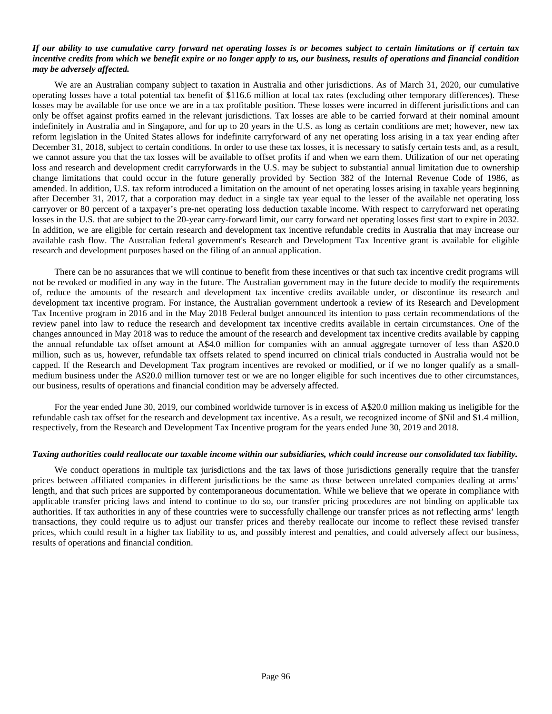#### *If our ability to use cumulative carry forward net operating losses is or becomes subject to certain limitations or if certain tax incentive credits from which we benefit expire or no longer apply to us, our business, results of operations and financial condition may be adversely affected.*

We are an Australian company subject to taxation in Australia and other jurisdictions. As of March 31, 2020, our cumulative operating losses have a total potential tax benefit of \$116.6 million at local tax rates (excluding other temporary differences). These losses may be available for use once we are in a tax profitable position. These losses were incurred in different jurisdictions and can only be offset against profits earned in the relevant jurisdictions. Tax losses are able to be carried forward at their nominal amount indefinitely in Australia and in Singapore, and for up to 20 years in the U.S. as long as certain conditions are met; however, new tax reform legislation in the United States allows for indefinite carryforward of any net operating loss arising in a tax year ending after December 31, 2018, subject to certain conditions. In order to use these tax losses, it is necessary to satisfy certain tests and, as a result, we cannot assure you that the tax losses will be available to offset profits if and when we earn them. Utilization of our net operating loss and research and development credit carryforwards in the U.S. may be subject to substantial annual limitation due to ownership change limitations that could occur in the future generally provided by Section 382 of the Internal Revenue Code of 1986, as amended. In addition, U.S. tax reform introduced a limitation on the amount of net operating losses arising in taxable years beginning after December 31, 2017, that a corporation may deduct in a single tax year equal to the lesser of the available net operating loss carryover or 80 percent of a taxpayer's pre-net operating loss deduction taxable income. With respect to carryforward net operating losses in the U.S. that are subject to the 20-year carry-forward limit, our carry forward net operating losses first start to expire in 2032. In addition, we are eligible for certain research and development tax incentive refundable credits in Australia that may increase our available cash flow. The Australian federal government's Research and Development Tax Incentive grant is available for eligible research and development purposes based on the filing of an annual application.

There can be no assurances that we will continue to benefit from these incentives or that such tax incentive credit programs will not be revoked or modified in any way in the future. The Australian government may in the future decide to modify the requirements of, reduce the amounts of the research and development tax incentive credits available under, or discontinue its research and development tax incentive program. For instance, the Australian government undertook a review of its Research and Development Tax Incentive program in 2016 and in the May 2018 Federal budget announced its intention to pass certain recommendations of the review panel into law to reduce the research and development tax incentive credits available in certain circumstances. One of the changes announced in May 2018 was to reduce the amount of the research and development tax incentive credits available by capping the annual refundable tax offset amount at A\$4.0 million for companies with an annual aggregate turnover of less than A\$20.0 million, such as us, however, refundable tax offsets related to spend incurred on clinical trials conducted in Australia would not be capped. If the Research and Development Tax program incentives are revoked or modified, or if we no longer qualify as a smallmedium business under the A\$20.0 million turnover test or we are no longer eligible for such incentives due to other circumstances, our business, results of operations and financial condition may be adversely affected.

For the year ended June 30, 2019, our combined worldwide turnover is in excess of A\$20.0 million making us ineligible for the refundable cash tax offset for the research and development tax incentive. As a result, we recognized income of \$Nil and \$1.4 million, respectively, from the Research and Development Tax Incentive program for the years ended June 30, 2019 and 2018.

#### *Taxing authorities could reallocate our taxable income within our subsidiaries, which could increase our consolidated tax liability.*

We conduct operations in multiple tax jurisdictions and the tax laws of those jurisdictions generally require that the transfer prices between affiliated companies in different jurisdictions be the same as those between unrelated companies dealing at arms' length, and that such prices are supported by contemporaneous documentation. While we believe that we operate in compliance with applicable transfer pricing laws and intend to continue to do so, our transfer pricing procedures are not binding on applicable tax authorities. If tax authorities in any of these countries were to successfully challenge our transfer prices as not reflecting arms' length transactions, they could require us to adjust our transfer prices and thereby reallocate our income to reflect these revised transfer prices, which could result in a higher tax liability to us, and possibly interest and penalties, and could adversely affect our business, results of operations and financial condition.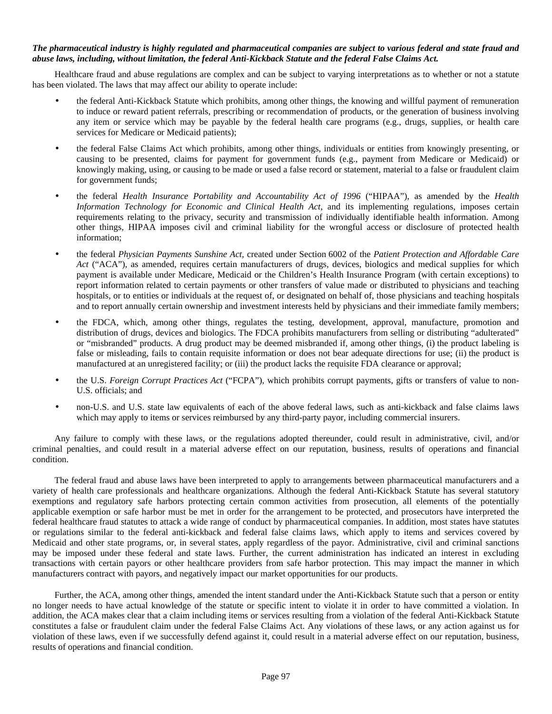#### *The pharmaceutical industry is highly regulated and pharmaceutical companies are subject to various federal and state fraud and abuse laws, including, without limitation, the federal Anti-Kickback Statute and the federal False Claims Act.*

Healthcare fraud and abuse regulations are complex and can be subject to varying interpretations as to whether or not a statute has been violated. The laws that may affect our ability to operate include:

- the federal Anti-Kickback Statute which prohibits, among other things, the knowing and willful payment of remuneration to induce or reward patient referrals, prescribing or recommendation of products, or the generation of business involving any item or service which may be payable by the federal health care programs (e.g., drugs, supplies, or health care services for Medicare or Medicaid patients);
- the federal False Claims Act which prohibits, among other things, individuals or entities from knowingly presenting, or causing to be presented, claims for payment for government funds (e.g., payment from Medicare or Medicaid) or knowingly making, using, or causing to be made or used a false record or statement, material to a false or fraudulent claim for government funds;
- the federal *Health Insurance Portability and Accountability Act of 1996* ("HIPAA"), as amended by the *Health Information Technology for Economic and Clinical Health Act*, and its implementing regulations, imposes certain requirements relating to the privacy, security and transmission of individually identifiable health information. Among other things, HIPAA imposes civil and criminal liability for the wrongful access or disclosure of protected health information;
- the federal *Physician Payments Sunshine Act*, created under Section 6002 of the *Patient Protection and Affordable Care Act* ("ACA"), as amended, requires certain manufacturers of drugs, devices, biologics and medical supplies for which payment is available under Medicare, Medicaid or the Children's Health Insurance Program (with certain exceptions) to report information related to certain payments or other transfers of value made or distributed to physicians and teaching hospitals, or to entities or individuals at the request of, or designated on behalf of, those physicians and teaching hospitals and to report annually certain ownership and investment interests held by physicians and their immediate family members;
- the FDCA, which, among other things, regulates the testing, development, approval, manufacture, promotion and distribution of drugs, devices and biologics. The FDCA prohibits manufacturers from selling or distributing "adulterated" or "misbranded" products. A drug product may be deemed misbranded if, among other things, (i) the product labeling is false or misleading, fails to contain requisite information or does not bear adequate directions for use; (ii) the product is manufactured at an unregistered facility; or (iii) the product lacks the requisite FDA clearance or approval;
- the U.S. *Foreign Corrupt Practices Act* ("FCPA"), which prohibits corrupt payments, gifts or transfers of value to non-U.S. officials; and
- non-U.S. and U.S. state law equivalents of each of the above federal laws, such as anti-kickback and false claims laws which may apply to items or services reimbursed by any third-party payor, including commercial insurers.

Any failure to comply with these laws, or the regulations adopted thereunder, could result in administrative, civil, and/or criminal penalties, and could result in a material adverse effect on our reputation, business, results of operations and financial condition.

The federal fraud and abuse laws have been interpreted to apply to arrangements between pharmaceutical manufacturers and a variety of health care professionals and healthcare organizations. Although the federal Anti-Kickback Statute has several statutory exemptions and regulatory safe harbors protecting certain common activities from prosecution, all elements of the potentially applicable exemption or safe harbor must be met in order for the arrangement to be protected, and prosecutors have interpreted the federal healthcare fraud statutes to attack a wide range of conduct by pharmaceutical companies. In addition, most states have statutes or regulations similar to the federal anti-kickback and federal false claims laws, which apply to items and services covered by Medicaid and other state programs, or, in several states, apply regardless of the payor. Administrative, civil and criminal sanctions may be imposed under these federal and state laws. Further, the current administration has indicated an interest in excluding transactions with certain payors or other healthcare providers from safe harbor protection. This may impact the manner in which manufacturers contract with payors, and negatively impact our market opportunities for our products.

Further, the ACA, among other things, amended the intent standard under the Anti-Kickback Statute such that a person or entity no longer needs to have actual knowledge of the statute or specific intent to violate it in order to have committed a violation. In addition, the ACA makes clear that a claim including items or services resulting from a violation of the federal Anti-Kickback Statute constitutes a false or fraudulent claim under the federal False Claims Act. Any violations of these laws, or any action against us for violation of these laws, even if we successfully defend against it, could result in a material adverse effect on our reputation, business, results of operations and financial condition.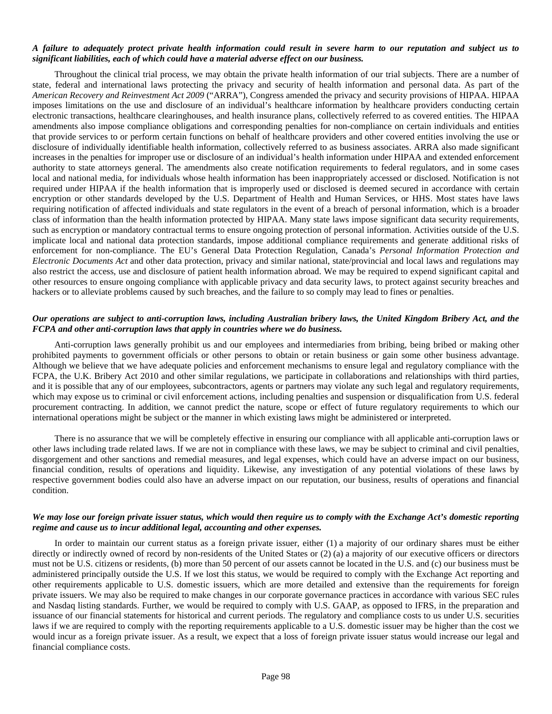#### *A failure to adequately protect private health information could result in severe harm to our reputation and subject us to significant liabilities, each of which could have a material adverse effect on our business.*

Throughout the clinical trial process, we may obtain the private health information of our trial subjects. There are a number of state, federal and international laws protecting the privacy and security of health information and personal data. As part of the *American Recovery and Reinvestment Act 2009* ("ARRA"), Congress amended the privacy and security provisions of HIPAA. HIPAA imposes limitations on the use and disclosure of an individual's healthcare information by healthcare providers conducting certain electronic transactions, healthcare clearinghouses, and health insurance plans, collectively referred to as covered entities. The HIPAA amendments also impose compliance obligations and corresponding penalties for non-compliance on certain individuals and entities that provide services to or perform certain functions on behalf of healthcare providers and other covered entities involving the use or disclosure of individually identifiable health information, collectively referred to as business associates. ARRA also made significant increases in the penalties for improper use or disclosure of an individual's health information under HIPAA and extended enforcement authority to state attorneys general. The amendments also create notification requirements to federal regulators, and in some cases local and national media, for individuals whose health information has been inappropriately accessed or disclosed. Notification is not required under HIPAA if the health information that is improperly used or disclosed is deemed secured in accordance with certain encryption or other standards developed by the U.S. Department of Health and Human Services, or HHS. Most states have laws requiring notification of affected individuals and state regulators in the event of a breach of personal information, which is a broader class of information than the health information protected by HIPAA. Many state laws impose significant data security requirements, such as encryption or mandatory contractual terms to ensure ongoing protection of personal information. Activities outside of the U.S. implicate local and national data protection standards, impose additional compliance requirements and generate additional risks of enforcement for non-compliance. The EU's General Data Protection Regulation, Canada's *Personal Information Protection and Electronic Documents Act* and other data protection, privacy and similar national, state/provincial and local laws and regulations may also restrict the access, use and disclosure of patient health information abroad. We may be required to expend significant capital and other resources to ensure ongoing compliance with applicable privacy and data security laws, to protect against security breaches and hackers or to alleviate problems caused by such breaches, and the failure to so comply may lead to fines or penalties.

#### *Our operations are subject to anti-corruption laws, including Australian bribery laws, the United Kingdom Bribery Act, and the FCPA and other anti-corruption laws that apply in countries where we do business.*

Anti-corruption laws generally prohibit us and our employees and intermediaries from bribing, being bribed or making other prohibited payments to government officials or other persons to obtain or retain business or gain some other business advantage. Although we believe that we have adequate policies and enforcement mechanisms to ensure legal and regulatory compliance with the FCPA, the U.K. Bribery Act 2010 and other similar regulations, we participate in collaborations and relationships with third parties, and it is possible that any of our employees, subcontractors, agents or partners may violate any such legal and regulatory requirements, which may expose us to criminal or civil enforcement actions, including penalties and suspension or disqualification from U.S. federal procurement contracting. In addition, we cannot predict the nature, scope or effect of future regulatory requirements to which our international operations might be subject or the manner in which existing laws might be administered or interpreted.

There is no assurance that we will be completely effective in ensuring our compliance with all applicable anti-corruption laws or other laws including trade related laws. If we are not in compliance with these laws, we may be subject to criminal and civil penalties, disgorgement and other sanctions and remedial measures, and legal expenses, which could have an adverse impact on our business, financial condition, results of operations and liquidity. Likewise, any investigation of any potential violations of these laws by respective government bodies could also have an adverse impact on our reputation, our business, results of operations and financial condition.

### *We may lose our foreign private issuer status, which would then require us to comply with the Exchange Act's domestic reporting regime and cause us to incur additional legal, accounting and other expenses.*

In order to maintain our current status as a foreign private issuer, either (1) a majority of our ordinary shares must be either directly or indirectly owned of record by non-residents of the United States or (2) (a) a majority of our executive officers or directors must not be U.S. citizens or residents, (b) more than 50 percent of our assets cannot be located in the U.S. and (c) our business must be administered principally outside the U.S. If we lost this status, we would be required to comply with the Exchange Act reporting and other requirements applicable to U.S. domestic issuers, which are more detailed and extensive than the requirements for foreign private issuers. We may also be required to make changes in our corporate governance practices in accordance with various SEC rules and Nasdaq listing standards. Further, we would be required to comply with U.S. GAAP, as opposed to IFRS, in the preparation and issuance of our financial statements for historical and current periods. The regulatory and compliance costs to us under U.S. securities laws if we are required to comply with the reporting requirements applicable to a U.S. domestic issuer may be higher than the cost we would incur as a foreign private issuer. As a result, we expect that a loss of foreign private issuer status would increase our legal and financial compliance costs.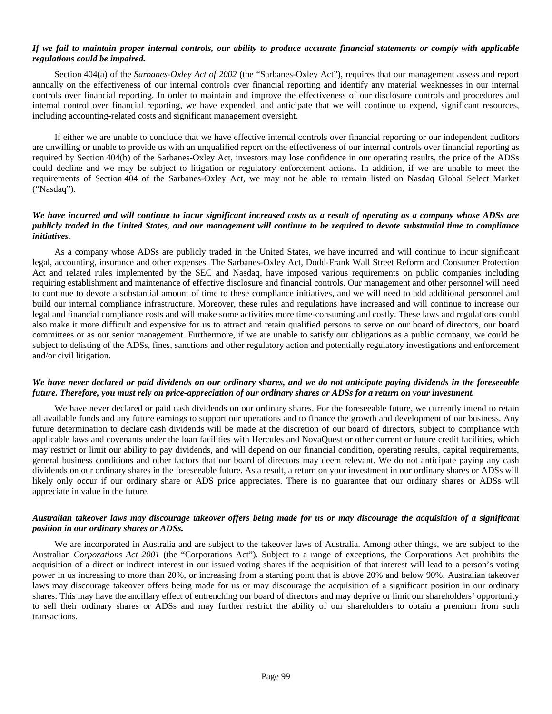## *If we fail to maintain proper internal controls, our ability to produce accurate financial statements or comply with applicable regulations could be impaired.*

Section 404(a) of the *Sarbanes-Oxley Act of 2002* (the "Sarbanes-Oxley Act"), requires that our management assess and report annually on the effectiveness of our internal controls over financial reporting and identify any material weaknesses in our internal controls over financial reporting. In order to maintain and improve the effectiveness of our disclosure controls and procedures and internal control over financial reporting, we have expended, and anticipate that we will continue to expend, significant resources, including accounting-related costs and significant management oversight.

If either we are unable to conclude that we have effective internal controls over financial reporting or our independent auditors are unwilling or unable to provide us with an unqualified report on the effectiveness of our internal controls over financial reporting as required by Section 404(b) of the Sarbanes-Oxley Act, investors may lose confidence in our operating results, the price of the ADSs could decline and we may be subject to litigation or regulatory enforcement actions. In addition, if we are unable to meet the requirements of Section 404 of the Sarbanes-Oxley Act, we may not be able to remain listed on Nasdaq Global Select Market ("Nasdaq").

### *We have incurred and will continue to incur significant increased costs as a result of operating as a company whose ADSs are publicly traded in the United States, and our management will continue to be required to devote substantial time to compliance initiatives.*

As a company whose ADSs are publicly traded in the United States, we have incurred and will continue to incur significant legal, accounting, insurance and other expenses. The Sarbanes-Oxley Act, Dodd-Frank Wall Street Reform and Consumer Protection Act and related rules implemented by the SEC and Nasdaq, have imposed various requirements on public companies including requiring establishment and maintenance of effective disclosure and financial controls. Our management and other personnel will need to continue to devote a substantial amount of time to these compliance initiatives, and we will need to add additional personnel and build our internal compliance infrastructure. Moreover, these rules and regulations have increased and will continue to increase our legal and financial compliance costs and will make some activities more time-consuming and costly. These laws and regulations could also make it more difficult and expensive for us to attract and retain qualified persons to serve on our board of directors, our board committees or as our senior management. Furthermore, if we are unable to satisfy our obligations as a public company, we could be subject to delisting of the ADSs, fines, sanctions and other regulatory action and potentially regulatory investigations and enforcement and/or civil litigation.

#### *We have never declared or paid dividends on our ordinary shares, and we do not anticipate paying dividends in the foreseeable future. Therefore, you must rely on price-appreciation of our ordinary shares or ADSs for a return on your investment.*

We have never declared or paid cash dividends on our ordinary shares. For the foreseeable future, we currently intend to retain all available funds and any future earnings to support our operations and to finance the growth and development of our business. Any future determination to declare cash dividends will be made at the discretion of our board of directors, subject to compliance with applicable laws and covenants under the loan facilities with Hercules and NovaQuest or other current or future credit facilities, which may restrict or limit our ability to pay dividends, and will depend on our financial condition, operating results, capital requirements, general business conditions and other factors that our board of directors may deem relevant. We do not anticipate paying any cash dividends on our ordinary shares in the foreseeable future. As a result, a return on your investment in our ordinary shares or ADSs will likely only occur if our ordinary share or ADS price appreciates. There is no guarantee that our ordinary shares or ADSs will appreciate in value in the future.

## *Australian takeover laws may discourage takeover offers being made for us or may discourage the acquisition of a significant position in our ordinary shares or ADSs.*

We are incorporated in Australia and are subject to the takeover laws of Australia. Among other things, we are subject to the Australian *Corporations Act 2001* (the "Corporations Act"). Subject to a range of exceptions, the Corporations Act prohibits the acquisition of a direct or indirect interest in our issued voting shares if the acquisition of that interest will lead to a person's voting power in us increasing to more than 20%, or increasing from a starting point that is above 20% and below 90%. Australian takeover laws may discourage takeover offers being made for us or may discourage the acquisition of a significant position in our ordinary shares. This may have the ancillary effect of entrenching our board of directors and may deprive or limit our shareholders' opportunity to sell their ordinary shares or ADSs and may further restrict the ability of our shareholders to obtain a premium from such transactions.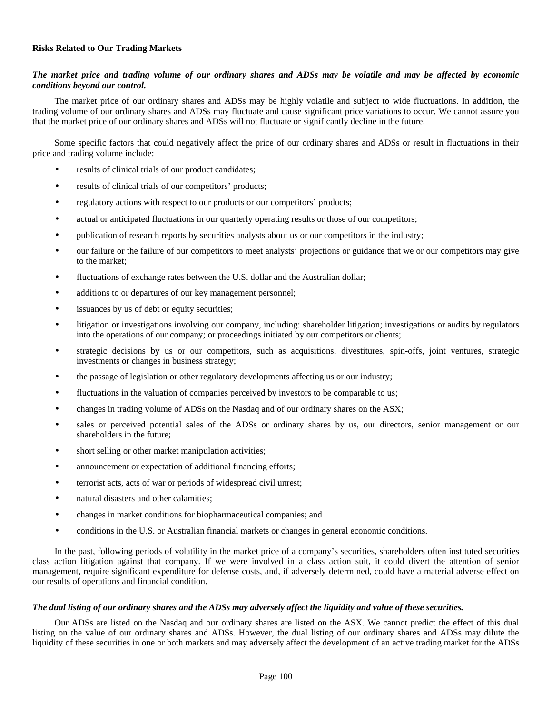## **Risks Related to Our Trading Markets**

## *The market price and trading volume of our ordinary shares and ADSs may be volatile and may be affected by economic conditions beyond our control.*

The market price of our ordinary shares and ADSs may be highly volatile and subject to wide fluctuations. In addition, the trading volume of our ordinary shares and ADSs may fluctuate and cause significant price variations to occur. We cannot assure you that the market price of our ordinary shares and ADSs will not fluctuate or significantly decline in the future.

Some specific factors that could negatively affect the price of our ordinary shares and ADSs or result in fluctuations in their price and trading volume include:

- results of clinical trials of our product candidates;
- results of clinical trials of our competitors' products;
- regulatory actions with respect to our products or our competitors' products;
- actual or anticipated fluctuations in our quarterly operating results or those of our competitors;
- publication of research reports by securities analysts about us or our competitors in the industry;
- our failure or the failure of our competitors to meet analysts' projections or guidance that we or our competitors may give to the market;
- fluctuations of exchange rates between the U.S. dollar and the Australian dollar;
- additions to or departures of our key management personnel;
- issuances by us of debt or equity securities;
- litigation or investigations involving our company, including: shareholder litigation; investigations or audits by regulators into the operations of our company; or proceedings initiated by our competitors or clients;
- strategic decisions by us or our competitors, such as acquisitions, divestitures, spin-offs, joint ventures, strategic investments or changes in business strategy;
- the passage of legislation or other regulatory developments affecting us or our industry;
- fluctuations in the valuation of companies perceived by investors to be comparable to us;
- changes in trading volume of ADSs on the Nasdaq and of our ordinary shares on the ASX;
- sales or perceived potential sales of the ADSs or ordinary shares by us, our directors, senior management or our shareholders in the future;
- short selling or other market manipulation activities;
- announcement or expectation of additional financing efforts;
- terrorist acts, acts of war or periods of widespread civil unrest;
- natural disasters and other calamities;
- changes in market conditions for biopharmaceutical companies; and
- conditions in the U.S. or Australian financial markets or changes in general economic conditions.

In the past, following periods of volatility in the market price of a company's securities, shareholders often instituted securities class action litigation against that company. If we were involved in a class action suit, it could divert the attention of senior management, require significant expenditure for defense costs, and, if adversely determined, could have a material adverse effect on our results of operations and financial condition.

#### *The dual listing of our ordinary shares and the ADSs may adversely affect the liquidity and value of these securities.*

Our ADSs are listed on the Nasdaq and our ordinary shares are listed on the ASX. We cannot predict the effect of this dual listing on the value of our ordinary shares and ADSs. However, the dual listing of our ordinary shares and ADSs may dilute the liquidity of these securities in one or both markets and may adversely affect the development of an active trading market for the ADSs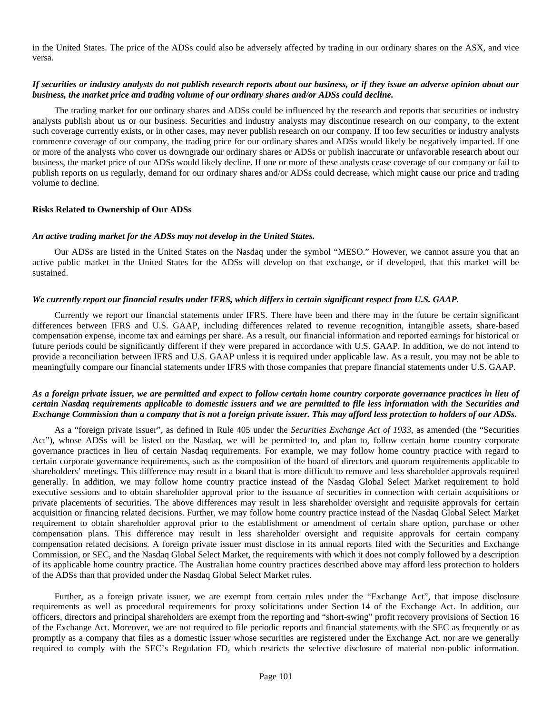in the United States. The price of the ADSs could also be adversely affected by trading in our ordinary shares on the ASX, and vice versa.

## *If securities or industry analysts do not publish research reports about our business, or if they issue an adverse opinion about our business, the market price and trading volume of our ordinary shares and/or ADSs could decline.*

The trading market for our ordinary shares and ADSs could be influenced by the research and reports that securities or industry analysts publish about us or our business. Securities and industry analysts may discontinue research on our company, to the extent such coverage currently exists, or in other cases, may never publish research on our company. If too few securities or industry analysts commence coverage of our company, the trading price for our ordinary shares and ADSs would likely be negatively impacted. If one or more of the analysts who cover us downgrade our ordinary shares or ADSs or publish inaccurate or unfavorable research about our business, the market price of our ADSs would likely decline. If one or more of these analysts cease coverage of our company or fail to publish reports on us regularly, demand for our ordinary shares and/or ADSs could decrease, which might cause our price and trading volume to decline.

#### **Risks Related to Ownership of Our ADSs**

#### *An active trading market for the ADSs may not develop in the United States.*

Our ADSs are listed in the United States on the Nasdaq under the symbol "MESO." However, we cannot assure you that an active public market in the United States for the ADSs will develop on that exchange, or if developed, that this market will be sustained.

#### *We currently report our financial results under IFRS, which differs in certain significant respect from U.S. GAAP.*

Currently we report our financial statements under IFRS. There have been and there may in the future be certain significant differences between IFRS and U.S. GAAP, including differences related to revenue recognition, intangible assets, share-based compensation expense, income tax and earnings per share. As a result, our financial information and reported earnings for historical or future periods could be significantly different if they were prepared in accordance with U.S. GAAP. In addition, we do not intend to provide a reconciliation between IFRS and U.S. GAAP unless it is required under applicable law. As a result, you may not be able to meaningfully compare our financial statements under IFRS with those companies that prepare financial statements under U.S. GAAP.

# *As a foreign private issuer, we are permitted and expect to follow certain home country corporate governance practices in lieu of certain Nasdaq requirements applicable to domestic issuers and we are permitted to file less information with the Securities and Exchange Commission than a company that is not a foreign private issuer. This may afford less protection to holders of our ADSs.*

As a "foreign private issuer", as defined in Rule 405 under the *Securities Exchange Act of 1933*, as amended (the "Securities Act"), whose ADSs will be listed on the Nasdaq, we will be permitted to, and plan to, follow certain home country corporate governance practices in lieu of certain Nasdaq requirements. For example, we may follow home country practice with regard to certain corporate governance requirements, such as the composition of the board of directors and quorum requirements applicable to shareholders' meetings. This difference may result in a board that is more difficult to remove and less shareholder approvals required generally. In addition, we may follow home country practice instead of the Nasdaq Global Select Market requirement to hold executive sessions and to obtain shareholder approval prior to the issuance of securities in connection with certain acquisitions or private placements of securities. The above differences may result in less shareholder oversight and requisite approvals for certain acquisition or financing related decisions. Further, we may follow home country practice instead of the Nasdaq Global Select Market requirement to obtain shareholder approval prior to the establishment or amendment of certain share option, purchase or other compensation plans. This difference may result in less shareholder oversight and requisite approvals for certain company compensation related decisions. A foreign private issuer must disclose in its annual reports filed with the Securities and Exchange Commission, or SEC, and the Nasdaq Global Select Market, the requirements with which it does not comply followed by a description of its applicable home country practice. The Australian home country practices described above may afford less protection to holders of the ADSs than that provided under the Nasdaq Global Select Market rules.

Further, as a foreign private issuer, we are exempt from certain rules under the "Exchange Act", that impose disclosure requirements as well as procedural requirements for proxy solicitations under Section 14 of the Exchange Act. In addition, our officers, directors and principal shareholders are exempt from the reporting and "short-swing" profit recovery provisions of Section 16 of the Exchange Act. Moreover, we are not required to file periodic reports and financial statements with the SEC as frequently or as promptly as a company that files as a domestic issuer whose securities are registered under the Exchange Act, nor are we generally required to comply with the SEC's Regulation FD, which restricts the selective disclosure of material non-public information.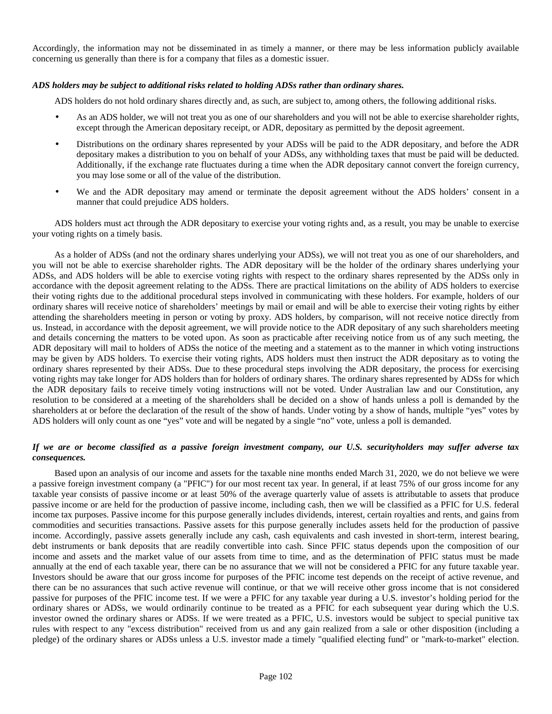Accordingly, the information may not be disseminated in as timely a manner, or there may be less information publicly available concerning us generally than there is for a company that files as a domestic issuer.

#### *ADS holders may be subject to additional risks related to holding ADSs rather than ordinary shares.*

ADS holders do not hold ordinary shares directly and, as such, are subject to, among others, the following additional risks.

- As an ADS holder, we will not treat you as one of our shareholders and you will not be able to exercise shareholder rights, except through the American depositary receipt, or ADR, depositary as permitted by the deposit agreement.
- Distributions on the ordinary shares represented by your ADSs will be paid to the ADR depositary, and before the ADR depositary makes a distribution to you on behalf of your ADSs, any withholding taxes that must be paid will be deducted. Additionally, if the exchange rate fluctuates during a time when the ADR depositary cannot convert the foreign currency, you may lose some or all of the value of the distribution.
- We and the ADR depositary may amend or terminate the deposit agreement without the ADS holders' consent in a manner that could prejudice ADS holders.

ADS holders must act through the ADR depositary to exercise your voting rights and, as a result, you may be unable to exercise your voting rights on a timely basis.

As a holder of ADSs (and not the ordinary shares underlying your ADSs), we will not treat you as one of our shareholders, and you will not be able to exercise shareholder rights. The ADR depositary will be the holder of the ordinary shares underlying your ADSs, and ADS holders will be able to exercise voting rights with respect to the ordinary shares represented by the ADSs only in accordance with the deposit agreement relating to the ADSs. There are practical limitations on the ability of ADS holders to exercise their voting rights due to the additional procedural steps involved in communicating with these holders. For example, holders of our ordinary shares will receive notice of shareholders' meetings by mail or email and will be able to exercise their voting rights by either attending the shareholders meeting in person or voting by proxy. ADS holders, by comparison, will not receive notice directly from us. Instead, in accordance with the deposit agreement, we will provide notice to the ADR depositary of any such shareholders meeting and details concerning the matters to be voted upon. As soon as practicable after receiving notice from us of any such meeting, the ADR depositary will mail to holders of ADSs the notice of the meeting and a statement as to the manner in which voting instructions may be given by ADS holders. To exercise their voting rights, ADS holders must then instruct the ADR depositary as to voting the ordinary shares represented by their ADSs. Due to these procedural steps involving the ADR depositary, the process for exercising voting rights may take longer for ADS holders than for holders of ordinary shares. The ordinary shares represented by ADSs for which the ADR depositary fails to receive timely voting instructions will not be voted. Under Australian law and our Constitution, any resolution to be considered at a meeting of the shareholders shall be decided on a show of hands unless a poll is demanded by the shareholders at or before the declaration of the result of the show of hands. Under voting by a show of hands, multiple "yes" votes by ADS holders will only count as one "yes" vote and will be negated by a single "no" vote, unless a poll is demanded.

# *If we are or become classified as a passive foreign investment company, our U.S. securityholders may suffer adverse tax consequences.*

Based upon an analysis of our income and assets for the taxable nine months ended March 31, 2020, we do not believe we were a passive foreign investment company (a "PFIC") for our most recent tax year. In general, if at least 75% of our gross income for any taxable year consists of passive income or at least 50% of the average quarterly value of assets is attributable to assets that produce passive income or are held for the production of passive income, including cash, then we will be classified as a PFIC for U.S. federal income tax purposes. Passive income for this purpose generally includes dividends, interest, certain royalties and rents, and gains from commodities and securities transactions. Passive assets for this purpose generally includes assets held for the production of passive income. Accordingly, passive assets generally include any cash, cash equivalents and cash invested in short-term, interest bearing, debt instruments or bank deposits that are readily convertible into cash. Since PFIC status depends upon the composition of our income and assets and the market value of our assets from time to time, and as the determination of PFIC status must be made annually at the end of each taxable year, there can be no assurance that we will not be considered a PFIC for any future taxable year. Investors should be aware that our gross income for purposes of the PFIC income test depends on the receipt of active revenue, and there can be no assurances that such active revenue will continue, or that we will receive other gross income that is not considered passive for purposes of the PFIC income test. If we were a PFIC for any taxable year during a U.S. investor's holding period for the ordinary shares or ADSs, we would ordinarily continue to be treated as a PFIC for each subsequent year during which the U.S. investor owned the ordinary shares or ADSs. If we were treated as a PFIC, U.S. investors would be subject to special punitive tax rules with respect to any "excess distribution" received from us and any gain realized from a sale or other disposition (including a pledge) of the ordinary shares or ADSs unless a U.S. investor made a timely "qualified electing fund" or "mark-to-market" election.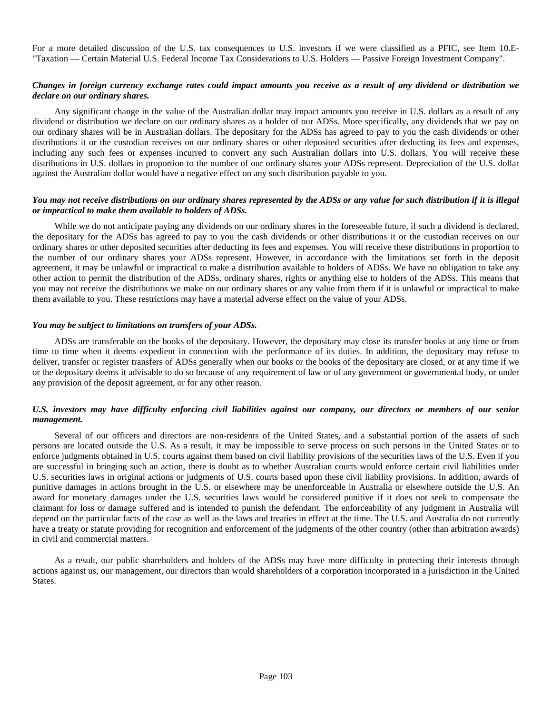For a more detailed discussion of the U.S. tax consequences to U.S. investors if we were classified as a PFIC, see Item 10.E- "Taxation — Certain Material U.S. Federal Income Tax Considerations to U.S. Holders — Passive Foreign Investment Company".

## *Changes in foreign currency exchange rates could impact amounts you receive as a result of any dividend or distribution we declare on our ordinary shares.*

Any significant change in the value of the Australian dollar may impact amounts you receive in U.S. dollars as a result of any dividend or distribution we declare on our ordinary shares as a holder of our ADSs. More specifically, any dividends that we pay on our ordinary shares will be in Australian dollars. The depositary for the ADSs has agreed to pay to you the cash dividends or other distributions it or the custodian receives on our ordinary shares or other deposited securities after deducting its fees and expenses, including any such fees or expenses incurred to convert any such Australian dollars into U.S. dollars. You will receive these distributions in U.S. dollars in proportion to the number of our ordinary shares your ADSs represent. Depreciation of the U.S. dollar against the Australian dollar would have a negative effect on any such distribution payable to you.

## *You may not receive distributions on our ordinary shares represented by the ADSs or any value for such distribution if it is illegal or impractical to make them available to holders of ADSs.*

While we do not anticipate paying any dividends on our ordinary shares in the foreseeable future, if such a dividend is declared, the depositary for the ADSs has agreed to pay to you the cash dividends or other distributions it or the custodian receives on our ordinary shares or other deposited securities after deducting its fees and expenses. You will receive these distributions in proportion to the number of our ordinary shares your ADSs represent. However, in accordance with the limitations set forth in the deposit agreement, it may be unlawful or impractical to make a distribution available to holders of ADSs. We have no obligation to take any other action to permit the distribution of the ADSs, ordinary shares, rights or anything else to holders of the ADSs. This means that you may not receive the distributions we make on our ordinary shares or any value from them if it is unlawful or impractical to make them available to you. These restrictions may have a material adverse effect on the value of your ADSs.

#### *You may be subject to limitations on transfers of your ADSs.*

ADSs are transferable on the books of the depositary. However, the depositary may close its transfer books at any time or from time to time when it deems expedient in connection with the performance of its duties. In addition, the depositary may refuse to deliver, transfer or register transfers of ADSs generally when our books or the books of the depositary are closed, or at any time if we or the depositary deems it advisable to do so because of any requirement of law or of any government or governmental body, or under any provision of the deposit agreement, or for any other reason.

## *U.S. investors may have difficulty enforcing civil liabilities against our company, our directors or members of our senior management.*

Several of our officers and directors are non-residents of the United States, and a substantial portion of the assets of such persons are located outside the U.S. As a result, it may be impossible to serve process on such persons in the United States or to enforce judgments obtained in U.S. courts against them based on civil liability provisions of the securities laws of the U.S. Even if you are successful in bringing such an action, there is doubt as to whether Australian courts would enforce certain civil liabilities under U.S. securities laws in original actions or judgments of U.S. courts based upon these civil liability provisions. In addition, awards of punitive damages in actions brought in the U.S. or elsewhere may be unenforceable in Australia or elsewhere outside the U.S. An award for monetary damages under the U.S. securities laws would be considered punitive if it does not seek to compensate the claimant for loss or damage suffered and is intended to punish the defendant. The enforceability of any judgment in Australia will depend on the particular facts of the case as well as the laws and treaties in effect at the time. The U.S. and Australia do not currently have a treaty or statute providing for recognition and enforcement of the judgments of the other country (other than arbitration awards) in civil and commercial matters.

As a result, our public shareholders and holders of the ADSs may have more difficulty in protecting their interests through actions against us, our management, our directors than would shareholders of a corporation incorporated in a jurisdiction in the United States.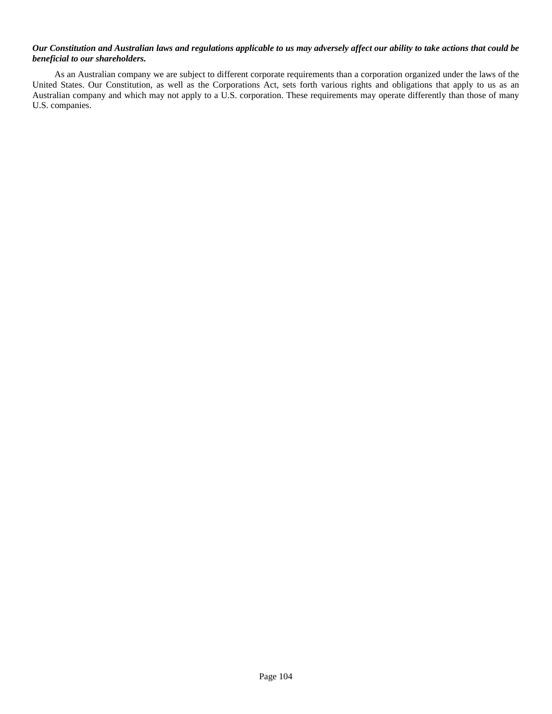## *Our Constitution and Australian laws and regulations applicable to us may adversely affect our ability to take actions that could be beneficial to our shareholders.*

As an Australian company we are subject to different corporate requirements than a corporation organized under the laws of the United States. Our Constitution, as well as the Corporations Act, sets forth various rights and obligations that apply to us as an Australian company and which may not apply to a U.S. corporation. These requirements may operate differently than those of many U.S. companies.